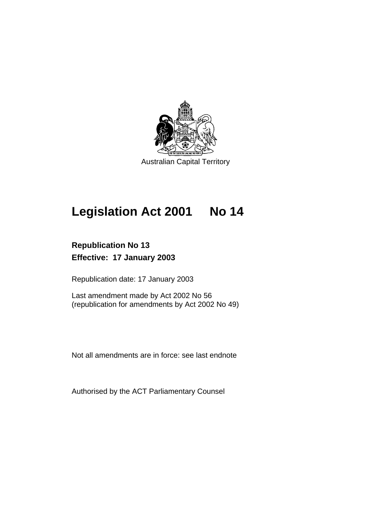

Australian Capital Territory

# **Legislation Act 2001 No 14**

# **Republication No 13 Effective: 17 January 2003**

Republication date: 17 January 2003

Last amendment made by Act 2002 No 56 (republication for amendments by Act 2002 No 49)

Not all amendments are in force: see last endnote

Authorised by the ACT Parliamentary Counsel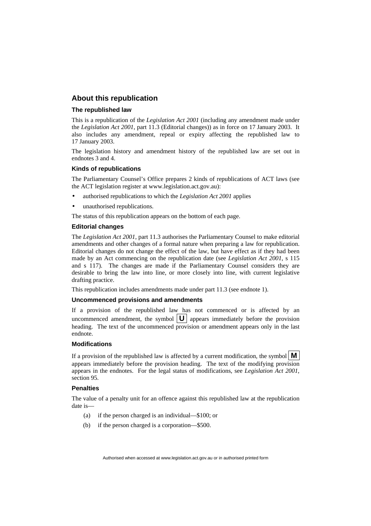# **About this republication**

#### **The republished law**

This is a republication of the *Legislation Act 2001* (including any amendment made under the *Legislation Act 2001*, part 11.3 (Editorial changes)) as in force on 17 January 2003*.* It also includes any amendment, repeal or expiry affecting the republished law to 17 January 2003.

The legislation history and amendment history of the republished law are set out in endnotes 3 and 4.

#### **Kinds of republications**

The Parliamentary Counsel's Office prepares 2 kinds of republications of ACT laws (see the ACT legislation register at www.legislation.act.gov.au):

- authorised republications to which the *Legislation Act 2001* applies
- unauthorised republications.

The status of this republication appears on the bottom of each page.

#### **Editorial changes**

The *Legislation Act 2001*, part 11.3 authorises the Parliamentary Counsel to make editorial amendments and other changes of a formal nature when preparing a law for republication. Editorial changes do not change the effect of the law, but have effect as if they had been made by an Act commencing on the republication date (see *Legislation Act 2001*, s 115 and s 117). The changes are made if the Parliamentary Counsel considers they are desirable to bring the law into line, or more closely into line, with current legislative drafting practice.

This republication includes amendments made under part 11.3 (see endnote 1).

#### **Uncommenced provisions and amendments**

If a provision of the republished law has not commenced or is affected by an uncommenced amendment, the symbol  $|\mathbf{U}|$  appears immediately before the provision heading. The text of the uncommenced provision or amendment appears only in the last endnote.

#### **Modifications**

If a provision of the republished law is affected by a current modification, the symbol  $\mathbf{M}$ appears immediately before the provision heading. The text of the modifying provision appears in the endnotes. For the legal status of modifications, see *Legislation Act 2001*, section 95.

#### **Penalties**

The value of a penalty unit for an offence against this republished law at the republication date is—

- (a) if the person charged is an individual—\$100; or
- (b) if the person charged is a corporation—\$500.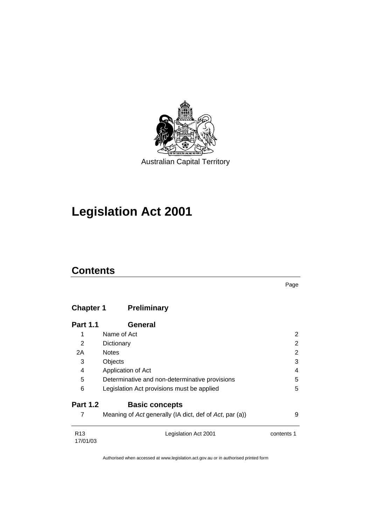

# **Legislation Act 2001**

# **Contents**

Page

# **Chapter 1 Preliminary**

| <b>Part 1.1</b>             | <b>General</b>                                          |            |
|-----------------------------|---------------------------------------------------------|------------|
| 1                           | Name of Act                                             | 2          |
| 2                           | Dictionary                                              | 2          |
| 2A                          | <b>Notes</b>                                            | 2          |
| 3                           | Objects                                                 | 3          |
| 4                           | Application of Act                                      | 4          |
| 5                           | Determinative and non-determinative provisions          | 5          |
| 6                           | Legislation Act provisions must be applied              | 5          |
| <b>Part 1.2</b>             | <b>Basic concepts</b>                                   |            |
| 7                           | Meaning of Act generally (IA dict, def of Act, par (a)) | 9          |
| R <sub>13</sub><br>17/01/03 | Legislation Act 2001                                    | contents 1 |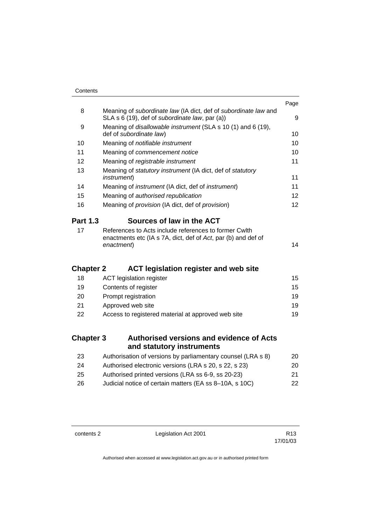|                  |                                                                                                                                      | Page            |
|------------------|--------------------------------------------------------------------------------------------------------------------------------------|-----------------|
| 8                | Meaning of subordinate law (IA dict, def of subordinate law and<br>SLA s 6 (19), def of subordinate law, par (a))                    | 9               |
| 9                | Meaning of <i>disallowable instrument</i> (SLA s 10 (1) and 6 (19),<br>def of subordinate law)                                       | 10              |
| 10               | Meaning of notifiable instrument                                                                                                     | 10              |
| 11               | Meaning of commencement notice                                                                                                       | 10              |
| 12               | Meaning of registrable instrument                                                                                                    | 11              |
| 13               | Meaning of statutory instrument (IA dict, def of statutory<br><i>instrument</i> )                                                    | 11              |
| 14               | Meaning of <i>instrument</i> (IA dict, def of <i>instrument</i> )                                                                    | 11              |
| 15               | Meaning of authorised republication                                                                                                  | 12 <sup>2</sup> |
| 16               | Meaning of <i>provision</i> (IA dict, def of <i>provision</i> )                                                                      | 12              |
| <b>Part 1.3</b>  | Sources of law in the ACT                                                                                                            |                 |
| 17               | References to Acts include references to former Cwlth<br>enactments etc (IA s 7A, dict, def of Act, par (b) and def of<br>enactment) | 14              |
| <b>Chapter 2</b> | <b>ACT legislation register and web site</b>                                                                                         |                 |
| 18               | <b>ACT</b> legislation register                                                                                                      | 15              |
| 19               | Contents of register                                                                                                                 | 15              |
| 20               | Prompt registration                                                                                                                  | 19              |
| 21               | Approved web site                                                                                                                    | 19              |
| 22               | Access to registered material at approved web site                                                                                   | 19              |
| <b>Chapter 3</b> | <b>Authorised versions and evidence of Acts</b><br>and statutory instruments                                                         |                 |
| 23               | Authorisation of versions by parliamentary counsel (LRA s 8)                                                                         | 20              |
| 24               | Authorised electronic versions (LRA s 20, s 22, s 23)                                                                                | 20              |

| - 25 | Authorised printed versions (LRA ss 6-9, ss 20-23) | 21 |
|------|----------------------------------------------------|----|
|      |                                                    |    |

| - 26 | Judicial notice of certain matters (EA ss 8-10A, s 10C) | 22 |
|------|---------------------------------------------------------|----|
|------|---------------------------------------------------------|----|

contents 2 Legislation Act 2001 R13

17/01/03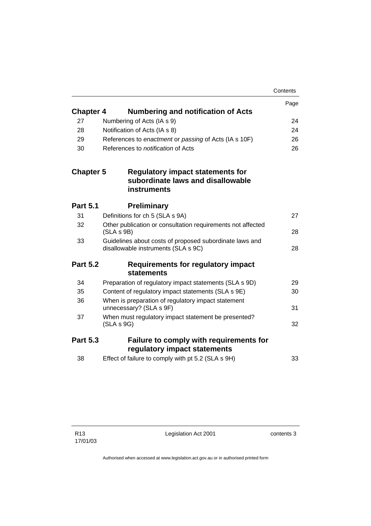|                  |                                                                                                | Contents |
|------------------|------------------------------------------------------------------------------------------------|----------|
|                  |                                                                                                | Page     |
| <b>Chapter 4</b> | <b>Numbering and notification of Acts</b>                                                      |          |
| 27               | Numbering of Acts (IA s 9)                                                                     | 24       |
| 28               | Notification of Acts (IA s 8)                                                                  | 24       |
| 29               | References to enactment or passing of Acts (IA s 10F)                                          | 26       |
| 30               | References to <i>notification</i> of Acts                                                      | 26       |
| <b>Chapter 5</b> | Regulatory impact statements for<br>subordinate laws and disallowable<br><b>instruments</b>    |          |
| <b>Part 5.1</b>  | <b>Preliminary</b>                                                                             |          |
| 31               | Definitions for ch 5 (SLA s 9A)                                                                | 27       |
| 32               | Other publication or consultation requirements not affected<br>(SLA S 9B)                      | 28       |
| 33               | Guidelines about costs of proposed subordinate laws and<br>disallowable instruments (SLA s 9C) | 28       |
| <b>Part 5.2</b>  | Requirements for regulatory impact<br>statements                                               |          |
| 34               | Preparation of regulatory impact statements (SLA s 9D)                                         | 29       |
| 35               | Content of regulatory impact statements (SLA s 9E)                                             | 30       |
| 36               | When is preparation of regulatory impact statement<br>unnecessary? (SLA s 9F)                  | 31       |
| 37               | When must regulatory impact statement be presented?<br>(SLA S 9G)                              | 32       |
| <b>Part 5.3</b>  | <b>Failure to comply with requirements for</b><br>regulatory impact statements                 |          |
| 38               | Effect of failure to comply with pt 5.2 (SLA s 9H)                                             | 33       |
|                  |                                                                                                |          |

Legislation Act 2001 contents 3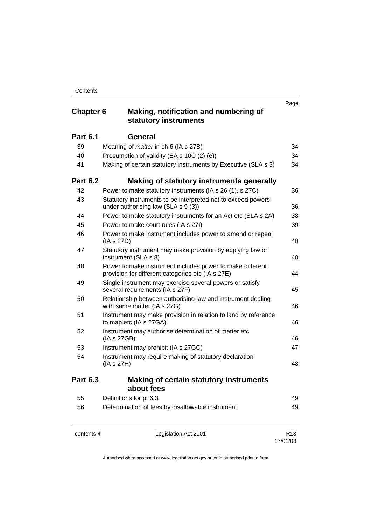# **Chapter 6 Making, notification and numbering of statutory instruments**

|                 | Statutory mstruments                                                                                           |    |
|-----------------|----------------------------------------------------------------------------------------------------------------|----|
| <b>Part 6.1</b> | <b>General</b>                                                                                                 |    |
| 39              | Meaning of <i>matter</i> in ch 6 (IA s 27B)                                                                    | 34 |
| 40              | Presumption of validity (EA s 10C (2) (e))                                                                     | 34 |
| 41              | Making of certain statutory instruments by Executive (SLA s 3)                                                 | 34 |
| <b>Part 6.2</b> | Making of statutory instruments generally                                                                      |    |
| 42              | Power to make statutory instruments (IA s 26 (1), s 27C)                                                       | 36 |
| 43              | Statutory instruments to be interpreted not to exceed powers<br>under authorising law (SLA s 9 (3))            | 36 |
| 44              | Power to make statutory instruments for an Act etc (SLA s 2A)                                                  | 38 |
| 45              | Power to make court rules (IA s 27I)                                                                           | 39 |
| 46              | Power to make instrument includes power to amend or repeal<br>(IA s 27D)                                       | 40 |
| 47              | Statutory instrument may make provision by applying law or<br>instrument (SLA s 8)                             | 40 |
| 48              | Power to make instrument includes power to make different<br>provision for different categories etc (IA s 27E) | 44 |
| 49              | Single instrument may exercise several powers or satisfy<br>several requirements (IA s 27F)                    | 45 |
| 50              | Relationship between authorising law and instrument dealing<br>with same matter (IA s 27G)                     | 46 |
| 51              | Instrument may make provision in relation to land by reference<br>to map etc (IA s 27GA)                       | 46 |
| 52              | Instrument may authorise determination of matter etc<br>(IA s 27GB)                                            | 46 |
| 53              | Instrument may prohibit (IA s 27GC)                                                                            | 47 |
| 54              | Instrument may require making of statutory declaration<br>(IA s 27H)                                           | 48 |
| <b>Part 6.3</b> | <b>Making of certain statutory instruments</b><br>about fees                                                   |    |
| 55              | Definitions for pt 6.3                                                                                         | 49 |
| 56              | Determination of fees by disallowable instrument                                                               | 49 |
|                 |                                                                                                                |    |

| contents 4 |  |
|------------|--|
|------------|--|

Legislation Act 2001 R13

17/01/03

Page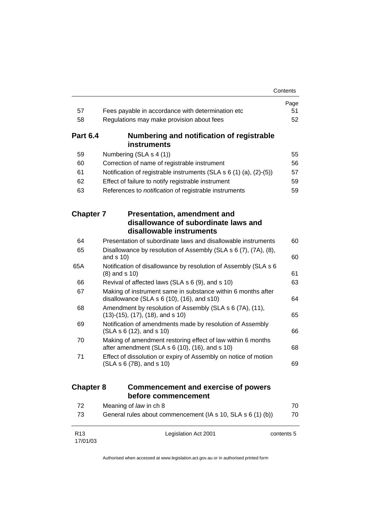|                             |                                                                                                                   | Contents   |
|-----------------------------|-------------------------------------------------------------------------------------------------------------------|------------|
|                             |                                                                                                                   | Page       |
| 57                          | Fees payable in accordance with determination etc                                                                 | 51         |
| 58                          | Regulations may make provision about fees                                                                         | 52         |
| <b>Part 6.4</b>             | Numbering and notification of registrable<br>instruments                                                          |            |
| 59                          | Numbering (SLA s 4 (1))                                                                                           | 55         |
| 60                          | Correction of name of registrable instrument                                                                      | 56         |
| 61                          | Notification of registrable instruments (SLA $s$ 6 (1) (a), (2)-(5))                                              | 57         |
| 62                          | Effect of failure to notify registrable instrument                                                                | 59         |
| 63                          | References to notification of registrable instruments                                                             | 59         |
| <b>Chapter 7</b>            | <b>Presentation, amendment and</b>                                                                                |            |
|                             | disallowance of subordinate laws and<br>disallowable instruments                                                  |            |
| 64                          | Presentation of subordinate laws and disallowable instruments                                                     | 60         |
| 65                          | Disallowance by resolution of Assembly (SLA s 6 (7), (7A), (8),<br>and $s$ 10)                                    | 60         |
| 65A                         | Notification of disallowance by resolution of Assembly (SLA s 6<br>$(8)$ and s $10)$                              | 61         |
| 66                          | Revival of affected laws (SLA s 6 (9), and s 10)                                                                  | 63         |
| 67                          | Making of instrument same in substance within 6 months after<br>disallowance (SLA $s$ 6 (10), (16), and $s$ 10)   | 64         |
| 68                          | Amendment by resolution of Assembly (SLA s 6 (7A), (11),<br>$(13)-(15)$ , $(17)$ , $(18)$ , and s 10)             | 65         |
| 69                          | Notification of amendments made by resolution of Assembly<br>(SLA s 6 (12), and s 10)                             | 66         |
| 70                          | Making of amendment restoring effect of law within 6 months<br>after amendment (SLA $s$ 6 (10), (16), and $s$ 10) | 68         |
| 71                          | Effect of dissolution or expiry of Assembly on notice of motion<br>(SLA s 6 (7B), and s 10)                       | 69         |
| <b>Chapter 8</b>            | <b>Commencement and exercise of powers</b><br>before commencement                                                 |            |
| 72                          | Meaning of law in ch 8                                                                                            | 70         |
| 73                          | General rules about commencement (IA s 10, SLA s 6 (1) (b))                                                       | 70         |
| R <sub>13</sub><br>17/01/03 | Legislation Act 2001                                                                                              | contents 5 |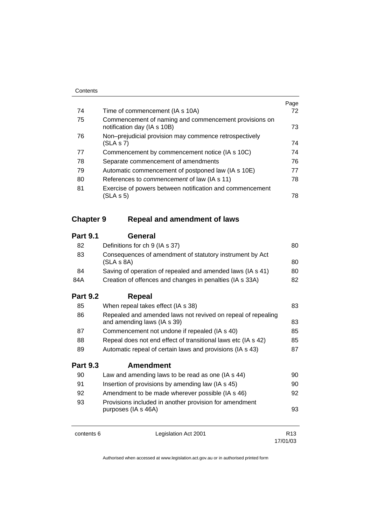|    |                                                                                      | Page |
|----|--------------------------------------------------------------------------------------|------|
| 74 | Time of commencement (IA s 10A)                                                      | 72   |
| 75 | Commencement of naming and commencement provisions on<br>notification day (IA s 10B) | 73   |
| 76 | Non-prejudicial provision may commence retrospectively<br>(SLA S 7)                  | 74   |
| 77 | Commencement by commencement notice (IA s 10C)                                       | 74   |
| 78 | Separate commencement of amendments                                                  | 76   |
| 79 | Automatic commencement of postponed law (IA s 10E)                                   | 77   |
| 80 | References to <i>commencement</i> of law (IA s 11)                                   | 78   |
| 81 | Exercise of powers between notification and commencement<br>(SLA s 5)                | 78   |

# **Chapter 9 Repeal and amendment of laws**

# **Part 9.1 General**

| 82              | Definitions for ch 9 (IA s 37)                                                              | 80 |
|-----------------|---------------------------------------------------------------------------------------------|----|
| 83              | Consequences of amendment of statutory instrument by Act<br>(SLA s 8A)                      | 80 |
| 84              | Saving of operation of repealed and amended laws (IA s 41)                                  | 80 |
| 84A             | Creation of offences and changes in penalties (IA s 33A)                                    | 82 |
| <b>Part 9.2</b> | Repeal                                                                                      |    |
| 85              | When repeal takes effect (IA s 38)                                                          | 83 |
| 86              | Repealed and amended laws not revived on repeal of repealing<br>and amending laws (IA s 39) | 83 |

| -87 | Commencement not undone if repealed (IA s 40)                 | 85 |
|-----|---------------------------------------------------------------|----|
| -88 | Repeal does not end effect of transitional laws etc (IA s 42) | 85 |

89 Automatic repeal of certain laws and provisions (IA s 43) 87

# **Part 9.3 Amendment**

| 90 | Law and amending laws to be read as one (IA s 44)                             | 90 |
|----|-------------------------------------------------------------------------------|----|
| 91 | Insertion of provisions by amending law (IA s 45)                             | 90 |
| 92 | Amendment to be made wherever possible (IA s 46)                              | 92 |
| 93 | Provisions included in another provision for amendment<br>purposes (IA s 46A) | 93 |

contents 6 Legislation Act 2001 R13

17/01/03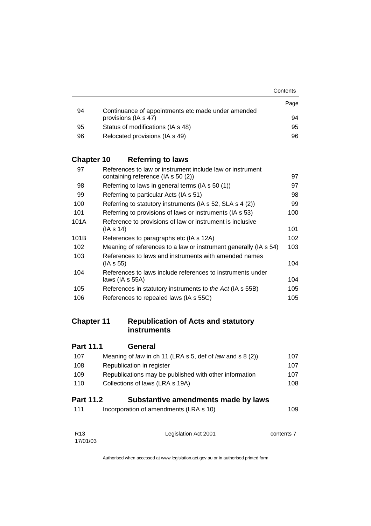|    |                                                    | Contents |
|----|----------------------------------------------------|----------|
|    |                                                    | Page     |
| 94 | Continuance of appointments etc made under amended |          |
|    | provisions (IA s 47)                               | 94       |
| 95 | Status of modifications (IA s 48)                  | 95       |
| 96 | Relocated provisions (IA s 49)                     | 96       |

# **Chapter 10 Referring to laws**

| 97   | References to law or instrument include law or instrument        |     |
|------|------------------------------------------------------------------|-----|
|      | containing reference (IA s 50 (2))                               | 97  |
| 98   | Referring to laws in general terms (IA s 50 (1))                 | 97  |
| 99   | Referring to particular Acts (IA s 51)                           | 98  |
| 100  | Referring to statutory instruments (IA s 52, SLA s 4 (2))        | 99  |
| 101  | Referring to provisions of laws or instruments (IA s 53)         | 100 |
| 101A | Reference to provisions of law or instrument is inclusive        |     |
|      | (IA s 14)                                                        | 101 |
| 101B | References to paragraphs etc (IA s 12A)                          | 102 |
| 102  | Meaning of references to a law or instrument generally (IA s 54) | 103 |
| 103  | References to laws and instruments with amended names            |     |
|      | (IA s 55)                                                        | 104 |
| 104  | References to laws include references to instruments under       |     |
|      | laws $(IAs 55A)$                                                 | 104 |
| 105  | References in statutory instruments to the Act (IA s 55B)        | 105 |
| 106  | References to repealed laws (IA s 55C)                           | 105 |
|      |                                                                  |     |

# **Chapter 11 Republication of Acts and statutory instruments**

| <b>Part 11.1</b> | <b>General</b>                                            |      |
|------------------|-----------------------------------------------------------|------|
| 107              | Meaning of law in ch 11 (LRA s 5, def of law and s 8 (2)) | 107  |
| 108              | Republication in register                                 | 107  |
| 109              | Republications may be published with other information    | 107  |
| 110              | Collections of laws (LRA s 19A)                           | 108  |
| <b>Part 11.2</b> | Substantive amendments made by laws                       |      |
| 111              | Incorporation of amendments (LRA s 10)                    | 109. |

| R <sub>13</sub> | Legislation Act 2001 | contents 7 |
|-----------------|----------------------|------------|
| 17/01/03        |                      |            |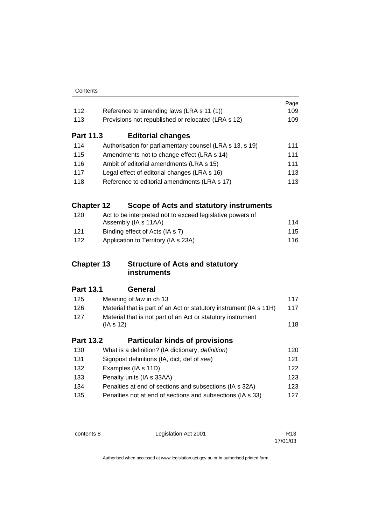| Contents |
|----------|
|----------|

|                   |                                                                    | Page |
|-------------------|--------------------------------------------------------------------|------|
| 112               | Reference to amending laws (LRA s 11 (1))                          | 109  |
| 113               | Provisions not republished or relocated (LRA s 12)                 | 109  |
| <b>Part 11.3</b>  | <b>Editorial changes</b>                                           |      |
| 114               | Authorisation for parliamentary counsel (LRA s 13, s 19)           | 111  |
| 115               | Amendments not to change effect (LRA s 14)                         | 111  |
| 116               | Ambit of editorial amendments (LRA s 15)                           | 111  |
| 117               | Legal effect of editorial changes (LRA s 16)                       | 113  |
| 118               | Reference to editorial amendments (LRA s 17)                       | 113  |
| <b>Chapter 12</b> | Scope of Acts and statutory instruments                            |      |
| 120               | Act to be interpreted not to exceed legislative powers of          |      |
|                   | Assembly (IA s 11AA)                                               | 114  |
| 121               | Binding effect of Acts (IA s 7)                                    | 115  |
| 122               | Application to Territory (IA s 23A)                                | 116  |
|                   |                                                                    |      |
| <b>Chapter 13</b> | <b>Structure of Acts and statutory</b>                             |      |
|                   | <b>instruments</b>                                                 |      |
| <b>Part 13.1</b>  | General                                                            |      |
| 125               | Meaning of law in ch 13                                            | 117  |
| 126               | Material that is part of an Act or statutory instrument (IA s 11H) | 117  |
| 127               | Material that is not part of an Act or statutory instrument        |      |
|                   | (IAs 12)                                                           | 118  |
| <b>Part 13.2</b>  | <b>Particular kinds of provisions</b>                              |      |
| 130               | What is a definition? (IA dictionary, definition)                  | 120  |
| 131               | Signpost definitions (IA, dict, def of see)                        | 121  |
| 132               | Examples (IA s 11D)                                                | 122  |
| 133               | Penalty units (IA s 33AA)                                          | 123  |
| 134               | Penalties at end of sections and subsections (IA s 32A)            | 123  |
| 135               | Penalties not at end of sections and subsections (IA s 33)         | 127  |

contents 8 Legislation Act 2001 R13

17/01/03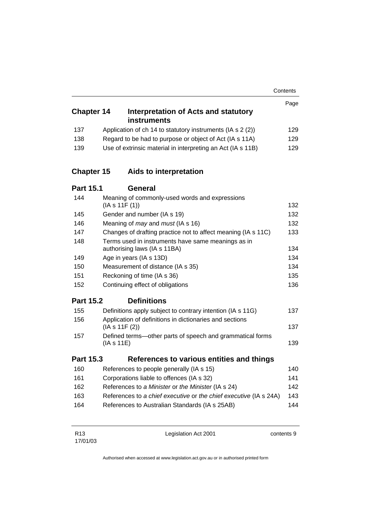|                   |           |                                                                                    | Contents |
|-------------------|-----------|------------------------------------------------------------------------------------|----------|
|                   |           |                                                                                    | Page     |
| <b>Chapter 14</b> |           | <b>Interpretation of Acts and statutory</b><br><b>instruments</b>                  |          |
| 137               |           | Application of ch 14 to statutory instruments (IA s 2 (2))                         | 129      |
| 138               |           | Regard to be had to purpose or object of Act (IA s 11A)                            | 129      |
| 139               |           | Use of extrinsic material in interpreting an Act (IA s 11B)                        | 129      |
| <b>Chapter 15</b> |           | Aids to interpretation                                                             |          |
| <b>Part 15.1</b>  |           | General                                                                            |          |
| 144               |           | Meaning of commonly-used words and expressions<br>(IAs 11F(1))                     | 132      |
| 145               |           | Gender and number (IA s 19)                                                        | 132      |
| 146               |           | Meaning of <i>may</i> and <i>must</i> (IA s 16)                                    | 132      |
| 147               |           | Changes of drafting practice not to affect meaning (IA s 11C)                      | 133      |
| 148               |           | Terms used in instruments have same meanings as in<br>authorising laws (IA s 11BA) | 134      |
| 149               |           | Age in years (IA s 13D)                                                            | 134      |
| 150               |           | Measurement of distance (IA s 35)                                                  | 134      |
| 151               |           | Reckoning of time (IA s 36)                                                        | 135      |
| 152               |           | Continuing effect of obligations                                                   | 136      |
| <b>Part 15.2</b>  |           | <b>Definitions</b>                                                                 |          |
| 155               |           | Definitions apply subject to contrary intention (IA s 11G)                         | 137      |
| 156               |           | Application of definitions in dictionaries and sections                            |          |
|                   |           | (IAs 11F(2))                                                                       | 137      |
| 157               | (IAs 11E) | Defined terms-other parts of speech and grammatical forms                          | 139      |
| <b>Part 15.3</b>  |           | References to various entities and things                                          |          |
| 160               |           | References to people generally (IA s 15)                                           | 140      |
| 161               |           | Corporations liable to offences (IA s 32)                                          | 141      |
| 162               |           | References to a Minister or the Minister (IA s 24)                                 | 142      |
| 163               |           | References to a chief executive or the chief executive (IA s 24A)                  | 143      |
| 164               |           | References to Australian Standards (IA s 25AB)                                     | 144      |
|                   |           |                                                                                    |          |

R13 17/01/03 Legislation Act 2001 contents 9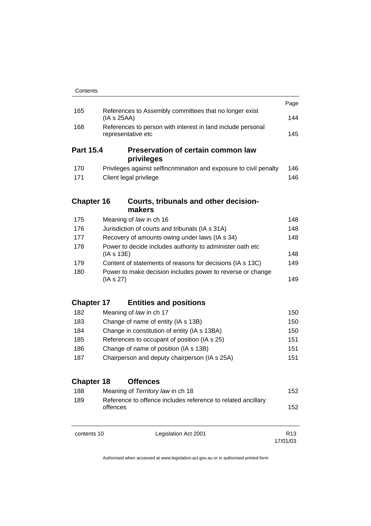|                   |                                                                                   | Page            |
|-------------------|-----------------------------------------------------------------------------------|-----------------|
| 165               | References to Assembly committees that no longer exist<br>(IAs 25AA)              | 144             |
| 168               | References to person with interest in land include personal<br>representative etc | 145             |
| <b>Part 15.4</b>  | <b>Preservation of certain common law</b><br>privileges                           |                 |
| 170               | Privileges against selfincrimination and exposure to civil penalty                | 146             |
| 171               | Client legal privilege                                                            | 146             |
| <b>Chapter 16</b> | Courts, tribunals and other decision-<br>makers                                   |                 |
| 175               | Meaning of law in ch 16                                                           | 148             |
| 176               | Jurisdiction of courts and tribunals (IA s 31A)                                   | 148             |
| 177               | Recovery of amounts owing under laws (IA s 34)                                    | 148             |
| 178               | Power to decide includes authority to administer oath etc<br>(IAs 13E)            | 148             |
| 179               | Content of statements of reasons for decisions (IA s 13C)                         | 149             |
| 180               | Power to make decision includes power to reverse or change<br>(IAs 27)            | 149             |
| <b>Chapter 17</b> | <b>Entities and positions</b>                                                     |                 |
| 182               | Meaning of law in ch 17                                                           | 150             |
| 183               | Change of name of entity (IA s 13B)                                               | 150             |
| 184               | Change in constitution of entity (IA s 13BA)                                      | 150             |
| 185               | References to occupant of position (IA s 25)                                      | 151             |
| 186               | Change of name of position (IA s 13B)                                             | 151             |
| 187               | Chairperson and deputy chairperson (IA s 25A)                                     | 151             |
| <b>Chapter 18</b> | <b>Offences</b>                                                                   |                 |
| 188               | Meaning of Territory law in ch 18                                                 | 152             |
| 189               | Reference to offence includes reference to related ancillary<br>offences          | 152             |
| contents 10       | Legislation Act 2001                                                              | R <sub>13</sub> |

Authorised when accessed at www.legislation.act.gov.au or in authorised printed form

17/01/03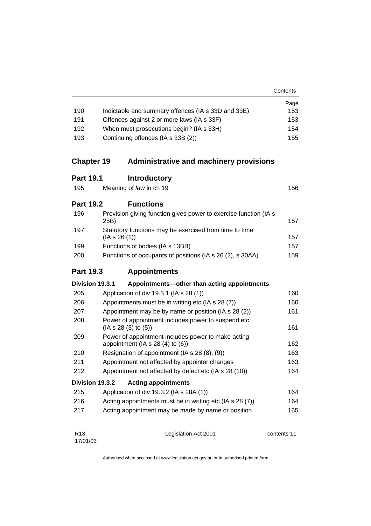|     |                                                    | Contents |
|-----|----------------------------------------------------|----------|
|     |                                                    | Page     |
| 190 | Indictable and summary offences (IA s 33D and 33E) | 153      |
| 191 | Offences against 2 or more laws (IA s 33F)         | 153      |
| 192 | When must prosecutions begin? (IA s 33H)           | 154      |
| 193 | Continuing offences (IA s 33B (2))                 | 155      |

# **Chapter 19 Administrative and machinery provisions**

# **Part 19.1 Introductory**

| 156                     |
|-------------------------|
| Meaning of law in ch 19 |

# **Part 19.2 Functions**

| 196 | Provision giving function gives power to exercise function (IA s)<br>25B) | 157 |
|-----|---------------------------------------------------------------------------|-----|
| 197 | Statutory functions may be exercised from time to time<br>(IAs 26(1))     | 157 |
| 199 | Functions of bodies (IA s 13BB)                                           | 157 |
| 200 | Functions of occupants of positions (IA s 26 (2), s 30AA)                 | 159 |

# **Part 19.3 Appointments**

# **Division 19.3.1 Appointments—other than acting appointments**

| 205             | Application of div 19.3.1 (IA s 28 (1))                                                  | 160         |
|-----------------|------------------------------------------------------------------------------------------|-------------|
| 206             | Appointments must be in writing etc (IA s 28 (7))                                        | 160         |
| 207             | Appointment may be by name or position (IA s 28 (2))                                     | 161         |
| 208             | Power of appointment includes power to suspend etc.<br>(IA S 28 (3) to (5))              | 161         |
| 209             | Power of appointment includes power to make acting<br>appointment (IA $s$ 28 (4) to (6)) | 162         |
| 210             | Resignation of appointment (IA s 28 (8), (9))                                            | 163         |
| 211             | Appointment not affected by appointer changes                                            | 163         |
| 212             | Appointment not affected by defect etc (IA s 28 (10))                                    | 164         |
|                 | Division 19.3.2<br><b>Acting appointments</b>                                            |             |
| 215             | Application of div 19.3.2 (IA s 28A (1))                                                 | 164         |
| 216             | Acting appointments must be in writing etc (IA s 28 (7))                                 | 164         |
| 217             | Acting appointment may be made by name or position                                       | 165         |
| R <sub>13</sub> | Legislation Act 2001                                                                     | contents 11 |

17/01/03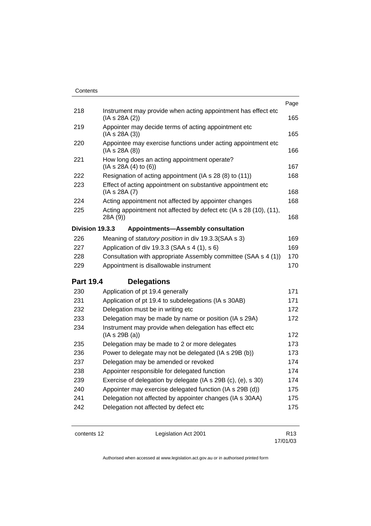| Contents         |                                                                                 |      |
|------------------|---------------------------------------------------------------------------------|------|
|                  |                                                                                 | Page |
| 218              | Instrument may provide when acting appointment has effect etc<br>(IA s 28A (2)) | 165  |
| 219              | Appointer may decide terms of acting appointment etc<br>(IAs 28A(3))            | 165  |
| 220              | Appointee may exercise functions under acting appointment etc<br>(IA s 28A (8)) | 166  |
| 221              | How long does an acting appointment operate?<br>(IAs 28A(4) to (6))             | 167  |
| 222              | Resignation of acting appointment (IA s 28 (8) to (11))                         | 168  |
| 223              | Effect of acting appointment on substantive appointment etc<br>(IA s 28A (7)    | 168  |
| 224              | Acting appointment not affected by appointer changes                            | 168  |
| 225              | Acting appointment not affected by defect etc (IA s 28 (10), (11),<br>28A (9))  | 168  |
| Division 19.3.3  | <b>Appointments-Assembly consultation</b>                                       |      |
| 226              | Meaning of <i>statutory position</i> in div 19.3.3(SAA s 3)                     | 169  |
| 227              | Application of div 19.3.3 (SAA s 4 (1), s 6)                                    | 169  |
| 228              | Consultation with appropriate Assembly committee (SAA s 4 (1))                  | 170  |
| 229              | Appointment is disallowable instrument                                          | 170  |
| <b>Part 19.4</b> | <b>Delegations</b>                                                              |      |
| 230              | Application of pt 19.4 generally                                                | 171  |
| 231              | Application of pt 19.4 to subdelegations (IA s 30AB)                            | 171  |
| 232              | Delegation must be in writing etc                                               | 172  |
| 233              | Delegation may be made by name or position (IA s 29A)                           | 172  |
| 234              | Instrument may provide when delegation has effect etc<br>(IAs 29B(a))           | 172  |
| 235              | Delegation may be made to 2 or more delegates                                   | 173  |
| 236              | Power to delegate may not be delegated (IA s 29B (b))                           | 173  |
| 237              | Delegation may be amended or revoked                                            | 174  |
| 238              | Appointer responsible for delegated function                                    | 174  |
| 239              | Exercise of delegation by delegate (IA s 29B (c), (e), s 30)                    | 174  |
| 240              | Appointer may exercise delegated function (IA s 29B (d))                        | 175  |
| 241              | Delegation not affected by appointer changes (IA s 30AA)                        | 175  |
| 242              | Delegation not affected by defect etc                                           | 175  |
|                  |                                                                                 |      |

contents 12 Legislation Act 2001

17/01/03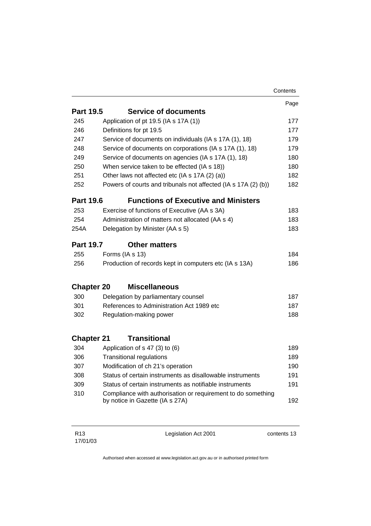|                          |                                                                                                 | Contents |
|--------------------------|-------------------------------------------------------------------------------------------------|----------|
|                          |                                                                                                 | Page     |
| <b>Part 19.5</b>         | <b>Service of documents</b>                                                                     |          |
| 245                      | Application of pt 19.5 (IA s 17A (1))                                                           | 177      |
| 246                      | Definitions for pt 19.5                                                                         | 177      |
| 247                      | Service of documents on individuals (IA s 17A (1), 18)                                          | 179      |
| 248                      | Service of documents on corporations (IA s 17A (1), 18)                                         | 179      |
| 249                      | Service of documents on agencies (IA s 17A (1), 18)                                             | 180      |
| 250                      | When service taken to be effected (IA s 18))                                                    | 180      |
| 251                      | Other laws not affected etc (IA s 17A (2) (a))                                                  | 182      |
| 252                      | Powers of courts and tribunals not affected (IA s 17A (2) (b))                                  | 182      |
| <b>Part 19.6</b>         | <b>Functions of Executive and Ministers</b>                                                     |          |
| 253                      | Exercise of functions of Executive (AA s 3A)                                                    | 183      |
| 254                      | Administration of matters not allocated (AA s 4)                                                | 183      |
| 254A                     | Delegation by Minister (AA s 5)                                                                 | 183      |
| <b>Part 19.7</b>         | <b>Other matters</b>                                                                            |          |
| 255                      | Forms (IA s 13)                                                                                 | 184      |
| 256                      | Production of records kept in computers etc (IA s 13A)                                          | 186      |
|                          | <b>Miscellaneous</b>                                                                            |          |
| <b>Chapter 20</b><br>300 |                                                                                                 | 187      |
| 301                      | Delegation by parliamentary counsel<br>References to Administration Act 1989 etc                | 187      |
|                          |                                                                                                 | 188      |
| 302                      | Regulation-making power                                                                         |          |
| <b>Chapter 21</b>        | <b>Transitional</b>                                                                             |          |
| 304                      | Application of s 47 (3) to (6)                                                                  | 189      |
| 306                      | <b>Transitional regulations</b>                                                                 | 189      |
| 307                      | Modification of ch 21's operation                                                               | 190      |
| 308                      | Status of certain instruments as disallowable instruments                                       | 191      |
| 309                      | Status of certain instruments as notifiable instruments                                         | 191      |
| 310                      | Compliance with authorisation or requirement to do something<br>by notice in Gazette (IA s 27A) | 192      |
|                          |                                                                                                 |          |

Legislation Act 2001 contents 13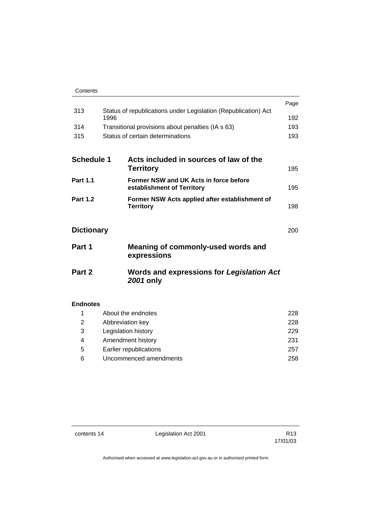| Contents |
|----------|
|----------|

|                   |      |                                                                | Page |
|-------------------|------|----------------------------------------------------------------|------|
| 313               |      | Status of republications under Legislation (Republication) Act |      |
|                   | 1996 |                                                                | 192  |
| 314               |      | Transitional provisions about penalties (IA s 63)              | 193  |
| 315               |      | Status of certain determinations                               | 193  |
|                   |      |                                                                |      |
| <b>Schedule 1</b> |      | Acts included in sources of law of the                         |      |
|                   |      | <b>Territory</b>                                               | 195  |
| <b>Part 1.1</b>   |      | Former NSW and UK Acts in force before                         |      |
|                   |      | establishment of Territory                                     | 195  |
| <b>Part 1.2</b>   |      | Former NSW Acts applied after establishment of                 | 198  |
|                   |      | <b>Territory</b>                                               |      |
|                   |      |                                                                |      |
| <b>Dictionary</b> |      |                                                                | 200  |
| Part 1            |      | Meaning of commonly-used words and<br>expressions              |      |
| Part 2            |      | <b>Words and expressions for Legislation Act</b><br>2001 only  |      |
|                   |      |                                                                |      |

### **Endnotes**

|   | About the endnotes     | 228 |
|---|------------------------|-----|
| 2 | Abbreviation key       | 228 |
| 3 | Legislation history    | 229 |
| 4 | Amendment history      | 231 |
| 5 | Earlier republications | 257 |
| 6 | Uncommenced amendments | 258 |
|   |                        |     |

contents 14 Legislation Act 2001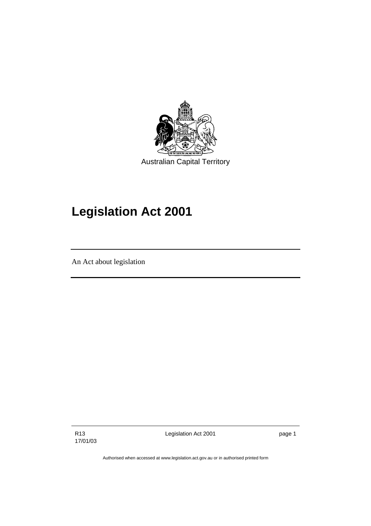

# **Legislation Act 2001**

An Act about legislation

R13 17/01/03 Legislation Act 2001 **page 1**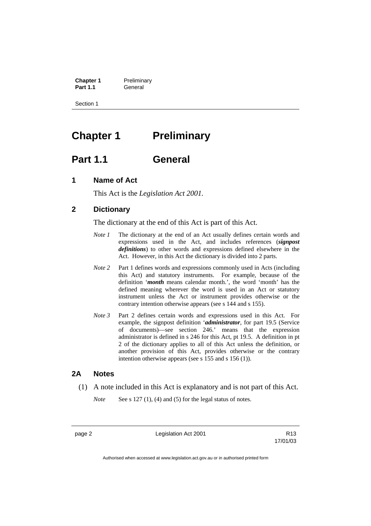**Chapter 1** Preliminary<br>**Part 1.1** General General

Section 1

# **Chapter 1** Preliminary

# **Part 1.1 General**

# **1 Name of Act**

This Act is the *Legislation Act 2001.* 

# **2 Dictionary**

The dictionary at the end of this Act is part of this Act.

- *Note 1* The dictionary at the end of an Act usually defines certain words and expressions used in the Act, and includes references (*signpost definitions*) to other words and expressions defined elsewhere in the Act. However, in this Act the dictionary is divided into 2 parts.
- *Note 2* Part 1 defines words and expressions commonly used in Acts (including this Act) and statutory instruments. For example, because of the definition '*month* means calendar month.', the word 'month' has the defined meaning wherever the word is used in an Act or statutory instrument unless the Act or instrument provides otherwise or the contrary intention otherwise appears (see s 144 and s 155).
- *Note 3* Part 2 defines certain words and expressions used in this Act. For example, the signpost definition '*administrator*, for part 19.5 (Service of documents)—see section 246.' means that the expression administrator is defined in s 246 for this Act, pt 19.5. A definition in pt 2 of the dictionary applies to all of this Act unless the definition, or another provision of this Act, provides otherwise or the contrary intention otherwise appears (see s 155 and s 156 (1)).

### **2A Notes**

(1) A note included in this Act is explanatory and is not part of this Act.

*Note* See s 127 (1), (4) and (5) for the legal status of notes.

page 2 **Legislation Act 2001** R13

17/01/03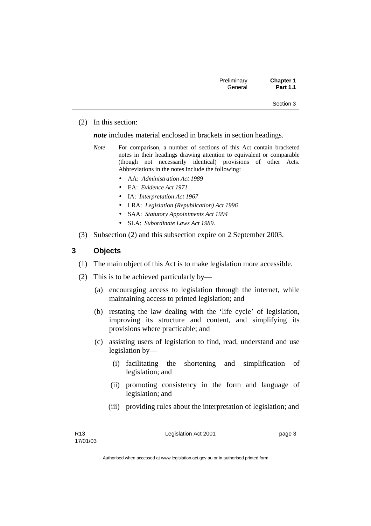| Preliminary | <b>Chapter 1</b> |
|-------------|------------------|
| General     | <b>Part 1.1</b>  |

#### (2) In this section:

*note* includes material enclosed in brackets in section headings.

- *Note* For comparison, a number of sections of this Act contain bracketed notes in their headings drawing attention to equivalent or comparable (though not necessarily identical) provisions of other Acts. Abbreviations in the notes include the following:
	- AA: *Administration Act 1989*
	- EA: *Evidence Act 1971*
	- IA: *Interpretation Act 1967*
	- LRA: *Legislation (Republication) Act 1996*
	- SAA: *Statutory Appointments Act 1994*
	- SLA: *Subordinate Laws Act 1989*.
- (3) Subsection (2) and this subsection expire on 2 September 2003.

# **3 Objects**

- (1) The main object of this Act is to make legislation more accessible.
- (2) This is to be achieved particularly by—
	- (a) encouraging access to legislation through the internet, while maintaining access to printed legislation; and
	- (b) restating the law dealing with the 'life cycle' of legislation, improving its structure and content, and simplifying its provisions where practicable; and
	- (c) assisting users of legislation to find, read, understand and use legislation by—
		- (i) facilitating the shortening and simplification of legislation; and
		- (ii) promoting consistency in the form and language of legislation; and
		- (iii) providing rules about the interpretation of legislation; and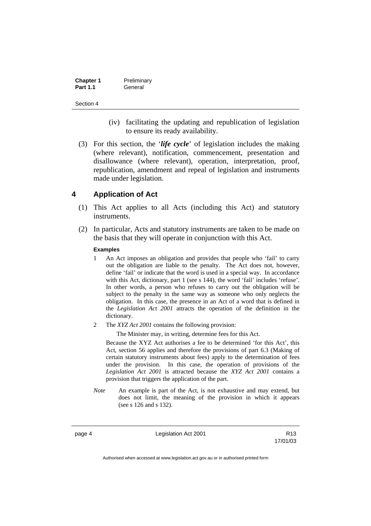| <b>Chapter 1</b> | Preliminary |
|------------------|-------------|
| <b>Part 1.1</b>  | General     |

- (iv) facilitating the updating and republication of legislation to ensure its ready availability.
- (3) For this section, the '*life cycle*' of legislation includes the making (where relevant), notification, commencement, presentation and disallowance (where relevant), operation, interpretation, proof, republication, amendment and repeal of legislation and instruments made under legislation.

# **4 Application of Act**

- (1) This Act applies to all Acts (including this Act) and statutory instruments.
- (2) In particular, Acts and statutory instruments are taken to be made on the basis that they will operate in conjunction with this Act.

#### **Examples**

- 1 An Act imposes an obligation and provides that people who 'fail' to carry out the obligation are liable to the penalty. The Act does not, however, define 'fail' or indicate that the word is used in a special way. In accordance with this Act, dictionary, part 1 (see s 144), the word 'fail' includes 'refuse'. In other words, a person who refuses to carry out the obligation will be subject to the penalty in the same way as someone who only neglects the obligation. In this case, the presence in an Act of a word that is defined in the *Legislation Act 2001* attracts the operation of the definition in the dictionary.
- 2 The *XYZ Act 2001* contains the following provision:

The Minister may, in writing, determine fees for this Act.

Because the XYZ Act authorises a fee to be determined 'for this Act', this Act, section 56 applies and therefore the provisions of part 6.3 (Making of certain statutory instruments about fees) apply to the determination of fees under the provision. In this case, the operation of provisions of the *Legislation Act 2001* is attracted because the *XYZ Act 2001* contains a provision that triggers the application of the part.

*Note* An example is part of the Act, is not exhaustive and may extend, but does not limit, the meaning of the provision in which it appears (see s 126 and s 132).

page 4 Legislation Act 2001

17/01/03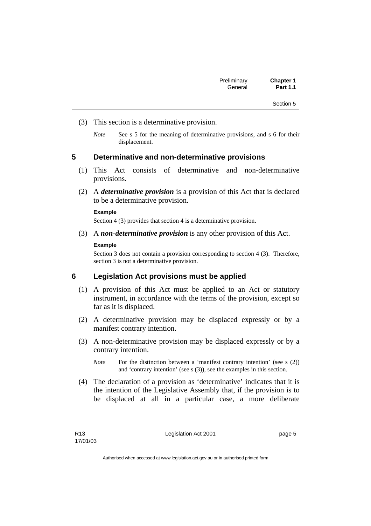- (3) This section is a determinative provision.
	- *Note* See s 5 for the meaning of determinative provisions, and s 6 for their displacement.

### **5 Determinative and non-determinative provisions**

- (1) This Act consists of determinative and non-determinative provisions.
- (2) A *determinative provision* is a provision of this Act that is declared to be a determinative provision.

#### **Example**

Section 4 (3) provides that section 4 is a determinative provision.

(3) A *non-determinative provision* is any other provision of this Act.

#### **Example**

Section 3 does not contain a provision corresponding to section 4 (3). Therefore, section 3 is not a determinative provision.

# **6 Legislation Act provisions must be applied**

- (1) A provision of this Act must be applied to an Act or statutory instrument, in accordance with the terms of the provision, except so far as it is displaced.
- (2) A determinative provision may be displaced expressly or by a manifest contrary intention.
- (3) A non-determinative provision may be displaced expressly or by a contrary intention.
	- *Note* For the distinction between a 'manifest contrary intention' (see s (2)) and 'contrary intention' (see s (3)), see the examples in this section.
- (4) The declaration of a provision as 'determinative' indicates that it is the intention of the Legislative Assembly that, if the provision is to be displaced at all in a particular case, a more deliberate

Legislation Act 2001 **page 5**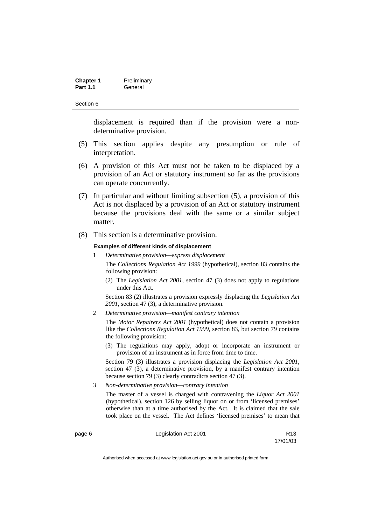| <b>Chapter 1</b> | Preliminary |
|------------------|-------------|
| <b>Part 1.1</b>  | General     |

displacement is required than if the provision were a nondeterminative provision.

- (5) This section applies despite any presumption or rule of interpretation.
- (6) A provision of this Act must not be taken to be displaced by a provision of an Act or statutory instrument so far as the provisions can operate concurrently.
- (7) In particular and without limiting subsection (5), a provision of this Act is not displaced by a provision of an Act or statutory instrument because the provisions deal with the same or a similar subject matter.
- (8) This section is a determinative provision.

#### **Examples of different kinds of displacement**

1 *Determinative provision—express displacement*

The *Collections Regulation Act 1999* (hypothetical), section 83 contains the following provision:

(2) The *Legislation Act 2001*, section 47 (3) does not apply to regulations under this Act.

Section 83 (2) illustrates a provision expressly displacing the *Legislation Act 2001*, section 47 (3), a determinative provision.

2 *Determinative provision—manifest contrary intention*

The *Motor Repairers Act 2001* (hypothetical) does not contain a provision like the *Collections Regulation Act 1999*, section 83, but section 79 contains the following provision:

(3) The regulations may apply, adopt or incorporate an instrument or provision of an instrument as in force from time to time.

Section 79 (3) illustrates a provision displacing the *Legislation Act 2001*, section 47 (3), a determinative provision, by a manifest contrary intention because section 79 (3) clearly contradicts section 47 (3).

3 *Non-determinative provision—contrary intention*

The master of a vessel is charged with contravening the *Liquor Act 2001* (hypothetical), section 126 by selling liquor on or from 'licensed premises' otherwise than at a time authorised by the Act. It is claimed that the sale took place on the vessel. The Act defines 'licensed premises' to mean that

page 6 **Legislation Act 2001** CH<sub>13</sub> R13

17/01/03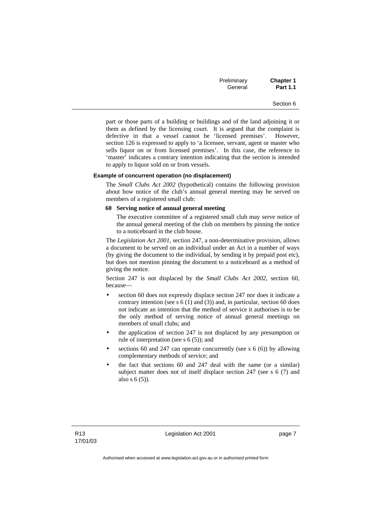| Preliminary | <b>Chapter 1</b> |
|-------------|------------------|
| General     | <b>Part 1.1</b>  |

part or those parts of a building or buildings and of the land adjoining it or them as defined by the licensing court. It is argued that the complaint is defective in that a vessel cannot be 'licensed premises'. However, section 126 is expressed to apply to 'a licensee, servant, agent or master who sells liquor on or from licensed premises'. In this case, the reference to 'master' indicates a contrary intention indicating that the section is intended to apply to liquor sold on or from vessels.

#### **Example of concurrent operation (no displacement)**

The *Small Clubs Act 2002* (hypothetical) contains the following provision about how notice of the club's annual general meeting may be served on members of a registered small club:

#### **60 Serving notice of annual general meeting**

The executive committee of a registered small club may serve notice of the annual general meeting of the club on members by pinning the notice to a noticeboard in the club house.

The *Legislation Act 2001*, section 247, a non-determinative provision, allows a document to be served on an individual under an Act in a number of ways (by giving the document to the individual, by sending it by prepaid post etc), but does not mention pinning the document to a noticeboard as a method of giving the notice.

Section 247 is not displaced by the *Small Clubs Act 2002*, section 60, because—

- section 60 does not expressly displace section 247 nor does it indicate a contrary intention (see s 6 (1) and (3)) and, in particular, section 60 does not indicate an intention that the method of service it authorises is to be the only method of serving notice of annual general meetings on members of small clubs; and
- the application of section 247 is not displaced by any presumption or rule of interpretation (see s 6 (5)); and
- sections 60 and 247 can operate concurrently (see s  $6(6)$ ) by allowing complementary methods of service; and
- the fact that sections 60 and 247 deal with the same (or a similar) subject matter does not of itself displace section 247 (see s 6 (7) and also s 6 (5)).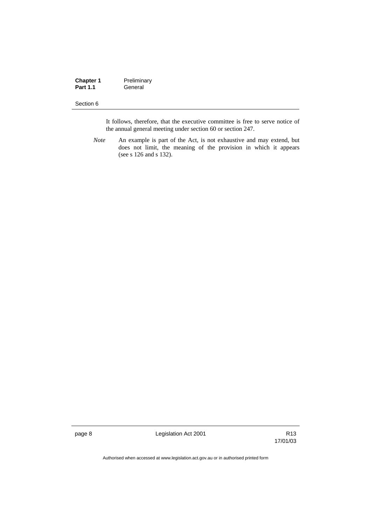| <b>Chapter 1</b> | Preliminary |
|------------------|-------------|
| <b>Part 1.1</b>  | General     |

It follows, therefore, that the executive committee is free to serve notice of the annual general meeting under section 60 or section 247.

*Note* An example is part of the Act, is not exhaustive and may extend, but does not limit, the meaning of the provision in which it appears (see s 126 and s 132).

page 8 Legislation Act 2001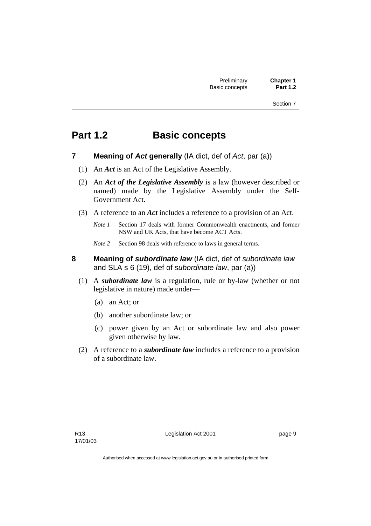# **Part 1.2 Basic concepts**

- **7 Meaning of** *Act* **generally** (IA dict, def of *Act*, par (a))
	- (1) An *Act* is an Act of the Legislative Assembly.
	- (2) An *Act of the Legislative Assembly* is a law (however described or named) made by the Legislative Assembly under the Self-Government Act.
	- (3) A reference to an *Act* includes a reference to a provision of an Act.
		- *Note 1* Section 17 deals with former Commonwealth enactments, and former NSW and UK Acts, that have become ACT Acts.
		- *Note 2* Section 98 deals with reference to laws in general terms.
- **8 Meaning of** *subordinate law* (IA dict, def of *subordinate law* and SLA s 6 (19), def of *subordinate law*, par (a))
	- (1) A *subordinate law* is a regulation, rule or by-law (whether or not legislative in nature) made under—
		- (a) an Act; or
		- (b) another subordinate law; or
		- (c) power given by an Act or subordinate law and also power given otherwise by law.
	- (2) A reference to a *subordinate law* includes a reference to a provision of a subordinate law.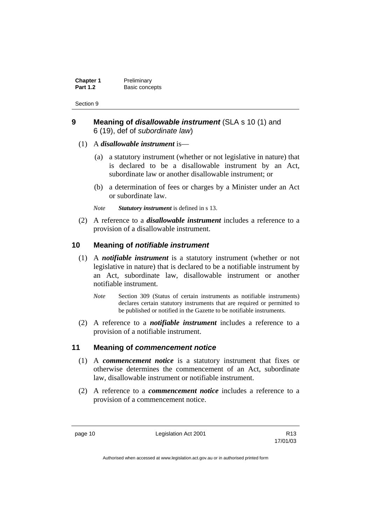| <b>Chapter 1</b> | Preliminary    |
|------------------|----------------|
| <b>Part 1.2</b>  | Basic concepts |

# **9 Meaning of** *disallowable instrument* (SLA s 10 (1) and 6 (19), def of *subordinate law*)

- (1) A *disallowable instrument* is—
	- (a) a statutory instrument (whether or not legislative in nature) that is declared to be a disallowable instrument by an Act, subordinate law or another disallowable instrument; or
	- (b) a determination of fees or charges by a Minister under an Act or subordinate law.
	- *Note Statutory instrument* is defined in s 13.
- (2) A reference to a *disallowable instrument* includes a reference to a provision of a disallowable instrument.

# **10 Meaning of** *notifiable instrument*

- (1) A *notifiable instrument* is a statutory instrument (whether or not legislative in nature) that is declared to be a notifiable instrument by an Act, subordinate law, disallowable instrument or another notifiable instrument.
	- *Note* Section 309 (Status of certain instruments as notifiable instruments) declares certain statutory instruments that are required or permitted to be published or notified in the Gazette to be notifiable instruments.
- (2) A reference to a *notifiable instrument* includes a reference to a provision of a notifiable instrument.

# **11 Meaning of** *commencement notice*

- (1) A *commencement notice* is a statutory instrument that fixes or otherwise determines the commencement of an Act, subordinate law, disallowable instrument or notifiable instrument.
- (2) A reference to a *commencement notice* includes a reference to a provision of a commencement notice.

page 10 **Legislation Act 2001** R13

17/01/03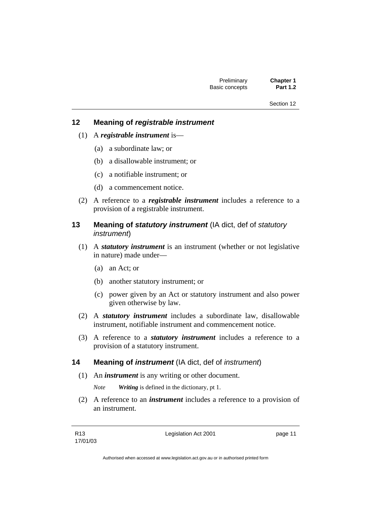# **12 Meaning of** *registrable instrument*

- (1) A *registrable instrument* is—
	- (a) a subordinate law; or
	- (b) a disallowable instrument; or
	- (c) a notifiable instrument; or
	- (d) a commencement notice.
- (2) A reference to a *registrable instrument* includes a reference to a provision of a registrable instrument.
- **13 Meaning of** *statutory instrument* (IA dict, def of *statutory instrument*)
	- (1) A *statutory instrument* is an instrument (whether or not legislative in nature) made under—
		- (a) an Act; or
		- (b) another statutory instrument; or
		- (c) power given by an Act or statutory instrument and also power given otherwise by law.
	- (2) A *statutory instrument* includes a subordinate law, disallowable instrument, notifiable instrument and commencement notice.
	- (3) A reference to a *statutory instrument* includes a reference to a provision of a statutory instrument.

### **14 Meaning of** *instrument* (IA dict, def of *instrument*)

(1) An *instrument* is any writing or other document.

*Note Writing* is defined in the dictionary, pt 1.

 (2) A reference to an *instrument* includes a reference to a provision of an instrument.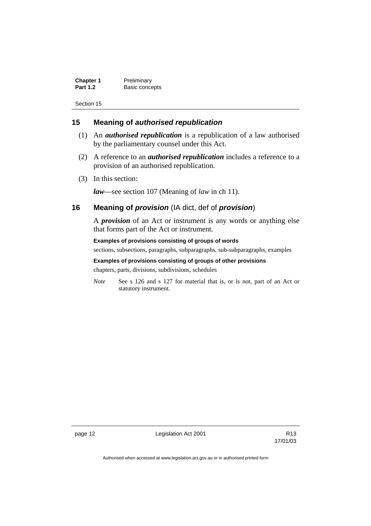| <b>Chapter 1</b> | Preliminary    |
|------------------|----------------|
| <b>Part 1.2</b>  | Basic concepts |

# **15 Meaning of** *authorised republication*

- (1) An *authorised republication* is a republication of a law authorised by the parliamentary counsel under this Act.
- (2) A reference to an *authorised republication* includes a reference to a provision of an authorised republication.
- (3) In this section:

*law*—see section 107 (Meaning of *law* in ch 11).

# **16 Meaning of** *provision* (IA dict, def of *provision*)

A *provision* of an Act or instrument is any words or anything else that forms part of the Act or instrument.

**Examples of provisions consisting of groups of words**  sections, subsections, paragraphs, subparagraphs, sub-subparagraphs, examples

**Examples of provisions consisting of groups of other provisions** 

chapters, parts, divisions, subdivisions, schedules

*Note* See s 126 and s 127 for material that is, or is not, part of an Act or statutory instrument.

page 12 **Legislation Act 2001** CH<sub>13</sub> R13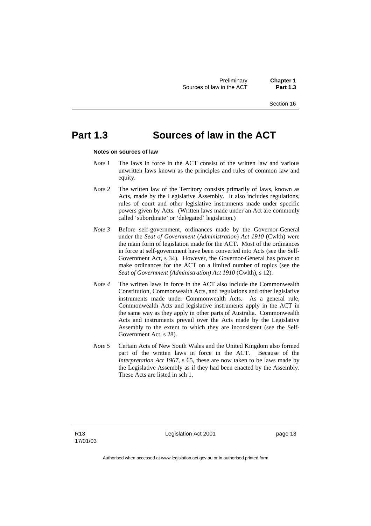Preliminary **Chapter 1**<br>in the ACT **Part 1.3** Sources of law in the ACT

Section 16

# **Part 1.3 Sources of law in the ACT**

#### **Notes on sources of law**

- *Note 1* The laws in force in the ACT consist of the written law and various unwritten laws known as the principles and rules of common law and equity.
- *Note* 2 The written law of the Territory consists primarily of laws, known as Acts, made by the Legislative Assembly. It also includes regulations, rules of court and other legislative instruments made under specific powers given by Acts. (Written laws made under an Act are commonly called 'subordinate' or 'delegated' legislation.)
- *Note 3* Before self-government, ordinances made by the Governor-General under the *Seat of Government* (*Administration*) *Act 1910* (Cwlth) were the main form of legislation made for the ACT. Most of the ordinances in force at self-government have been converted into Acts (see the Self-Government Act, s 34). However, the Governor-General has power to make ordinances for the ACT on a limited number of topics (see the *Seat of Government (Administration) Act 1910* (Cwlth), s 12).
- *Note 4* The written laws in force in the ACT also include the Commonwealth Constitution, Commonwealth Acts, and regulations and other legislative instruments made under Commonwealth Acts. As a general rule, Commonwealth Acts and legislative instruments apply in the ACT in the same way as they apply in other parts of Australia. Commonwealth Acts and instruments prevail over the Acts made by the Legislative Assembly to the extent to which they are inconsistent (see the Self-Government Act, s 28).
- *Note 5* Certain Acts of New South Wales and the United Kingdom also formed part of the written laws in force in the ACT. Because of the *Interpretation Act 1967*, s 65, these are now taken to be laws made by the Legislative Assembly as if they had been enacted by the Assembly. These Acts are listed in sch 1.

Legislation Act 2001 **page 13**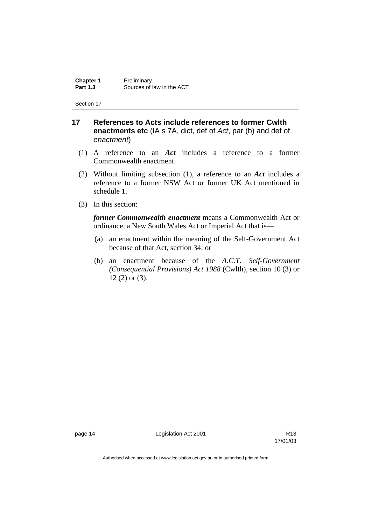**Chapter 1** Preliminary<br>**Part 1.3** Sources of Sources of law in the ACT

Section 17

# **17 References to Acts include references to former Cwlth enactments etc** (IA s 7A, dict, def of *Act*, par (b) and def of *enactment*)

- (1) A reference to an *Act* includes a reference to a former Commonwealth enactment.
- (2) Without limiting subsection (1), a reference to an *Act* includes a reference to a former NSW Act or former UK Act mentioned in schedule 1.
- (3) In this section:

*former Commonwealth enactment* means a Commonwealth Act or ordinance, a New South Wales Act or Imperial Act that is—

- (a) an enactment within the meaning of the Self-Government Act because of that Act, section 34; or
- (b) an enactment because of the *A.C.T*. *Self-Government (Consequential Provisions) Act 1988* (Cwlth), section 10 (3) or 12 (2) or (3).

page 14 **Legislation Act 2001** CH<sub>13</sub> R13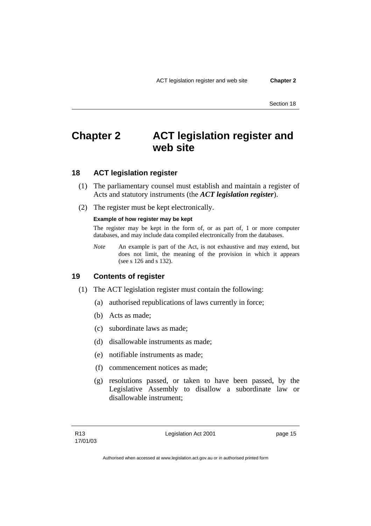# **Chapter 2 ACT legislation register and web site**

# **18 ACT legislation register**

- (1) The parliamentary counsel must establish and maintain a register of Acts and statutory instruments (the *ACT legislation register*).
- (2) The register must be kept electronically.

#### **Example of how register may be kept**

The register may be kept in the form of, or as part of, 1 or more computer databases, and may include data compiled electronically from the databases.

*Note* An example is part of the Act, is not exhaustive and may extend, but does not limit, the meaning of the provision in which it appears (see s 126 and s 132).

# **19 Contents of register**

- (1) The ACT legislation register must contain the following:
	- (a) authorised republications of laws currently in force;
	- (b) Acts as made;
	- (c) subordinate laws as made;
	- (d) disallowable instruments as made;
	- (e) notifiable instruments as made;
	- (f) commencement notices as made;
	- (g) resolutions passed, or taken to have been passed, by the Legislative Assembly to disallow a subordinate law or disallowable instrument;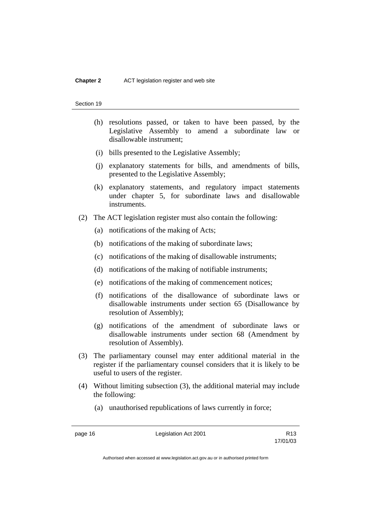- (h) resolutions passed, or taken to have been passed, by the Legislative Assembly to amend a subordinate law or disallowable instrument;
- (i) bills presented to the Legislative Assembly;
- (j) explanatory statements for bills, and amendments of bills, presented to the Legislative Assembly;
- (k) explanatory statements, and regulatory impact statements under chapter 5, for subordinate laws and disallowable instruments.
- (2) The ACT legislation register must also contain the following:
	- (a) notifications of the making of Acts;
	- (b) notifications of the making of subordinate laws;
	- (c) notifications of the making of disallowable instruments;
	- (d) notifications of the making of notifiable instruments;
	- (e) notifications of the making of commencement notices;
	- (f) notifications of the disallowance of subordinate laws or disallowable instruments under section 65 (Disallowance by resolution of Assembly);
	- (g) notifications of the amendment of subordinate laws or disallowable instruments under section 68 (Amendment by resolution of Assembly).
- (3) The parliamentary counsel may enter additional material in the register if the parliamentary counsel considers that it is likely to be useful to users of the register.
- (4) Without limiting subsection (3), the additional material may include the following:
	- (a) unauthorised republications of laws currently in force;

page 16 **Legislation Act 2001** R13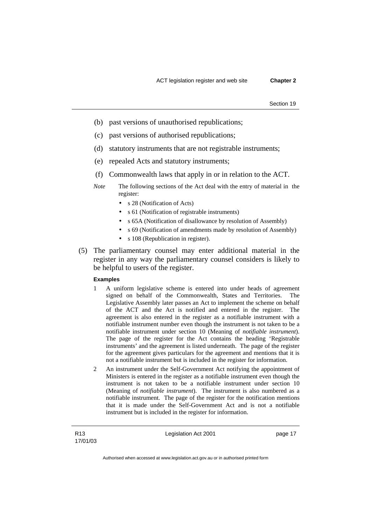- (b) past versions of unauthorised republications;
- (c) past versions of authorised republications;
- (d) statutory instruments that are not registrable instruments;
- (e) repealed Acts and statutory instruments;
- (f) Commonwealth laws that apply in or in relation to the ACT.
- *Note* The following sections of the Act deal with the entry of material in the register:
	- s 28 (Notification of Acts)
	- s 61 (Notification of registrable instruments)
	- s 65A (Notification of disallowance by resolution of Assembly)
	- s 69 (Notification of amendments made by resolution of Assembly)
	- s 108 (Republication in register).
- (5) The parliamentary counsel may enter additional material in the register in any way the parliamentary counsel considers is likely to be helpful to users of the register.

#### **Examples**

- 1 A uniform legislative scheme is entered into under heads of agreement signed on behalf of the Commonwealth, States and Territories. The Legislative Assembly later passes an Act to implement the scheme on behalf of the ACT and the Act is notified and entered in the register. The agreement is also entered in the register as a notifiable instrument with a notifiable instrument number even though the instrument is not taken to be a notifiable instrument under section 10 (Meaning of *notifiable instrument*). The page of the register for the Act contains the heading 'Registrable instruments' and the agreement is listed underneath. The page of the register for the agreement gives particulars for the agreement and mentions that it is not a notifiable instrument but is included in the register for information.
- 2 An instrument under the Self-Government Act notifying the appointment of Ministers is entered in the register as a notifiable instrument even though the instrument is not taken to be a notifiable instrument under section 10 (Meaning of *notifiable instrument*). The instrument is also numbered as a notifiable instrument. The page of the register for the notification mentions that it is made under the Self-Government Act and is not a notifiable instrument but is included in the register for information.

Legislation Act 2001 **page 17**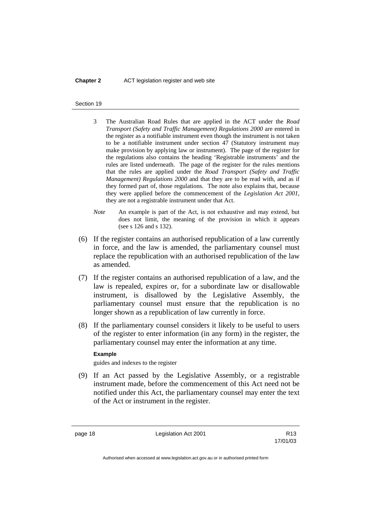#### **Chapter 2** ACT legislation register and web site

#### Section 19

- 3 The Australian Road Rules that are applied in the ACT under the *Road Transport (Safety and Traffic Management) Regulations 2000* are entered in the register as a notifiable instrument even though the instrument is not taken to be a notifiable instrument under section 47 (Statutory instrument may make provision by applying law or instrument). The page of the register for the regulations also contains the heading 'Registrable instruments' and the rules are listed underneath. The page of the register for the rules mentions that the rules are applied under the *Road Transport (Safety and Traffic Management) Regulations 2000* and that they are to be read with, and as if they formed part of, those regulations. The note also explains that, because they were applied before the commencement of the *Legislation Act 2001*, they are not a registrable instrument under that Act.
- *Note* An example is part of the Act, is not exhaustive and may extend, but does not limit, the meaning of the provision in which it appears (see s 126 and s 132).
- (6) If the register contains an authorised republication of a law currently in force, and the law is amended, the parliamentary counsel must replace the republication with an authorised republication of the law as amended.
- (7) If the register contains an authorised republication of a law, and the law is repealed, expires or, for a subordinate law or disallowable instrument, is disallowed by the Legislative Assembly, the parliamentary counsel must ensure that the republication is no longer shown as a republication of law currently in force.
- (8) If the parliamentary counsel considers it likely to be useful to users of the register to enter information (in any form) in the register, the parliamentary counsel may enter the information at any time.

#### **Example**

guides and indexes to the register

 (9) If an Act passed by the Legislative Assembly, or a registrable instrument made, before the commencement of this Act need not be notified under this Act, the parliamentary counsel may enter the text of the Act or instrument in the register.

page 18 **Legislation Act 2001** R13

17/01/03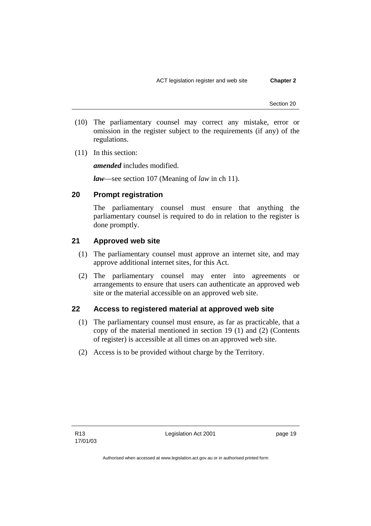- (10) The parliamentary counsel may correct any mistake, error or omission in the register subject to the requirements (if any) of the regulations.
- (11) In this section:

*amended* includes modified.

*law*—see section 107 (Meaning of *law* in ch 11).

# **20 Prompt registration**

The parliamentary counsel must ensure that anything the parliamentary counsel is required to do in relation to the register is done promptly.

# **21 Approved web site**

- (1) The parliamentary counsel must approve an internet site, and may approve additional internet sites, for this Act.
- (2) The parliamentary counsel may enter into agreements or arrangements to ensure that users can authenticate an approved web site or the material accessible on an approved web site.

# **22 Access to registered material at approved web site**

- (1) The parliamentary counsel must ensure, as far as practicable, that a copy of the material mentioned in section 19 (1) and (2) (Contents of register) is accessible at all times on an approved web site.
- (2) Access is to be provided without charge by the Territory.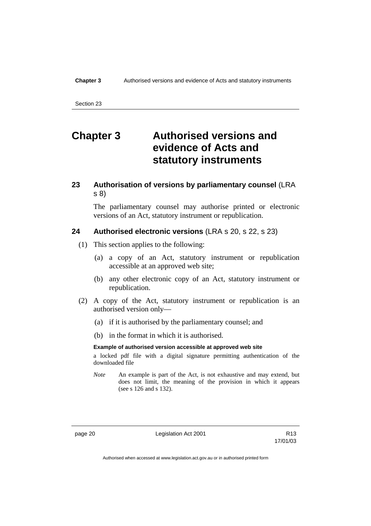# **Chapter 3 Authorised versions and evidence of Acts and statutory instruments**

# **23 Authorisation of versions by parliamentary counsel** (LRA s 8)

The parliamentary counsel may authorise printed or electronic versions of an Act, statutory instrument or republication.

### **24 Authorised electronic versions** (LRA s 20, s 22, s 23)

- (1) This section applies to the following:
	- (a) a copy of an Act, statutory instrument or republication accessible at an approved web site;
	- (b) any other electronic copy of an Act, statutory instrument or republication.
- (2) A copy of the Act, statutory instrument or republication is an authorised version only—
	- (a) if it is authorised by the parliamentary counsel; and
	- (b) in the format in which it is authorised.

#### **Example of authorised version accessible at approved web site**

a locked pdf file with a digital signature permitting authentication of the downloaded file

*Note* An example is part of the Act, is not exhaustive and may extend, but does not limit, the meaning of the provision in which it appears (see s 126 and s 132).

page 20 **Legislation Act 2001** CH<sub>13</sub> R13

17/01/03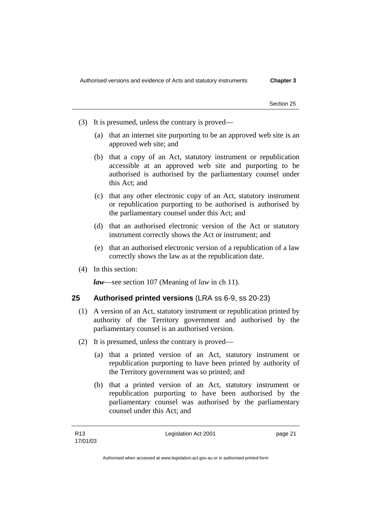- (3) It is presumed, unless the contrary is proved—
	- (a) that an internet site purporting to be an approved web site is an approved web site; and
	- (b) that a copy of an Act, statutory instrument or republication accessible at an approved web site and purporting to be authorised is authorised by the parliamentary counsel under this Act; and
	- (c) that any other electronic copy of an Act, statutory instrument or republication purporting to be authorised is authorised by the parliamentary counsel under this Act; and
	- (d) that an authorised electronic version of the Act or statutory instrument correctly shows the Act or instrument; and
	- (e) that an authorised electronic version of a republication of a law correctly shows the law as at the republication date.
- (4) In this section:

*law*—see section 107 (Meaning of *law* in ch 11).

# **25 Authorised printed versions** (LRA ss 6-9, ss 20-23)

- (1) A version of an Act, statutory instrument or republication printed by authority of the Territory government and authorised by the parliamentary counsel is an authorised version.
- (2) It is presumed, unless the contrary is proved—
	- (a) that a printed version of an Act, statutory instrument or republication purporting to have been printed by authority of the Territory government was so printed; and
	- (b) that a printed version of an Act, statutory instrument or republication purporting to have been authorised by the parliamentary counsel was authorised by the parliamentary counsel under this Act; and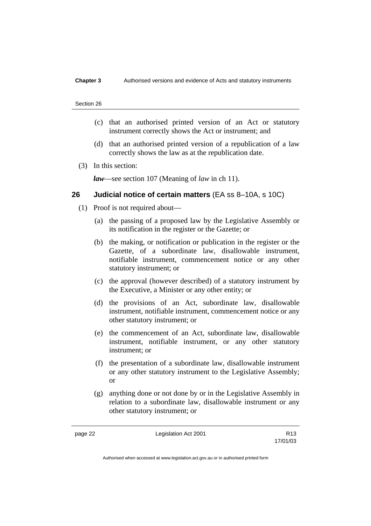- (c) that an authorised printed version of an Act or statutory instrument correctly shows the Act or instrument; and
- (d) that an authorised printed version of a republication of a law correctly shows the law as at the republication date.
- (3) In this section:

*law*—see section 107 (Meaning of *law* in ch 11).

## **26 Judicial notice of certain matters** (EA ss 8–10A, s 10C)

- (1) Proof is not required about—
	- (a) the passing of a proposed law by the Legislative Assembly or its notification in the register or the Gazette; or
	- (b) the making, or notification or publication in the register or the Gazette, of a subordinate law, disallowable instrument, notifiable instrument, commencement notice or any other statutory instrument; or
	- (c) the approval (however described) of a statutory instrument by the Executive, a Minister or any other entity; or
	- (d) the provisions of an Act, subordinate law, disallowable instrument, notifiable instrument, commencement notice or any other statutory instrument; or
	- (e) the commencement of an Act, subordinate law, disallowable instrument, notifiable instrument, or any other statutory instrument; or
	- (f) the presentation of a subordinate law, disallowable instrument or any other statutory instrument to the Legislative Assembly; or
	- (g) anything done or not done by or in the Legislative Assembly in relation to a subordinate law, disallowable instrument or any other statutory instrument; or

page 22 **Legislation Act 2001** R13

17/01/03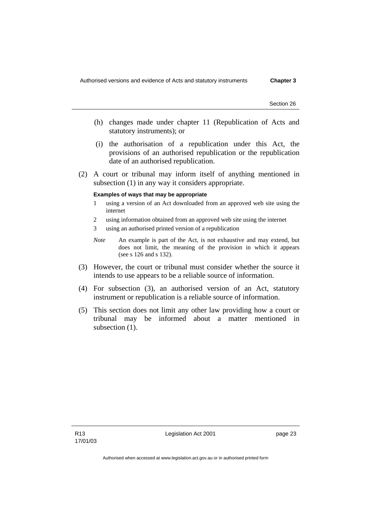- (h) changes made under chapter 11 (Republication of Acts and statutory instruments); or
- (i) the authorisation of a republication under this Act, the provisions of an authorised republication or the republication date of an authorised republication.
- (2) A court or tribunal may inform itself of anything mentioned in subsection (1) in any way it considers appropriate.

#### **Examples of ways that may be appropriate**

- 1 using a version of an Act downloaded from an approved web site using the internet
- 2 using information obtained from an approved web site using the internet
- 3 using an authorised printed version of a republication
- *Note* An example is part of the Act, is not exhaustive and may extend, but does not limit, the meaning of the provision in which it appears (see s 126 and s 132).
- (3) However, the court or tribunal must consider whether the source it intends to use appears to be a reliable source of information.
- (4) For subsection (3), an authorised version of an Act, statutory instrument or republication is a reliable source of information.
- (5) This section does not limit any other law providing how a court or tribunal may be informed about a matter mentioned in subsection  $(1)$ .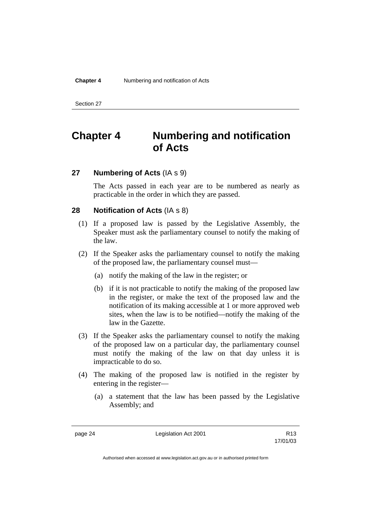# **Chapter 4 Numbering and notification of Acts**

## **27 Numbering of Acts** (IA s 9)

The Acts passed in each year are to be numbered as nearly as practicable in the order in which they are passed.

## **28 Notification of Acts** (IA s 8)

- (1) If a proposed law is passed by the Legislative Assembly, the Speaker must ask the parliamentary counsel to notify the making of the law.
- (2) If the Speaker asks the parliamentary counsel to notify the making of the proposed law, the parliamentary counsel must—
	- (a) notify the making of the law in the register; or
	- (b) if it is not practicable to notify the making of the proposed law in the register, or make the text of the proposed law and the notification of its making accessible at 1 or more approved web sites, when the law is to be notified—notify the making of the law in the Gazette.
- (3) If the Speaker asks the parliamentary counsel to notify the making of the proposed law on a particular day, the parliamentary counsel must notify the making of the law on that day unless it is impracticable to do so.
- (4) The making of the proposed law is notified in the register by entering in the register—
	- (a) a statement that the law has been passed by the Legislative Assembly; and

page 24 **Legislation Act 2001** R13

17/01/03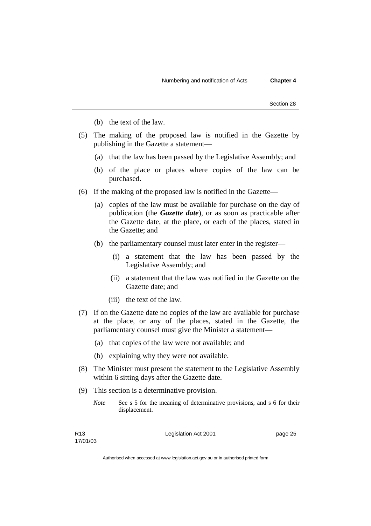- (b) the text of the law.
- (5) The making of the proposed law is notified in the Gazette by publishing in the Gazette a statement—
	- (a) that the law has been passed by the Legislative Assembly; and
	- (b) of the place or places where copies of the law can be purchased.
- (6) If the making of the proposed law is notified in the Gazette—
	- (a) copies of the law must be available for purchase on the day of publication (the *Gazette date*), or as soon as practicable after the Gazette date, at the place, or each of the places, stated in the Gazette; and
	- (b) the parliamentary counsel must later enter in the register—
		- (i) a statement that the law has been passed by the Legislative Assembly; and
		- (ii) a statement that the law was notified in the Gazette on the Gazette date; and
		- (iii) the text of the law.
- (7) If on the Gazette date no copies of the law are available for purchase at the place, or any of the places, stated in the Gazette, the parliamentary counsel must give the Minister a statement—
	- (a) that copies of the law were not available; and
	- (b) explaining why they were not available.
- (8) The Minister must present the statement to the Legislative Assembly within 6 sitting days after the Gazette date.
- (9) This section is a determinative provision.
	- *Note* See s 5 for the meaning of determinative provisions, and s 6 for their displacement.

Legislation Act 2001 **page 25**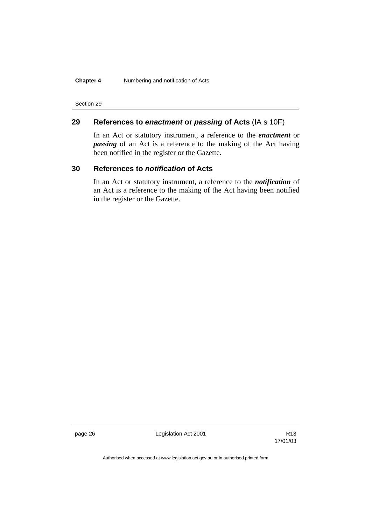## **Chapter 4** Numbering and notification of Acts

Section 29

# **29 References to** *enactment* **or** *passing* **of Acts** (IA s 10F)

In an Act or statutory instrument, a reference to the *enactment* or *passing* of an Act is a reference to the making of the Act having been notified in the register or the Gazette.

## **30 References to** *notification* **of Acts**

In an Act or statutory instrument, a reference to the *notification* of an Act is a reference to the making of the Act having been notified in the register or the Gazette.

page 26 **Legislation Act 2001** Contract 2001

17/01/03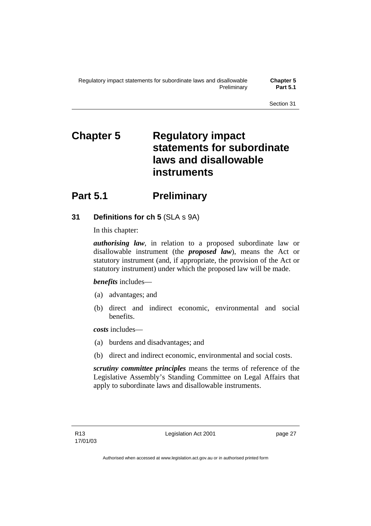# **Chapter 5 Regulatory impact statements for subordinate laws and disallowable instruments**

# **Part 5.1** Preliminary

# **31 Definitions for ch 5** (SLA s 9A)

In this chapter:

*authorising law*, in relation to a proposed subordinate law or disallowable instrument (the *proposed law*), means the Act or statutory instrument (and, if appropriate, the provision of the Act or statutory instrument) under which the proposed law will be made.

## *benefits* includes—

- (a) advantages; and
- (b) direct and indirect economic, environmental and social benefits.

*costs* includes—

- (a) burdens and disadvantages; and
- (b) direct and indirect economic, environmental and social costs.

*scrutiny committee principles* means the terms of reference of the Legislative Assembly's Standing Committee on Legal Affairs that apply to subordinate laws and disallowable instruments.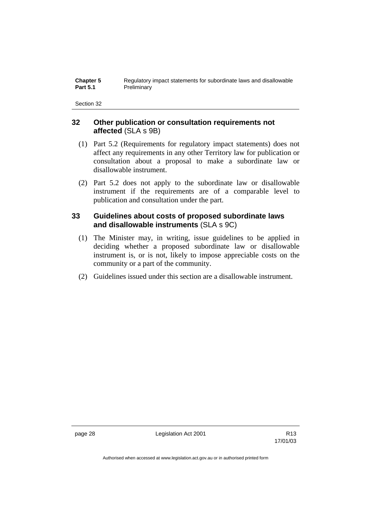| <b>Chapter 5</b> | Regulatory impact statements for subordinate laws and disallowable |
|------------------|--------------------------------------------------------------------|
| <b>Part 5.1</b>  | Preliminary                                                        |

## **32 Other publication or consultation requirements not affected** (SLA s 9B)

- (1) Part 5.2 (Requirements for regulatory impact statements) does not affect any requirements in any other Territory law for publication or consultation about a proposal to make a subordinate law or disallowable instrument.
- (2) Part 5.2 does not apply to the subordinate law or disallowable instrument if the requirements are of a comparable level to publication and consultation under the part.

# **33 Guidelines about costs of proposed subordinate laws and disallowable instruments** (SLA s 9C)

- (1) The Minister may, in writing, issue guidelines to be applied in deciding whether a proposed subordinate law or disallowable instrument is, or is not, likely to impose appreciable costs on the community or a part of the community.
- (2) Guidelines issued under this section are a disallowable instrument.

page 28 Legislation Act 2001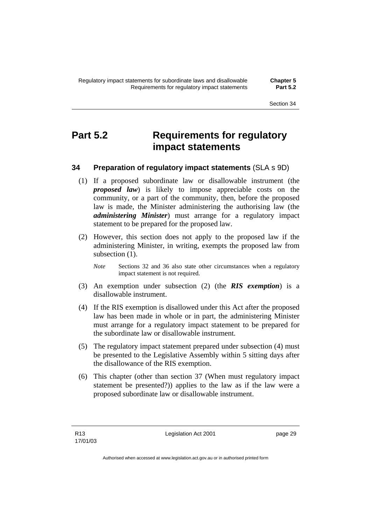# **Part 5.2 Requirements for regulatory impact statements**

# **34 Preparation of regulatory impact statements** (SLA s 9D)

- (1) If a proposed subordinate law or disallowable instrument (the *proposed law*) is likely to impose appreciable costs on the community, or a part of the community, then, before the proposed law is made, the Minister administering the authorising law (the *administering Minister*) must arrange for a regulatory impact statement to be prepared for the proposed law.
- (2) However, this section does not apply to the proposed law if the administering Minister, in writing, exempts the proposed law from subsection  $(1)$ .
	- *Note* Sections 32 and 36 also state other circumstances when a regulatory impact statement is not required.
- (3) An exemption under subsection (2) (the *RIS exemption*) is a disallowable instrument.
- (4) If the RIS exemption is disallowed under this Act after the proposed law has been made in whole or in part, the administering Minister must arrange for a regulatory impact statement to be prepared for the subordinate law or disallowable instrument.
- (5) The regulatory impact statement prepared under subsection (4) must be presented to the Legislative Assembly within 5 sitting days after the disallowance of the RIS exemption.
- (6) This chapter (other than section 37 (When must regulatory impact statement be presented?)) applies to the law as if the law were a proposed subordinate law or disallowable instrument.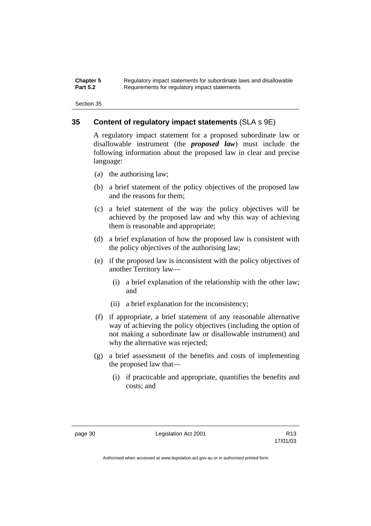| <b>Chapter 5</b> | Regulatory impact statements for subordinate laws and disallowable |
|------------------|--------------------------------------------------------------------|
| <b>Part 5.2</b>  | Requirements for regulatory impact statements                      |

## **35 Content of regulatory impact statements** (SLA s 9E)

A regulatory impact statement for a proposed subordinate law or disallowable instrument (the *proposed law*) must include the following information about the proposed law in clear and precise language:

- (a) the authorising law;
- (b) a brief statement of the policy objectives of the proposed law and the reasons for them;
- (c) a brief statement of the way the policy objectives will be achieved by the proposed law and why this way of achieving them is reasonable and appropriate;
- (d) a brief explanation of how the proposed law is consistent with the policy objectives of the authorising law;
- (e) if the proposed law is inconsistent with the policy objectives of another Territory law—
	- (i) a brief explanation of the relationship with the other law; and
	- (ii) a brief explanation for the inconsistency;
- (f) if appropriate, a brief statement of any reasonable alternative way of achieving the policy objectives (including the option of not making a subordinate law or disallowable instrument) and why the alternative was rejected;
- (g) a brief assessment of the benefits and costs of implementing the proposed law that—
	- (i) if practicable and appropriate, quantifies the benefits and costs; and

page 30 Legislation Act 2001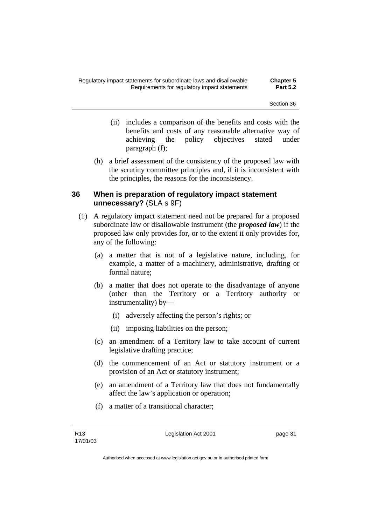- (ii) includes a comparison of the benefits and costs with the benefits and costs of any reasonable alternative way of achieving the policy objectives stated under paragraph (f);
- (h) a brief assessment of the consistency of the proposed law with the scrutiny committee principles and, if it is inconsistent with the principles, the reasons for the inconsistency.

## **36 When is preparation of regulatory impact statement unnecessary?** (SLA s 9F)

- (1) A regulatory impact statement need not be prepared for a proposed subordinate law or disallowable instrument (the *proposed law*) if the proposed law only provides for, or to the extent it only provides for, any of the following:
	- (a) a matter that is not of a legislative nature, including, for example, a matter of a machinery, administrative, drafting or formal nature;
	- (b) a matter that does not operate to the disadvantage of anyone (other than the Territory or a Territory authority or instrumentality) by—
		- (i) adversely affecting the person's rights; or
		- (ii) imposing liabilities on the person;
	- (c) an amendment of a Territory law to take account of current legislative drafting practice;
	- (d) the commencement of an Act or statutory instrument or a provision of an Act or statutory instrument;
	- (e) an amendment of a Territory law that does not fundamentally affect the law's application or operation;
	- (f) a matter of a transitional character;

Legislation Act 2001 **page 31**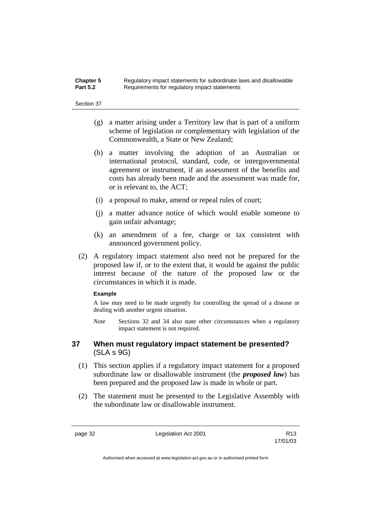## **Chapter 5** Regulatory impact statements for subordinate laws and disallowable<br>**Part 5.2** Requirements for requlatory impact statements Requirements for regulatory impact statements

#### Section 37

- (g) a matter arising under a Territory law that is part of a uniform scheme of legislation or complementary with legislation of the Commonwealth, a State or New Zealand;
- (h) a matter involving the adoption of an Australian or international protocol, standard, code, or intergovernmental agreement or instrument, if an assessment of the benefits and costs has already been made and the assessment was made for, or is relevant to, the ACT;
- (i) a proposal to make, amend or repeal rules of court;
- (j) a matter advance notice of which would enable someone to gain unfair advantage;
- (k) an amendment of a fee, charge or tax consistent with announced government policy.
- (2) A regulatory impact statement also need not be prepared for the proposed law if, or to the extent that, it would be against the public interest because of the nature of the proposed law or the circumstances in which it is made.

#### **Example**

A law may need to be made urgently for controlling the spread of a disease or dealing with another urgent situation.

*Note* Sections 32 and 34 also state other circumstances when a regulatory impact statement is not required.

## **37 When must regulatory impact statement be presented?**  (SLA s 9G)

- (1) This section applies if a regulatory impact statement for a proposed subordinate law or disallowable instrument (the *proposed law*) has been prepared and the proposed law is made in whole or part.
- (2) The statement must be presented to the Legislative Assembly with the subordinate law or disallowable instrument.

page 32 Legislation Act 2001

17/01/03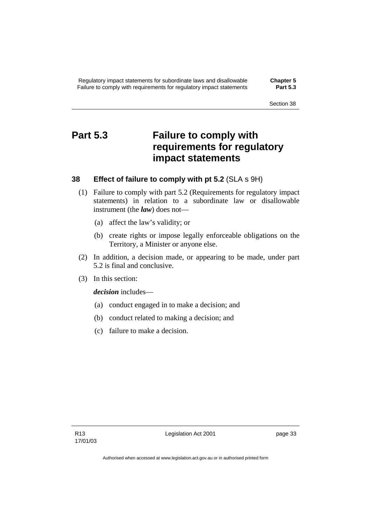# **Part 5.3 Failure to comply with requirements for regulatory impact statements**

## **38 Effect of failure to comply with pt 5.2** (SLA s 9H)

- (1) Failure to comply with part 5.2 (Requirements for regulatory impact statements) in relation to a subordinate law or disallowable instrument (the *law*) does not—
	- (a) affect the law's validity; or
	- (b) create rights or impose legally enforceable obligations on the Territory, a Minister or anyone else.
- (2) In addition, a decision made, or appearing to be made, under part 5.2 is final and conclusive.
- (3) In this section:

*decision* includes—

- (a) conduct engaged in to make a decision; and
- (b) conduct related to making a decision; and
- (c) failure to make a decision.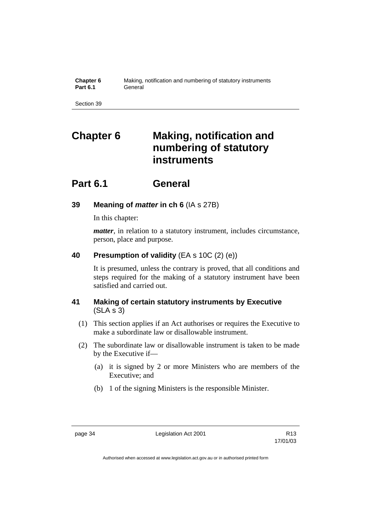| Chapter 6       | Making, notification and numbering of statutory instruments |
|-----------------|-------------------------------------------------------------|
| <b>Part 6.1</b> | General                                                     |

# **Chapter 6 Making, notification and numbering of statutory instruments**

# **Part 6.1 General**

## **39 Meaning of** *matter* **in ch 6** (IA s 27B)

In this chapter:

*matter*, in relation to a statutory instrument, includes circumstance, person, place and purpose.

## **40 Presumption of validity** (EA s 10C (2) (e))

It is presumed, unless the contrary is proved, that all conditions and steps required for the making of a statutory instrument have been satisfied and carried out.

# **41 Making of certain statutory instruments by Executive**  (SLA s 3)

- (1) This section applies if an Act authorises or requires the Executive to make a subordinate law or disallowable instrument.
- (2) The subordinate law or disallowable instrument is taken to be made by the Executive if—
	- (a) it is signed by 2 or more Ministers who are members of the Executive; and
	- (b) 1 of the signing Ministers is the responsible Minister.

page 34 Legislation Act 2001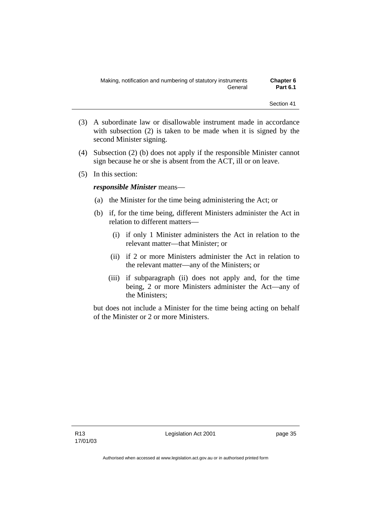- (3) A subordinate law or disallowable instrument made in accordance with subsection (2) is taken to be made when it is signed by the second Minister signing.
- (4) Subsection (2) (b) does not apply if the responsible Minister cannot sign because he or she is absent from the ACT, ill or on leave.
- (5) In this section:

## *responsible Minister* means—

- (a) the Minister for the time being administering the Act; or
- (b) if, for the time being, different Ministers administer the Act in relation to different matters—
	- (i) if only 1 Minister administers the Act in relation to the relevant matter—that Minister; or
	- (ii) if 2 or more Ministers administer the Act in relation to the relevant matter—any of the Ministers; or
	- (iii) if subparagraph (ii) does not apply and, for the time being, 2 or more Ministers administer the Act—any of the Ministers;

but does not include a Minister for the time being acting on behalf of the Minister or 2 or more Ministers.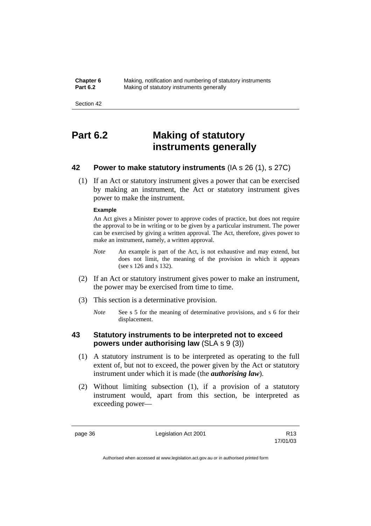**Chapter 6** Making, notification and numbering of statutory instruments<br>**Part 6.2** Making of statutory instruments generally **Making of statutory instruments generally** 

Section 42

# **Part 6.2 Making of statutory instruments generally**

# **42 Power to make statutory instruments** (IA s 26 (1), s 27C)

 (1) If an Act or statutory instrument gives a power that can be exercised by making an instrument, the Act or statutory instrument gives power to make the instrument.

### **Example**

An Act gives a Minister power to approve codes of practice, but does not require the approval to be in writing or to be given by a particular instrument. The power can be exercised by giving a written approval. The Act, therefore, gives power to make an instrument, namely, a written approval.

- *Note* An example is part of the Act, is not exhaustive and may extend, but does not limit, the meaning of the provision in which it appears (see s 126 and s 132).
- (2) If an Act or statutory instrument gives power to make an instrument, the power may be exercised from time to time.
- (3) This section is a determinative provision.
	- *Note* See s 5 for the meaning of determinative provisions, and s 6 for their displacement.

# **43 Statutory instruments to be interpreted not to exceed powers under authorising law** (SLA s 9 (3))

- (1) A statutory instrument is to be interpreted as operating to the full extent of, but not to exceed, the power given by the Act or statutory instrument under which it is made (the *authorising law*).
- (2) Without limiting subsection (1), if a provision of a statutory instrument would, apart from this section, be interpreted as exceeding power—

page 36 Legislation Act 2001

17/01/03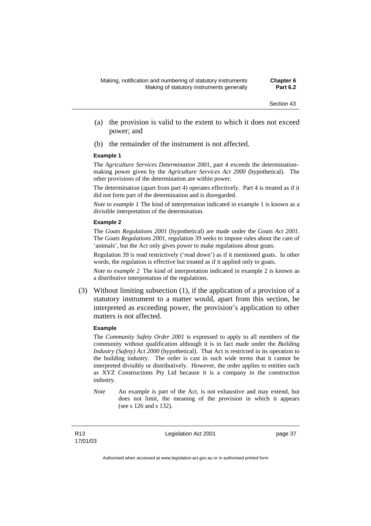- (a) the provision is valid to the extent to which it does not exceed power; and
- (b) the remainder of the instrument is not affected.

#### **Example 1**

The *Agriculture Services Determination* 2001, part 4 exceeds the determination– making power given by the *Agriculture Services Act 2000* (hypothetical). The other provisions of the determination are within power.

The determination (apart from part 4) operates effectively. Part 4 is treated as if it did not form part of the determination and is disregarded.

*Note to example 1* The kind of interpretation indicated in example 1 is known as a divisible interpretation of the determination.

#### **Example 2**

The *Goats Regulations 2001* (hypothetical) are made under the *Goats Act 2001*. The *Goats Regulations 2001*, regulation 39 seeks to impose rules about the care of 'animals', but the Act only gives power to make regulations about goats.

Regulation 39 is read restrictively ('read down') as if it mentioned goats. In other words, the regulation is effective but treated as if it applied only to goats.

*Note to example 2* The kind of interpretation indicated in example 2 is known as a distributive interpretation of the regulations.

 (3) Without limiting subsection (1), if the application of a provision of a statutory instrument to a matter would, apart from this section, be interpreted as exceeding power, the provision's application to other matters is not affected.

#### **Example**

The *Community Safety Order 2001* is expressed to apply to all members of the community without qualification although it is in fact made under the *Building Industry (Safety) Act 2000* (hypothetical). That Act is restricted in its operation to the building industry. The order is cast in such wide terms that it cannot be interpreted divisibly or distributively. However, the order applies to entities such as XYZ Constructions Pty Ltd because it is a company in the construction industry.

*Note* An example is part of the Act, is not exhaustive and may extend, but does not limit, the meaning of the provision in which it appears (see s 126 and s 132).

Legislation Act 2001 **page 37**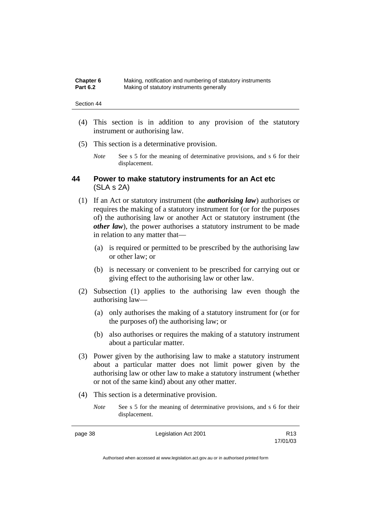| Chapter 6       | Making, notification and numbering of statutory instruments |
|-----------------|-------------------------------------------------------------|
| <b>Part 6.2</b> | Making of statutory instruments generally                   |

- (4) This section is in addition to any provision of the statutory instrument or authorising law.
- (5) This section is a determinative provision.
	- *Note* See s 5 for the meaning of determinative provisions, and s 6 for their displacement.

## **44 Power to make statutory instruments for an Act etc**  (SLA s 2A)

- (1) If an Act or statutory instrument (the *authorising law*) authorises or requires the making of a statutory instrument for (or for the purposes of) the authorising law or another Act or statutory instrument (the *other law*), the power authorises a statutory instrument to be made in relation to any matter that—
	- (a) is required or permitted to be prescribed by the authorising law or other law; or
	- (b) is necessary or convenient to be prescribed for carrying out or giving effect to the authorising law or other law.
- (2) Subsection (1) applies to the authorising law even though the authorising law—
	- (a) only authorises the making of a statutory instrument for (or for the purposes of) the authorising law; or
	- (b) also authorises or requires the making of a statutory instrument about a particular matter.
- (3) Power given by the authorising law to make a statutory instrument about a particular matter does not limit power given by the authorising law or other law to make a statutory instrument (whether or not of the same kind) about any other matter.
- (4) This section is a determinative provision.
	- *Note* See s 5 for the meaning of determinative provisions, and s 6 for their displacement.

| page 38 | Legislation Act 2001 | R <sub>13</sub> |
|---------|----------------------|-----------------|
|         |                      | 17/01/03        |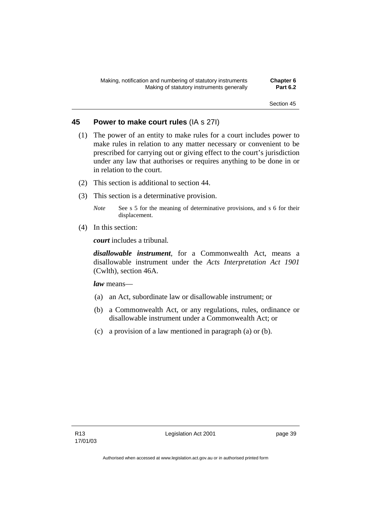## **45 Power to make court rules** (IA s 27I)

- (1) The power of an entity to make rules for a court includes power to make rules in relation to any matter necessary or convenient to be prescribed for carrying out or giving effect to the court's jurisdiction under any law that authorises or requires anything to be done in or in relation to the court.
- (2) This section is additional to section 44.
- (3) This section is a determinative provision.
	- *Note* See s 5 for the meaning of determinative provisions, and s 6 for their displacement.
- (4) In this section:

*court* includes a tribunal*.*

*disallowable instrument*, for a Commonwealth Act, means a disallowable instrument under the *Acts Interpretation Act 1901* (Cwlth), section 46A.

*law* means—

- (a) an Act, subordinate law or disallowable instrument; or
- (b) a Commonwealth Act, or any regulations, rules, ordinance or disallowable instrument under a Commonwealth Act; or
- (c) a provision of a law mentioned in paragraph (a) or (b).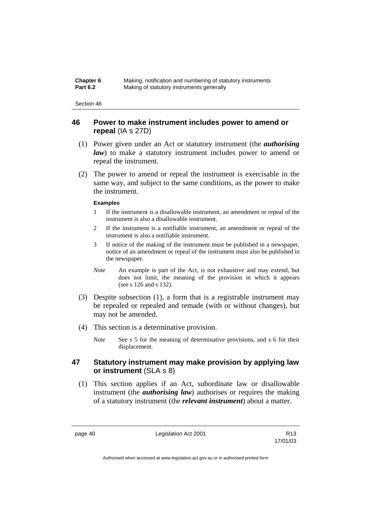| Chapter 6       | Making, notification and numbering of statutory instruments |
|-----------------|-------------------------------------------------------------|
| <b>Part 6.2</b> | Making of statutory instruments generally                   |

## **46 Power to make instrument includes power to amend or repeal** (IA s 27D)

- (1) Power given under an Act or statutory instrument (the *authorising law*) to make a statutory instrument includes power to amend or repeal the instrument.
- (2) The power to amend or repeal the instrument is exercisable in the same way, and subject to the same conditions, as the power to make the instrument.

## **Examples**

- 1 If the instrument is a disallowable instrument, an amendment or repeal of the instrument is also a disallowable instrument.
- 2 If the instrument is a notifiable instrument, an amendment or repeal of the instrument is also a notifiable instrument.
- 3 If notice of the making of the instrument must be published in a newspaper, notice of an amendment or repeal of the instrument must also be published in the newspaper.
- *Note* An example is part of the Act, is not exhaustive and may extend, but does not limit, the meaning of the provision in which it appears (see s 126 and s 132).
- (3) Despite subsection (1), a form that is a registrable instrument may be repealed or repealed and remade (with or without changes), but may not be amended.
- (4) This section is a determinative provision.
	- *Note* See s 5 for the meaning of determinative provisions, and s 6 for their displacement.

## **47 Statutory instrument may make provision by applying law or instrument** (SLA s 8)

 (1) This section applies if an Act, subordinate law or disallowable instrument (the *authorising law*) authorises or requires the making of a statutory instrument (the *relevant instrument*) about a matter.

page 40 **Legislation Act 2001** CH<sub>13</sub> R13

17/01/03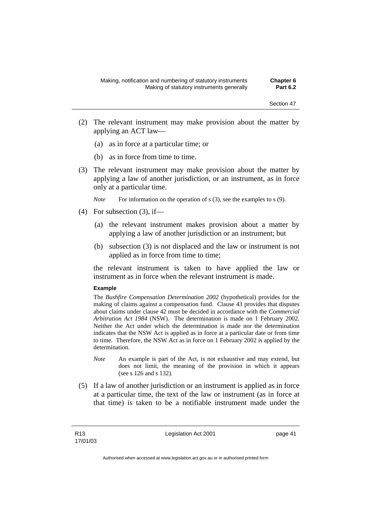- (2) The relevant instrument may make provision about the matter by applying an ACT law—
	- (a) as in force at a particular time; or
	- (b) as in force from time to time.
- (3) The relevant instrument may make provision about the matter by applying a law of another jurisdiction, or an instrument, as in force only at a particular time.

*Note* For information on the operation of s (3), see the examples to s (9).

- $(4)$  For subsection  $(3)$ , if—
	- (a) the relevant instrument makes provision about a matter by applying a law of another jurisdiction or an instrument; but
	- (b) subsection (3) is not displaced and the law or instrument is not applied as in force from time to time;

the relevant instrument is taken to have applied the law or instrument as in force when the relevant instrument is made.

### **Example**

The *Bushfire Compensation Determination 2002* (hypothetical) provides for the making of claims against a compensation fund. Clause 43 provides that disputes about claims under clause 42 must be decided in accordance with the *Commercial Arbitration Act 1984* (NSW). The determination is made on 1 February 2002. Neither the Act under which the determination is made nor the determination indicates that the NSW Act is applied as in force at a particular date or from time to time. Therefore, the NSW Act as in force on 1 February 2002 is applied by the determination.

- *Note* An example is part of the Act, is not exhaustive and may extend, but does not limit, the meaning of the provision in which it appears (see s 126 and s 132).
- (5) If a law of another jurisdiction or an instrument is applied as in force at a particular time, the text of the law or instrument (as in force at that time) is taken to be a notifiable instrument made under the

Legislation Act 2001 **page 41**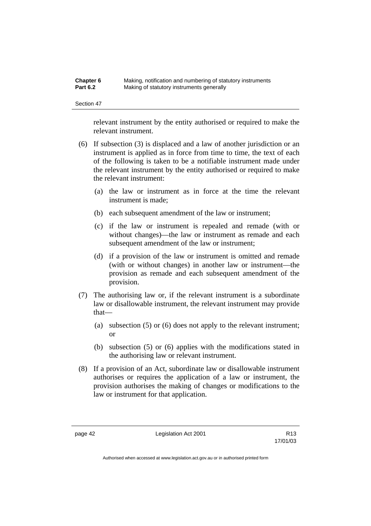| Chapter 6       | Making, notification and numbering of statutory instruments |
|-----------------|-------------------------------------------------------------|
| <b>Part 6.2</b> | Making of statutory instruments generally                   |

relevant instrument by the entity authorised or required to make the relevant instrument.

- (6) If subsection (3) is displaced and a law of another jurisdiction or an instrument is applied as in force from time to time, the text of each of the following is taken to be a notifiable instrument made under the relevant instrument by the entity authorised or required to make the relevant instrument:
	- (a) the law or instrument as in force at the time the relevant instrument is made;
	- (b) each subsequent amendment of the law or instrument;
	- (c) if the law or instrument is repealed and remade (with or without changes)—the law or instrument as remade and each subsequent amendment of the law or instrument;
	- (d) if a provision of the law or instrument is omitted and remade (with or without changes) in another law or instrument—the provision as remade and each subsequent amendment of the provision.
- (7) The authorising law or, if the relevant instrument is a subordinate law or disallowable instrument, the relevant instrument may provide that—
	- (a) subsection (5) or (6) does not apply to the relevant instrument; or
	- (b) subsection (5) or (6) applies with the modifications stated in the authorising law or relevant instrument.
- (8) If a provision of an Act, subordinate law or disallowable instrument authorises or requires the application of a law or instrument, the provision authorises the making of changes or modifications to the law or instrument for that application.

page 42 **Legislation Act 2001** R13

17/01/03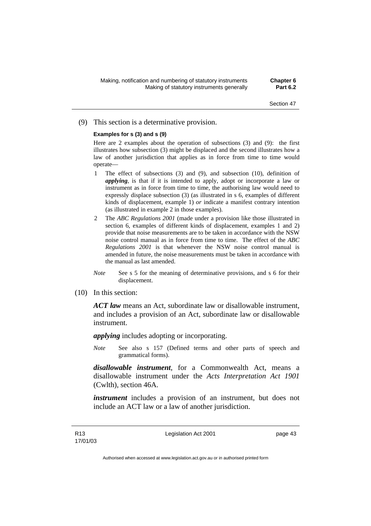## (9) This section is a determinative provision.

### **Examples for s (3) and s (9)**

Here are 2 examples about the operation of subsections (3) and (9): the first illustrates how subsection (3) might be displaced and the second illustrates how a law of another jurisdiction that applies as in force from time to time would operate—

- 1 The effect of subsections (3) and (9), and subsection (10), definition of *applying*, is that if it is intended to apply, adopt or incorporate a law or instrument as in force from time to time, the authorising law would need to expressly displace subsection (3) (as illustrated in s 6, examples of different kinds of displacement, example 1) *or* indicate a manifest contrary intention (as illustrated in example 2 in those examples).
- 2 The *ABC Regulations 2001* (made under a provision like those illustrated in section 6, examples of different kinds of displacement, examples 1 and 2) provide that noise measurements are to be taken in accordance with the NSW noise control manual as in force from time to time. The effect of the *ABC Regulations 2001* is that whenever the NSW noise control manual is amended in future, the noise measurements must be taken in accordance with the manual as last amended.
- *Note* See s 5 for the meaning of determinative provisions, and s 6 for their displacement.
- (10) In this section:

*ACT law* means an Act, subordinate law or disallowable instrument, and includes a provision of an Act, subordinate law or disallowable instrument.

*applying* includes adopting or incorporating.

*Note* See also s 157 (Defined terms and other parts of speech and grammatical forms).

*disallowable instrument*, for a Commonwealth Act, means a disallowable instrument under the *Acts Interpretation Act 1901* (Cwlth), section 46A.

*instrument* includes a provision of an instrument, but does not include an ACT law or a law of another jurisdiction.

Legislation Act 2001 **page 43**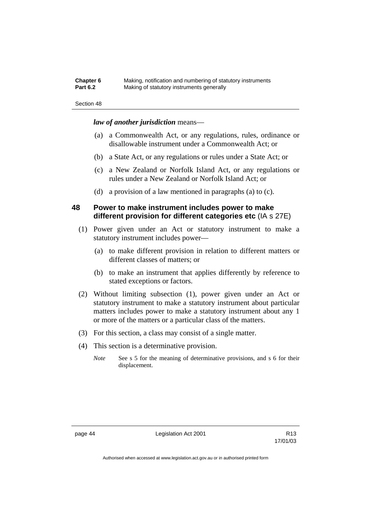| Chapter 6       | Making, notification and numbering of statutory instruments |
|-----------------|-------------------------------------------------------------|
| <b>Part 6.2</b> | Making of statutory instruments generally                   |

## *law of another jurisdiction* means—

- (a) a Commonwealth Act, or any regulations, rules, ordinance or disallowable instrument under a Commonwealth Act; or
- (b) a State Act, or any regulations or rules under a State Act; or
- (c) a New Zealand or Norfolk Island Act, or any regulations or rules under a New Zealand or Norfolk Island Act; or
- (d) a provision of a law mentioned in paragraphs (a) to (c).

## **48 Power to make instrument includes power to make different provision for different categories etc** (IA s 27E)

- (1) Power given under an Act or statutory instrument to make a statutory instrument includes power—
	- (a) to make different provision in relation to different matters or different classes of matters; or
	- (b) to make an instrument that applies differently by reference to stated exceptions or factors.
- (2) Without limiting subsection (1), power given under an Act or statutory instrument to make a statutory instrument about particular matters includes power to make a statutory instrument about any 1 or more of the matters or a particular class of the matters.
- (3) For this section, a class may consist of a single matter.
- (4) This section is a determinative provision.
	- *Note* See s 5 for the meaning of determinative provisions, and s 6 for their displacement.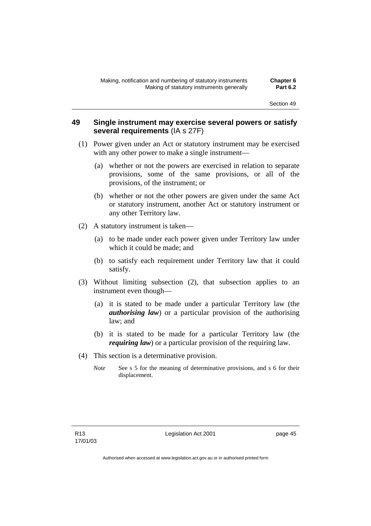## **49 Single instrument may exercise several powers or satisfy several requirements** (IA s 27F)

- (1) Power given under an Act or statutory instrument may be exercised with any other power to make a single instrument—
	- (a) whether or not the powers are exercised in relation to separate provisions, some of the same provisions, or all of the provisions, of the instrument; or
	- (b) whether or not the other powers are given under the same Act or statutory instrument, another Act or statutory instrument or any other Territory law.
- (2) A statutory instrument is taken—
	- (a) to be made under each power given under Territory law under which it could be made; and
	- (b) to satisfy each requirement under Territory law that it could satisfy.
- (3) Without limiting subsection (2), that subsection applies to an instrument even though—
	- (a) it is stated to be made under a particular Territory law (the *authorising law*) or a particular provision of the authorising law; and
	- (b) it is stated to be made for a particular Territory law (the *requiring law*) or a particular provision of the requiring law.
- (4) This section is a determinative provision.
	- *Note* See s 5 for the meaning of determinative provisions, and s 6 for their displacement.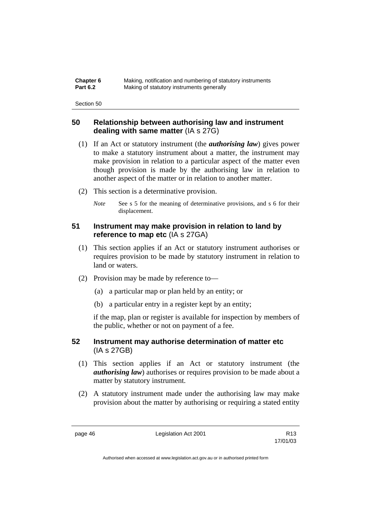| Chapter 6       | Making, notification and numbering of statutory instruments |
|-----------------|-------------------------------------------------------------|
| <b>Part 6.2</b> | Making of statutory instruments generally                   |

## **50 Relationship between authorising law and instrument dealing with same matter** (IA s 27G)

- (1) If an Act or statutory instrument (the *authorising law*) gives power to make a statutory instrument about a matter, the instrument may make provision in relation to a particular aspect of the matter even though provision is made by the authorising law in relation to another aspect of the matter or in relation to another matter.
- (2) This section is a determinative provision.
	- *Note* See s 5 for the meaning of determinative provisions, and s 6 for their displacement.

# **51 Instrument may make provision in relation to land by reference to map etc** (IA s 27GA)

- (1) This section applies if an Act or statutory instrument authorises or requires provision to be made by statutory instrument in relation to land or waters.
- (2) Provision may be made by reference to—
	- (a) a particular map or plan held by an entity; or
	- (b) a particular entry in a register kept by an entity;

if the map, plan or register is available for inspection by members of the public, whether or not on payment of a fee.

## **52 Instrument may authorise determination of matter etc**  (IA s 27GB)

- (1) This section applies if an Act or statutory instrument (the *authorising law*) authorises or requires provision to be made about a matter by statutory instrument.
- (2) A statutory instrument made under the authorising law may make provision about the matter by authorising or requiring a stated entity

page 46 **Legislation Act 2001** R13

17/01/03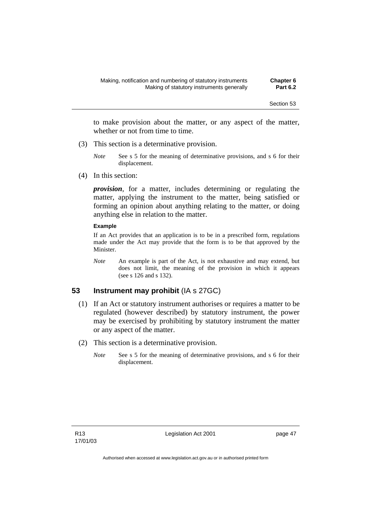to make provision about the matter, or any aspect of the matter, whether or not from time to time.

- (3) This section is a determinative provision.
	- *Note* See s 5 for the meaning of determinative provisions, and s 6 for their displacement.
- (4) In this section:

*provision*, for a matter, includes determining or regulating the matter, applying the instrument to the matter, being satisfied or forming an opinion about anything relating to the matter, or doing anything else in relation to the matter.

### **Example**

If an Act provides that an application is to be in a prescribed form, regulations made under the Act may provide that the form is to be that approved by the Minister.

*Note* An example is part of the Act, is not exhaustive and may extend, but does not limit, the meaning of the provision in which it appears (see s 126 and s 132).

## **53 Instrument may prohibit** (IA s 27GC)

- (1) If an Act or statutory instrument authorises or requires a matter to be regulated (however described) by statutory instrument, the power may be exercised by prohibiting by statutory instrument the matter or any aspect of the matter.
- (2) This section is a determinative provision.
	- *Note* See s 5 for the meaning of determinative provisions, and s 6 for their displacement.

Legislation Act 2001 **page 47**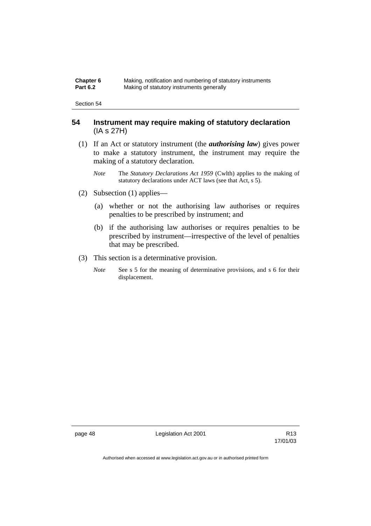| Chapter 6       | Making, notification and numbering of statutory instruments |
|-----------------|-------------------------------------------------------------|
| <b>Part 6.2</b> | Making of statutory instruments generally                   |

## **54 Instrument may require making of statutory declaration**  (IA s 27H)

- (1) If an Act or statutory instrument (the *authorising law*) gives power to make a statutory instrument, the instrument may require the making of a statutory declaration.
	- *Note* The *Statutory Declarations Act 1959* (Cwlth) applies to the making of statutory declarations under ACT laws (see that Act, s 5).
- (2) Subsection (1) applies—
	- (a) whether or not the authorising law authorises or requires penalties to be prescribed by instrument; and
	- (b) if the authorising law authorises or requires penalties to be prescribed by instrument—irrespective of the level of penalties that may be prescribed.
- (3) This section is a determinative provision.
	- *Note* See s 5 for the meaning of determinative provisions, and s 6 for their displacement.

page 48 Legislation Act 2001

17/01/03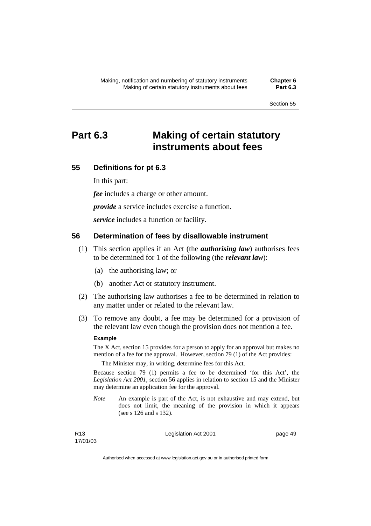# **Part 6.3 Making of certain statutory instruments about fees**

## **55 Definitions for pt 6.3**

In this part:

*fee* includes a charge or other amount.

*provide* a service includes exercise a function.

*service* includes a function or facility.

## **56 Determination of fees by disallowable instrument**

- (1) This section applies if an Act (the *authorising law*) authorises fees to be determined for 1 of the following (the *relevant law*):
	- (a) the authorising law; or
	- (b) another Act or statutory instrument.
- (2) The authorising law authorises a fee to be determined in relation to any matter under or related to the relevant law.
- (3) To remove any doubt, a fee may be determined for a provision of the relevant law even though the provision does not mention a fee.

### **Example**

The X Act, section 15 provides for a person to apply for an approval but makes no mention of a fee for the approval. However, section 79 (1) of the Act provides:

The Minister may, in writing, determine fees for this Act.

Because section 79 (1) permits a fee to be determined 'for this Act', the *Legislation Act 2001*, section 56 applies in relation to section 15 and the Minister may determine an application fee for the approval.

*Note* An example is part of the Act, is not exhaustive and may extend, but does not limit, the meaning of the provision in which it appears (see s 126 and s 132).

Legislation Act 2001 **page 49**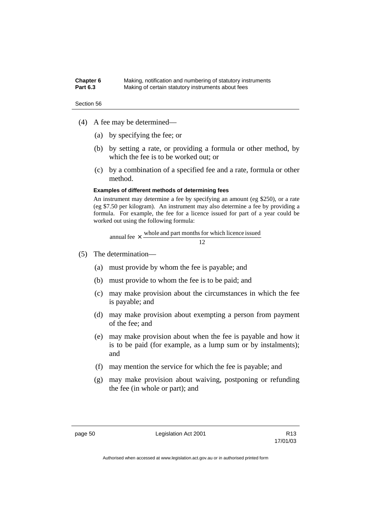| Chapter 6       | Making, notification and numbering of statutory instruments |
|-----------------|-------------------------------------------------------------|
| <b>Part 6.3</b> | Making of certain statutory instruments about fees          |

- (4) A fee may be determined—
	- (a) by specifying the fee; or
	- (b) by setting a rate, or providing a formula or other method, by which the fee is to be worked out; or
	- (c) by a combination of a specified fee and a rate, formula or other method.

#### **Examples of different methods of determining fees**

An instrument may determine a fee by specifying an amount (eg \$250), or a rate (eg \$7.50 per kilogram). An instrument may also determine a fee by providing a formula. For example, the fee for a licence issued for part of a year could be worked out using the following formula:

12 annual fee  $\times$  whole and part months for which licence issued

- (5) The determination—
	- (a) must provide by whom the fee is payable; and
	- (b) must provide to whom the fee is to be paid; and
	- (c) may make provision about the circumstances in which the fee is payable; and
	- (d) may make provision about exempting a person from payment of the fee; and
	- (e) may make provision about when the fee is payable and how it is to be paid (for example, as a lump sum or by instalments); and
	- (f) may mention the service for which the fee is payable; and
	- (g) may make provision about waiving, postponing or refunding the fee (in whole or part); and

page 50 Legislation Act 2001

17/01/03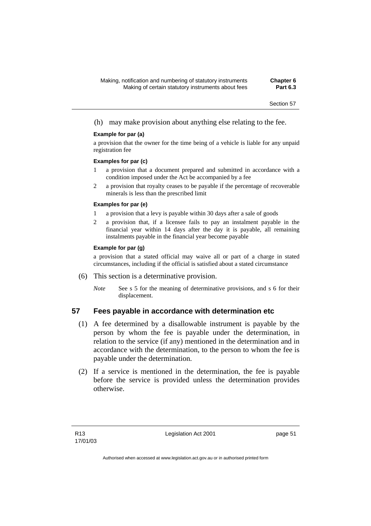## (h) may make provision about anything else relating to the fee.

#### **Example for par (a)**

a provision that the owner for the time being of a vehicle is liable for any unpaid registration fee

#### **Examples for par (c)**

- 1 a provision that a document prepared and submitted in accordance with a condition imposed under the Act be accompanied by a fee
- 2 a provision that royalty ceases to be payable if the percentage of recoverable minerals is less than the prescribed limit

#### **Examples for par (e)**

- 1 a provision that a levy is payable within 30 days after a sale of goods
- 2 a provision that, if a licensee fails to pay an instalment payable in the financial year within 14 days after the day it is payable, all remaining instalments payable in the financial year become payable

### **Example for par (g)**

a provision that a stated official may waive all or part of a charge in stated circumstances, including if the official is satisfied about a stated circumstance

- (6) This section is a determinative provision.
	- *Note* See s 5 for the meaning of determinative provisions, and s 6 for their displacement.

## **57 Fees payable in accordance with determination etc**

- (1) A fee determined by a disallowable instrument is payable by the person by whom the fee is payable under the determination, in relation to the service (if any) mentioned in the determination and in accordance with the determination, to the person to whom the fee is payable under the determination.
- (2) If a service is mentioned in the determination, the fee is payable before the service is provided unless the determination provides otherwise.

Legislation Act 2001 **page 51**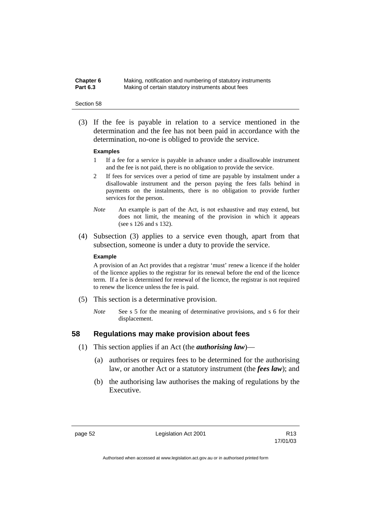| Chapter 6       | Making, notification and numbering of statutory instruments |
|-----------------|-------------------------------------------------------------|
| <b>Part 6.3</b> | Making of certain statutory instruments about fees          |

 (3) If the fee is payable in relation to a service mentioned in the determination and the fee has not been paid in accordance with the determination, no-one is obliged to provide the service.

#### **Examples**

- 1 If a fee for a service is payable in advance under a disallowable instrument and the fee is not paid, there is no obligation to provide the service.
- 2 If fees for services over a period of time are payable by instalment under a disallowable instrument and the person paying the fees falls behind in payments on the instalments, there is no obligation to provide further services for the person.
- *Note* An example is part of the Act, is not exhaustive and may extend, but does not limit, the meaning of the provision in which it appears (see s 126 and s 132).
- (4) Subsection (3) applies to a service even though, apart from that subsection, someone is under a duty to provide the service.

#### **Example**

A provision of an Act provides that a registrar 'must' renew a licence if the holder of the licence applies to the registrar for its renewal before the end of the licence term. If a fee is determined for renewal of the licence, the registrar is not required to renew the licence unless the fee is paid.

- (5) This section is a determinative provision.
	- *Note* See s 5 for the meaning of determinative provisions, and s 6 for their displacement.

## **58 Regulations may make provision about fees**

- (1) This section applies if an Act (the *authorising law*)—
	- (a) authorises or requires fees to be determined for the authorising law, or another Act or a statutory instrument (the *fees law*); and
	- (b) the authorising law authorises the making of regulations by the Executive.

page 52 Legislation Act 2001

17/01/03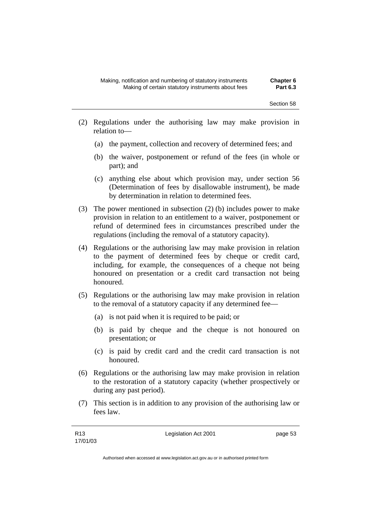- (2) Regulations under the authorising law may make provision in relation to—
	- (a) the payment, collection and recovery of determined fees; and
	- (b) the waiver, postponement or refund of the fees (in whole or part); and
	- (c) anything else about which provision may, under section 56 (Determination of fees by disallowable instrument), be made by determination in relation to determined fees.
- (3) The power mentioned in subsection (2) (b) includes power to make provision in relation to an entitlement to a waiver, postponement or refund of determined fees in circumstances prescribed under the regulations (including the removal of a statutory capacity).
- (4) Regulations or the authorising law may make provision in relation to the payment of determined fees by cheque or credit card, including, for example, the consequences of a cheque not being honoured on presentation or a credit card transaction not being honoured.
- (5) Regulations or the authorising law may make provision in relation to the removal of a statutory capacity if any determined fee—
	- (a) is not paid when it is required to be paid; or
	- (b) is paid by cheque and the cheque is not honoured on presentation; or
	- (c) is paid by credit card and the credit card transaction is not honoured.
- (6) Regulations or the authorising law may make provision in relation to the restoration of a statutory capacity (whether prospectively or during any past period).
- (7) This section is in addition to any provision of the authorising law or fees law.

Legislation Act 2001 **page 53**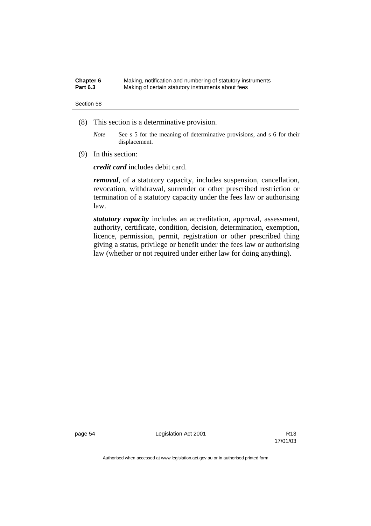| Chapter 6       | Making, notification and numbering of statutory instruments |
|-----------------|-------------------------------------------------------------|
| <b>Part 6.3</b> | Making of certain statutory instruments about fees          |

- (8) This section is a determinative provision.
	- *Note* See s 5 for the meaning of determinative provisions, and s 6 for their displacement.
- (9) In this section:

*credit card* includes debit card.

*removal*, of a statutory capacity, includes suspension, cancellation, revocation, withdrawal, surrender or other prescribed restriction or termination of a statutory capacity under the fees law or authorising law.

*statutory capacity* includes an accreditation, approval, assessment, authority, certificate, condition, decision, determination, exemption, licence, permission, permit, registration or other prescribed thing giving a status, privilege or benefit under the fees law or authorising law (whether or not required under either law for doing anything).

page 54 Legislation Act 2001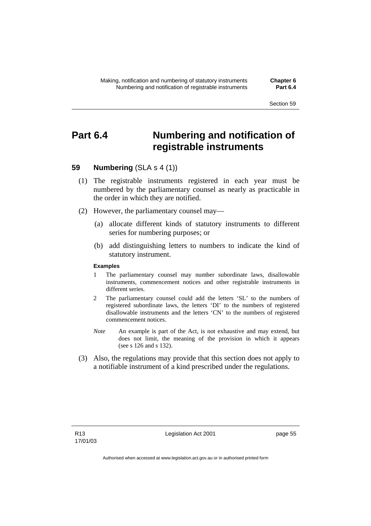# **Part 6.4 Numbering and notification of registrable instruments**

## **59 Numbering** (SLA s 4 (1))

- (1) The registrable instruments registered in each year must be numbered by the parliamentary counsel as nearly as practicable in the order in which they are notified.
- (2) However, the parliamentary counsel may—
	- (a) allocate different kinds of statutory instruments to different series for numbering purposes; or
	- (b) add distinguishing letters to numbers to indicate the kind of statutory instrument.

#### **Examples**

- 1 The parliamentary counsel may number subordinate laws, disallowable instruments, commencement notices and other registrable instruments in different series.
- 2 The parliamentary counsel could add the letters 'SL' to the numbers of registered subordinate laws, the letters 'DI' to the numbers of registered disallowable instruments and the letters 'CN' to the numbers of registered commencement notices.
- *Note* An example is part of the Act, is not exhaustive and may extend, but does not limit, the meaning of the provision in which it appears (see s 126 and s 132).
- (3) Also, the regulations may provide that this section does not apply to a notifiable instrument of a kind prescribed under the regulations.

Legislation Act 2001 **page 55**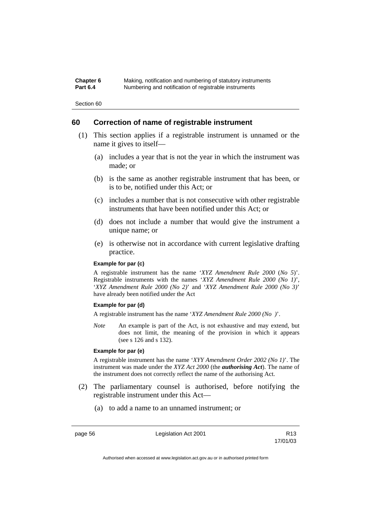| Chapter 6       | Making, notification and numbering of statutory instruments |
|-----------------|-------------------------------------------------------------|
| <b>Part 6.4</b> | Numbering and notification of registrable instruments       |

Section 60

## **60 Correction of name of registrable instrument**

- (1) This section applies if a registrable instrument is unnamed or the name it gives to itself—
	- (a) includes a year that is not the year in which the instrument was made; or
	- (b) is the same as another registrable instrument that has been, or is to be, notified under this Act; or
	- (c) includes a number that is not consecutive with other registrable instruments that have been notified under this Act; or
	- (d) does not include a number that would give the instrument a unique name; or
	- (e) is otherwise not in accordance with current legislative drafting practice.

## **Example for par (c)**

A registrable instrument has the name '*XYZ Amendment Rule 2000* (*No 5*)'. Registrable instruments with the names '*XYZ Amendment Rule 2000 (No 1)*', '*XYZ Amendment Rule 2000 (No 2)*' and '*XYZ Amendment Rule 2000 (No 3)*' have already been notified under the Act

#### **Example for par (d)**

A registrable instrument has the name '*XYZ Amendment Rule 2000 (No )*'.

*Note* An example is part of the Act, is not exhaustive and may extend, but does not limit, the meaning of the provision in which it appears (see s 126 and s 132).

#### **Example for par (e)**

A registrable instrument has the name '*XYY Amendment Order 2002 (No 1)*'. The instrument was made under the *XYZ Act 2000* (the *authorising Act*). The name of the instrument does not correctly reflect the name of the authorising Act.

- (2) The parliamentary counsel is authorised, before notifying the registrable instrument under this Act—
	- (a) to add a name to an unnamed instrument; or

page 56 Legislation Act 2001

17/01/03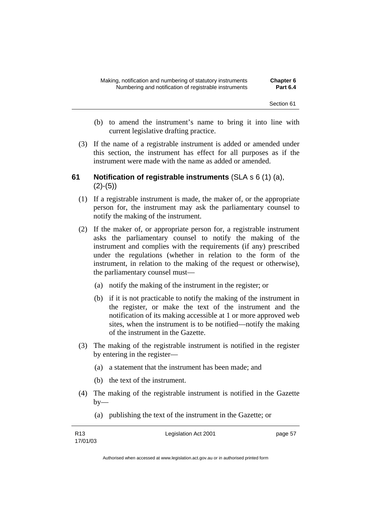- (b) to amend the instrument's name to bring it into line with current legislative drafting practice.
- (3) If the name of a registrable instrument is added or amended under this section, the instrument has effect for all purposes as if the instrument were made with the name as added or amended.

# **61 Notification of registrable instruments** (SLA s 6 (1) (a),  $(2)-(5)$

- (1) If a registrable instrument is made, the maker of, or the appropriate person for, the instrument may ask the parliamentary counsel to notify the making of the instrument.
- (2) If the maker of, or appropriate person for, a registrable instrument asks the parliamentary counsel to notify the making of the instrument and complies with the requirements (if any) prescribed under the regulations (whether in relation to the form of the instrument, in relation to the making of the request or otherwise), the parliamentary counsel must—
	- (a) notify the making of the instrument in the register; or
	- (b) if it is not practicable to notify the making of the instrument in the register, or make the text of the instrument and the notification of its making accessible at 1 or more approved web sites, when the instrument is to be notified—notify the making of the instrument in the Gazette.
- (3) The making of the registrable instrument is notified in the register by entering in the register—
	- (a) a statement that the instrument has been made; and
	- (b) the text of the instrument.
- (4) The making of the registrable instrument is notified in the Gazette  $bv$ —
	- (a) publishing the text of the instrument in the Gazette; or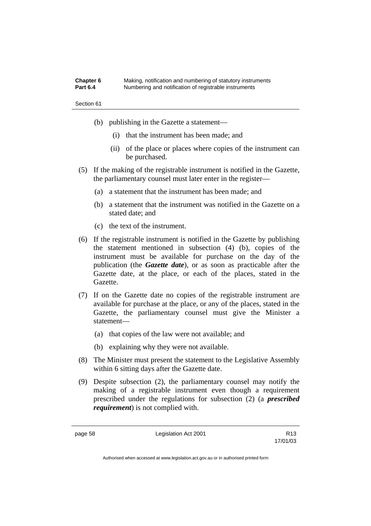| Chapter 6       | Making, notification and numbering of statutory instruments |
|-----------------|-------------------------------------------------------------|
| <b>Part 6.4</b> | Numbering and notification of registrable instruments       |

- (b) publishing in the Gazette a statement—
	- (i) that the instrument has been made; and
	- (ii) of the place or places where copies of the instrument can be purchased.
- (5) If the making of the registrable instrument is notified in the Gazette, the parliamentary counsel must later enter in the register—
	- (a) a statement that the instrument has been made; and
	- (b) a statement that the instrument was notified in the Gazette on a stated date; and
	- (c) the text of the instrument.
- (6) If the registrable instrument is notified in the Gazette by publishing the statement mentioned in subsection (4) (b), copies of the instrument must be available for purchase on the day of the publication (the *Gazette date*), or as soon as practicable after the Gazette date, at the place, or each of the places, stated in the Gazette.
- (7) If on the Gazette date no copies of the registrable instrument are available for purchase at the place, or any of the places, stated in the Gazette, the parliamentary counsel must give the Minister a statement—
	- (a) that copies of the law were not available; and
	- (b) explaining why they were not available.
- (8) The Minister must present the statement to the Legislative Assembly within 6 sitting days after the Gazette date.
- (9) Despite subsection (2), the parliamentary counsel may notify the making of a registrable instrument even though a requirement prescribed under the regulations for subsection (2) (a *prescribed requirement*) is not complied with.

page 58 Legislation Act 2001

17/01/03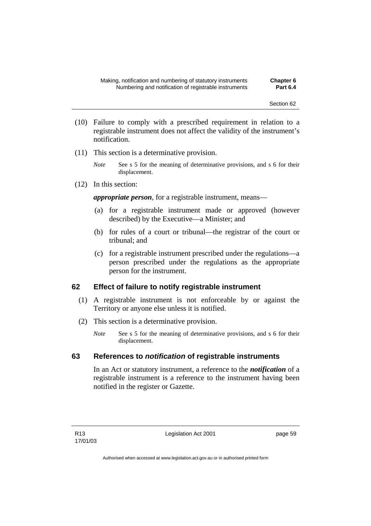- (10) Failure to comply with a prescribed requirement in relation to a registrable instrument does not affect the validity of the instrument's notification.
- (11) This section is a determinative provision.
	- *Note* See s 5 for the meaning of determinative provisions, and s 6 for their displacement.
- (12) In this section:

*appropriate person*, for a registrable instrument, means—

- (a) for a registrable instrument made or approved (however described) by the Executive—a Minister; and
- (b) for rules of a court or tribunal—the registrar of the court or tribunal; and
- (c) for a registrable instrument prescribed under the regulations—a person prescribed under the regulations as the appropriate person for the instrument.

## **62 Effect of failure to notify registrable instrument**

- (1) A registrable instrument is not enforceable by or against the Territory or anyone else unless it is notified.
- (2) This section is a determinative provision.
	- *Note* See s 5 for the meaning of determinative provisions, and s 6 for their displacement.

## **63 References to** *notification* **of registrable instruments**

In an Act or statutory instrument, a reference to the *notification* of a registrable instrument is a reference to the instrument having been notified in the register or Gazette.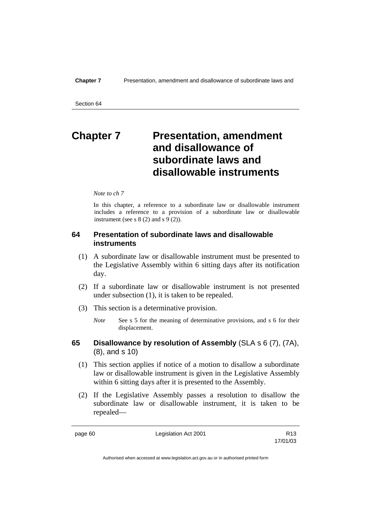# **Chapter 7** Presentation, amendment **and disallowance of subordinate laws and disallowable instruments**

#### *Note to ch 7*

In this chapter, a reference to a subordinate law or disallowable instrument includes a reference to a provision of a subordinate law or disallowable instrument (see s  $8(2)$  and s  $9(2)$ ).

## **64 Presentation of subordinate laws and disallowable instruments**

- (1) A subordinate law or disallowable instrument must be presented to the Legislative Assembly within 6 sitting days after its notification day.
- (2) If a subordinate law or disallowable instrument is not presented under subsection (1), it is taken to be repealed.
- (3) This section is a determinative provision.
	- *Note* See s 5 for the meaning of determinative provisions, and s 6 for their displacement.
- **65 Disallowance by resolution of Assembly** (SLA s 6 (7), (7A), (8), and s 10)
	- (1) This section applies if notice of a motion to disallow a subordinate law or disallowable instrument is given in the Legislative Assembly within 6 sitting days after it is presented to the Assembly.
	- (2) If the Legislative Assembly passes a resolution to disallow the subordinate law or disallowable instrument, it is taken to be repealed—

page 60 **Legislation Act 2001** CH<sub>13</sub> R13

17/01/03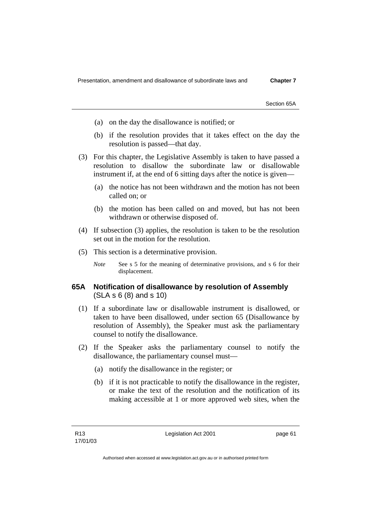Section 65A

- (a) on the day the disallowance is notified; or
- (b) if the resolution provides that it takes effect on the day the resolution is passed—that day.
- (3) For this chapter, the Legislative Assembly is taken to have passed a resolution to disallow the subordinate law or disallowable instrument if, at the end of 6 sitting days after the notice is given—
	- (a) the notice has not been withdrawn and the motion has not been called on; or
	- (b) the motion has been called on and moved, but has not been withdrawn or otherwise disposed of.
- (4) If subsection (3) applies, the resolution is taken to be the resolution set out in the motion for the resolution.
- (5) This section is a determinative provision.
	- *Note* See s 5 for the meaning of determinative provisions, and s 6 for their displacement.

## **65A Notification of disallowance by resolution of Assembly**  (SLA s 6 (8) and s 10)

- (1) If a subordinate law or disallowable instrument is disallowed, or taken to have been disallowed, under section 65 (Disallowance by resolution of Assembly), the Speaker must ask the parliamentary counsel to notify the disallowance.
- (2) If the Speaker asks the parliamentary counsel to notify the disallowance, the parliamentary counsel must—
	- (a) notify the disallowance in the register; or
	- (b) if it is not practicable to notify the disallowance in the register, or make the text of the resolution and the notification of its making accessible at 1 or more approved web sites, when the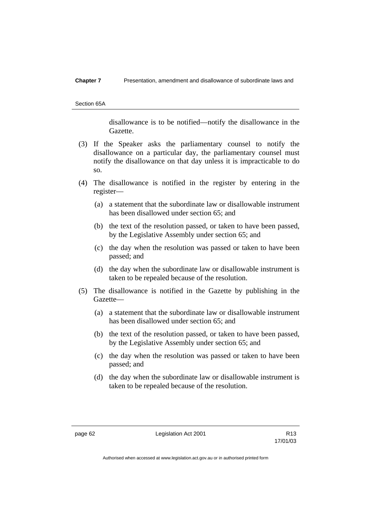#### **Chapter 7** Presentation, amendment and disallowance of subordinate laws and

Section 65A

disallowance is to be notified—notify the disallowance in the Gazette.

- (3) If the Speaker asks the parliamentary counsel to notify the disallowance on a particular day, the parliamentary counsel must notify the disallowance on that day unless it is impracticable to do so.
- (4) The disallowance is notified in the register by entering in the register—
	- (a) a statement that the subordinate law or disallowable instrument has been disallowed under section 65; and
	- (b) the text of the resolution passed, or taken to have been passed, by the Legislative Assembly under section 65; and
	- (c) the day when the resolution was passed or taken to have been passed; and
	- (d) the day when the subordinate law or disallowable instrument is taken to be repealed because of the resolution.
- (5) The disallowance is notified in the Gazette by publishing in the Gazette—
	- (a) a statement that the subordinate law or disallowable instrument has been disallowed under section 65; and
	- (b) the text of the resolution passed, or taken to have been passed, by the Legislative Assembly under section 65; and
	- (c) the day when the resolution was passed or taken to have been passed; and
	- (d) the day when the subordinate law or disallowable instrument is taken to be repealed because of the resolution.

page 62 Legislation Act 2001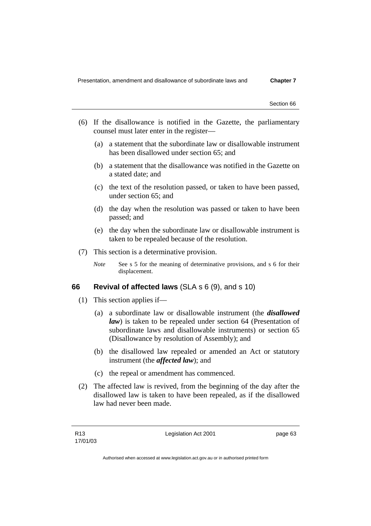- (6) If the disallowance is notified in the Gazette, the parliamentary counsel must later enter in the register—
	- (a) a statement that the subordinate law or disallowable instrument has been disallowed under section 65; and
	- (b) a statement that the disallowance was notified in the Gazette on a stated date; and
	- (c) the text of the resolution passed, or taken to have been passed, under section 65; and
	- (d) the day when the resolution was passed or taken to have been passed; and
	- (e) the day when the subordinate law or disallowable instrument is taken to be repealed because of the resolution.
- (7) This section is a determinative provision.
	- *Note* See s 5 for the meaning of determinative provisions, and s 6 for their displacement.

## **66 Revival of affected laws** (SLA s 6 (9), and s 10)

- (1) This section applies if—
	- (a) a subordinate law or disallowable instrument (the *disallowed law*) is taken to be repealed under section 64 (Presentation of subordinate laws and disallowable instruments) or section 65 (Disallowance by resolution of Assembly); and
	- (b) the disallowed law repealed or amended an Act or statutory instrument (the *affected law*); and
	- (c) the repeal or amendment has commenced.
- (2) The affected law is revived, from the beginning of the day after the disallowed law is taken to have been repealed, as if the disallowed law had never been made.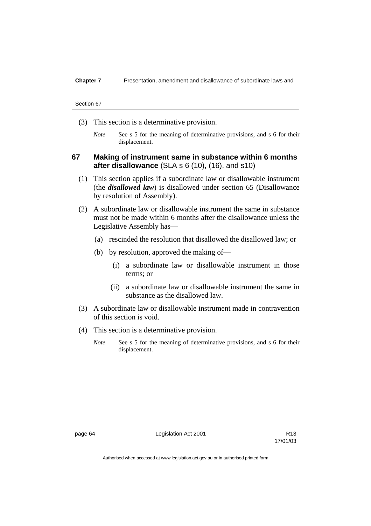- (3) This section is a determinative provision.
	- *Note* See s 5 for the meaning of determinative provisions, and s 6 for their displacement.

# **67 Making of instrument same in substance within 6 months after disallowance** (SLA s 6 (10), (16), and s10)

- (1) This section applies if a subordinate law or disallowable instrument (the *disallowed law*) is disallowed under section 65 (Disallowance by resolution of Assembly).
- (2) A subordinate law or disallowable instrument the same in substance must not be made within 6 months after the disallowance unless the Legislative Assembly has—
	- (a) rescinded the resolution that disallowed the disallowed law; or
	- (b) by resolution, approved the making of—
		- (i) a subordinate law or disallowable instrument in those terms; or
		- (ii) a subordinate law or disallowable instrument the same in substance as the disallowed law.
- (3) A subordinate law or disallowable instrument made in contravention of this section is void.
- (4) This section is a determinative provision.
	- *Note* See s 5 for the meaning of determinative provisions, and s 6 for their displacement.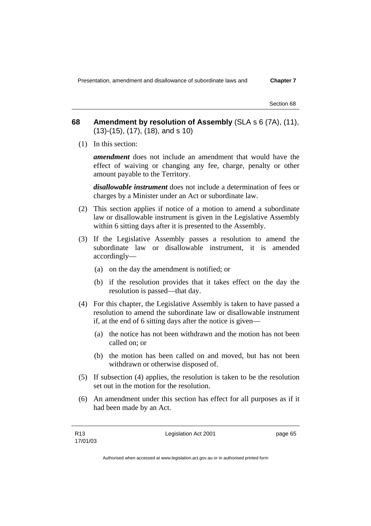Presentation, amendment and disallowance of subordinate laws and **Chapter 7** 

Section 68

# **68 Amendment by resolution of Assembly** (SLA s 6 (7A), (11), (13)-(15), (17), (18), and s 10)

(1) In this section:

*amendment* does not include an amendment that would have the effect of waiving or changing any fee, charge, penalty or other amount payable to the Territory.

*disallowable instrument* does not include a determination of fees or charges by a Minister under an Act or subordinate law.

- (2) This section applies if notice of a motion to amend a subordinate law or disallowable instrument is given in the Legislative Assembly within 6 sitting days after it is presented to the Assembly.
- (3) If the Legislative Assembly passes a resolution to amend the subordinate law or disallowable instrument, it is amended accordingly—
	- (a) on the day the amendment is notified; or
	- (b) if the resolution provides that it takes effect on the day the resolution is passed—that day.
- (4) For this chapter, the Legislative Assembly is taken to have passed a resolution to amend the subordinate law or disallowable instrument if, at the end of 6 sitting days after the notice is given—
	- (a) the notice has not been withdrawn and the motion has not been called on; or
	- (b) the motion has been called on and moved, but has not been withdrawn or otherwise disposed of.
- (5) If subsection (4) applies, the resolution is taken to be the resolution set out in the motion for the resolution.
- (6) An amendment under this section has effect for all purposes as if it had been made by an Act.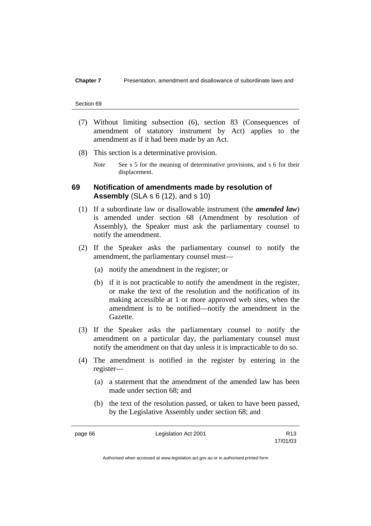- (7) Without limiting subsection (6), section 83 (Consequences of amendment of statutory instrument by Act) applies to the amendment as if it had been made by an Act.
- (8) This section is a determinative provision.
	- *Note* See s 5 for the meaning of determinative provisions, and s 6 for their displacement.

## **69 Notification of amendments made by resolution of Assembly** (SLA s 6 (12), and s 10)

- (1) If a subordinate law or disallowable instrument (the *amended law*) is amended under section 68 (Amendment by resolution of Assembly), the Speaker must ask the parliamentary counsel to notify the amendment.
- (2) If the Speaker asks the parliamentary counsel to notify the amendment, the parliamentary counsel must—
	- (a) notify the amendment in the register; or
	- (b) if it is not practicable to notify the amendment in the register, or make the text of the resolution and the notification of its making accessible at 1 or more approved web sites, when the amendment is to be notified—notify the amendment in the Gazette.
- (3) If the Speaker asks the parliamentary counsel to notify the amendment on a particular day, the parliamentary counsel must notify the amendment on that day unless it is impracticable to do so.
- (4) The amendment is notified in the register by entering in the register—
	- (a) a statement that the amendment of the amended law has been made under section 68; and
	- (b) the text of the resolution passed, or taken to have been passed, by the Legislative Assembly under section 68; and

page 66 **Legislation Act 2001** R13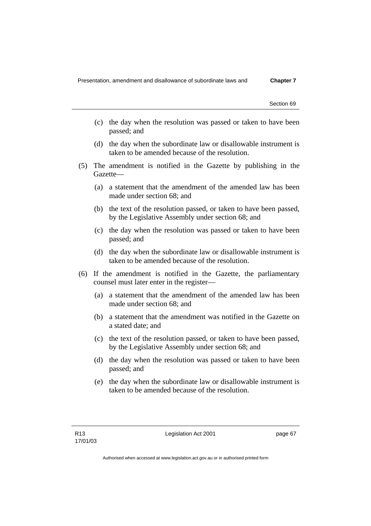- (c) the day when the resolution was passed or taken to have been passed; and
- (d) the day when the subordinate law or disallowable instrument is taken to be amended because of the resolution.
- (5) The amendment is notified in the Gazette by publishing in the Gazette—
	- (a) a statement that the amendment of the amended law has been made under section 68; and
	- (b) the text of the resolution passed, or taken to have been passed, by the Legislative Assembly under section 68; and
	- (c) the day when the resolution was passed or taken to have been passed; and
	- (d) the day when the subordinate law or disallowable instrument is taken to be amended because of the resolution.
- (6) If the amendment is notified in the Gazette, the parliamentary counsel must later enter in the register—
	- (a) a statement that the amendment of the amended law has been made under section 68; and
	- (b) a statement that the amendment was notified in the Gazette on a stated date; and
	- (c) the text of the resolution passed, or taken to have been passed, by the Legislative Assembly under section 68; and
	- (d) the day when the resolution was passed or taken to have been passed; and
	- (e) the day when the subordinate law or disallowable instrument is taken to be amended because of the resolution.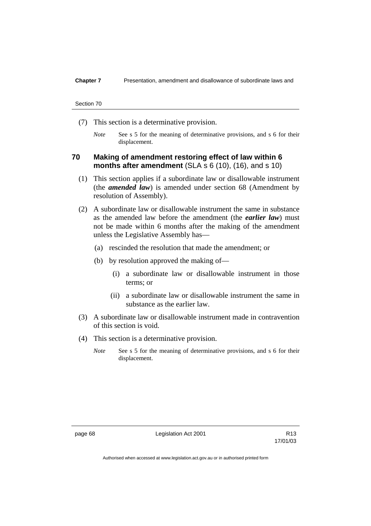- (7) This section is a determinative provision.
	- *Note* See s 5 for the meaning of determinative provisions, and s 6 for their displacement.

## **70 Making of amendment restoring effect of law within 6 months after amendment** (SLA s 6 (10), (16), and s 10)

- (1) This section applies if a subordinate law or disallowable instrument (the *amended law*) is amended under section 68 (Amendment by resolution of Assembly).
- (2) A subordinate law or disallowable instrument the same in substance as the amended law before the amendment (the *earlier law*) must not be made within 6 months after the making of the amendment unless the Legislative Assembly has—
	- (a) rescinded the resolution that made the amendment; or
	- (b) by resolution approved the making of—
		- (i) a subordinate law or disallowable instrument in those terms; or
		- (ii) a subordinate law or disallowable instrument the same in substance as the earlier law.
- (3) A subordinate law or disallowable instrument made in contravention of this section is void.
- (4) This section is a determinative provision.
	- *Note* See s 5 for the meaning of determinative provisions, and s 6 for their displacement.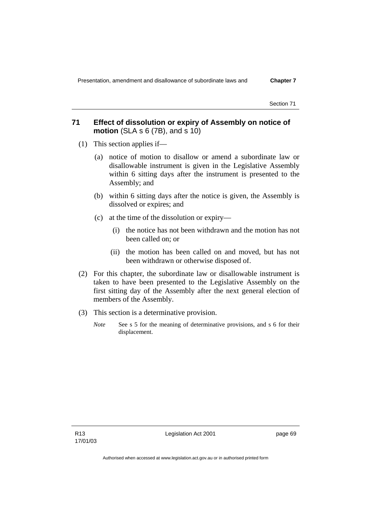# **71 Effect of dissolution or expiry of Assembly on notice of motion** (SLA s 6 (7B), and s 10)

- (1) This section applies if—
	- (a) notice of motion to disallow or amend a subordinate law or disallowable instrument is given in the Legislative Assembly within 6 sitting days after the instrument is presented to the Assembly; and
	- (b) within 6 sitting days after the notice is given, the Assembly is dissolved or expires; and
	- (c) at the time of the dissolution or expiry—
		- (i) the notice has not been withdrawn and the motion has not been called on; or
		- (ii) the motion has been called on and moved, but has not been withdrawn or otherwise disposed of.
- (2) For this chapter, the subordinate law or disallowable instrument is taken to have been presented to the Legislative Assembly on the first sitting day of the Assembly after the next general election of members of the Assembly.
- (3) This section is a determinative provision.
	- *Note* See s 5 for the meaning of determinative provisions, and s 6 for their displacement.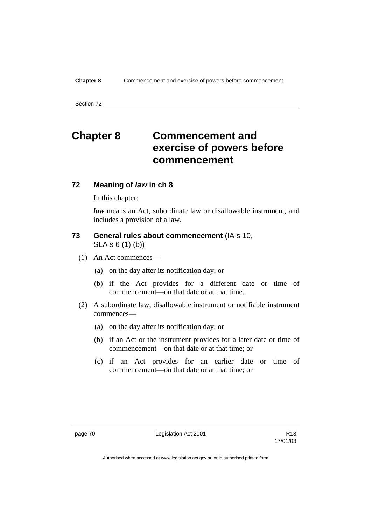# **Chapter 8 Commencement and exercise of powers before commencement**

## **72 Meaning of** *law* **in ch 8**

In this chapter:

*law* means an Act, subordinate law or disallowable instrument, and includes a provision of a law.

## **73 General rules about commencement** (IA s 10, SLA s 6 (1) (b))

- (1) An Act commences—
	- (a) on the day after its notification day; or
	- (b) if the Act provides for a different date or time of commencement—on that date or at that time.
- (2) A subordinate law, disallowable instrument or notifiable instrument commences—
	- (a) on the day after its notification day; or
	- (b) if an Act or the instrument provides for a later date or time of commencement—on that date or at that time; or
	- (c) if an Act provides for an earlier date or time of commencement—on that date or at that time; or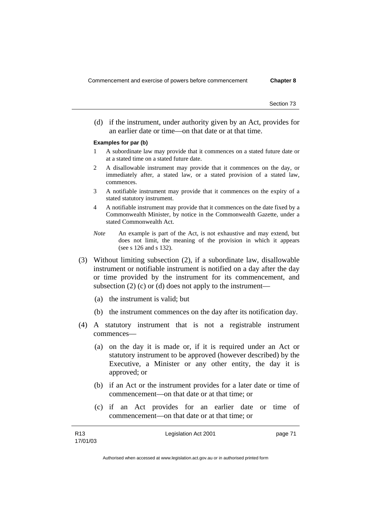(d) if the instrument, under authority given by an Act, provides for an earlier date or time—on that date or at that time.

#### **Examples for par (b)**

- 1 A subordinate law may provide that it commences on a stated future date or at a stated time on a stated future date.
- 2 A disallowable instrument may provide that it commences on the day, or immediately after, a stated law, or a stated provision of a stated law, commences.
- 3 A notifiable instrument may provide that it commences on the expiry of a stated statutory instrument.
- 4 A notifiable instrument may provide that it commences on the date fixed by a Commonwealth Minister, by notice in the Commonwealth Gazette, under a stated Commonwealth Act.
- *Note* An example is part of the Act, is not exhaustive and may extend, but does not limit, the meaning of the provision in which it appears (see s 126 and s 132).
- (3) Without limiting subsection (2), if a subordinate law, disallowable instrument or notifiable instrument is notified on a day after the day or time provided by the instrument for its commencement, and subsection  $(2)$  (c) or  $(d)$  does not apply to the instrument-
	- (a) the instrument is valid; but
	- (b) the instrument commences on the day after its notification day.
- (4) A statutory instrument that is not a registrable instrument commences—
	- (a) on the day it is made or, if it is required under an Act or statutory instrument to be approved (however described) by the Executive, a Minister or any other entity, the day it is approved; or
	- (b) if an Act or the instrument provides for a later date or time of commencement—on that date or at that time; or
	- (c) if an Act provides for an earlier date or time of commencement—on that date or at that time; or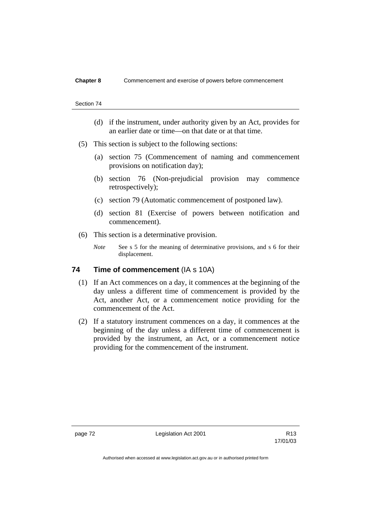### **Chapter 8** Commencement and exercise of powers before commencement

#### Section 74

- (d) if the instrument, under authority given by an Act, provides for an earlier date or time—on that date or at that time.
- (5) This section is subject to the following sections:
	- (a) section 75 (Commencement of naming and commencement provisions on notification day);
	- (b) section 76 (Non-prejudicial provision may commence retrospectively);
	- (c) section 79 (Automatic commencement of postponed law).
	- (d) section 81 (Exercise of powers between notification and commencement).
- (6) This section is a determinative provision.
	- *Note* See s 5 for the meaning of determinative provisions, and s 6 for their displacement.

## **74 Time of commencement (IA s 10A)**

- (1) If an Act commences on a day, it commences at the beginning of the day unless a different time of commencement is provided by the Act, another Act, or a commencement notice providing for the commencement of the Act.
- (2) If a statutory instrument commences on a day, it commences at the beginning of the day unless a different time of commencement is provided by the instrument, an Act, or a commencement notice providing for the commencement of the instrument.

page 72 Legislation Act 2001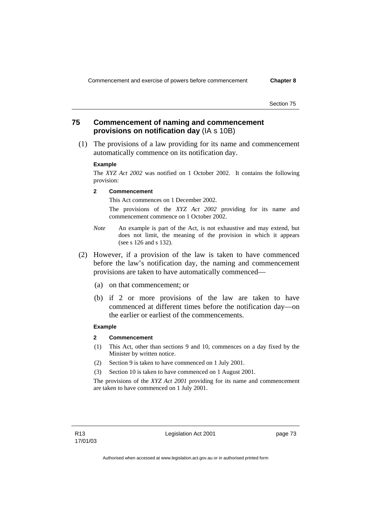# **75 Commencement of naming and commencement provisions on notification day** (IA s 10B)

 (1) The provisions of a law providing for its name and commencement automatically commence on its notification day.

#### **Example**

The *XYZ Act 2002* was notified on 1 October 2002. It contains the following provision:

#### **2 Commencement**

This Act commences on 1 December 2002.

 The provisions of the *XYZ Act 2002* providing for its name and commencement commence on 1 October 2002.

- *Note* An example is part of the Act, is not exhaustive and may extend, but does not limit, the meaning of the provision in which it appears (see s 126 and s 132).
- (2) However, if a provision of the law is taken to have commenced before the law's notification day, the naming and commencement provisions are taken to have automatically commenced—
	- (a) on that commencement; or
	- (b) if 2 or more provisions of the law are taken to have commenced at different times before the notification day—on the earlier or earliest of the commencements.

#### **Example**

#### **2 Commencement**

- (1) This Act, other than sections 9 and 10, commences on a day fixed by the Minister by written notice.
- (2) Section 9 is taken to have commenced on 1 July 2001.
- (3) Section 10 is taken to have commenced on 1 August 2001.

The provisions of the *XYZ Act 2001* providing for its name and commencement are taken to have commenced on 1 July 2001.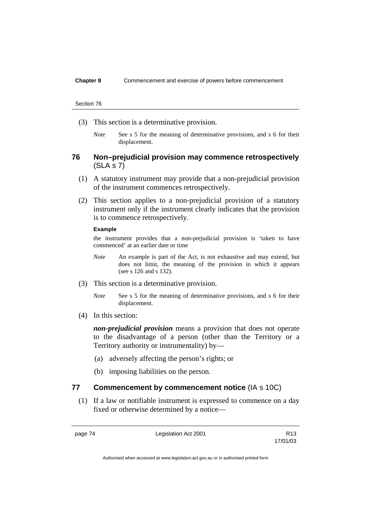### **Chapter 8** Commencement and exercise of powers before commencement

#### Section 76

- (3) This section is a determinative provision.
	- *Note* See s 5 for the meaning of determinative provisions, and s 6 for their displacement.

## **76 Non–prejudicial provision may commence retrospectively**  (SLA s 7)

- (1) A statutory instrument may provide that a non-prejudicial provision of the instrument commences retrospectively.
- (2) This section applies to a non-prejudicial provision of a statutory instrument only if the instrument clearly indicates that the provision is to commence retrospectively.

### **Example**

the instrument provides that a non-prejudicial provision is 'taken to have commenced' at an earlier date or time

- *Note* An example is part of the Act, is not exhaustive and may extend, but does not limit, the meaning of the provision in which it appears (see s 126 and s 132).
- (3) This section is a determinative provision.
	- *Note* See s 5 for the meaning of determinative provisions, and s 6 for their displacement.
- (4) In this section:

*non-prejudicial provision* means a provision that does not operate to the disadvantage of a person (other than the Territory or a Territory authority or instrumentality) by—

- (a) adversely affecting the person's rights; or
- (b) imposing liabilities on the person.

## **77 Commencement by commencement notice** (IA s 10C)

 (1) If a law or notifiable instrument is expressed to commence on a day fixed or otherwise determined by a notice—

page 74 Legislation Act 2001

17/01/03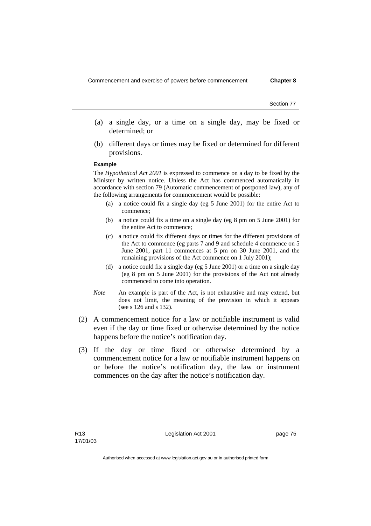- (a) a single day, or a time on a single day, may be fixed or determined; or
- (b) different days or times may be fixed or determined for different provisions.

#### **Example**

The *Hypothetical Act 2001* is expressed to commence on a day to be fixed by the Minister by written notice. Unless the Act has commenced automatically in accordance with section 79 (Automatic commencement of postponed law), any of the following arrangements for commencement would be possible:

- (a) a notice could fix a single day (eg 5 June 2001) for the entire Act to commence;
- (b) a notice could fix a time on a single day (eg 8 pm on 5 June 2001) for the entire Act to commence;
- (c) a notice could fix different days or times for the different provisions of the Act to commence (eg parts 7 and 9 and schedule 4 commence on 5 June 2001, part 11 commences at 5 pm on 30 June 2001, and the remaining provisions of the Act commence on 1 July 2001);
- (d) a notice could fix a single day (eg 5 June 2001) or a time on a single day (eg 8 pm on 5 June 2001) for the provisions of the Act not already commenced to come into operation.
- *Note* An example is part of the Act, is not exhaustive and may extend, but does not limit, the meaning of the provision in which it appears (see s 126 and s 132).
- (2) A commencement notice for a law or notifiable instrument is valid even if the day or time fixed or otherwise determined by the notice happens before the notice's notification day.
- (3) If the day or time fixed or otherwise determined by a commencement notice for a law or notifiable instrument happens on or before the notice's notification day, the law or instrument commences on the day after the notice's notification day.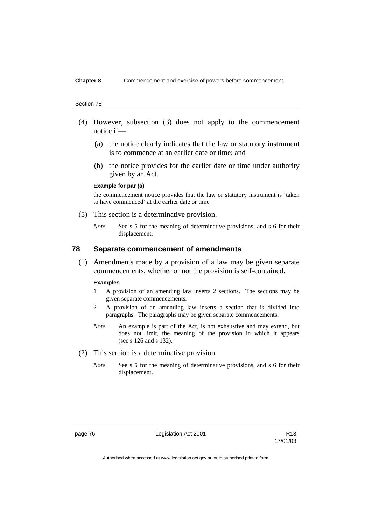### **Chapter 8** Commencement and exercise of powers before commencement

#### Section 78

- (4) However, subsection (3) does not apply to the commencement notice if—
	- (a) the notice clearly indicates that the law or statutory instrument is to commence at an earlier date or time; and
	- (b) the notice provides for the earlier date or time under authority given by an Act.

#### **Example for par (a)**

the commencement notice provides that the law or statutory instrument is 'taken to have commenced' at the earlier date or time

- (5) This section is a determinative provision.
	- *Note* See s 5 for the meaning of determinative provisions, and s 6 for their displacement.

## **78 Separate commencement of amendments**

 (1) Amendments made by a provision of a law may be given separate commencements, whether or not the provision is self-contained.

#### **Examples**

- 1 A provision of an amending law inserts 2 sections. The sections may be given separate commencements.
- 2 A provision of an amending law inserts a section that is divided into paragraphs. The paragraphs may be given separate commencements.
- *Note* An example is part of the Act, is not exhaustive and may extend, but does not limit, the meaning of the provision in which it appears (see s 126 and s 132).
- (2) This section is a determinative provision.
	- *Note* See s 5 for the meaning of determinative provisions, and s 6 for their displacement.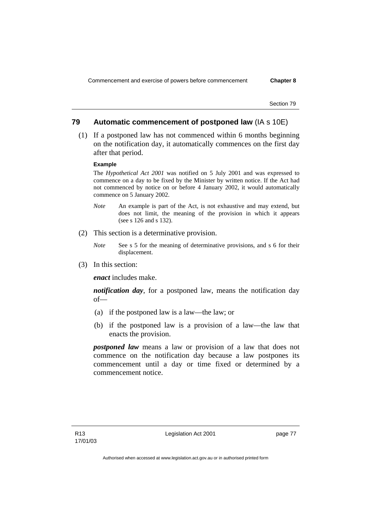## **79 Automatic commencement of postponed law** (IA s 10E)

 (1) If a postponed law has not commenced within 6 months beginning on the notification day, it automatically commences on the first day after that period.

#### **Example**

The *Hypothetical Act 2001* was notified on 5 July 2001 and was expressed to commence on a day to be fixed by the Minister by written notice. If the Act had not commenced by notice on or before 4 January 2002, it would automatically commence on 5 January 2002.

- *Note* An example is part of the Act, is not exhaustive and may extend, but does not limit, the meaning of the provision in which it appears (see s 126 and s 132).
- (2) This section is a determinative provision.
	- *Note* See s 5 for the meaning of determinative provisions, and s 6 for their displacement.
- (3) In this section:

*enact* includes make.

*notification day*, for a postponed law, means the notification day of—

- (a) if the postponed law is a law—the law; or
- (b) if the postponed law is a provision of a law—the law that enacts the provision.

*postponed law* means a law or provision of a law that does not commence on the notification day because a law postpones its commencement until a day or time fixed or determined by a commencement notice.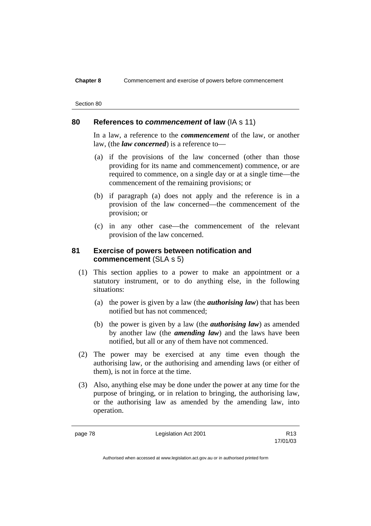### **Chapter 8** Commencement and exercise of powers before commencement

| Section 80 |  |
|------------|--|
|            |  |

## **80 References to** *commencement* **of law** (IA s 11)

In a law, a reference to the *commencement* of the law, or another law, (the *law concerned*) is a reference to—

- (a) if the provisions of the law concerned (other than those providing for its name and commencement) commence, or are required to commence, on a single day or at a single time—the commencement of the remaining provisions; or
- (b) if paragraph (a) does not apply and the reference is in a provision of the law concerned—the commencement of the provision; or
- (c) in any other case—the commencement of the relevant provision of the law concerned.

## **81 Exercise of powers between notification and commencement** (SLA s 5)

- (1) This section applies to a power to make an appointment or a statutory instrument, or to do anything else, in the following situations:
	- (a) the power is given by a law (the *authorising law*) that has been notified but has not commenced;
	- (b) the power is given by a law (the *authorising law*) as amended by another law (the *amending law*) and the laws have been notified, but all or any of them have not commenced.
- (2) The power may be exercised at any time even though the authorising law, or the authorising and amending laws (or either of them), is not in force at the time.
- (3) Also, anything else may be done under the power at any time for the purpose of bringing, or in relation to bringing, the authorising law, or the authorising law as amended by the amending law, into operation.

page 78 Legislation Act 2001

17/01/03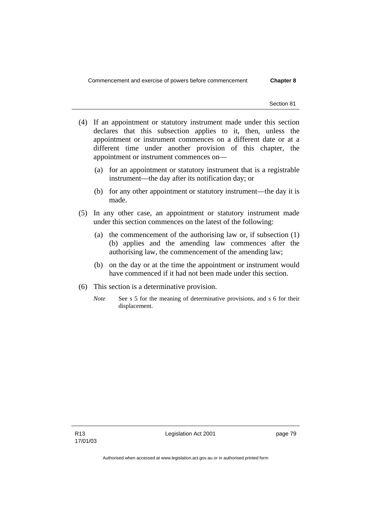- (4) If an appointment or statutory instrument made under this section declares that this subsection applies to it, then, unless the appointment or instrument commences on a different date or at a different time under another provision of this chapter, the appointment or instrument commences on—
	- (a) for an appointment or statutory instrument that is a registrable instrument—the day after its notification day; or
	- (b) for any other appointment or statutory instrument—the day it is made.
- (5) In any other case, an appointment or statutory instrument made under this section commences on the latest of the following:
	- (a) the commencement of the authorising law or, if subsection (1) (b) applies and the amending law commences after the authorising law, the commencement of the amending law;
	- (b) on the day or at the time the appointment or instrument would have commenced if it had not been made under this section.
- (6) This section is a determinative provision.
	- *Note* See s 5 for the meaning of determinative provisions, and s 6 for their displacement.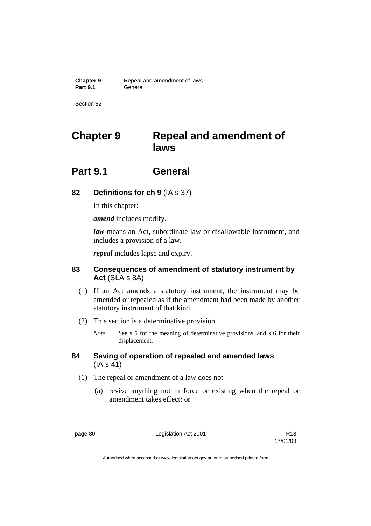**Chapter 9 Repeal and amendment of laws Part 9.1** General

Section 82

# **Chapter 9 Repeal and amendment of laws**

# **Part 9.1 General**

# **82 Definitions for ch 9** (IA s 37)

In this chapter:

*amend* includes modify.

*law* means an Act, subordinate law or disallowable instrument, and includes a provision of a law.

*repeal* includes lapse and expiry.

# **83 Consequences of amendment of statutory instrument by Act** (SLA s 8A)

- (1) If an Act amends a statutory instrument, the instrument may be amended or repealed as if the amendment had been made by another statutory instrument of that kind.
- (2) This section is a determinative provision.
	- *Note* See s 5 for the meaning of determinative provisions, and s 6 for their displacement.

## **84 Saving of operation of repealed and amended laws** (IA s 41)

- (1) The repeal or amendment of a law does not—
	- (a) revive anything not in force or existing when the repeal or amendment takes effect; or

page 80 **Legislation Act 2001** CH<sub>2</sub> R13

17/01/03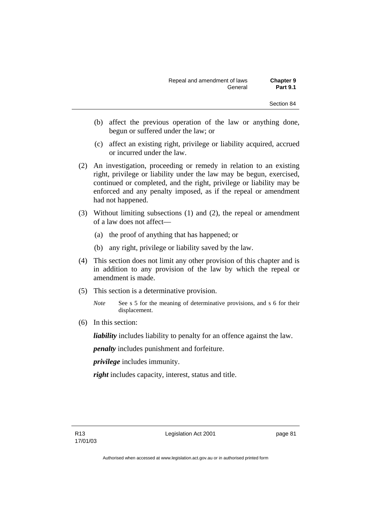| Repeal and amendment of laws | <b>Chapter 9</b> |
|------------------------------|------------------|
| General                      | <b>Part 9.1</b>  |

- (b) affect the previous operation of the law or anything done, begun or suffered under the law; or
- (c) affect an existing right, privilege or liability acquired, accrued or incurred under the law.
- (2) An investigation, proceeding or remedy in relation to an existing right, privilege or liability under the law may be begun, exercised, continued or completed, and the right, privilege or liability may be enforced and any penalty imposed, as if the repeal or amendment had not happened.
- (3) Without limiting subsections (1) and (2), the repeal or amendment of a law does not affect—
	- (a) the proof of anything that has happened; or
	- (b) any right, privilege or liability saved by the law.
- (4) This section does not limit any other provision of this chapter and is in addition to any provision of the law by which the repeal or amendment is made.
- (5) This section is a determinative provision.
	- *Note* See s 5 for the meaning of determinative provisions, and s 6 for their displacement.
- (6) In this section:

*liability* includes liability to penalty for an offence against the law.

*penalty* includes punishment and forfeiture.

*privilege* includes immunity.

right includes capacity, interest, status and title.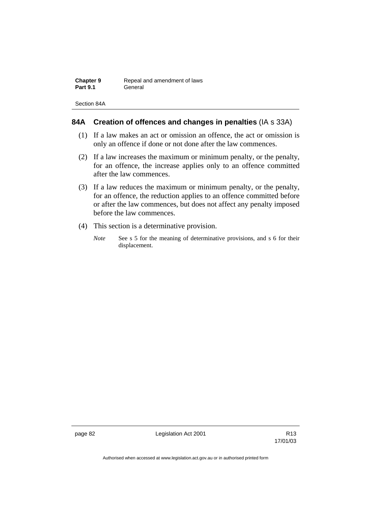| <b>Chapter 9</b> | Repeal and amendment of laws |
|------------------|------------------------------|
| <b>Part 9.1</b>  | General                      |

Section 84A

# **84A Creation of offences and changes in penalties** (IA s 33A)

- (1) If a law makes an act or omission an offence, the act or omission is only an offence if done or not done after the law commences.
- (2) If a law increases the maximum or minimum penalty, or the penalty, for an offence, the increase applies only to an offence committed after the law commences.
- (3) If a law reduces the maximum or minimum penalty, or the penalty, for an offence, the reduction applies to an offence committed before or after the law commences, but does not affect any penalty imposed before the law commences.
- (4) This section is a determinative provision.
	- *Note* See s 5 for the meaning of determinative provisions, and s 6 for their displacement.

page 82 Legislation Act 2001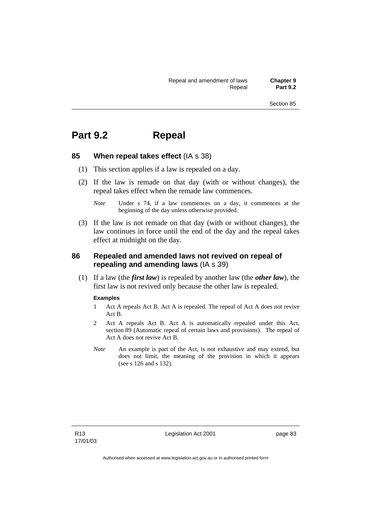# **Part 9.2 Repeal**

## **85 When repeal takes effect** (IA s 38)

- (1) This section applies if a law is repealed on a day.
- (2) If the law is remade on that day (with or without changes), the repeal takes effect when the remade law commences.
	- *Note* Under s 74, if a law commences on a day, it commences at the beginning of the day unless otherwise provided.
- (3) If the law is not remade on that day (with or without changes), the law continues in force until the end of the day and the repeal takes effect at midnight on the day.

## **86 Repealed and amended laws not revived on repeal of repealing and amending laws** (IA s 39)

 (1) If a law (the *first law*) is repealed by another law (the *other law*), the first law is not revived only because the other law is repealed.

### **Examples**

- 1 Act A repeals Act B. Act A is repealed. The repeal of Act A does not revive Act B.
- 2 Act A repeals Act B. Act A is automatically repealed under this Act, section 89 (Automatic repeal of certain laws and provisions). The repeal of Act A does not revive Act B.
- *Note* An example is part of the Act, is not exhaustive and may extend, but does not limit, the meaning of the provision in which it appears (see s 126 and s 132).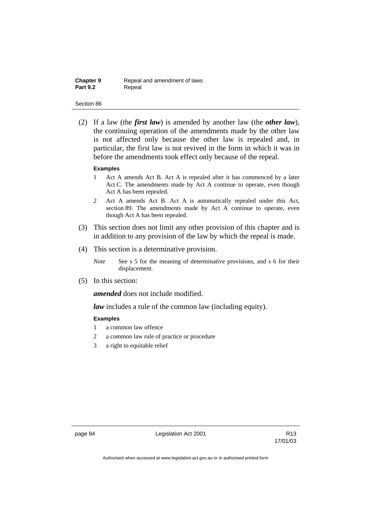| <b>Chapter 9</b> | Repeal and amendment of laws |
|------------------|------------------------------|
| <b>Part 9.2</b>  | Repeal                       |

 (2) If a law (the *first law*) is amended by another law (the *other law*), the continuing operation of the amendments made by the other law is not affected only because the other law is repealed and, in particular, the first law is not revived in the form in which it was in before the amendments took effect only because of the repeal.

#### **Examples**

- 1 Act A amends Act B. Act A is repealed after it has commenced by a later Act C. The amendments made by Act A continue to operate, even though Act A has been repealed.
- 2 Act A amends Act B. Act A is automatically repealed under this Act, section 89. The amendments made by Act A continue to operate, even though Act A has been repealed.
- (3) This section does not limit any other provision of this chapter and is in addition to any provision of the law by which the repeal is made.
- (4) This section is a determinative provision.
	- *Note* See s 5 for the meaning of determinative provisions, and s 6 for their displacement.
- (5) In this section:

*amended* does not include modified.

*law* includes a rule of the common law (including equity).

### **Examples**

- 1 a common law offence
- 2 a common law rule of practice or procedure
- 3 a right to equitable relief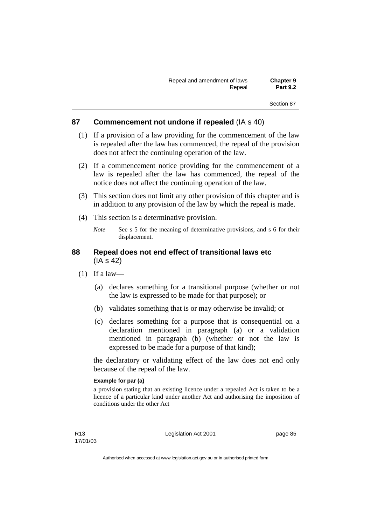## **87 Commencement not undone if repealed** (IA s 40)

- (1) If a provision of a law providing for the commencement of the law is repealed after the law has commenced, the repeal of the provision does not affect the continuing operation of the law.
- (2) If a commencement notice providing for the commencement of a law is repealed after the law has commenced, the repeal of the notice does not affect the continuing operation of the law.
- (3) This section does not limit any other provision of this chapter and is in addition to any provision of the law by which the repeal is made.
- (4) This section is a determinative provision.
	- *Note* See s 5 for the meaning of determinative provisions, and s 6 for their displacement.

## **88 Repeal does not end effect of transitional laws etc**  (IA s 42)

- $(1)$  If a law—
	- (a) declares something for a transitional purpose (whether or not the law is expressed to be made for that purpose); or
	- (b) validates something that is or may otherwise be invalid; or
	- (c) declares something for a purpose that is consequential on a declaration mentioned in paragraph (a) or a validation mentioned in paragraph (b) (whether or not the law is expressed to be made for a purpose of that kind);

the declaratory or validating effect of the law does not end only because of the repeal of the law.

## **Example for par (a)**

a provision stating that an existing licence under a repealed Act is taken to be a licence of a particular kind under another Act and authorising the imposition of conditions under the other Act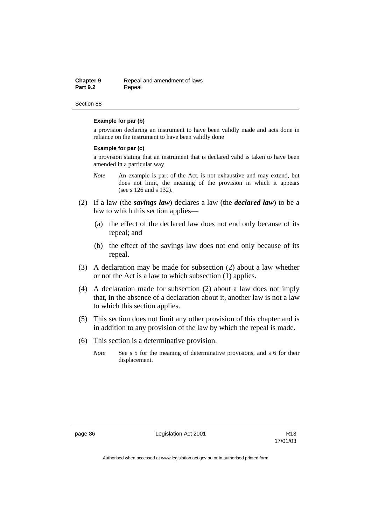| Chapter 9       | Repeal and amendment of laws |
|-----------------|------------------------------|
| <b>Part 9.2</b> | Repeal                       |

#### **Example for par (b)**

a provision declaring an instrument to have been validly made and acts done in reliance on the instrument to have been validly done

#### **Example for par (c)**

a provision stating that an instrument that is declared valid is taken to have been amended in a particular way

- *Note* An example is part of the Act, is not exhaustive and may extend, but does not limit, the meaning of the provision in which it appears (see s 126 and s 132).
- (2) If a law (the *savings law*) declares a law (the *declared law*) to be a law to which this section applies—
	- (a) the effect of the declared law does not end only because of its repeal; and
	- (b) the effect of the savings law does not end only because of its repeal.
- (3) A declaration may be made for subsection (2) about a law whether or not the Act is a law to which subsection (1) applies.
- (4) A declaration made for subsection (2) about a law does not imply that, in the absence of a declaration about it, another law is not a law to which this section applies.
- (5) This section does not limit any other provision of this chapter and is in addition to any provision of the law by which the repeal is made.
- (6) This section is a determinative provision.
	- *Note* See s 5 for the meaning of determinative provisions, and s 6 for their displacement.

page 86 **Legislation Act 2001** CH<sub>2</sub> R13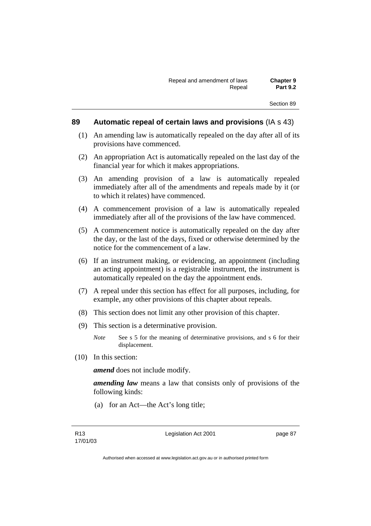## **89 Automatic repeal of certain laws and provisions** (IA s 43)

- (1) An amending law is automatically repealed on the day after all of its provisions have commenced.
- (2) An appropriation Act is automatically repealed on the last day of the financial year for which it makes appropriations.
- (3) An amending provision of a law is automatically repealed immediately after all of the amendments and repeals made by it (or to which it relates) have commenced.
- (4) A commencement provision of a law is automatically repealed immediately after all of the provisions of the law have commenced.
- (5) A commencement notice is automatically repealed on the day after the day, or the last of the days, fixed or otherwise determined by the notice for the commencement of a law.
- (6) If an instrument making, or evidencing, an appointment (including an acting appointment) is a registrable instrument, the instrument is automatically repealed on the day the appointment ends.
- (7) A repeal under this section has effect for all purposes, including, for example, any other provisions of this chapter about repeals.
- (8) This section does not limit any other provision of this chapter.
- (9) This section is a determinative provision.
	- *Note* See s 5 for the meaning of determinative provisions, and s 6 for their displacement.
- (10) In this section:

*amend* does not include modify.

*amending law* means a law that consists only of provisions of the following kinds:

(a) for an Act—the Act's long title;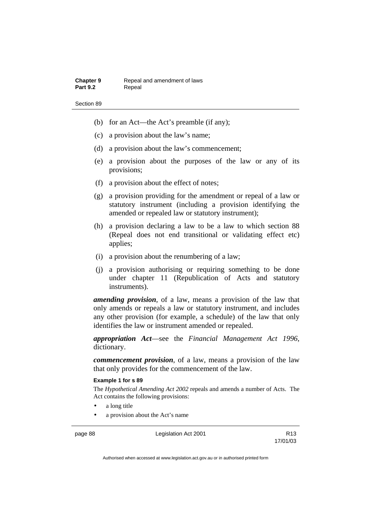- (b) for an Act—the Act's preamble (if any);
- (c) a provision about the law's name;
- (d) a provision about the law's commencement;
- (e) a provision about the purposes of the law or any of its provisions;
- (f) a provision about the effect of notes;
- (g) a provision providing for the amendment or repeal of a law or statutory instrument (including a provision identifying the amended or repealed law or statutory instrument);
- (h) a provision declaring a law to be a law to which section 88 (Repeal does not end transitional or validating effect etc) applies;
- (i) a provision about the renumbering of a law;
- (j) a provision authorising or requiring something to be done under chapter 11 (Republication of Acts and statutory instruments).

*amending provision*, of a law, means a provision of the law that only amends or repeals a law or statutory instrument, and includes any other provision (for example, a schedule) of the law that only identifies the law or instrument amended or repealed.

*appropriation Act*—see the *Financial Management Act 1996*, dictionary.

*commencement provision*, of a law, means a provision of the law that only provides for the commencement of the law.

### **Example 1 for s 89**

The *Hypothetical Amending Act 2002* repeals and amends a number of Acts. The Act contains the following provisions:

- a long title
- a provision about the Act's name

page 88 Legislation Act 2001

17/01/03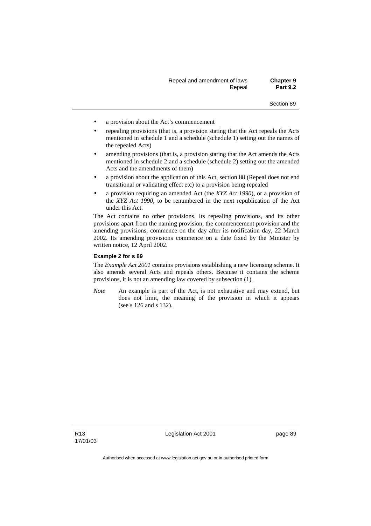| Repeal and amendment of laws | <b>Chapter 9</b> |
|------------------------------|------------------|
| Repeal                       | <b>Part 9.2</b>  |

- a provision about the Act's commencement
- repealing provisions (that is, a provision stating that the Act repeals the Acts mentioned in schedule 1 and a schedule (schedule 1) setting out the names of the repealed Acts)
- amending provisions (that is, a provision stating that the Act amends the Acts mentioned in schedule 2 and a schedule (schedule 2) setting out the amended Acts and the amendments of them)
- a provision about the application of this Act, section 88 (Repeal does not end transitional or validating effect etc) to a provision being repealed
- a provision requiring an amended Act (the *XYZ Act 1990*), or a provision of the *XYZ Act 1990*, to be renumbered in the next republication of the Act under this Act.

The Act contains no other provisions. Its repealing provisions, and its other provisions apart from the naming provision, the commencement provision and the amending provisions, commence on the day after its notification day, 22 March 2002. Its amending provisions commence on a date fixed by the Minister by written notice, 12 April 2002.

#### **Example 2 for s 89**

The *Example Act 2001* contains provisions establishing a new licensing scheme. It also amends several Acts and repeals others. Because it contains the scheme provisions, it is not an amending law covered by subsection (1).

*Note* An example is part of the Act, is not exhaustive and may extend, but does not limit, the meaning of the provision in which it appears (see s 126 and s 132).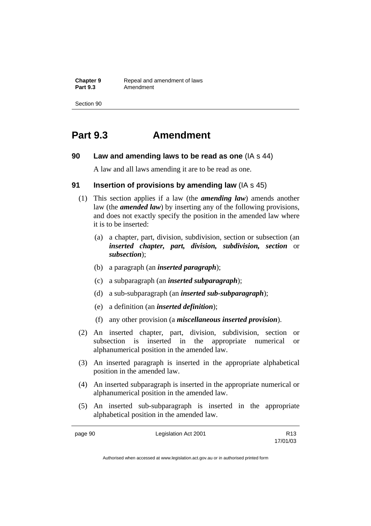**Chapter 9 Repeal and amendment of laws**<br>**Part 9.3 Amendment** Amendment

Section 90

# **Part 9.3 Amendment**

## **90 Law and amending laws to be read as one** (IA s 44)

A law and all laws amending it are to be read as one.

## **91 Insertion of provisions by amending law** (IA s 45)

- (1) This section applies if a law (the *amending law*) amends another law (the *amended law*) by inserting any of the following provisions, and does not exactly specify the position in the amended law where it is to be inserted:
	- (a) a chapter, part, division, subdivision, section or subsection (an *inserted chapter, part, division, subdivision, section* or *subsection*);
	- (b) a paragraph (an *inserted paragraph*);
	- (c) a subparagraph (an *inserted subparagraph*);
	- (d) a sub-subparagraph (an *inserted sub-subparagraph*);
	- (e) a definition (an *inserted definition*);
	- (f) any other provision (a *miscellaneous inserted provision*).
- (2) An inserted chapter, part, division, subdivision, section or subsection is inserted in the appropriate numerical or alphanumerical position in the amended law.
- (3) An inserted paragraph is inserted in the appropriate alphabetical position in the amended law.
- (4) An inserted subparagraph is inserted in the appropriate numerical or alphanumerical position in the amended law.
- (5) An inserted sub-subparagraph is inserted in the appropriate alphabetical position in the amended law.

page 90 Legislation Act 2001

17/01/03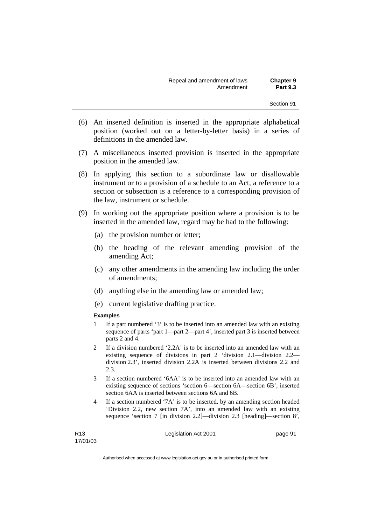- (6) An inserted definition is inserted in the appropriate alphabetical position (worked out on a letter-by-letter basis) in a series of definitions in the amended law.
- (7) A miscellaneous inserted provision is inserted in the appropriate position in the amended law.
- (8) In applying this section to a subordinate law or disallowable instrument or to a provision of a schedule to an Act, a reference to a section or subsection is a reference to a corresponding provision of the law, instrument or schedule.
- (9) In working out the appropriate position where a provision is to be inserted in the amended law, regard may be had to the following:
	- (a) the provision number or letter;
	- (b) the heading of the relevant amending provision of the amending Act;
	- (c) any other amendments in the amending law including the order of amendments;
	- (d) anything else in the amending law or amended law;
	- (e) current legislative drafting practice.

#### **Examples**

- 1 If a part numbered '3' is to be inserted into an amended law with an existing sequence of parts 'part 1—part 2—part 4', inserted part 3 is inserted between parts 2 and 4.
- 2 If a division numbered '2.2A' is to be inserted into an amended law with an existing sequence of divisions in part 2 'division 2.1—division 2.2 division 2.3', inserted division 2.2A is inserted between divisions 2.2 and 2.3.
- 3 If a section numbered '6AA' is to be inserted into an amended law with an existing sequence of sections 'section 6—section 6A—section 6B', inserted section 6AA is inserted between sections 6A and 6B.
- 4 If a section numbered '7A' is to be inserted, by an amending section headed 'Division 2.2, new section 7A', into an amended law with an existing sequence 'section 7 [in division 2.2]—division 2.3 [heading]—section 8',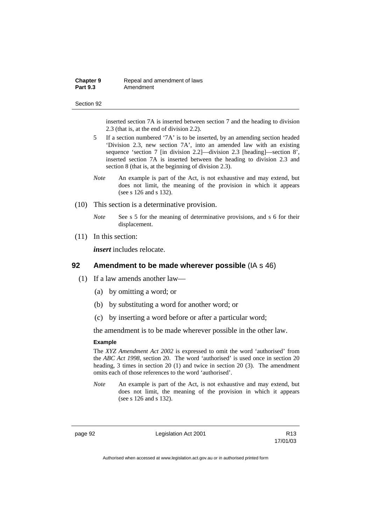| Chapter 9       | Repeal and amendment of laws |
|-----------------|------------------------------|
| <b>Part 9.3</b> | Amendment                    |

inserted section 7A is inserted between section 7 and the heading to division 2.3 (that is, at the end of division 2.2).

- 5 If a section numbered '7A' is to be inserted, by an amending section headed 'Division 2.3, new section 7A', into an amended law with an existing sequence 'section 7 [in division 2.2]—division 2.3 [heading]—section 8', inserted section 7A is inserted between the heading to division 2.3 and section 8 (that is, at the beginning of division 2.3).
- *Note* An example is part of the Act, is not exhaustive and may extend, but does not limit, the meaning of the provision in which it appears (see s 126 and s 132).
- (10) This section is a determinative provision.
	- *Note* See s 5 for the meaning of determinative provisions, and s 6 for their displacement.
- (11) In this section:

*insert* includes relocate.

## **92 Amendment to be made wherever possible** (IA s 46)

- (1) If a law amends another law—
	- (a) by omitting a word; or
	- (b) by substituting a word for another word; or
	- (c) by inserting a word before or after a particular word;

the amendment is to be made wherever possible in the other law.

#### **Example**

The *XYZ Amendment Act 2002* is expressed to omit the word 'authorised' from the *ABC Act 1998*, section 20. The word 'authorised' is used once in section 20 heading, 3 times in section 20 (1) and twice in section 20 (3). The amendment omits each of those references to the word 'authorised'.

*Note* An example is part of the Act, is not exhaustive and may extend, but does not limit, the meaning of the provision in which it appears (see s 126 and s 132).

page 92 **Legislation Act 2001** CH<sub>2</sub> R13

17/01/03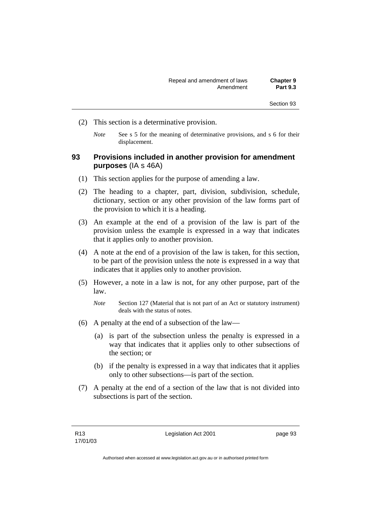- (2) This section is a determinative provision.
	- *Note* See s 5 for the meaning of determinative provisions, and s 6 for their displacement.

## **93 Provisions included in another provision for amendment purposes** (IA s 46A)

- (1) This section applies for the purpose of amending a law.
- (2) The heading to a chapter, part, division, subdivision, schedule, dictionary, section or any other provision of the law forms part of the provision to which it is a heading.
- (3) An example at the end of a provision of the law is part of the provision unless the example is expressed in a way that indicates that it applies only to another provision.
- (4) A note at the end of a provision of the law is taken, for this section, to be part of the provision unless the note is expressed in a way that indicates that it applies only to another provision.
- (5) However, a note in a law is not, for any other purpose, part of the law.
	- *Note* Section 127 (Material that is not part of an Act or statutory instrument) deals with the status of notes.
- (6) A penalty at the end of a subsection of the law—
	- (a) is part of the subsection unless the penalty is expressed in a way that indicates that it applies only to other subsections of the section; or
	- (b) if the penalty is expressed in a way that indicates that it applies only to other subsections—is part of the section.
- (7) A penalty at the end of a section of the law that is not divided into subsections is part of the section.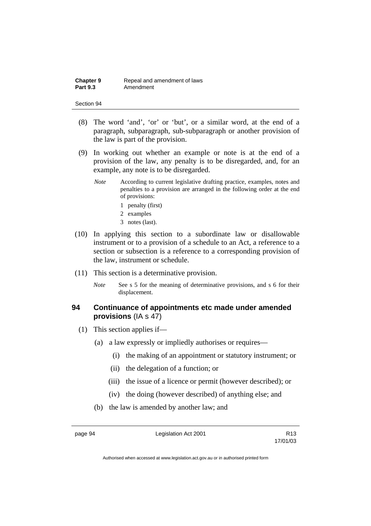| Chapter 9       | Repeal and amendment of laws |
|-----------------|------------------------------|
| <b>Part 9.3</b> | Amendment                    |

- (8) The word 'and', 'or' or 'but', or a similar word, at the end of a paragraph, subparagraph, sub-subparagraph or another provision of the law is part of the provision.
- (9) In working out whether an example or note is at the end of a provision of the law, any penalty is to be disregarded, and, for an example, any note is to be disregarded.
	- *Note* According to current legislative drafting practice, examples, notes and penalties to a provision are arranged in the following order at the end of provisions:
		- 1 penalty (first)
		- 2 examples
		- 3 notes (last).
- (10) In applying this section to a subordinate law or disallowable instrument or to a provision of a schedule to an Act, a reference to a section or subsection is a reference to a corresponding provision of the law, instrument or schedule.
- (11) This section is a determinative provision.
	- *Note* See s 5 for the meaning of determinative provisions, and s 6 for their displacement.

# **94 Continuance of appointments etc made under amended provisions** (IA s 47)

- (1) This section applies if—
	- (a) a law expressly or impliedly authorises or requires—
		- (i) the making of an appointment or statutory instrument; or
		- (ii) the delegation of a function; or
		- (iii) the issue of a licence or permit (however described); or
		- (iv) the doing (however described) of anything else; and
	- (b) the law is amended by another law; and

page 94 **Legislation Act 2001** R13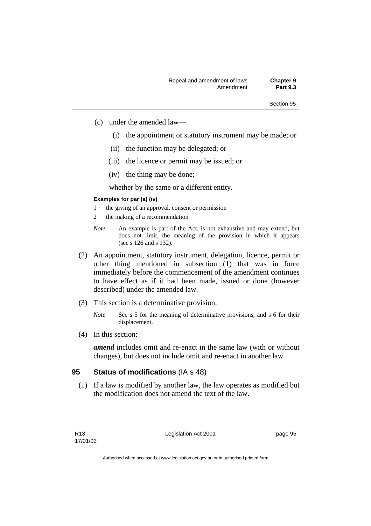- (c) under the amended law—
	- (i) the appointment or statutory instrument may be made; or
	- (ii) the function may be delegated; or
	- (iii) the licence or permit may be issued; or
	- (iv) the thing may be done;

whether by the same or a different entity.

### **Examples for par (a) (iv)**

- 1 the giving of an approval, consent or permission
- 2 the making of a recommendation
- *Note* An example is part of the Act, is not exhaustive and may extend, but does not limit, the meaning of the provision in which it appears (see s 126 and s 132).
- (2) An appointment, statutory instrument, delegation, licence, permit or other thing mentioned in subsection (1) that was in force immediately before the commencement of the amendment continues to have effect as if it had been made, issued or done (however described) under the amended law.
- (3) This section is a determinative provision.
	- *Note* See s 5 for the meaning of determinative provisions, and s 6 for their displacement.
- (4) In this section:

*amend* includes omit and re-enact in the same law (with or without changes), but does not include omit and re-enact in another law.

### **95 Status of modifications** (IA s 48)

 (1) If a law is modified by another law, the law operates as modified but the modification does not amend the text of the law.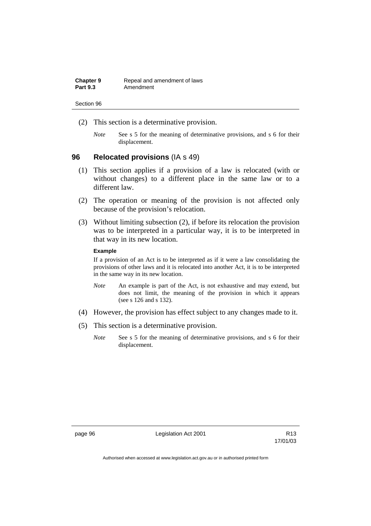| <b>Chapter 9</b> | Repeal and amendment of laws |
|------------------|------------------------------|
| <b>Part 9.3</b>  | Amendment                    |

- (2) This section is a determinative provision.
	- *Note* See s 5 for the meaning of determinative provisions, and s 6 for their displacement.

# **96 Relocated provisions** (IA s 49)

- (1) This section applies if a provision of a law is relocated (with or without changes) to a different place in the same law or to a different law.
- (2) The operation or meaning of the provision is not affected only because of the provision's relocation.
- (3) Without limiting subsection (2), if before its relocation the provision was to be interpreted in a particular way, it is to be interpreted in that way in its new location.

### **Example**

If a provision of an Act is to be interpreted as if it were a law consolidating the provisions of other laws and it is relocated into another Act, it is to be interpreted in the same way in its new location.

- *Note* An example is part of the Act, is not exhaustive and may extend, but does not limit, the meaning of the provision in which it appears (see s 126 and s 132).
- (4) However, the provision has effect subject to any changes made to it.
- (5) This section is a determinative provision.
	- *Note* See s 5 for the meaning of determinative provisions, and s 6 for their displacement.

page 96 **Legislation Act 2001** CH<sub>2</sub> R13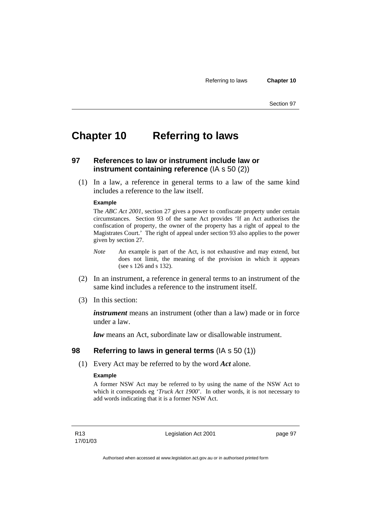# **Chapter 10 Referring to laws**

# **97 References to law or instrument include law or instrument containing reference** (IA s 50 (2))

 (1) In a law, a reference in general terms to a law of the same kind includes a reference to the law itself.

### **Example**

The *ABC Act 2001*, section 27 gives a power to confiscate property under certain circumstances. Section 93 of the same Act provides 'If an Act authorises the confiscation of property, the owner of the property has a right of appeal to the Magistrates Court.' The right of appeal under section 93 also applies to the power given by section 27.

- *Note* An example is part of the Act, is not exhaustive and may extend, but does not limit, the meaning of the provision in which it appears (see s 126 and s 132).
- (2) In an instrument, a reference in general terms to an instrument of the same kind includes a reference to the instrument itself.
- (3) In this section:

*instrument* means an instrument (other than a law) made or in force under a law.

*law* means an Act, subordinate law or disallowable instrument.

### **98 Referring to laws in general terms** (IA s 50 (1))

(1) Every Act may be referred to by the word *Act* alone.

### **Example**

A former NSW Act may be referred to by using the name of the NSW Act to which it corresponds eg '*Truck Act 1900*'. In other words, it is not necessary to add words indicating that it is a former NSW Act.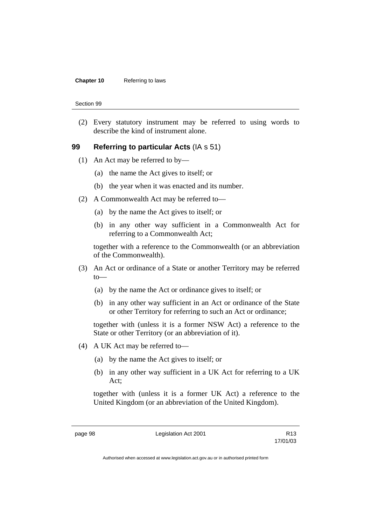### **Chapter 10** Referring to laws

Section 99

 (2) Every statutory instrument may be referred to using words to describe the kind of instrument alone.

### **99 Referring to particular Acts** (IA s 51)

- (1) An Act may be referred to by—
	- (a) the name the Act gives to itself; or
	- (b) the year when it was enacted and its number.
- (2) A Commonwealth Act may be referred to—
	- (a) by the name the Act gives to itself; or
	- (b) in any other way sufficient in a Commonwealth Act for referring to a Commonwealth Act;

together with a reference to the Commonwealth (or an abbreviation of the Commonwealth).

- (3) An Act or ordinance of a State or another Territory may be referred to—
	- (a) by the name the Act or ordinance gives to itself; or
	- (b) in any other way sufficient in an Act or ordinance of the State or other Territory for referring to such an Act or ordinance;

together with (unless it is a former NSW Act) a reference to the State or other Territory (or an abbreviation of it).

- (4) A UK Act may be referred to—
	- (a) by the name the Act gives to itself; or
	- (b) in any other way sufficient in a UK Act for referring to a UK Act;

together with (unless it is a former UK Act) a reference to the United Kingdom (or an abbreviation of the United Kingdom).

page 98 Legislation Act 2001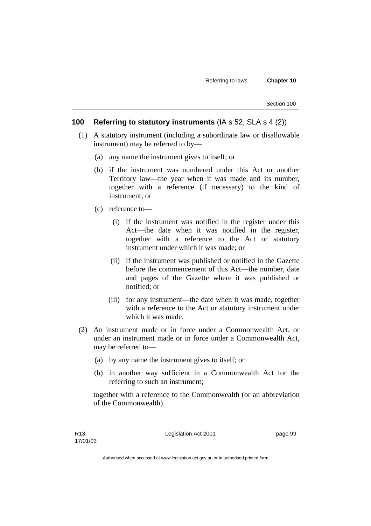## **100 Referring to statutory instruments** (IA s 52, SLA s 4 (2))

- (1) A statutory instrument (including a subordinate law or disallowable instrument) may be referred to by—
	- (a) any name the instrument gives to itself; or
	- (b) if the instrument was numbered under this Act or another Territory law—the year when it was made and its number, together with a reference (if necessary) to the kind of instrument; or
	- (c) reference to—
		- (i) if the instrument was notified in the register under this Act—the date when it was notified in the register, together with a reference to the Act or statutory instrument under which it was made; or
		- (ii) if the instrument was published or notified in the Gazette before the commencement of this Act—the number, date and pages of the Gazette where it was published or notified; or
		- (iii) for any instrument—the date when it was made, together with a reference to the Act or statutory instrument under which it was made.
- (2) An instrument made or in force under a Commonwealth Act, or under an instrument made or in force under a Commonwealth Act, may be referred to—
	- (a) by any name the instrument gives to itself; or
	- (b) in another way sufficient in a Commonwealth Act for the referring to such an instrument;

together with a reference to the Commonwealth (or an abbreviation of the Commonwealth).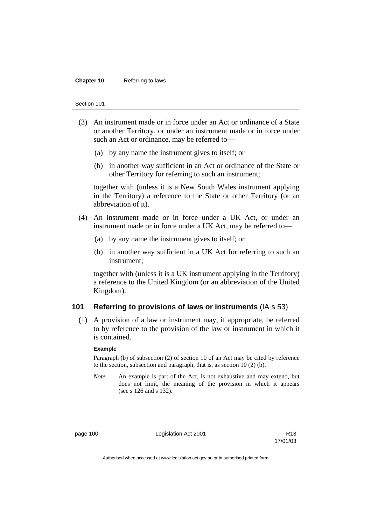#### **Chapter 10** Referring to laws

#### Section 101

- (3) An instrument made or in force under an Act or ordinance of a State or another Territory, or under an instrument made or in force under such an Act or ordinance, may be referred to—
	- (a) by any name the instrument gives to itself; or
	- (b) in another way sufficient in an Act or ordinance of the State or other Territory for referring to such an instrument;

together with (unless it is a New South Wales instrument applying in the Territory) a reference to the State or other Territory (or an abbreviation of it).

- (4) An instrument made or in force under a UK Act, or under an instrument made or in force under a UK Act, may be referred to—
	- (a) by any name the instrument gives to itself; or
	- (b) in another way sufficient in a UK Act for referring to such an instrument;

together with (unless it is a UK instrument applying in the Territory) a reference to the United Kingdom (or an abbreviation of the United Kingdom).

## **101 Referring to provisions of laws or instruments** (IA s 53)

 (1) A provision of a law or instrument may, if appropriate, be referred to by reference to the provision of the law or instrument in which it is contained.

#### **Example**

Paragraph (b) of subsection (2) of section 10 of an Act may be cited by reference to the section, subsection and paragraph, that is, as section 10 (2) (b).

*Note* An example is part of the Act, is not exhaustive and may extend, but does not limit, the meaning of the provision in which it appears (see s 126 and s 132).

page 100 Legislation Act 2001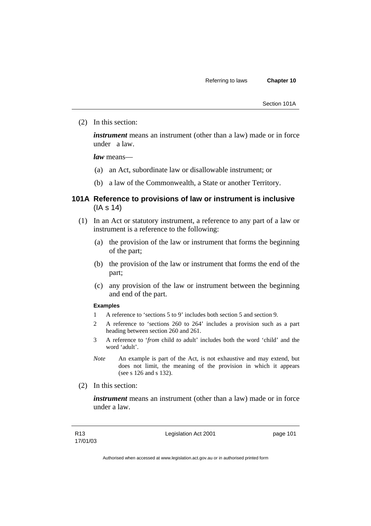Section 101A

(2) In this section:

*instrument* means an instrument (other than a law) made or in force under a law.

*law* means—

- (a) an Act, subordinate law or disallowable instrument; or
- (b) a law of the Commonwealth, a State or another Territory.

# **101A Reference to provisions of law or instrument is inclusive**  (IA s 14)

- (1) In an Act or statutory instrument, a reference to any part of a law or instrument is a reference to the following:
	- (a) the provision of the law or instrument that forms the beginning of the part;
	- (b) the provision of the law or instrument that forms the end of the part;
	- (c) any provision of the law or instrument between the beginning and end of the part.

### **Examples**

- 1 A reference to 'sections 5 to 9' includes both section 5 and section 9.
- 2 A reference to 'sections 260 to 264' includes a provision such as a part heading between section 260 and 261.
- 3 A reference to '*from* child *to* adult' includes both the word 'child' and the word 'adult'.
- *Note* An example is part of the Act, is not exhaustive and may extend, but does not limit, the meaning of the provision in which it appears (see s 126 and s 132).
- (2) In this section:

*instrument* means an instrument (other than a law) made or in force under a law.

Legislation Act 2001 **page 101**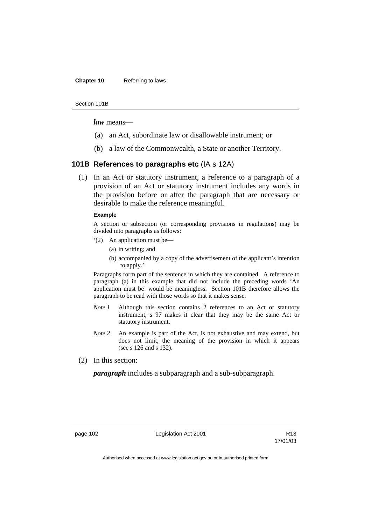### **Chapter 10** Referring to laws

Section 101B

*law* means—

- (a) an Act, subordinate law or disallowable instrument; or
- (b) a law of the Commonwealth, a State or another Territory.

## **101B References to paragraphs etc** (IA s 12A)

 (1) In an Act or statutory instrument, a reference to a paragraph of a provision of an Act or statutory instrument includes any words in the provision before or after the paragraph that are necessary or desirable to make the reference meaningful.

### **Example**

A section or subsection (or corresponding provisions in regulations) may be divided into paragraphs as follows:

- '(2) An application must be—
	- (a) in writing; and
	- (b) accompanied by a copy of the advertisement of the applicant's intention to apply.'

Paragraphs form part of the sentence in which they are contained. A reference to paragraph (a) in this example that did not include the preceding words 'An application must be' would be meaningless. Section 101B therefore allows the paragraph to be read with those words so that it makes sense.

- *Note 1* Although this section contains 2 references to an Act or statutory instrument, s 97 makes it clear that they may be the same Act or statutory instrument.
- *Note 2* An example is part of the Act, is not exhaustive and may extend, but does not limit, the meaning of the provision in which it appears (see s 126 and s 132).
- (2) In this section:

*paragraph* includes a subparagraph and a sub-subparagraph.

page 102 Legislation Act 2001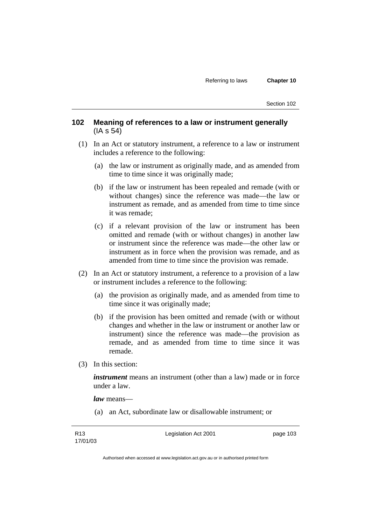# **102 Meaning of references to a law or instrument generally**  (IA s 54)

- (1) In an Act or statutory instrument, a reference to a law or instrument includes a reference to the following:
	- (a) the law or instrument as originally made, and as amended from time to time since it was originally made;
	- (b) if the law or instrument has been repealed and remade (with or without changes) since the reference was made—the law or instrument as remade, and as amended from time to time since it was remade;
	- (c) if a relevant provision of the law or instrument has been omitted and remade (with or without changes) in another law or instrument since the reference was made—the other law or instrument as in force when the provision was remade, and as amended from time to time since the provision was remade.
- (2) In an Act or statutory instrument, a reference to a provision of a law or instrument includes a reference to the following:
	- (a) the provision as originally made, and as amended from time to time since it was originally made;
	- (b) if the provision has been omitted and remade (with or without changes and whether in the law or instrument or another law or instrument) since the reference was made—the provision as remade, and as amended from time to time since it was remade.
- (3) In this section:

*instrument* means an instrument (other than a law) made or in force under a law.

*law* means—

(a) an Act, subordinate law or disallowable instrument; or

Legislation Act 2001 **page 103**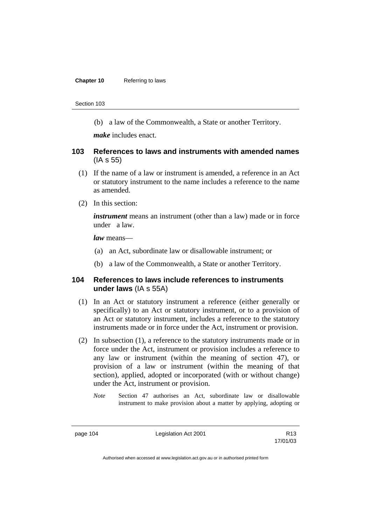(b) a law of the Commonwealth, a State or another Territory.

*make* includes enact.

### **103 References to laws and instruments with amended names**  (IA s 55)

- (1) If the name of a law or instrument is amended, a reference in an Act or statutory instrument to the name includes a reference to the name as amended.
- (2) In this section:

*instrument* means an instrument (other than a law) made or in force under a law.

*law* means—

- (a) an Act, subordinate law or disallowable instrument; or
- (b) a law of the Commonwealth, a State or another Territory.

### **104 References to laws include references to instruments under laws** (IA s 55A)

- (1) In an Act or statutory instrument a reference (either generally or specifically) to an Act or statutory instrument, or to a provision of an Act or statutory instrument, includes a reference to the statutory instruments made or in force under the Act, instrument or provision.
- (2) In subsection (1), a reference to the statutory instruments made or in force under the Act, instrument or provision includes a reference to any law or instrument (within the meaning of section 47), or provision of a law or instrument (within the meaning of that section), applied, adopted or incorporated (with or without change) under the Act, instrument or provision.
	- *Note* Section 47 authorises an Act, subordinate law or disallowable instrument to make provision about a matter by applying, adopting or

page 104 Legislation Act 2001

17/01/03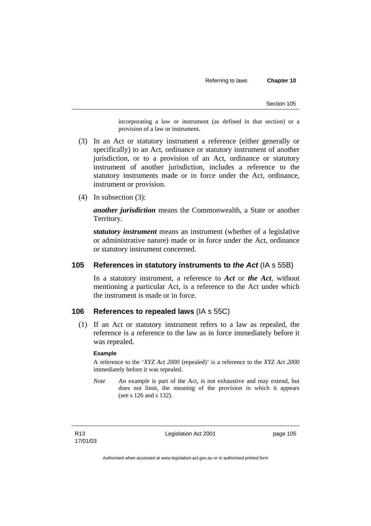incorporating a law or instrument (as defined in that section) or a provision of a law or instrument.

- (3) In an Act or statutory instrument a reference (either generally or specifically) to an Act, ordinance or statutory instrument of another jurisdiction, or to a provision of an Act, ordinance or statutory instrument of another jurisdiction, includes a reference to the statutory instruments made or in force under the Act, ordinance, instrument or provision.
- (4) In subsection (3):

*another jurisdiction* means the Commonwealth, a State or another Territory.

*statutory instrument* means an instrument (whether of a legislative or administrative nature) made or in force under the Act, ordinance or statutory instrument concerned.

### **105 References in statutory instruments to** *the Act* (IA s 55B)

In a statutory instrument, a reference to *Act* or *the Act*, without mentioning a particular Act, is a reference to the Act under which the instrument is made or in force.

### **106 References to repealed laws** (IA s 55C)

 (1) If an Act or statutory instrument refers to a law as repealed, the reference is a reference to the law as in force immediately before it was repealed.

#### **Example**

A reference to the '*XYZ Act 2000* (repealed)' is a reference to the *XYZ Act 2000* immediately before it was repealed.

*Note* An example is part of the Act, is not exhaustive and may extend, but does not limit, the meaning of the provision in which it appears (see s 126 and s 132).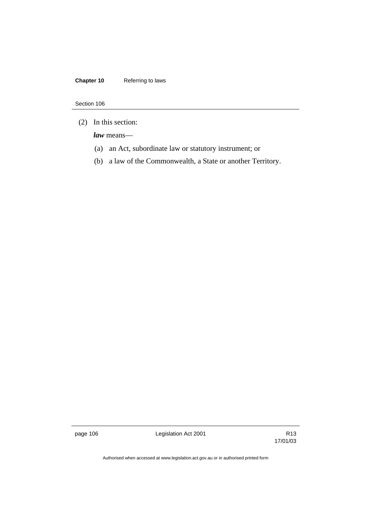# **Chapter 10** Referring to laws

### Section 106

(2) In this section:

*law* means—

- (a) an Act, subordinate law or statutory instrument; or
- (b) a law of the Commonwealth, a State or another Territory.

page 106 Cegislation Act 2001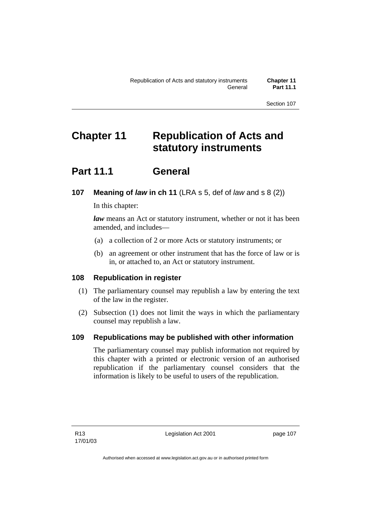# **Chapter 11 Republication of Acts and statutory instruments**

# **Part 11.1 General**

# **107 Meaning of** *law* **in ch 11** (LRA s 5, def of *law* and s 8 (2))

In this chapter:

*law* means an Act or statutory instrument, whether or not it has been amended, and includes—

- (a) a collection of 2 or more Acts or statutory instruments; or
- (b) an agreement or other instrument that has the force of law or is in, or attached to, an Act or statutory instrument.

# **108 Republication in register**

- (1) The parliamentary counsel may republish a law by entering the text of the law in the register.
- (2) Subsection (1) does not limit the ways in which the parliamentary counsel may republish a law.

# **109 Republications may be published with other information**

The parliamentary counsel may publish information not required by this chapter with a printed or electronic version of an authorised republication if the parliamentary counsel considers that the information is likely to be useful to users of the republication.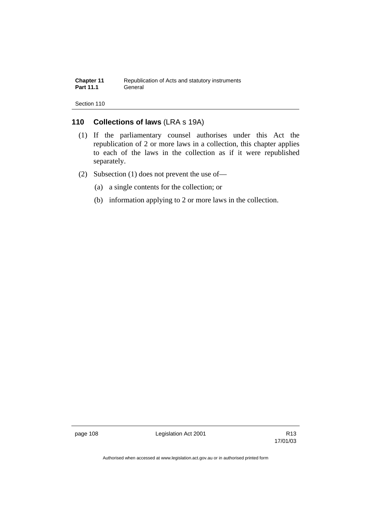# **110 Collections of laws** (LRA s 19A)

- (1) If the parliamentary counsel authorises under this Act the republication of 2 or more laws in a collection, this chapter applies to each of the laws in the collection as if it were republished separately.
- (2) Subsection (1) does not prevent the use of—
	- (a) a single contents for the collection; or
	- (b) information applying to 2 or more laws in the collection.

page 108 Legislation Act 2001

17/01/03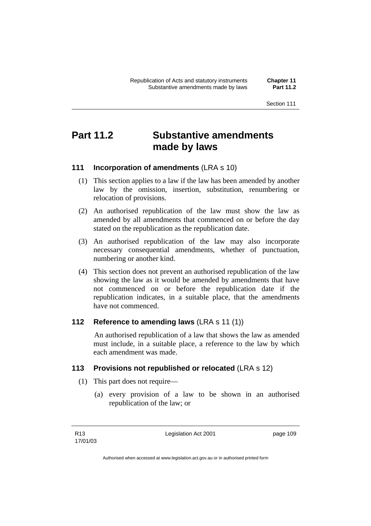# **Part 11.2 Substantive amendments made by laws**

# **111 Incorporation of amendments** (LRA s 10)

- (1) This section applies to a law if the law has been amended by another law by the omission, insertion, substitution, renumbering or relocation of provisions.
- (2) An authorised republication of the law must show the law as amended by all amendments that commenced on or before the day stated on the republication as the republication date.
- (3) An authorised republication of the law may also incorporate necessary consequential amendments, whether of punctuation, numbering or another kind.
- (4) This section does not prevent an authorised republication of the law showing the law as it would be amended by amendments that have not commenced on or before the republication date if the republication indicates, in a suitable place, that the amendments have not commenced.

## **112 Reference to amending laws** (LRA s 11 (1))

 An authorised republication of a law that shows the law as amended must include, in a suitable place, a reference to the law by which each amendment was made.

## **113 Provisions not republished or relocated** (LRA s 12)

- (1) This part does not require—
	- (a) every provision of a law to be shown in an authorised republication of the law; or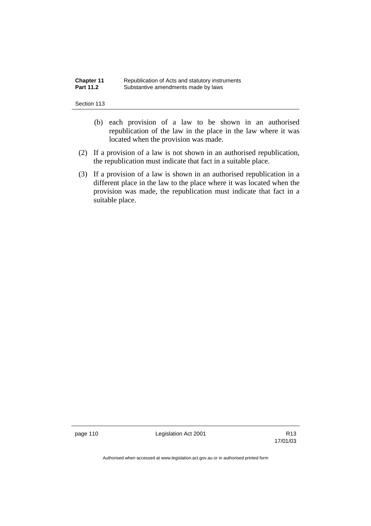| <b>Chapter 11</b> | Republication of Acts and statutory instruments |
|-------------------|-------------------------------------------------|
| <b>Part 11.2</b>  | Substantive amendments made by laws             |

- (b) each provision of a law to be shown in an authorised republication of the law in the place in the law where it was located when the provision was made.
- (2) If a provision of a law is not shown in an authorised republication, the republication must indicate that fact in a suitable place.
- (3) If a provision of a law is shown in an authorised republication in a different place in the law to the place where it was located when the provision was made, the republication must indicate that fact in a suitable place.

page 110 Channel Legislation Act 2001

17/01/03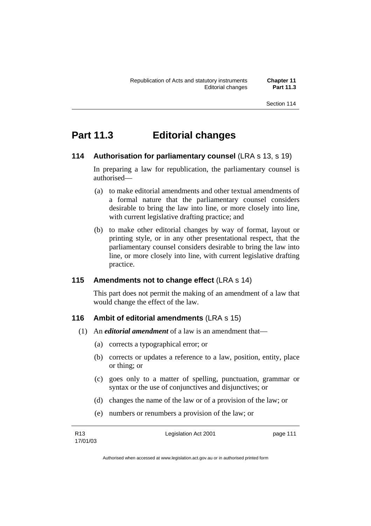# **Part 11.3 Editorial changes**

# **114 Authorisation for parliamentary counsel (LRA s 13, s 19)**

In preparing a law for republication, the parliamentary counsel is authorised—

- (a) to make editorial amendments and other textual amendments of a formal nature that the parliamentary counsel considers desirable to bring the law into line, or more closely into line, with current legislative drafting practice; and
- (b) to make other editorial changes by way of format, layout or printing style, or in any other presentational respect, that the parliamentary counsel considers desirable to bring the law into line, or more closely into line, with current legislative drafting practice.

## **115 Amendments not to change effect** (LRA s 14)

This part does not permit the making of an amendment of a law that would change the effect of the law.

## **116 Ambit of editorial amendments** (LRA s 15)

- (1) An *editorial amendment* of a law is an amendment that—
	- (a) corrects a typographical error; or
	- (b) corrects or updates a reference to a law, position, entity, place or thing; or
	- (c) goes only to a matter of spelling, punctuation, grammar or syntax or the use of conjunctives and disjunctives; or
	- (d) changes the name of the law or of a provision of the law; or
	- (e) numbers or renumbers a provision of the law; or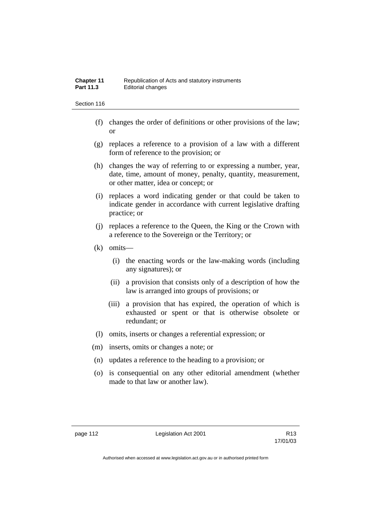- (f) changes the order of definitions or other provisions of the law; or
- (g) replaces a reference to a provision of a law with a different form of reference to the provision; or
- (h) changes the way of referring to or expressing a number, year, date, time, amount of money, penalty, quantity, measurement, or other matter, idea or concept; or
- (i) replaces a word indicating gender or that could be taken to indicate gender in accordance with current legislative drafting practice; or
- (j) replaces a reference to the Queen, the King or the Crown with a reference to the Sovereign or the Territory; or
- (k) omits—
	- (i) the enacting words or the law-making words (including any signatures); or
	- (ii) a provision that consists only of a description of how the law is arranged into groups of provisions; or
	- (iii) a provision that has expired, the operation of which is exhausted or spent or that is otherwise obsolete or redundant; or
- (l) omits, inserts or changes a referential expression; or
- (m) inserts, omits or changes a note; or
- (n) updates a reference to the heading to a provision; or
- (o) is consequential on any other editorial amendment (whether made to that law or another law).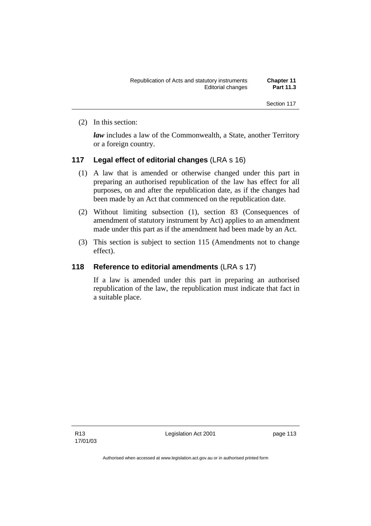(2) In this section:

*law* includes a law of the Commonwealth, a State, another Territory or a foreign country.

### **117 Legal effect of editorial changes** (LRA s 16)

- (1) A law that is amended or otherwise changed under this part in preparing an authorised republication of the law has effect for all purposes, on and after the republication date, as if the changes had been made by an Act that commenced on the republication date.
- (2) Without limiting subsection (1), section 83 (Consequences of amendment of statutory instrument by Act) applies to an amendment made under this part as if the amendment had been made by an Act.
- (3) This section is subject to section 115 (Amendments not to change effect).

## **118 Reference to editorial amendments** (LRA s 17)

If a law is amended under this part in preparing an authorised republication of the law, the republication must indicate that fact in a suitable place.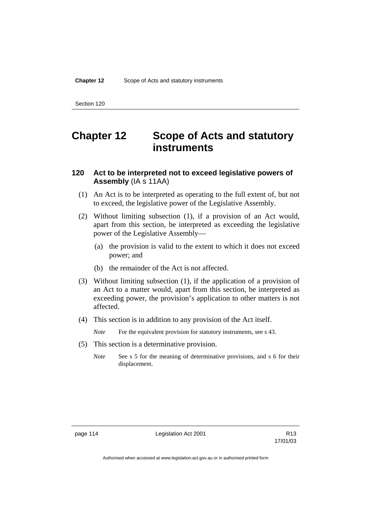# **Chapter 12 Scope of Acts and statutory instruments**

# **120 Act to be interpreted not to exceed legislative powers of Assembly** (IA s 11AA)

- (1) An Act is to be interpreted as operating to the full extent of, but not to exceed, the legislative power of the Legislative Assembly.
- (2) Without limiting subsection (1), if a provision of an Act would, apart from this section, be interpreted as exceeding the legislative power of the Legislative Assembly—
	- (a) the provision is valid to the extent to which it does not exceed power; and
	- (b) the remainder of the Act is not affected.
- (3) Without limiting subsection (1), if the application of a provision of an Act to a matter would, apart from this section, be interpreted as exceeding power, the provision's application to other matters is not affected.
- (4) This section is in addition to any provision of the Act itself.
	- *Note* For the equivalent provision for statutory instruments, see s 43.
- (5) This section is a determinative provision.
	- *Note* See s 5 for the meaning of determinative provisions, and s 6 for their displacement.

page 114 Legislation Act 2001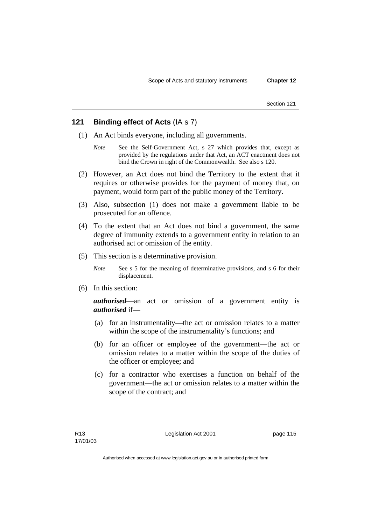## **121 Binding effect of Acts** (IA s 7)

- (1) An Act binds everyone, including all governments.
	- *Note* See the Self-Government Act, s 27 which provides that, except as provided by the regulations under that Act, an ACT enactment does not bind the Crown in right of the Commonwealth. See also s 120.
- (2) However, an Act does not bind the Territory to the extent that it requires or otherwise provides for the payment of money that, on payment, would form part of the public money of the Territory.
- (3) Also, subsection (1) does not make a government liable to be prosecuted for an offence.
- (4) To the extent that an Act does not bind a government, the same degree of immunity extends to a government entity in relation to an authorised act or omission of the entity.
- (5) This section is a determinative provision.
	- *Note* See s 5 for the meaning of determinative provisions, and s 6 for their displacement.
- (6) In this section:

*authorised*—an act or omission of a government entity is *authorised* if—

- (a) for an instrumentality—the act or omission relates to a matter within the scope of the instrumentality's functions; and
- (b) for an officer or employee of the government—the act or omission relates to a matter within the scope of the duties of the officer or employee; and
- (c) for a contractor who exercises a function on behalf of the government—the act or omission relates to a matter within the scope of the contract; and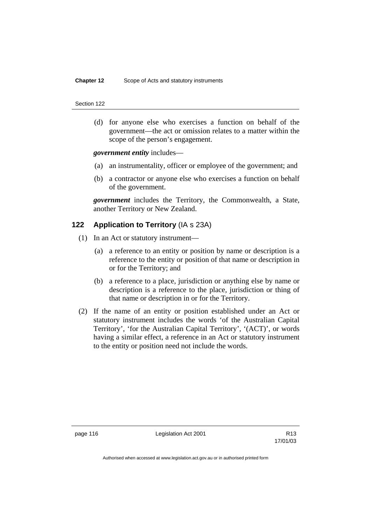(d) for anyone else who exercises a function on behalf of the government—the act or omission relates to a matter within the scope of the person's engagement.

*government entity* includes—

- (a) an instrumentality, officer or employee of the government; and
- (b) a contractor or anyone else who exercises a function on behalf of the government.

*government* includes the Territory, the Commonwealth, a State, another Territory or New Zealand.

# **122 Application to Territory** (IA s 23A)

- (1) In an Act or statutory instrument—
	- (a) a reference to an entity or position by name or description is a reference to the entity or position of that name or description in or for the Territory; and
	- (b) a reference to a place, jurisdiction or anything else by name or description is a reference to the place, jurisdiction or thing of that name or description in or for the Territory.
- (2) If the name of an entity or position established under an Act or statutory instrument includes the words 'of the Australian Capital Territory', 'for the Australian Capital Territory', '(ACT)', or words having a similar effect, a reference in an Act or statutory instrument to the entity or position need not include the words.

page 116 Channel Legislation Act 2001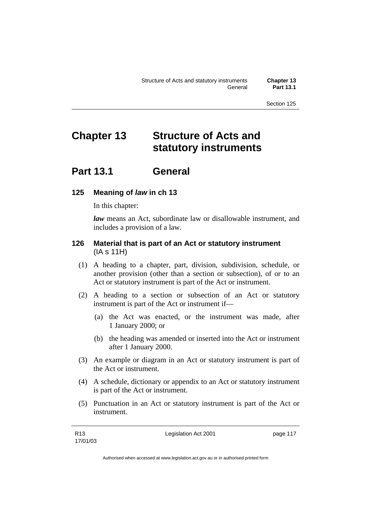# **Chapter 13 Structure of Acts and statutory instruments**

# **Part 13.1 General**

## **125 Meaning of** *law* **in ch 13**

In this chapter:

*law* means an Act, subordinate law or disallowable instrument, and includes a provision of a law.

## **126 Material that is part of an Act or statutory instrument**  (IA s 11H)

- (1) A heading to a chapter, part, division, subdivision, schedule, or another provision (other than a section or subsection), of or to an Act or statutory instrument is part of the Act or instrument.
- (2) A heading to a section or subsection of an Act or statutory instrument is part of the Act or instrument if—
	- (a) the Act was enacted, or the instrument was made, after 1 January 2000; or
	- (b) the heading was amended or inserted into the Act or instrument after 1 January 2000.
- (3) An example or diagram in an Act or statutory instrument is part of the Act or instrument.
- (4) A schedule, dictionary or appendix to an Act or statutory instrument is part of the Act or instrument.
- (5) Punctuation in an Act or statutory instrument is part of the Act or instrument.

Legislation Act 2001 **page 117**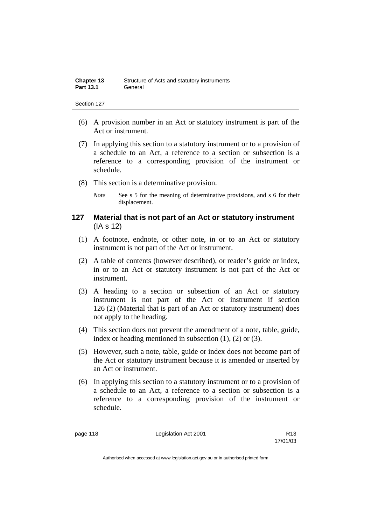| <b>Chapter 13</b> | Structure of Acts and statutory instruments |
|-------------------|---------------------------------------------|
| <b>Part 13.1</b>  | General                                     |

- (6) A provision number in an Act or statutory instrument is part of the Act or instrument.
- (7) In applying this section to a statutory instrument or to a provision of a schedule to an Act, a reference to a section or subsection is a reference to a corresponding provision of the instrument or schedule.
- (8) This section is a determinative provision.
	- *Note* See s 5 for the meaning of determinative provisions, and s 6 for their displacement.

### **127 Material that is not part of an Act or statutory instrument**  (IA s 12)

- (1) A footnote, endnote, or other note, in or to an Act or statutory instrument is not part of the Act or instrument.
- (2) A table of contents (however described), or reader's guide or index, in or to an Act or statutory instrument is not part of the Act or instrument.
- (3) A heading to a section or subsection of an Act or statutory instrument is not part of the Act or instrument if section 126 (2) (Material that is part of an Act or statutory instrument) does not apply to the heading.
- (4) This section does not prevent the amendment of a note, table, guide, index or heading mentioned in subsection (1), (2) or (3).
- (5) However, such a note, table, guide or index does not become part of the Act or statutory instrument because it is amended or inserted by an Act or instrument.
- (6) In applying this section to a statutory instrument or to a provision of a schedule to an Act, a reference to a section or subsection is a reference to a corresponding provision of the instrument or schedule.

page 118 **Legislation Act 2001** R13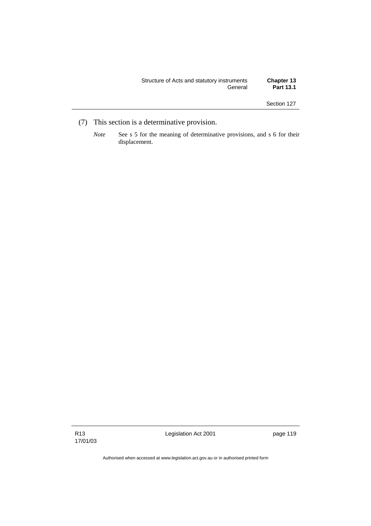| Structure of Acts and statutory instruments<br>General | <b>Chapter 13</b><br><b>Part 13.1</b> |
|--------------------------------------------------------|---------------------------------------|
|                                                        |                                       |

- (7) This section is a determinative provision.
	- *Note* See s 5 for the meaning of determinative provisions, and s 6 for their displacement.

Legislation Act 2001 **page 119**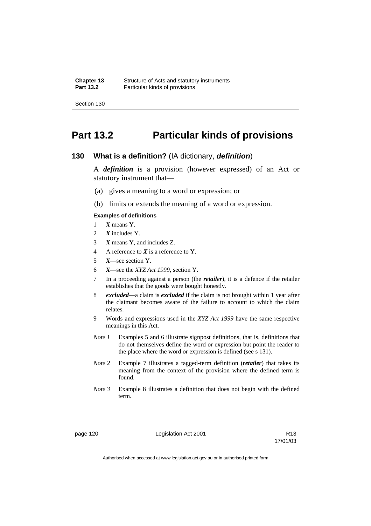# **Part 13.2 Particular kinds of provisions**

### **130 What is a definition?** (IA dictionary, *definition*)

A *definition* is a provision (however expressed) of an Act or statutory instrument that—

- (a) gives a meaning to a word or expression; or
- (b) limits or extends the meaning of a word or expression.

#### **Examples of definitions**

- 1 *X* means Y.
- 2 *X* includes Y.
- 3 *X* means Y, and includes Z.
- 4 A reference to *X* is a reference to Y.
- 5 *X*—see section Y.
- 6 *X*—see the *XYZ Act 1999*, section Y.
- 7 In a proceeding against a person (the *retailer*), it is a defence if the retailer establishes that the goods were bought honestly.
- 8 *excluded*—a claim is *excluded* if the claim is not brought within 1 year after the claimant becomes aware of the failure to account to which the claim relates.
- 9 Words and expressions used in the *XYZ Act 1999* have the same respective meanings in this Act.
- *Note 1* Examples 5 and 6 illustrate signpost definitions, that is, definitions that do not themselves define the word or expression but point the reader to the place where the word or expression is defined (see s 131).
- *Note 2* Example 7 illustrates a tagged-term definition (*retailer*) that takes its meaning from the context of the provision where the defined term is found.
- *Note 3* Example 8 illustrates a definition that does not begin with the defined term.

page 120 **Legislation Act 2001** CH<sub>13</sub> R13

17/01/03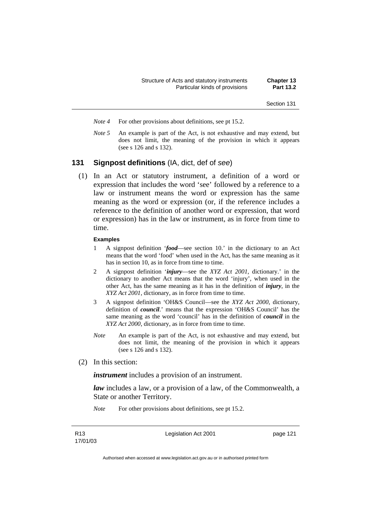- *Note 4* For other provisions about definitions, see pt 15.2.
- *Note 5* An example is part of the Act, is not exhaustive and may extend, but does not limit, the meaning of the provision in which it appears (see s 126 and s 132).

### **131 Signpost definitions** (IA, dict, def of *see*)

 (1) In an Act or statutory instrument, a definition of a word or expression that includes the word 'see' followed by a reference to a law or instrument means the word or expression has the same meaning as the word or expression (or, if the reference includes a reference to the definition of another word or expression, that word or expression) has in the law or instrument, as in force from time to time.

#### **Examples**

- 1 A signpost definition '*food*—see section 10.' in the dictionary to an Act means that the word 'food' when used in the Act, has the same meaning as it has in section 10, as in force from time to time.
- 2 A signpost definition '*injury*—see the *XYZ Act 2001*, dictionary.' in the dictionary to another Act means that the word 'injury', when used in the other Act, has the same meaning as it has in the definition of *injury*, in the *XYZ Act 2001*, dictionary, as in force from time to time.
- 3 A signpost definition 'OH&S Council—see the *XYZ Act 2000*, dictionary, definition of *council*.' means that the expression 'OH&S Council' has the same meaning as the word 'council' has in the definition of *council* in the *XYZ Act 2000*, dictionary, as in force from time to time.
- *Note* An example is part of the Act, is not exhaustive and may extend, but does not limit, the meaning of the provision in which it appears (see s 126 and s 132).
- (2) In this section:

*instrument* includes a provision of an instrument.

*law* includes a law, or a provision of a law, of the Commonwealth, a State or another Territory.

*Note* For other provisions about definitions, see pt 15.2.

Legislation Act 2001 **page 121**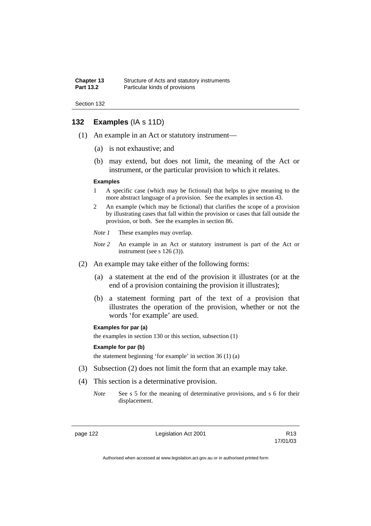```
Section 132
```
# **132 Examples** (IA s 11D)

- (1) An example in an Act or statutory instrument—
	- (a) is not exhaustive; and
	- (b) may extend, but does not limit, the meaning of the Act or instrument, or the particular provision to which it relates.

#### **Examples**

- 1 A specific case (which may be fictional) that helps to give meaning to the more abstract language of a provision. See the examples in section 43.
- 2 An example (which may be fictional) that clarifies the scope of a provision by illustrating cases that fall within the provision or cases that fall outside the provision, or both. See the examples in section 86.
- *Note 1* These examples may overlap.
- *Note 2* An example in an Act or statutory instrument is part of the Act or instrument (see s 126 (3)).
- (2) An example may take either of the following forms:
	- (a) a statement at the end of the provision it illustrates (or at the end of a provision containing the provision it illustrates);
	- (b) a statement forming part of the text of a provision that illustrates the operation of the provision, whether or not the words 'for example' are used.

#### **Examples for par (a)**

the examples in section 130 or this section, subsection (1)

#### **Example for par (b)**

the statement beginning 'for example' in section 36 (1) (a)

- (3) Subsection (2) does not limit the form that an example may take.
- (4) This section is a determinative provision.
	- *Note* See s 5 for the meaning of determinative provisions, and s 6 for their displacement.

page 122 Legislation Act 2001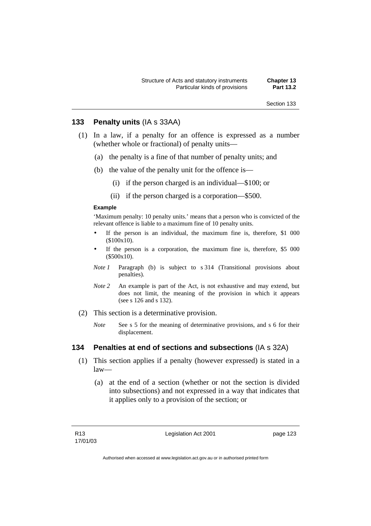### **133 Penalty units** (IA s 33AA)

- (1) In a law, if a penalty for an offence is expressed as a number (whether whole or fractional) of penalty units—
	- (a) the penalty is a fine of that number of penalty units; and
	- (b) the value of the penalty unit for the offence is—
		- (i) if the person charged is an individual—\$100; or
		- (ii) if the person charged is a corporation—\$500.

### **Example**

'Maximum penalty: 10 penalty units.' means that a person who is convicted of the relevant offence is liable to a maximum fine of 10 penalty units.

- If the person is an individual, the maximum fine is, therefore, \$1 000 (\$100x10).
- If the person is a corporation, the maximum fine is, therefore, \$5 000 (\$500x10).
- *Note 1* Paragraph (b) is subject to s 314 (Transitional provisions about penalties).
- *Note 2* An example is part of the Act, is not exhaustive and may extend, but does not limit, the meaning of the provision in which it appears (see s 126 and s 132).
- (2) This section is a determinative provision.
	- *Note* See s 5 for the meaning of determinative provisions, and s 6 for their displacement.

### **134 Penalties at end of sections and subsections** (IA s 32A)

- (1) This section applies if a penalty (however expressed) is stated in a law—
	- (a) at the end of a section (whether or not the section is divided into subsections) and not expressed in a way that indicates that it applies only to a provision of the section; or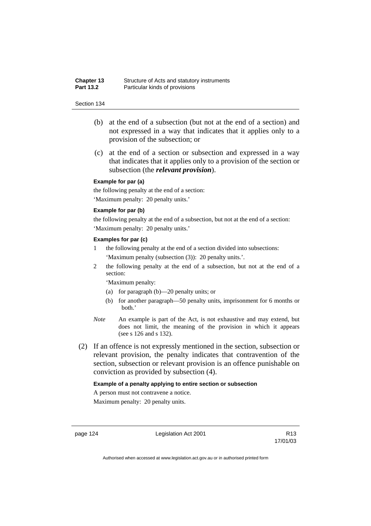- (b) at the end of a subsection (but not at the end of a section) and not expressed in a way that indicates that it applies only to a provision of the subsection; or
- (c) at the end of a section or subsection and expressed in a way that indicates that it applies only to a provision of the section or subsection (the *relevant provision*).

### **Example for par (a)**

the following penalty at the end of a section: 'Maximum penalty: 20 penalty units.'

### **Example for par (b)**

the following penalty at the end of a subsection, but not at the end of a section: 'Maximum penalty: 20 penalty units.'

#### **Examples for par (c)**

- 1 the following penalty at the end of a section divided into subsections: 'Maximum penalty (subsection (3)): 20 penalty units.'.
- 2 the following penalty at the end of a subsection, but not at the end of a section:

'Maximum penalty:

- (a) for paragraph (b)—20 penalty units; or
- (b) for another paragraph—50 penalty units, imprisonment for 6 months or both.'
- *Note* An example is part of the Act, is not exhaustive and may extend, but does not limit, the meaning of the provision in which it appears (see s 126 and s 132).
- (2) If an offence is not expressly mentioned in the section, subsection or relevant provision, the penalty indicates that contravention of the section, subsection or relevant provision is an offence punishable on conviction as provided by subsection (4).

#### **Example of a penalty applying to entire section or subsection**

A person must not contravene a notice. Maximum penalty: 20 penalty units.

page 124 **Legislation Act 2001** R13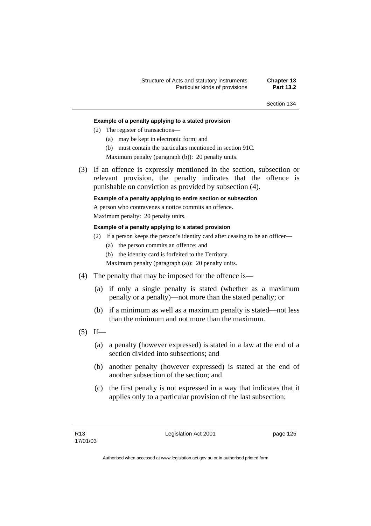### **Example of a penalty applying to a stated provision**

- (2) The register of transactions—
	- (a) may be kept in electronic form; and
	- (b) must contain the particulars mentioned in section 91C.

Maximum penalty (paragraph (b)): 20 penalty units.

 (3) If an offence is expressly mentioned in the section, subsection or relevant provision, the penalty indicates that the offence is punishable on conviction as provided by subsection (4).

### **Example of a penalty applying to entire section or subsection**

A person who contravenes a notice commits an offence.

Maximum penalty: 20 penalty units.

### **Example of a penalty applying to a stated provision**

- (2) If a person keeps the person's identity card after ceasing to be an officer—
	- (a) the person commits an offence; and
	- (b) the identity card is forfeited to the Territory.

Maximum penalty (paragraph (a)): 20 penalty units.

- (4) The penalty that may be imposed for the offence is—
	- (a) if only a single penalty is stated (whether as a maximum penalty or a penalty)—not more than the stated penalty; or
	- (b) if a minimum as well as a maximum penalty is stated—not less than the minimum and not more than the maximum.
- $(5)$  If—
	- (a) a penalty (however expressed) is stated in a law at the end of a section divided into subsections; and
	- (b) another penalty (however expressed) is stated at the end of another subsection of the section; and
	- (c) the first penalty is not expressed in a way that indicates that it applies only to a particular provision of the last subsection;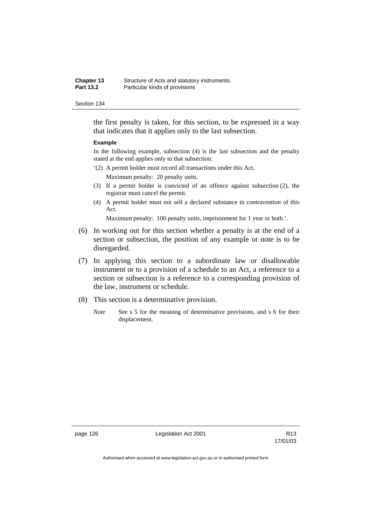the first penalty is taken, for this section, to be expressed in a way that indicates that it applies only to the last subsection.

### **Example**

In the following example, subsection (4) is the last subsection and the penalty stated at the end applies only to that subsection:

'(2) A permit holder must record all transactions under this Act.

Maximum penalty: 20 penalty units.

- (3) If a permit holder is convicted of an offence against subsection (2), the registrar must cancel the permit.
- (4) A permit holder must not sell a declared substance in contravention of this Act.

Maximum penalty: 100 penalty units, imprisonment for 1 year or both.'.

- (6) In working out for this section whether a penalty is at the end of a section or subsection, the position of any example or note is to be disregarded.
- (7) In applying this section to a subordinate law or disallowable instrument or to a provision of a schedule to an Act, a reference to a section or subsection is a reference to a corresponding provision of the law, instrument or schedule.
- (8) This section is a determinative provision.
	- *Note* See s 5 for the meaning of determinative provisions, and s 6 for their displacement.

page 126 **Legislation Act 2001** Constants R13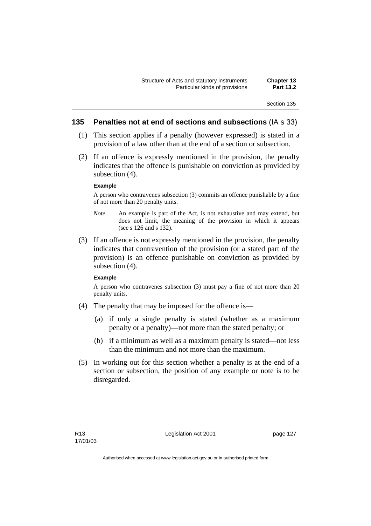### **135 Penalties not at end of sections and subsections** (IA s 33)

- (1) This section applies if a penalty (however expressed) is stated in a provision of a law other than at the end of a section or subsection.
- (2) If an offence is expressly mentioned in the provision, the penalty indicates that the offence is punishable on conviction as provided by subsection (4).

#### **Example**

A person who contravenes subsection (3) commits an offence punishable by a fine of not more than 20 penalty units.

- *Note* An example is part of the Act, is not exhaustive and may extend, but does not limit, the meaning of the provision in which it appears (see s 126 and s 132).
- (3) If an offence is not expressly mentioned in the provision, the penalty indicates that contravention of the provision (or a stated part of the provision) is an offence punishable on conviction as provided by subsection (4).

### **Example**

A person who contravenes subsection (3) must pay a fine of not more than 20 penalty units.

- (4) The penalty that may be imposed for the offence is—
	- (a) if only a single penalty is stated (whether as a maximum penalty or a penalty)—not more than the stated penalty; or
	- (b) if a minimum as well as a maximum penalty is stated—not less than the minimum and not more than the maximum.
- (5) In working out for this section whether a penalty is at the end of a section or subsection, the position of any example or note is to be disregarded.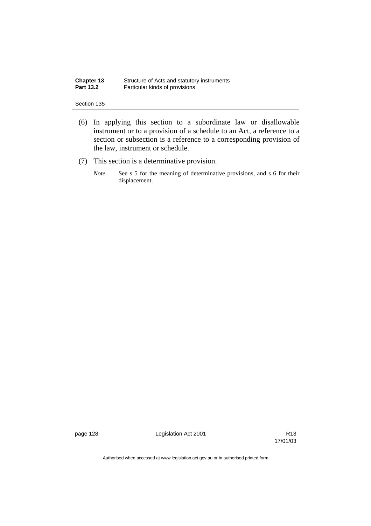| Chapter 13       | Structure of Acts and statutory instruments |
|------------------|---------------------------------------------|
| <b>Part 13.2</b> | Particular kinds of provisions              |

- (6) In applying this section to a subordinate law or disallowable instrument or to a provision of a schedule to an Act, a reference to a section or subsection is a reference to a corresponding provision of the law, instrument or schedule.
- (7) This section is a determinative provision.
	- *Note* See s 5 for the meaning of determinative provisions, and s 6 for their displacement.

page 128 **Legislation Act 2001** CH<sub>2</sub> R13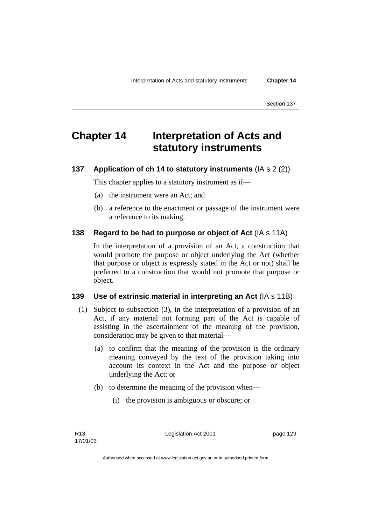# **Chapter 14 Interpretation of Acts and statutory instruments**

## **137 Application of ch 14 to statutory instruments** (IA s 2 (2))

This chapter applies to a statutory instrument as if—

- (a) the instrument were an Act; and
- (b) a reference to the enactment or passage of the instrument were a reference to its making.

### **138 Regard to be had to purpose or object of Act** (IA s 11A)

In the interpretation of a provision of an Act, a construction that would promote the purpose or object underlying the Act (whether that purpose or object is expressly stated in the Act or not) shall be preferred to a construction that would not promote that purpose or object.

### **139 Use of extrinsic material in interpreting an Act** (IA s 11B)

- (1) Subject to subsection (3), in the interpretation of a provision of an Act, if any material not forming part of the Act is capable of assisting in the ascertainment of the meaning of the provision, consideration may be given to that material—
	- (a) to confirm that the meaning of the provision is the ordinary meaning conveyed by the text of the provision taking into account its context in the Act and the purpose or object underlying the Act; or
	- (b) to determine the meaning of the provision when—
		- (i) the provision is ambiguous or obscure; or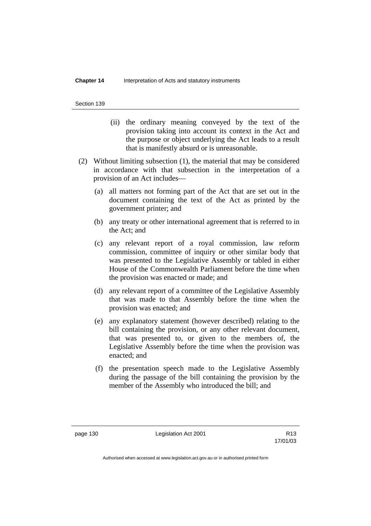- (ii) the ordinary meaning conveyed by the text of the provision taking into account its context in the Act and the purpose or object underlying the Act leads to a result that is manifestly absurd or is unreasonable.
- (2) Without limiting subsection (1), the material that may be considered in accordance with that subsection in the interpretation of a provision of an Act includes—
	- (a) all matters not forming part of the Act that are set out in the document containing the text of the Act as printed by the government printer; and
	- (b) any treaty or other international agreement that is referred to in the Act; and
	- (c) any relevant report of a royal commission, law reform commission, committee of inquiry or other similar body that was presented to the Legislative Assembly or tabled in either House of the Commonwealth Parliament before the time when the provision was enacted or made; and
	- (d) any relevant report of a committee of the Legislative Assembly that was made to that Assembly before the time when the provision was enacted; and
	- (e) any explanatory statement (however described) relating to the bill containing the provision, or any other relevant document, that was presented to, or given to the members of, the Legislative Assembly before the time when the provision was enacted; and
	- (f) the presentation speech made to the Legislative Assembly during the passage of the bill containing the provision by the member of the Assembly who introduced the bill; and

page 130 Legislation Act 2001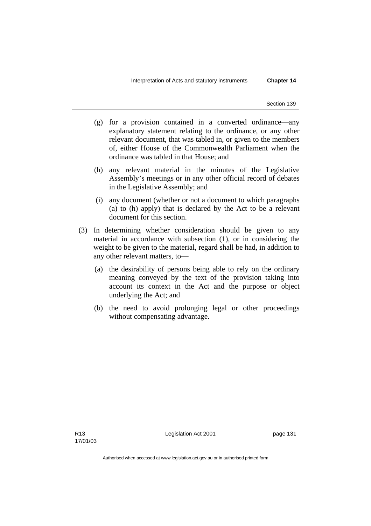- (g) for a provision contained in a converted ordinance—any explanatory statement relating to the ordinance, or any other relevant document, that was tabled in, or given to the members of, either House of the Commonwealth Parliament when the ordinance was tabled in that House; and
- (h) any relevant material in the minutes of the Legislative Assembly's meetings or in any other official record of debates in the Legislative Assembly; and
- (i) any document (whether or not a document to which paragraphs (a) to (h) apply) that is declared by the Act to be a relevant document for this section.
- (3) In determining whether consideration should be given to any material in accordance with subsection (1), or in considering the weight to be given to the material, regard shall be had, in addition to any other relevant matters, to—
	- (a) the desirability of persons being able to rely on the ordinary meaning conveyed by the text of the provision taking into account its context in the Act and the purpose or object underlying the Act; and
	- (b) the need to avoid prolonging legal or other proceedings without compensating advantage.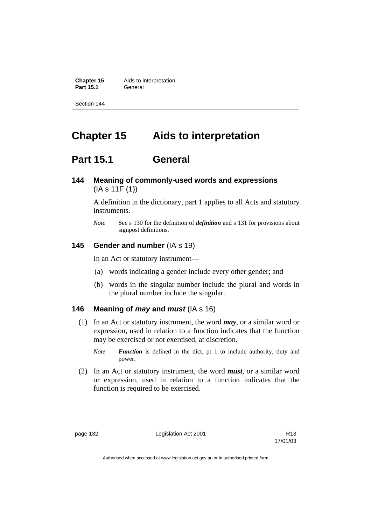**Chapter 15** Aids to interpretation **Part 15.1** General

Section 144

# **Chapter 15 Aids to interpretation**

# **Part 15.1 General**

# **144 Meaning of commonly-used words and expressions**  (IA s 11F (1))

A definition in the dictionary, part 1 applies to all Acts and statutory instruments.

*Note* See s 130 for the definition of *definition* and s 131 for provisions about signpost definitions.

## **145 Gender and number** (IA s 19)

In an Act or statutory instrument—

- (a) words indicating a gender include every other gender; and
- (b) words in the singular number include the plural and words in the plural number include the singular.

## **146 Meaning of** *may* **and** *must* (IA s 16)

- (1) In an Act or statutory instrument, the word *may*, or a similar word or expression, used in relation to a function indicates that the function may be exercised or not exercised, at discretion.
	- *Note Function* is defined in the dict, pt 1 to include authority, duty and power.
- (2) In an Act or statutory instrument, the word *must*, or a similar word or expression, used in relation to a function indicates that the function is required to be exercised.

page 132 Legislation Act 2001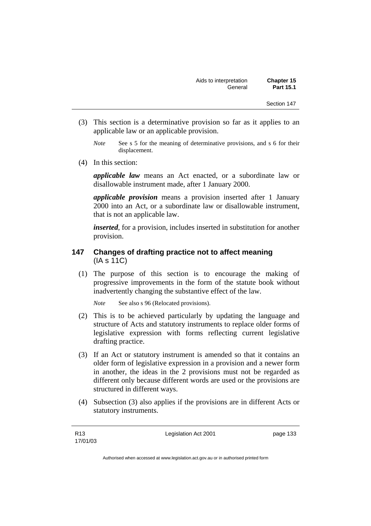- (3) This section is a determinative provision so far as it applies to an applicable law or an applicable provision.
	- *Note* See s 5 for the meaning of determinative provisions, and s 6 for their displacement.
- (4) In this section:

*applicable law* means an Act enacted, or a subordinate law or disallowable instrument made, after 1 January 2000.

*applicable provision* means a provision inserted after 1 January 2000 into an Act, or a subordinate law or disallowable instrument, that is not an applicable law.

*inserted*, for a provision, includes inserted in substitution for another provision.

## **147 Changes of drafting practice not to affect meaning**  (IA s 11C)

 (1) The purpose of this section is to encourage the making of progressive improvements in the form of the statute book without inadvertently changing the substantive effect of the law.

*Note* See also s 96 (Relocated provisions).

- (2) This is to be achieved particularly by updating the language and structure of Acts and statutory instruments to replace older forms of legislative expression with forms reflecting current legislative drafting practice.
- (3) If an Act or statutory instrument is amended so that it contains an older form of legislative expression in a provision and a newer form in another, the ideas in the 2 provisions must not be regarded as different only because different words are used or the provisions are structured in different ways.
- (4) Subsection (3) also applies if the provisions are in different Acts or statutory instruments.

Legislation Act 2001 **page 133**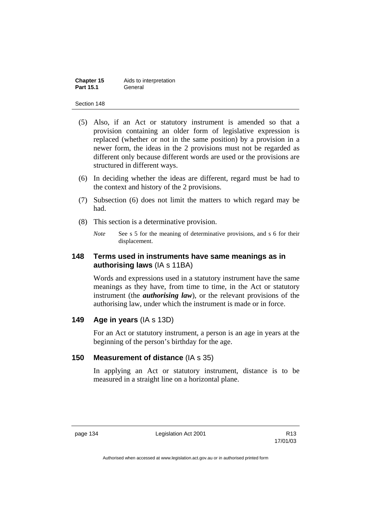| Chapter 15       | Aids to interpretation |
|------------------|------------------------|
| <b>Part 15.1</b> | General                |

- (5) Also, if an Act or statutory instrument is amended so that a provision containing an older form of legislative expression is replaced (whether or not in the same position) by a provision in a newer form, the ideas in the 2 provisions must not be regarded as different only because different words are used or the provisions are structured in different ways.
- (6) In deciding whether the ideas are different, regard must be had to the context and history of the 2 provisions.
- (7) Subsection (6) does not limit the matters to which regard may be had.
- (8) This section is a determinative provision.
	- *Note* See s 5 for the meaning of determinative provisions, and s 6 for their displacement.

## **148 Terms used in instruments have same meanings as in authorising laws** (IA s 11BA)

Words and expressions used in a statutory instrument have the same meanings as they have, from time to time, in the Act or statutory instrument (the *authorising law*), or the relevant provisions of the authorising law, under which the instrument is made or in force.

## **149 Age in years** (IA s 13D)

For an Act or statutory instrument, a person is an age in years at the beginning of the person's birthday for the age.

## **150 Measurement of distance** (IA s 35)

In applying an Act or statutory instrument, distance is to be measured in a straight line on a horizontal plane.

page 134 Legislation Act 2001

17/01/03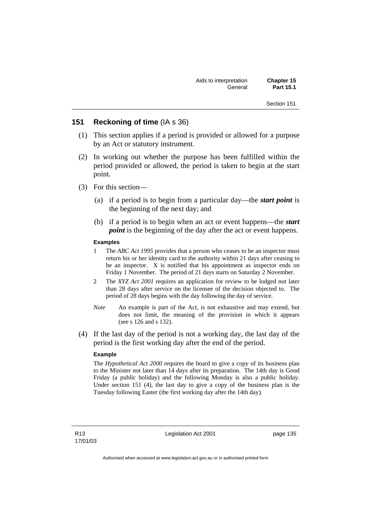### **151 Reckoning of time** (IA s 36)

- (1) This section applies if a period is provided or allowed for a purpose by an Act or statutory instrument.
- (2) In working out whether the purpose has been fulfilled within the period provided or allowed, the period is taken to begin at the start point.
- (3) For this section—
	- (a) if a period is to begin from a particular day—the *start point* is the beginning of the next day; and
	- (b) if a period is to begin when an act or event happens—the *start point* is the beginning of the day after the act or event happens.

### **Examples**

- 1 The *ABC Act 1995* provides that a person who ceases to be an inspector must return his or her identity card to the authority within 21 days after ceasing to be an inspector. X is notified that his appointment as inspector ends on Friday 1 November. The period of 21 days starts on Saturday 2 November.
- 2 The *XYZ Act 2001* requires an application for review to be lodged not later than 28 days after service on the licensee of the decision objected to. The period of 28 days begins with the day following the day of service.
- *Note* An example is part of the Act, is not exhaustive and may extend, but does not limit, the meaning of the provision in which it appears (see s 126 and s 132).
- (4) If the last day of the period is not a working day, the last day of the period is the first working day after the end of the period.

### **Example**

The *Hypothetical Act 2000* requires the board to give a copy of its business plan to the Minister not later than 14 days after its preparation. The 14th day is Good Friday (a public holiday) and the following Monday is also a public holiday. Under section 151 (4), the last day to give a copy of the business plan is the Tuesday following Easter (the first working day after the 14th day).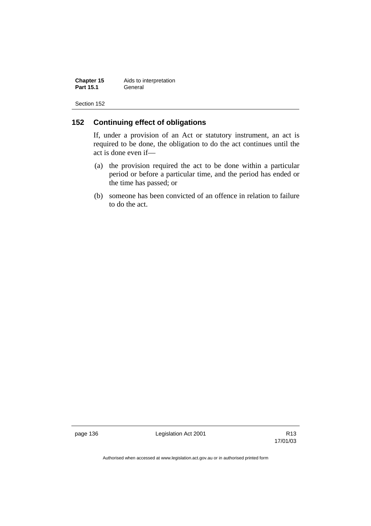**Chapter 15** Aids to interpretation<br>**Part 15.1 General Part 15.1** 

Section 152

# **152 Continuing effect of obligations**

If, under a provision of an Act or statutory instrument, an act is required to be done, the obligation to do the act continues until the act is done even if—

- (a) the provision required the act to be done within a particular period or before a particular time, and the period has ended or the time has passed; or
- (b) someone has been convicted of an offence in relation to failure to do the act.

page 136 **Legislation Act 2001** Constants R13

17/01/03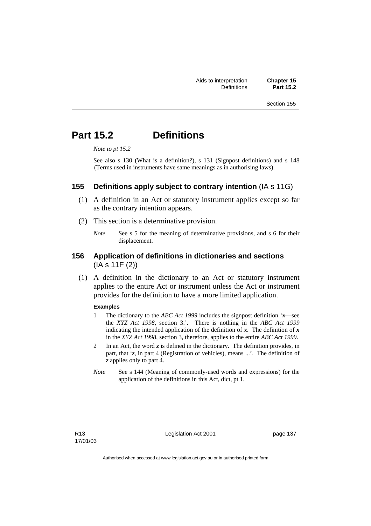# **Part 15.2 Definitions**

*Note to pt 15.2* 

See also s 130 (What is a definition?), s 131 (Signpost definitions) and s 148 (Terms used in instruments have same meanings as in authorising laws).

### **155 Definitions apply subject to contrary intention** (IA s 11G)

- (1) A definition in an Act or statutory instrument applies except so far as the contrary intention appears.
- (2) This section is a determinative provision.
	- *Note* See s 5 for the meaning of determinative provisions, and s 6 for their displacement.

## **156 Application of definitions in dictionaries and sections**  (IA s 11F (2))

 (1) A definition in the dictionary to an Act or statutory instrument applies to the entire Act or instrument unless the Act or instrument provides for the definition to have a more limited application.

### **Examples**

- 1 The dictionary to the *ABC Act 1999* includes the signpost definition '*x*—see the *XYZ Act 1998*, section 3.'. There is nothing in the *ABC Act 1999* indicating the intended application of the definition of  $x$ . The definition of  $x$ in the *XYZ Act 1998*, section 3, therefore, applies to the entire *ABC Act 1999*.
- 2 In an Act, the word *z* is defined in the dictionary. The definition provides, in part, that '*z*, in part 4 (Registration of vehicles), means ...'. The definition of *z* applies only to part 4.
- *Note* See s 144 (Meaning of commonly-used words and expressions) for the application of the definitions in this Act, dict, pt 1.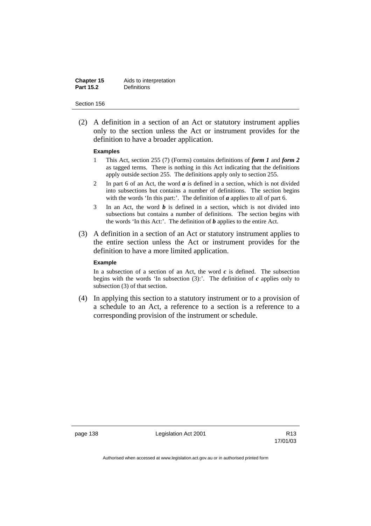| Chapter 15       | Aids to interpretation |
|------------------|------------------------|
| <b>Part 15.2</b> | <b>Definitions</b>     |

 (2) A definition in a section of an Act or statutory instrument applies only to the section unless the Act or instrument provides for the definition to have a broader application.

#### **Examples**

- 1 This Act, section 255 (7) (Forms) contains definitions of *form 1* and *form 2* as tagged terms. There is nothing in this Act indicating that the definitions apply outside section 255. The definitions apply only to section 255.
- 2 In part 6 of an Act, the word *a* is defined in a section, which is not divided into subsections but contains a number of definitions. The section begins with the words 'In this part:'. The definition of *a* applies to all of part 6.
- 3 In an Act, the word *b* is defined in a section, which is not divided into subsections but contains a number of definitions. The section begins with the words 'In this Act:'. The definition of *b* applies to the entire Act.
- (3) A definition in a section of an Act or statutory instrument applies to the entire section unless the Act or instrument provides for the definition to have a more limited application.

### **Example**

In a subsection of a section of an Act, the word  $c$  is defined. The subsection begins with the words 'In subsection  $(3)$ :'. The definition of  $c$  applies only to subsection (3) of that section.

 (4) In applying this section to a statutory instrument or to a provision of a schedule to an Act, a reference to a section is a reference to a corresponding provision of the instrument or schedule.

page 138 Legislation Act 2001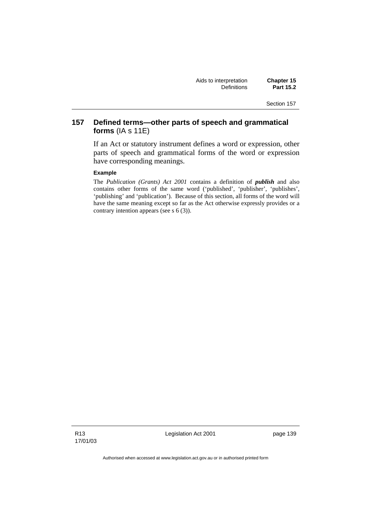# **157 Defined terms—other parts of speech and grammatical forms** (IA s 11E)

If an Act or statutory instrument defines a word or expression, other parts of speech and grammatical forms of the word or expression have corresponding meanings.

#### **Example**

The *Publication (Grants) Act 2001* contains a definition of *publish* and also contains other forms of the same word ('published', 'publisher', 'publishes', 'publishing' and 'publication'). Because of this section, all forms of the word will have the same meaning except so far as the Act otherwise expressly provides or a contrary intention appears (see s 6 (3)).

R13 17/01/03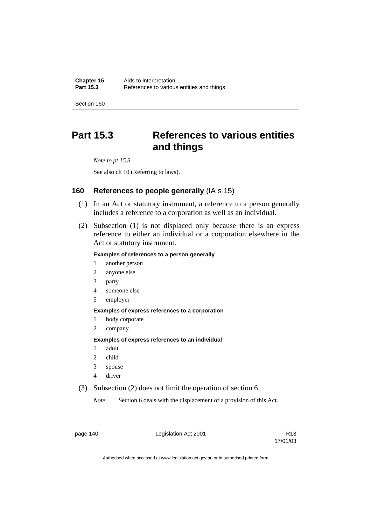**Chapter 15** Aids to interpretation<br>**Part 15.3** References to various References to various entities and things

Section 160

# **Part 15.3 References to various entities and things**

*Note to pt 15.3* 

See also ch 10 (Referring to laws).

## **160 References to people generally** (IA s 15)

- (1) In an Act or statutory instrument, a reference to a person generally includes a reference to a corporation as well as an individual.
- (2) Subsection (1) is not displaced only because there is an express reference to either an individual or a corporation elsewhere in the Act or statutory instrument.

### **Examples of references to a person generally**

- 1 another person
- 2 anyone else
- 3 party
- 4 someone else
- 5 employer

### **Examples of express references to a corporation**

- 1 body corporate
- 2 company

### **Examples of express references to an individual**

- 1 adult
- 2 child
- 3 spouse
- 4 driver
- (3) Subsection (2) does not limit the operation of section 6.

*Note* Section 6 deals with the displacement of a provision of this Act.

page 140 **Legislation Act 2001** CH<sub>13</sub> R13

17/01/03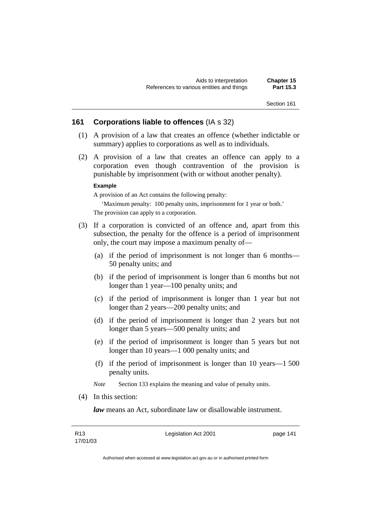### **161 Corporations liable to offences** (IA s 32)

- (1) A provision of a law that creates an offence (whether indictable or summary) applies to corporations as well as to individuals.
- (2) A provision of a law that creates an offence can apply to a corporation even though contravention of the provision is punishable by imprisonment (with or without another penalty).

#### **Example**

A provision of an Act contains the following penalty:

'Maximum penalty: 100 penalty units, imprisonment for 1 year or both.'

The provision can apply to a corporation.

- (3) If a corporation is convicted of an offence and, apart from this subsection, the penalty for the offence is a period of imprisonment only, the court may impose a maximum penalty of—
	- (a) if the period of imprisonment is not longer than 6 months— 50 penalty units; and
	- (b) if the period of imprisonment is longer than 6 months but not longer than 1 year—100 penalty units; and
	- (c) if the period of imprisonment is longer than 1 year but not longer than 2 years—200 penalty units; and
	- (d) if the period of imprisonment is longer than 2 years but not longer than 5 years—500 penalty units; and
	- (e) if the period of imprisonment is longer than 5 years but not longer than 10 years—1 000 penalty units; and
	- (f) if the period of imprisonment is longer than 10 years—1 500 penalty units.
	- *Note* Section 133 explains the meaning and value of penalty units.
- (4) In this section:

*law* means an Act, subordinate law or disallowable instrument.

Legislation Act 2001 **page 141**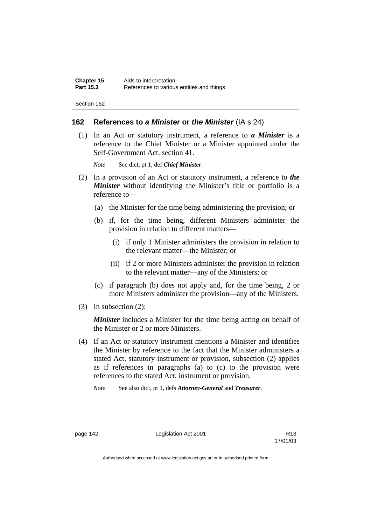### **162 References to** *a Minister* **or** *the Minister* (IA s 24)

 (1) In an Act or statutory instrument, a reference to *a Minister* is a reference to the Chief Minister or a Minister appointed under the Self-Government Act, section 41.

*Note* See dict, pt 1, def *Chief Minister*.

- (2) In a provision of an Act or statutory instrument, a reference to *the Minister* without identifying the Minister's title or portfolio is a reference to—
	- (a) the Minister for the time being administering the provision; or
	- (b) if, for the time being, different Ministers administer the provision in relation to different matters—
		- (i) if only 1 Minister administers the provision in relation to the relevant matter—the Minister; or
		- (ii) if 2 or more Ministers administer the provision in relation to the relevant matter—any of the Ministers; or
	- (c) if paragraph (b) does not apply and, for the time being, 2 or more Ministers administer the provision—any of the Ministers.
- (3) In subsection (2):

*Minister* includes a Minister for the time being acting on behalf of the Minister or 2 or more Ministers.

- (4) If an Act or statutory instrument mentions a Minister and identifies the Minister by reference to the fact that the Minister administers a stated Act, statutory instrument or provision, subsection (2) applies as if references in paragraphs (a) to (c) to the provision were references to the stated Act, instrument or provision.
	- *Note* See also dict, pt 1, defs *Attorney-General* and *Treasurer*.

page 142 **Legislation Act 2001** R13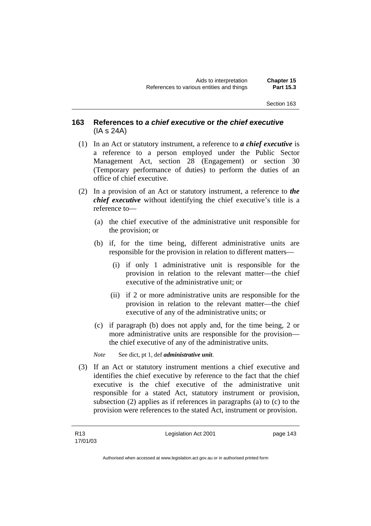## **163 References to** *a chief executive* **or** *the chief executive* (IA s 24A)

- (1) In an Act or statutory instrument, a reference to *a chief executive* is a reference to a person employed under the Public Sector Management Act, section 28 (Engagement) or section 30 (Temporary performance of duties) to perform the duties of an office of chief executive.
- (2) In a provision of an Act or statutory instrument, a reference to *the chief executive* without identifying the chief executive's title is a reference to—
	- (a) the chief executive of the administrative unit responsible for the provision; or
	- (b) if, for the time being, different administrative units are responsible for the provision in relation to different matters—
		- (i) if only 1 administrative unit is responsible for the provision in relation to the relevant matter—the chief executive of the administrative unit; or
		- (ii) if 2 or more administrative units are responsible for the provision in relation to the relevant matter—the chief executive of any of the administrative units; or
	- (c) if paragraph (b) does not apply and, for the time being, 2 or more administrative units are responsible for the provision the chief executive of any of the administrative units.

*Note* See dict, pt 1, def *administrative unit*.

 (3) If an Act or statutory instrument mentions a chief executive and identifies the chief executive by reference to the fact that the chief executive is the chief executive of the administrative unit responsible for a stated Act, statutory instrument or provision, subsection (2) applies as if references in paragraphs (a) to (c) to the provision were references to the stated Act, instrument or provision.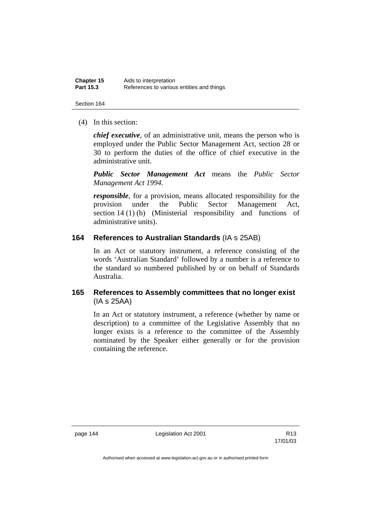| Chapter 15       | Aids to interpretation                    |
|------------------|-------------------------------------------|
| <b>Part 15.3</b> | References to various entities and things |

(4) In this section:

*chief executive*, of an administrative unit, means the person who is employed under the Public Sector Management Act, section 28 or 30 to perform the duties of the office of chief executive in the administrative unit.

*Public Sector Management Act* means the *Public Sector Management Act 1994*.

*responsible*, for a provision, means allocated responsibility for the provision under the Public Sector Management Act, section 14 (1) (b) (Ministerial responsibility and functions of administrative units).

## **164 References to Australian Standards** (IA s 25AB)

In an Act or statutory instrument, a reference consisting of the words 'Australian Standard' followed by a number is a reference to the standard so numbered published by or on behalf of Standards Australia.

# **165 References to Assembly committees that no longer exist**  (IA s 25AA)

In an Act or statutory instrument, a reference (whether by name or description) to a committee of the Legislative Assembly that no longer exists is a reference to the committee of the Assembly nominated by the Speaker either generally or for the provision containing the reference.

page 144 Legislation Act 2001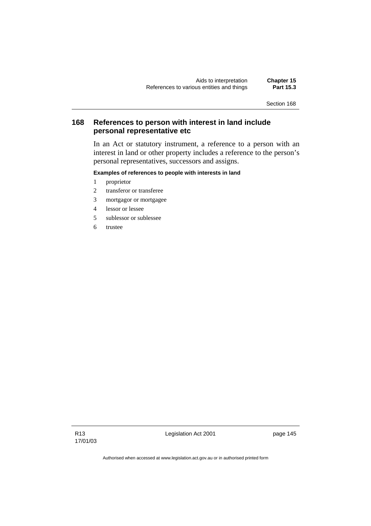# **168 References to person with interest in land include personal representative etc**

In an Act or statutory instrument, a reference to a person with an interest in land or other property includes a reference to the person's personal representatives, successors and assigns.

### **Examples of references to people with interests in land**

- 1 proprietor
- 2 transferor or transferee
- 3 mortgagor or mortgagee
- 4 lessor or lessee
- 5 sublessor or sublessee
- 6 trustee

R13 17/01/03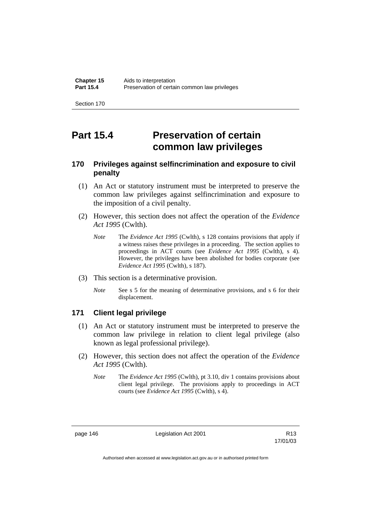# **Part 15.4 Preservation of certain common law privileges**

# **170 Privileges against selfincrimination and exposure to civil penalty**

- (1) An Act or statutory instrument must be interpreted to preserve the common law privileges against selfincrimination and exposure to the imposition of a civil penalty.
- (2) However, this section does not affect the operation of the *Evidence Act 1995* (Cwlth).
	- *Note* The *Evidence Act 1995* (Cwlth), s 128 contains provisions that apply if a witness raises these privileges in a proceeding. The section applies to proceedings in ACT courts (see *Evidence Act 1995* (Cwlth), s 4). However, the privileges have been abolished for bodies corporate (see *Evidence Act 1995* (Cwlth), s 187).
- (3) This section is a determinative provision.
	- *Note* See s 5 for the meaning of determinative provisions, and s 6 for their displacement.

## **171 Client legal privilege**

- (1) An Act or statutory instrument must be interpreted to preserve the common law privilege in relation to client legal privilege (also known as legal professional privilege).
- (2) However, this section does not affect the operation of the *Evidence Act 1995* (Cwlth).
	- *Note* The *Evidence Act 1995* (Cwlth), pt 3.10, div 1 contains provisions about client legal privilege. The provisions apply to proceedings in ACT courts (see *Evidence Act 1995* (Cwlth), s 4).

page 146 **Legislation Act 2001** Constants R13

17/01/03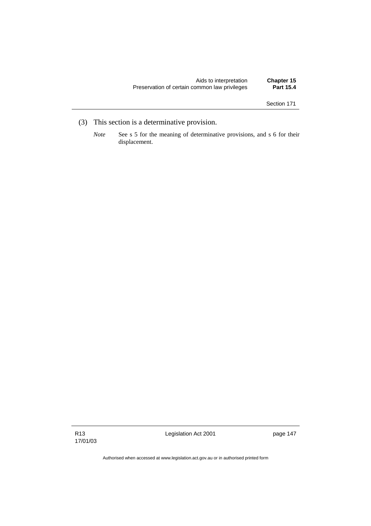| Aids to interpretation                        | Chapter 15       |
|-----------------------------------------------|------------------|
| Preservation of certain common law privileges | <b>Part 15.4</b> |

- (3) This section is a determinative provision.
	- *Note* See s 5 for the meaning of determinative provisions, and s 6 for their displacement.

Legislation Act 2001 **page 147**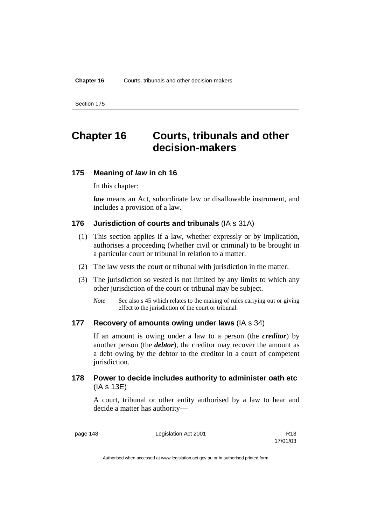# **Chapter 16 Courts, tribunals and other decision-makers**

### **175 Meaning of** *law* **in ch 16**

In this chapter:

*law* means an Act, subordinate law or disallowable instrument, and includes a provision of a law.

## **176 Jurisdiction of courts and tribunals** (IA s 31A)

- (1) This section applies if a law, whether expressly or by implication, authorises a proceeding (whether civil or criminal) to be brought in a particular court or tribunal in relation to a matter.
- (2) The law vests the court or tribunal with jurisdiction in the matter.
- (3) The jurisdiction so vested is not limited by any limits to which any other jurisdiction of the court or tribunal may be subject.
	- *Note* See also s 45 which relates to the making of rules carrying out or giving effect to the jurisdiction of the court or tribunal.

### **177 Recovery of amounts owing under laws** (IA s 34)

If an amount is owing under a law to a person (the *creditor*) by another person (the *debtor*), the creditor may recover the amount as a debt owing by the debtor to the creditor in a court of competent jurisdiction.

## **178 Power to decide includes authority to administer oath etc**  (IA s 13E)

A court, tribunal or other entity authorised by a law to hear and decide a matter has authority—

page 148 Legislation Act 2001

17/01/03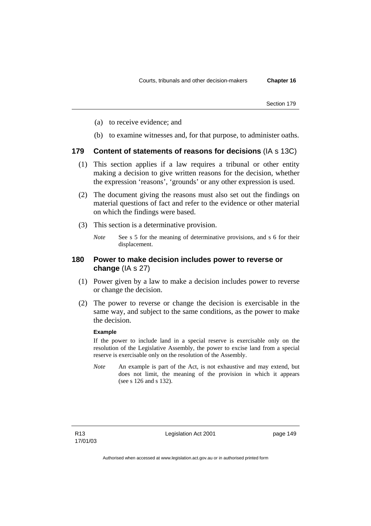- (a) to receive evidence; and
- (b) to examine witnesses and, for that purpose, to administer oaths.

### **179 Content of statements of reasons for decisions** (IA s 13C)

- (1) This section applies if a law requires a tribunal or other entity making a decision to give written reasons for the decision, whether the expression 'reasons', 'grounds' or any other expression is used.
- (2) The document giving the reasons must also set out the findings on material questions of fact and refer to the evidence or other material on which the findings were based.
- (3) This section is a determinative provision.
	- *Note* See s 5 for the meaning of determinative provisions, and s 6 for their displacement.

### **180 Power to make decision includes power to reverse or change** (IA s 27)

- (1) Power given by a law to make a decision includes power to reverse or change the decision.
- (2) The power to reverse or change the decision is exercisable in the same way, and subject to the same conditions, as the power to make the decision.

### **Example**

If the power to include land in a special reserve is exercisable only on the resolution of the Legislative Assembly, the power to excise land from a special reserve is exercisable only on the resolution of the Assembly.

*Note* An example is part of the Act, is not exhaustive and may extend, but does not limit, the meaning of the provision in which it appears (see s 126 and s 132).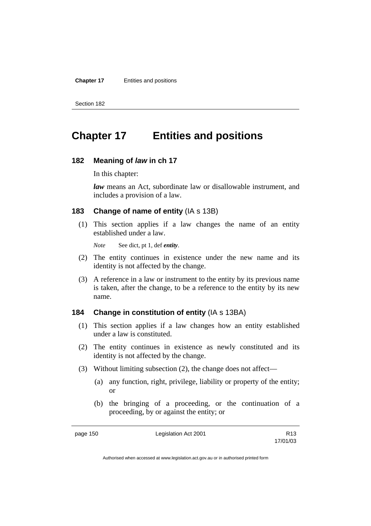**Chapter 17** Entities and positions

Section 182

# **Chapter 17 Entities and positions**

### **182 Meaning of** *law* **in ch 17**

In this chapter:

*law* means an Act, subordinate law or disallowable instrument, and includes a provision of a law.

### **183 Change of name of entity** (IA s 13B)

 (1) This section applies if a law changes the name of an entity established under a law.

*Note* See dict, pt 1, def *entity*.

- (2) The entity continues in existence under the new name and its identity is not affected by the change.
- (3) A reference in a law or instrument to the entity by its previous name is taken, after the change, to be a reference to the entity by its new name.

### **184 Change in constitution of entity** (IA s 13BA)

- (1) This section applies if a law changes how an entity established under a law is constituted.
- (2) The entity continues in existence as newly constituted and its identity is not affected by the change.
- (3) Without limiting subsection (2), the change does not affect—
	- (a) any function, right, privilege, liability or property of the entity; or
	- (b) the bringing of a proceeding, or the continuation of a proceeding, by or against the entity; or

page 150 Legislation Act 2001

17/01/03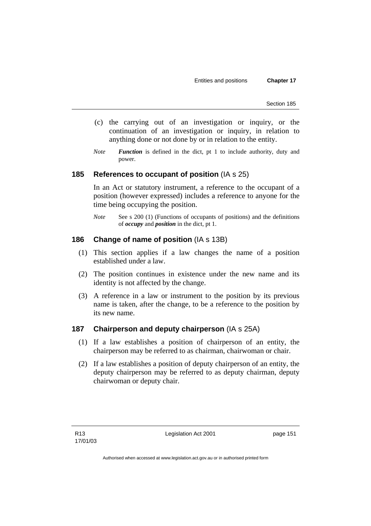Entities and positions **Chapter 17** 

Section 185

- (c) the carrying out of an investigation or inquiry, or the continuation of an investigation or inquiry, in relation to anything done or not done by or in relation to the entity.
- *Note Function* is defined in the dict, pt 1 to include authority, duty and power.

## **185 References to occupant of position** (IA s 25)

In an Act or statutory instrument, a reference to the occupant of a position (however expressed) includes a reference to anyone for the time being occupying the position.

*Note* See s 200 (1) (Functions of occupants of positions) and the definitions of *occupy* and *position* in the dict, pt 1.

## **186 Change of name of position** (IA s 13B)

- (1) This section applies if a law changes the name of a position established under a law.
- (2) The position continues in existence under the new name and its identity is not affected by the change.
- (3) A reference in a law or instrument to the position by its previous name is taken, after the change, to be a reference to the position by its new name.

## **187 Chairperson and deputy chairperson** (IA s 25A)

- (1) If a law establishes a position of chairperson of an entity, the chairperson may be referred to as chairman, chairwoman or chair.
- (2) If a law establishes a position of deputy chairperson of an entity, the deputy chairperson may be referred to as deputy chairman, deputy chairwoman or deputy chair.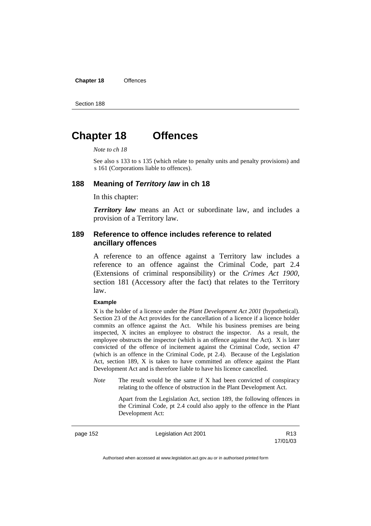**Chapter 18** Offences

Section 188

# **Chapter 18 Offences**

*Note to ch 18* 

See also s 133 to s 135 (which relate to penalty units and penalty provisions) and s 161 (Corporations liable to offences).

### **188 Meaning of** *Territory law* **in ch 18**

In this chapter:

*Territory law* means an Act or subordinate law, and includes a provision of a Territory law.

### **189 Reference to offence includes reference to related ancillary offences**

A reference to an offence against a Territory law includes a reference to an offence against the Criminal Code, part 2.4 (Extensions of criminal responsibility) or the *Crimes Act 1900*, section 181 (Accessory after the fact) that relates to the Territory law.

#### **Example**

X is the holder of a licence under the *Plant Development Act 2001* (hypothetical). Section 23 of the Act provides for the cancellation of a licence if a licence holder commits an offence against the Act. While his business premises are being inspected, X incites an employee to obstruct the inspector. As a result, the employee obstructs the inspector (which is an offence against the Act). X is later convicted of the offence of incitement against the Criminal Code, section 47 (which is an offence in the Criminal Code, pt 2.4). Because of the Legislation Act, section 189, X is taken to have committed an offence against the Plant Development Act and is therefore liable to have his licence cancelled.

*Note* The result would be the same if X had been convicted of conspiracy relating to the offence of obstruction in the Plant Development Act.

> Apart from the Legislation Act, section 189, the following offences in the Criminal Code*,* pt 2.4 could also apply to the offence in the Plant Development Act:

page 152 Legislation Act 2001 17/01/03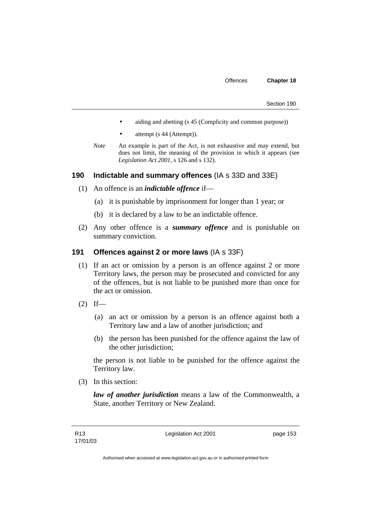- aiding and abetting (s 45 (Complicity and common purpose))
- attempt (s 44 (Attempt)).
- *Note* An example is part of the Act, is not exhaustive and may extend, but does not limit, the meaning of the provision in which it appears (see *Legislation Act 2001*, s 126 and s 132).

## **190 Indictable and summary offences** (IA s 33D and 33E)

- (1) An offence is an *indictable offence* if—
	- (a) it is punishable by imprisonment for longer than 1 year; or
	- (b) it is declared by a law to be an indictable offence.
- (2) Any other offence is a *summary offence* and is punishable on summary conviction.

### **191 Offences against 2 or more laws** (IA s 33F)

- (1) If an act or omission by a person is an offence against 2 or more Territory laws, the person may be prosecuted and convicted for any of the offences, but is not liable to be punished more than once for the act or omission.
- $(2)$  If—
	- (a) an act or omission by a person is an offence against both a Territory law and a law of another jurisdiction; and
	- (b) the person has been punished for the offence against the law of the other jurisdiction;

the person is not liable to be punished for the offence against the Territory law.

(3) In this section:

*law of another jurisdiction* means a law of the Commonwealth, a State, another Territory or New Zealand.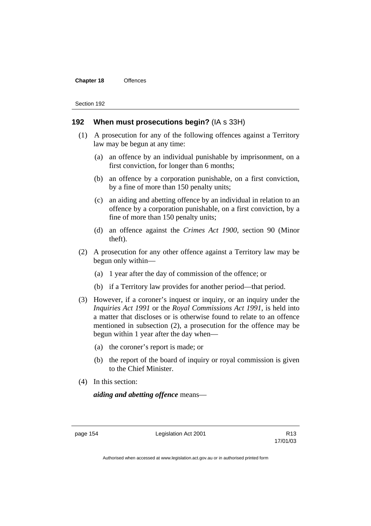#### **Chapter 18** Offences

Section 192

### **192 When must prosecutions begin?** (IA s 33H)

- (1) A prosecution for any of the following offences against a Territory law may be begun at any time:
	- (a) an offence by an individual punishable by imprisonment, on a first conviction, for longer than 6 months;
	- (b) an offence by a corporation punishable, on a first conviction, by a fine of more than 150 penalty units;
	- (c) an aiding and abetting offence by an individual in relation to an offence by a corporation punishable, on a first conviction, by a fine of more than 150 penalty units;
	- (d) an offence against the *Crimes Act 1900*, section 90 (Minor theft).
- (2) A prosecution for any other offence against a Territory law may be begun only within—
	- (a) 1 year after the day of commission of the offence; or
	- (b) if a Territory law provides for another period—that period.
- (3) However, if a coroner's inquest or inquiry, or an inquiry under the *Inquiries Act 1991* or the *Royal Commissions Act 1991*, is held into a matter that discloses or is otherwise found to relate to an offence mentioned in subsection (2), a prosecution for the offence may be begun within 1 year after the day when—
	- (a) the coroner's report is made; or
	- (b) the report of the board of inquiry or royal commission is given to the Chief Minister.
- (4) In this section:

*aiding and abetting offence* means—

page 154 Legislation Act 2001

17/01/03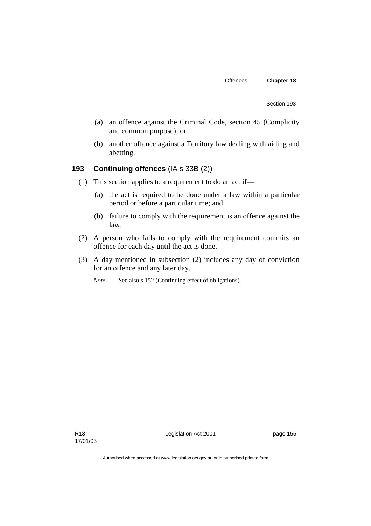- (a) an offence against the Criminal Code, section 45 (Complicity and common purpose); or
- (b) another offence against a Territory law dealing with aiding and abetting.

# **193 Continuing offences** (IA s 33B (2))

- (1) This section applies to a requirement to do an act if—
	- (a) the act is required to be done under a law within a particular period or before a particular time; and
	- (b) failure to comply with the requirement is an offence against the law.
- (2) A person who fails to comply with the requirement commits an offence for each day until the act is done.
- (3) A day mentioned in subsection (2) includes any day of conviction for an offence and any later day.

*Note* See also s 152 (Continuing effect of obligations).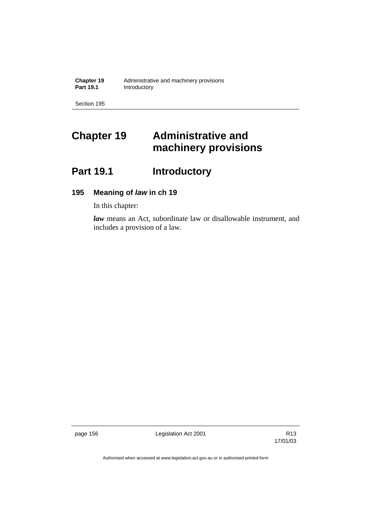# **Chapter 19 Administrative and machinery provisions**

# Part 19.1 **Introductory**

# **195 Meaning of** *law* **in ch 19**

In this chapter:

*law* means an Act, subordinate law or disallowable instrument, and includes a provision of a law.

page 156 **Legislation Act 2001** Constants R13

17/01/03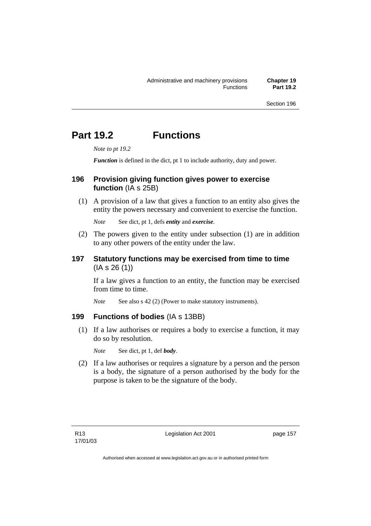# **Part 19.2 Functions**

*Note to pt 19.2* 

*Function* is defined in the dict, pt 1 to include authority, duty and power.

# **196 Provision giving function gives power to exercise function** (IA s 25B)

 (1) A provision of a law that gives a function to an entity also gives the entity the powers necessary and convenient to exercise the function.

*Note* See dict, pt 1, defs *entity* and *exercise*.

 (2) The powers given to the entity under subsection (1) are in addition to any other powers of the entity under the law.

## **197 Statutory functions may be exercised from time to time**   $(IA S 26 (1))$

If a law gives a function to an entity, the function may be exercised from time to time.

*Note* See also s 42 (2) (Power to make statutory instruments).

## **199 Functions of bodies** (IA s 13BB)

 (1) If a law authorises or requires a body to exercise a function, it may do so by resolution.

*Note* See dict, pt 1, def *body*.

 (2) If a law authorises or requires a signature by a person and the person is a body, the signature of a person authorised by the body for the purpose is taken to be the signature of the body.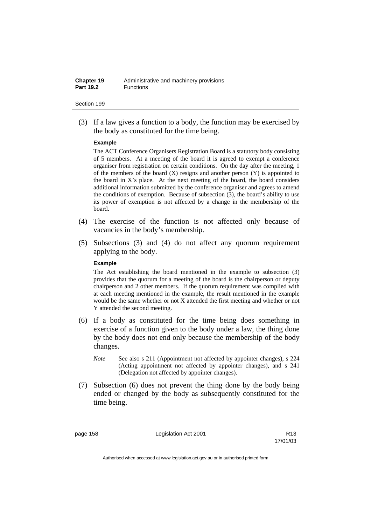| Chapter 19       | Administrative and machinery provisions |
|------------------|-----------------------------------------|
| <b>Part 19.2</b> | <b>Functions</b>                        |

 (3) If a law gives a function to a body, the function may be exercised by the body as constituted for the time being.

#### **Example**

The ACT Conference Organisers Registration Board is a statutory body consisting of 5 members. At a meeting of the board it is agreed to exempt a conference organiser from registration on certain conditions. On the day after the meeting, 1 of the members of the board  $(X)$  resigns and another person  $(Y)$  is appointed to the board in  $X$ 's place. At the next meeting of the board, the board considers additional information submitted by the conference organiser and agrees to amend the conditions of exemption. Because of subsection (3), the board's ability to use its power of exemption is not affected by a change in the membership of the board.

- (4) The exercise of the function is not affected only because of vacancies in the body's membership.
- (5) Subsections (3) and (4) do not affect any quorum requirement applying to the body.

### **Example**

The Act establishing the board mentioned in the example to subsection (3) provides that the quorum for a meeting of the board is the chairperson or deputy chairperson and 2 other members. If the quorum requirement was complied with at each meeting mentioned in the example, the result mentioned in the example would be the same whether or not X attended the first meeting and whether or not Y attended the second meeting.

- (6) If a body as constituted for the time being does something in exercise of a function given to the body under a law, the thing done by the body does not end only because the membership of the body changes.
	- *Note* See also s 211 (Appointment not affected by appointer changes), s 224 (Acting appointment not affected by appointer changes), and s 241 (Delegation not affected by appointer changes).
- (7) Subsection (6) does not prevent the thing done by the body being ended or changed by the body as subsequently constituted for the time being.

page 158 Legislation Act 2001

17/01/03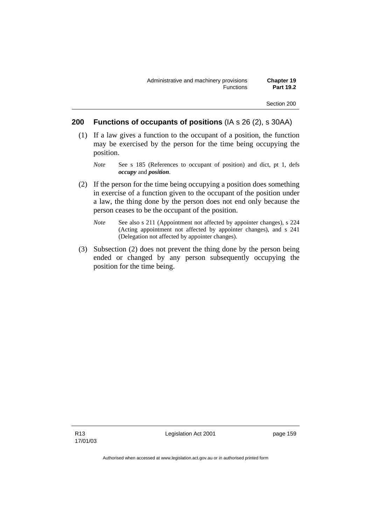### **200 Functions of occupants of positions** (IA s 26 (2), s 30AA)

- (1) If a law gives a function to the occupant of a position, the function may be exercised by the person for the time being occupying the position.
	- *Note* See s 185 (References to occupant of position) and dict, pt 1, defs *occupy* and *position*.
- (2) If the person for the time being occupying a position does something in exercise of a function given to the occupant of the position under a law, the thing done by the person does not end only because the person ceases to be the occupant of the position.
	- *Note* See also s 211 (Appointment not affected by appointer changes), s 224 (Acting appointment not affected by appointer changes), and s 241 (Delegation not affected by appointer changes).
- (3) Subsection (2) does not prevent the thing done by the person being ended or changed by any person subsequently occupying the position for the time being.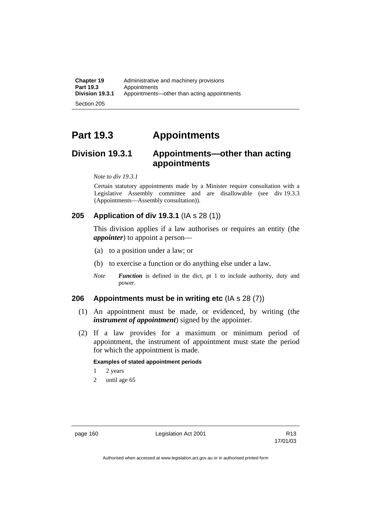# **Part 19.3 Appointments**

# **Division 19.3.1 Appointments—other than acting appointments**

*Note to div 19.3.1* 

Certain statutory appointments made by a Minister require consultation with a Legislative Assembly committee and are disallowable (see div 19.3.3 (Appointments—Assembly consultation)).

## **205 Application of div 19.3.1** (IA s 28 (1))

This division applies if a law authorises or requires an entity (the *appointer*) to appoint a person—

- (a) to a position under a law; or
- (b) to exercise a function or do anything else under a law.
- *Note Function* is defined in the dict, pt 1 to include authority, duty and power.

## **206 Appointments must be in writing etc** (IA s 28 (7))

- (1) An appointment must be made, or evidenced, by writing (the *instrument of appointment*) signed by the appointer.
- (2) If a law provides for a maximum or minimum period of appointment, the instrument of appointment must state the period for which the appointment is made.

### **Examples of stated appointment periods**

- 1 2 years
- 2 until age 65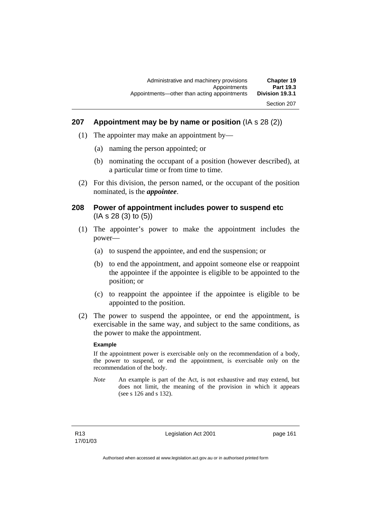## **207 Appointment may be by name or position** (IA s 28 (2))

- (1) The appointer may make an appointment by—
	- (a) naming the person appointed; or
	- (b) nominating the occupant of a position (however described), at a particular time or from time to time.
- (2) For this division, the person named, or the occupant of the position nominated, is the *appointee*.

### **208 Power of appointment includes power to suspend etc**  (IA s 28 (3) to (5))

- (1) The appointer's power to make the appointment includes the power—
	- (a) to suspend the appointee, and end the suspension; or
	- (b) to end the appointment, and appoint someone else or reappoint the appointee if the appointee is eligible to be appointed to the position; or
	- (c) to reappoint the appointee if the appointee is eligible to be appointed to the position.
- (2) The power to suspend the appointee, or end the appointment, is exercisable in the same way, and subject to the same conditions, as the power to make the appointment.

### **Example**

If the appointment power is exercisable only on the recommendation of a body, the power to suspend, or end the appointment, is exercisable only on the recommendation of the body.

*Note* An example is part of the Act, is not exhaustive and may extend, but does not limit, the meaning of the provision in which it appears (see s 126 and s 132).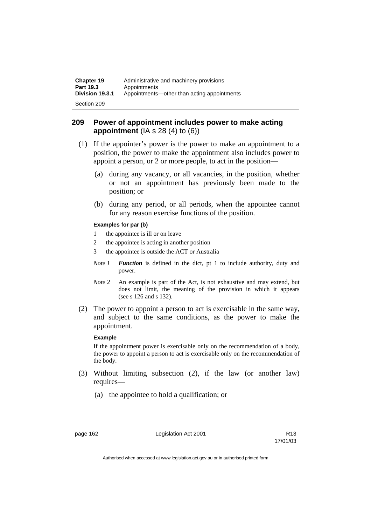| <b>Chapter 19</b> | Administrative and machinery provisions     |
|-------------------|---------------------------------------------|
| <b>Part 19.3</b>  | Appointments                                |
| Division 19.3.1   | Appointments—other than acting appointments |
| Section 209       |                                             |

### **209 Power of appointment includes power to make acting appointment** (IA s 28 (4) to (6))

- (1) If the appointer's power is the power to make an appointment to a position, the power to make the appointment also includes power to appoint a person, or 2 or more people, to act in the position—
	- (a) during any vacancy, or all vacancies, in the position, whether or not an appointment has previously been made to the position; or
	- (b) during any period, or all periods, when the appointee cannot for any reason exercise functions of the position.

### **Examples for par (b)**

- 1 the appointee is ill or on leave
- 2 the appointee is acting in another position
- 3 the appointee is outside the ACT or Australia
- *Note 1 Function* is defined in the dict, pt 1 to include authority, duty and power.
- *Note* 2 An example is part of the Act, is not exhaustive and may extend, but does not limit, the meaning of the provision in which it appears (see s 126 and s 132).
- (2) The power to appoint a person to act is exercisable in the same way, and subject to the same conditions, as the power to make the appointment.

#### **Example**

If the appointment power is exercisable only on the recommendation of a body, the power to appoint a person to act is exercisable only on the recommendation of the body.

- (3) Without limiting subsection (2), if the law (or another law) requires—
	- (a) the appointee to hold a qualification; or

page 162 Legislation Act 2001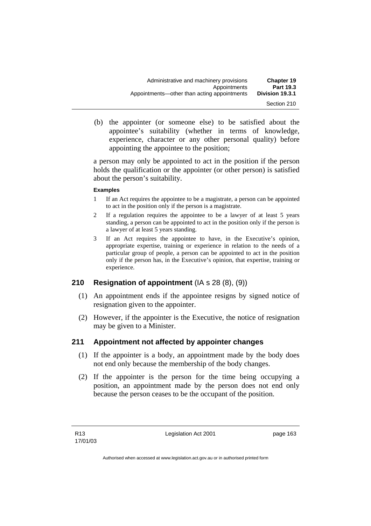(b) the appointer (or someone else) to be satisfied about the appointee's suitability (whether in terms of knowledge, experience, character or any other personal quality) before appointing the appointee to the position;

a person may only be appointed to act in the position if the person holds the qualification or the appointer (or other person) is satisfied about the person's suitability.

### **Examples**

- 1 If an Act requires the appointee to be a magistrate, a person can be appointed to act in the position only if the person is a magistrate.
- 2 If a regulation requires the appointee to be a lawyer of at least 5 years standing, a person can be appointed to act in the position only if the person is a lawyer of at least 5 years standing.
- 3 If an Act requires the appointee to have, in the Executive's opinion, appropriate expertise, training or experience in relation to the needs of a particular group of people, a person can be appointed to act in the position only if the person has, in the Executive's opinion, that expertise, training or experience.

## **210 Resignation of appointment** (IA s 28 (8), (9))

- (1) An appointment ends if the appointee resigns by signed notice of resignation given to the appointer.
- (2) However, if the appointer is the Executive, the notice of resignation may be given to a Minister.

## **211 Appointment not affected by appointer changes**

- (1) If the appointer is a body, an appointment made by the body does not end only because the membership of the body changes.
- (2) If the appointer is the person for the time being occupying a position, an appointment made by the person does not end only because the person ceases to be the occupant of the position.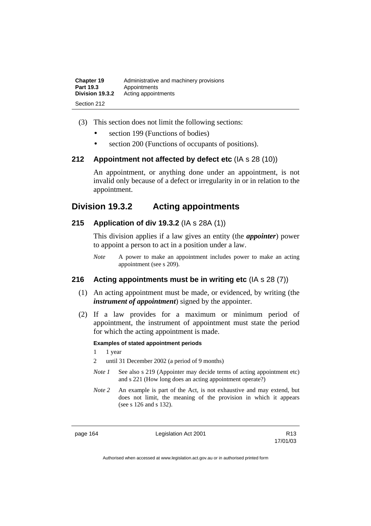| <b>Chapter 19</b> | Administrative and machinery provisions |
|-------------------|-----------------------------------------|
| <b>Part 19.3</b>  | Appointments                            |
| Division 19.3.2   | Acting appointments                     |
| Section 212       |                                         |

- (3) This section does not limit the following sections:
	- section 199 (Functions of bodies)
	- section 200 (Functions of occupants of positions).

### **212 Appointment not affected by defect etc** (IA s 28 (10))

An appointment, or anything done under an appointment, is not invalid only because of a defect or irregularity in or in relation to the appointment.

# **Division 19.3.2 Acting appointments**

## **215 Application of div 19.3.2** (IA s 28A (1))

This division applies if a law gives an entity (the *appointer*) power to appoint a person to act in a position under a law.

*Note* A power to make an appointment includes power to make an acting appointment (see s 209).

## **216 Acting appointments must be in writing etc** (IA s 28 (7))

- (1) An acting appointment must be made, or evidenced, by writing (the *instrument of appointment*) signed by the appointer.
- (2) If a law provides for a maximum or minimum period of appointment, the instrument of appointment must state the period for which the acting appointment is made.

### **Examples of stated appointment periods**

1 1 year

2 until 31 December 2002 (a period of 9 months)

- *Note 1* See also s 219 (Appointer may decide terms of acting appointment etc) and s 221 (How long does an acting appointment operate?)
- *Note 2* An example is part of the Act, is not exhaustive and may extend, but does not limit, the meaning of the provision in which it appears (see s 126 and s 132).

page 164 Legislation Act 2001

17/01/03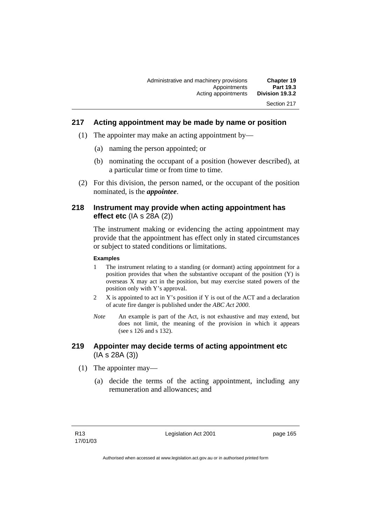## **217 Acting appointment may be made by name or position**

- (1) The appointer may make an acting appointment by—
	- (a) naming the person appointed; or
	- (b) nominating the occupant of a position (however described), at a particular time or from time to time.
- (2) For this division, the person named, or the occupant of the position nominated, is the *appointee*.

### **218 Instrument may provide when acting appointment has effect etc** (IA s 28A (2))

The instrument making or evidencing the acting appointment may provide that the appointment has effect only in stated circumstances or subject to stated conditions or limitations.

#### **Examples**

- 1 The instrument relating to a standing (or dormant) acting appointment for a position provides that when the substantive occupant of the position (Y) is overseas X may act in the position, but may exercise stated powers of the position only with Y's approval.
- 2 X is appointed to act in Y's position if Y is out of the ACT and a declaration of acute fire danger is published under the *ABC Act 2000*.
- *Note* An example is part of the Act, is not exhaustive and may extend, but does not limit, the meaning of the provision in which it appears (see s 126 and s 132).

## **219 Appointer may decide terms of acting appointment etc**  (IA s 28A (3))

- (1) The appointer may—
	- (a) decide the terms of the acting appointment, including any remuneration and allowances; and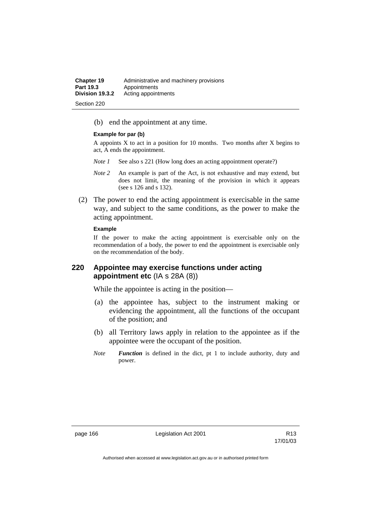| <b>Chapter 19</b> | Administrative and machinery provisions |
|-------------------|-----------------------------------------|
| <b>Part 19.3</b>  | Appointments                            |
| Division 19.3.2   | Acting appointments                     |
| Section 220       |                                         |

(b) end the appointment at any time.

#### **Example for par (b)**

A appoints  $X$  to act in a position for 10 months. Two months after  $X$  begins to act, A ends the appointment.

- *Note 1* See also s 221 (How long does an acting appointment operate?)
- *Note 2* An example is part of the Act, is not exhaustive and may extend, but does not limit, the meaning of the provision in which it appears (see s 126 and s 132).
- (2) The power to end the acting appointment is exercisable in the same way, and subject to the same conditions, as the power to make the acting appointment.

#### **Example**

If the power to make the acting appointment is exercisable only on the recommendation of a body, the power to end the appointment is exercisable only on the recommendation of the body.

## **220 Appointee may exercise functions under acting appointment etc** (IA s 28A (8))

While the appointee is acting in the position—

- (a) the appointee has, subject to the instrument making or evidencing the appointment, all the functions of the occupant of the position; and
- (b) all Territory laws apply in relation to the appointee as if the appointee were the occupant of the position.
- *Note Function* is defined in the dict, pt 1 to include authority, duty and power.

page 166 **Legislation Act 2001** CH<sub>2</sub> R13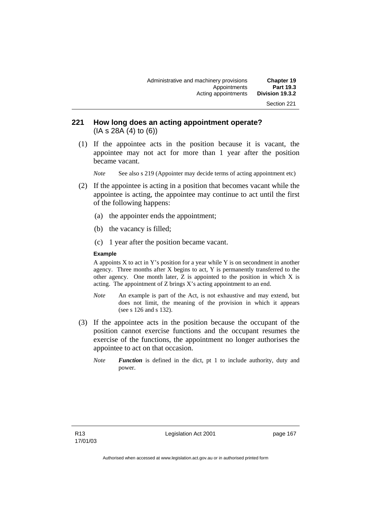## **221 How long does an acting appointment operate?**  (IA s 28A (4) to (6))

 (1) If the appointee acts in the position because it is vacant, the appointee may not act for more than 1 year after the position became vacant.

*Note* See also s 219 (Appointer may decide terms of acting appointment etc)

- (2) If the appointee is acting in a position that becomes vacant while the appointee is acting, the appointee may continue to act until the first of the following happens:
	- (a) the appointer ends the appointment;
	- (b) the vacancy is filled;
	- (c) 1 year after the position became vacant.

#### **Example**

A appoints  $X$  to act in Y's position for a year while Y is on secondment in another agency. Three months after X begins to act, Y is permanently transferred to the other agency. One month later,  $Z$  is appointed to the position in which  $X$  is acting. The appointment of Z brings X's acting appointment to an end.

- *Note* An example is part of the Act, is not exhaustive and may extend, but does not limit, the meaning of the provision in which it appears (see s 126 and s 132).
- (3) If the appointee acts in the position because the occupant of the position cannot exercise functions and the occupant resumes the exercise of the functions, the appointment no longer authorises the appointee to act on that occasion.
	- *Note Function* is defined in the dict, pt 1 to include authority, duty and power.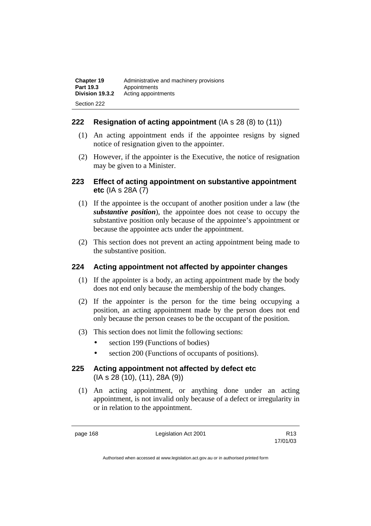| <b>Chapter 19</b> | Administrative and machinery provisions |
|-------------------|-----------------------------------------|
| <b>Part 19.3</b>  | Appointments                            |
| Division 19.3.2   | Acting appointments                     |
| Section 222       |                                         |

## **222 Resignation of acting appointment** (IA s 28 (8) to (11))

- (1) An acting appointment ends if the appointee resigns by signed notice of resignation given to the appointer.
- (2) However, if the appointer is the Executive, the notice of resignation may be given to a Minister.

## **223 Effect of acting appointment on substantive appointment etc** (IA s 28A (7)

- (1) If the appointee is the occupant of another position under a law (the *substantive position*), the appointee does not cease to occupy the substantive position only because of the appointee's appointment or because the appointee acts under the appointment.
- (2) This section does not prevent an acting appointment being made to the substantive position.

## **224 Acting appointment not affected by appointer changes**

- (1) If the appointer is a body, an acting appointment made by the body does not end only because the membership of the body changes.
- (2) If the appointer is the person for the time being occupying a position, an acting appointment made by the person does not end only because the person ceases to be the occupant of the position.
- (3) This section does not limit the following sections:
	- section 199 (Functions of bodies)
	- section 200 (Functions of occupants of positions).
- **225 Acting appointment not affected by defect etc**  (IA s 28 (10), (11), 28A (9))
	- (1) An acting appointment, or anything done under an acting appointment, is not invalid only because of a defect or irregularity in or in relation to the appointment.

page 168 Legislation Act 2001

17/01/03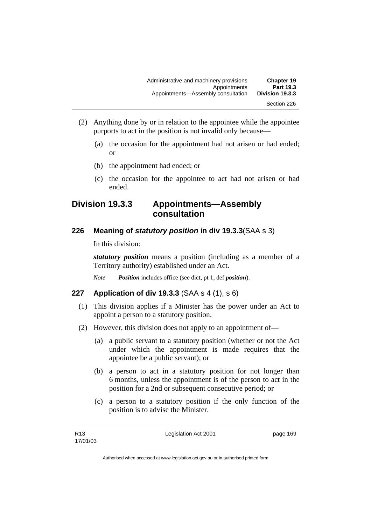| <b>Chapter 19</b><br>Part 19.3 | Administrative and machinery provisions<br>Appointments |
|--------------------------------|---------------------------------------------------------|
| Division 19.3.3                | Appointments-Assembly consultation                      |
| Section 226                    |                                                         |

- (2) Anything done by or in relation to the appointee while the appointee purports to act in the position is not invalid only because—
	- (a) the occasion for the appointment had not arisen or had ended; or
	- (b) the appointment had ended; or
	- (c) the occasion for the appointee to act had not arisen or had ended.

## **Division 19.3.3 Appointments—Assembly consultation**

## **226 Meaning of** *statutory position* **in div 19.3.3**(SAA s 3)

In this division:

*statutory position* means a position (including as a member of a Territory authority) established under an Act.

*Note Position* includes office (see dict, pt 1, def *position*).

## **227 Application of div 19.3.3** (SAA s 4 (1), s 6)

- (1) This division applies if a Minister has the power under an Act to appoint a person to a statutory position.
- (2) However, this division does not apply to an appointment of—
	- (a) a public servant to a statutory position (whether or not the Act under which the appointment is made requires that the appointee be a public servant); or
	- (b) a person to act in a statutory position for not longer than 6 months, unless the appointment is of the person to act in the position for a 2nd or subsequent consecutive period; or
	- (c) a person to a statutory position if the only function of the position is to advise the Minister.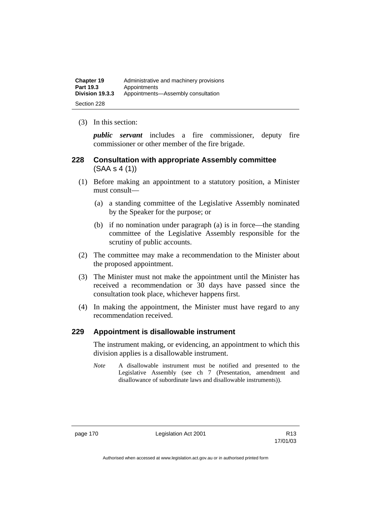| <b>Chapter 19</b> | Administrative and machinery provisions |
|-------------------|-----------------------------------------|
| Part 19.3         | Appointments                            |
| Division 19.3.3   | Appointments-Assembly consultation      |
| Section 228       |                                         |

(3) In this section:

*public servant* includes a fire commissioner, deputy fire commissioner or other member of the fire brigade.

## **228 Consultation with appropriate Assembly committee**  (SAA s 4 (1))

- (1) Before making an appointment to a statutory position, a Minister must consult—
	- (a) a standing committee of the Legislative Assembly nominated by the Speaker for the purpose; or
	- (b) if no nomination under paragraph (a) is in force—the standing committee of the Legislative Assembly responsible for the scrutiny of public accounts.
- (2) The committee may make a recommendation to the Minister about the proposed appointment.
- (3) The Minister must not make the appointment until the Minister has received a recommendation or 30 days have passed since the consultation took place, whichever happens first.
- (4) In making the appointment, the Minister must have regard to any recommendation received.

## **229 Appointment is disallowable instrument**

The instrument making, or evidencing, an appointment to which this division applies is a disallowable instrument.

*Note* A disallowable instrument must be notified and presented to the Legislative Assembly (see ch 7 (Presentation, amendment and disallowance of subordinate laws and disallowable instruments)).

page 170 Legislation Act 2001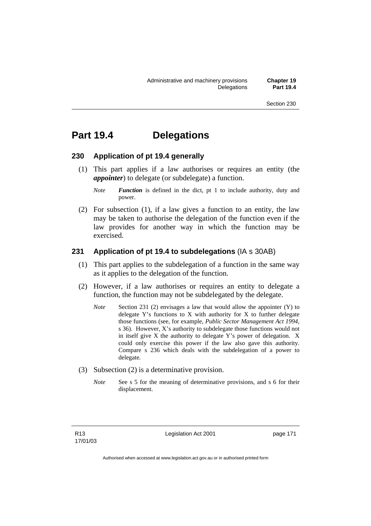## **Part 19.4 Delegations**

#### **230 Application of pt 19.4 generally**

- (1) This part applies if a law authorises or requires an entity (the *appointer*) to delegate (or subdelegate) a function.
	- *Note Function* is defined in the dict, pt 1 to include authority, duty and power.
- (2) For subsection (1), if a law gives a function to an entity, the law may be taken to authorise the delegation of the function even if the law provides for another way in which the function may be exercised.

## **231 Application of pt 19.4 to subdelegations** (IA s 30AB)

- (1) This part applies to the subdelegation of a function in the same way as it applies to the delegation of the function.
- (2) However, if a law authorises or requires an entity to delegate a function, the function may not be subdelegated by the delegate.
	- *Note* Section 231 (2) envisages a law that would allow the appointer (Y) to delegate Y's functions to X with authority for X to further delegate those functions (see, for example, *Public Sector Management Act 1994,*  s 36). However, X's authority to subdelegate those functions would not in itself give X the authority to delegate Y's power of delegation. X could only exercise this power if the law also gave this authority. Compare s 236 which deals with the subdelegation of a power to delegate*.*
- (3) Subsection (2) is a determinative provision.
	- *Note* See s 5 for the meaning of determinative provisions, and s 6 for their displacement.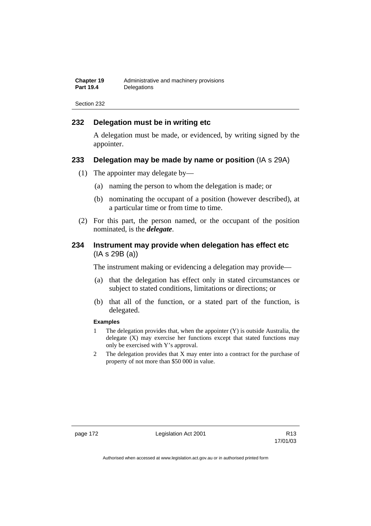| <b>Chapter 19</b> | Administrative and machinery provisions |
|-------------------|-----------------------------------------|
| <b>Part 19.4</b>  | Delegations                             |

## **232 Delegation must be in writing etc**

A delegation must be made, or evidenced, by writing signed by the appointer.

### **233 Delegation may be made by name or position** (IA s 29A)

- (1) The appointer may delegate by—
	- (a) naming the person to whom the delegation is made; or
	- (b) nominating the occupant of a position (however described), at a particular time or from time to time.
- (2) For this part, the person named, or the occupant of the position nominated, is the *delegate*.

## **234 Instrument may provide when delegation has effect etc**  (IA s 29B (a))

The instrument making or evidencing a delegation may provide—

- (a) that the delegation has effect only in stated circumstances or subject to stated conditions, limitations or directions; or
- (b) that all of the function, or a stated part of the function, is delegated.

#### **Examples**

- 1 The delegation provides that, when the appointer (Y) is outside Australia, the delegate (X) may exercise her functions except that stated functions may only be exercised with Y's approval.
- 2 The delegation provides that X may enter into a contract for the purchase of property of not more than \$50 000 in value.

page 172 Legislation Act 2001

17/01/03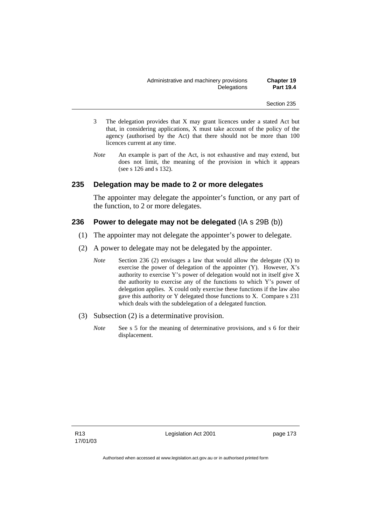| Administrative and machinery provisions |             | <b>Chapter 19</b> |
|-----------------------------------------|-------------|-------------------|
|                                         | Delegations | <b>Part 19.4</b>  |

- 3 The delegation provides that X may grant licences under a stated Act but that, in considering applications, X must take account of the policy of the agency (authorised by the Act) that there should not be more than 100 licences current at any time.
- *Note* An example is part of the Act, is not exhaustive and may extend, but does not limit, the meaning of the provision in which it appears (see s 126 and s 132).

### **235 Delegation may be made to 2 or more delegates**

The appointer may delegate the appointer's function, or any part of the function, to 2 or more delegates.

### **236 Power to delegate may not be delegated** (IA s 29B (b))

- (1) The appointer may not delegate the appointer's power to delegate.
- (2) A power to delegate may not be delegated by the appointer.
	- *Note* Section 236 (2) envisages a law that would allow the delegate (X) to exercise the power of delegation of the appointer (Y). However, X's authority to exercise Y's power of delegation would not in itself give X the authority to exercise any of the functions to which Y's power of delegation applies. X could only exercise these functions if the law also gave this authority or Y delegated those functions to X. Compare s 231 which deals with the subdelegation of a delegated function.
- (3) Subsection (2) is a determinative provision.
	- *Note* See s 5 for the meaning of determinative provisions, and s 6 for their displacement.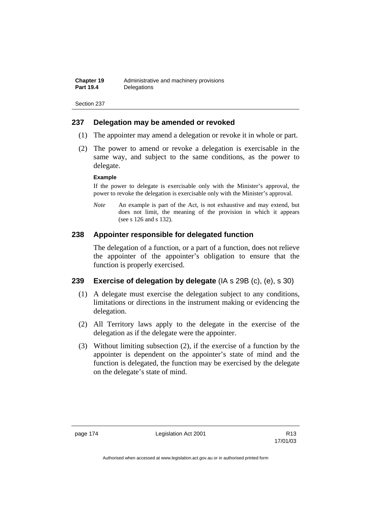## **237 Delegation may be amended or revoked**

- (1) The appointer may amend a delegation or revoke it in whole or part.
- (2) The power to amend or revoke a delegation is exercisable in the same way, and subject to the same conditions, as the power to delegate.

#### **Example**

If the power to delegate is exercisable only with the Minister's approval, the power to revoke the delegation is exercisable only with the Minister's approval.

*Note* An example is part of the Act, is not exhaustive and may extend, but does not limit, the meaning of the provision in which it appears (see s 126 and s 132).

## **238 Appointer responsible for delegated function**

The delegation of a function, or a part of a function, does not relieve the appointer of the appointer's obligation to ensure that the function is properly exercised.

## **239 Exercise of delegation by delegate** (IA s 29B (c), (e), s 30)

- (1) A delegate must exercise the delegation subject to any conditions, limitations or directions in the instrument making or evidencing the delegation.
- (2) All Territory laws apply to the delegate in the exercise of the delegation as if the delegate were the appointer.
- (3) Without limiting subsection (2), if the exercise of a function by the appointer is dependent on the appointer's state of mind and the function is delegated, the function may be exercised by the delegate on the delegate's state of mind.

page 174 Legislation Act 2001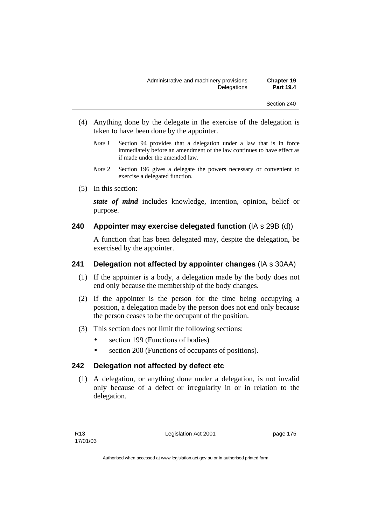- (4) Anything done by the delegate in the exercise of the delegation is taken to have been done by the appointer.
	- *Note 1* Section 94 provides that a delegation under a law that is in force immediately before an amendment of the law continues to have effect as if made under the amended law.
	- *Note 2* Section 196 gives a delegate the powers necessary or convenient to exercise a delegated function.
- (5) In this section:

*state of mind* includes knowledge, intention, opinion, belief or purpose.

## **240 Appointer may exercise delegated function** (IA s 29B (d))

A function that has been delegated may, despite the delegation, be exercised by the appointer.

## **241 Delegation not affected by appointer changes** (IA s 30AA)

- (1) If the appointer is a body, a delegation made by the body does not end only because the membership of the body changes.
- (2) If the appointer is the person for the time being occupying a position, a delegation made by the person does not end only because the person ceases to be the occupant of the position.
- (3) This section does not limit the following sections:
	- section 199 (Functions of bodies)
	- section 200 (Functions of occupants of positions).

## **242 Delegation not affected by defect etc**

 (1) A delegation, or anything done under a delegation, is not invalid only because of a defect or irregularity in or in relation to the delegation.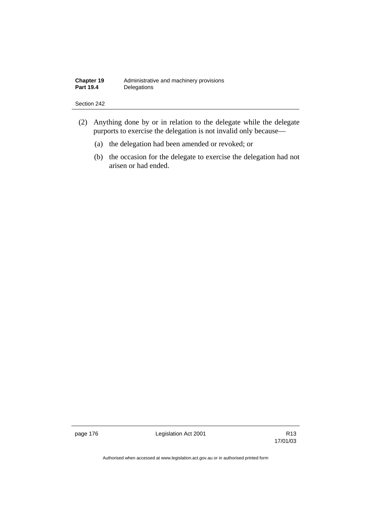| <b>Chapter 19</b> | Administrative and machinery provisions |
|-------------------|-----------------------------------------|
| <b>Part 19.4</b>  | Delegations                             |

- (2) Anything done by or in relation to the delegate while the delegate purports to exercise the delegation is not invalid only because—
	- (a) the delegation had been amended or revoked; or
	- (b) the occasion for the delegate to exercise the delegation had not arisen or had ended.

page 176 **Legislation Act 2001** Constants R13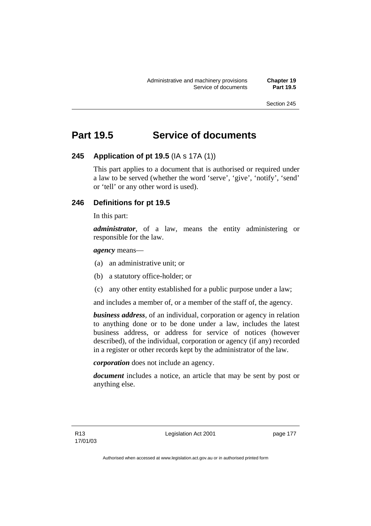## **Part 19.5 Service of documents**

## **245 Application of pt 19.5** (IA s 17A (1))

This part applies to a document that is authorised or required under a law to be served (whether the word 'serve', 'give', 'notify', 'send' or 'tell' or any other word is used).

## **246 Definitions for pt 19.5**

In this part:

*administrator*, of a law, means the entity administering or responsible for the law.

*agency* means—

- (a) an administrative unit; or
- (b) a statutory office-holder; or
- (c) any other entity established for a public purpose under a law;

and includes a member of, or a member of the staff of, the agency.

*business address*, of an individual, corporation or agency in relation to anything done or to be done under a law, includes the latest business address, or address for service of notices (however described), of the individual, corporation or agency (if any) recorded in a register or other records kept by the administrator of the law.

*corporation* does not include an agency.

*document* includes a notice, an article that may be sent by post or anything else.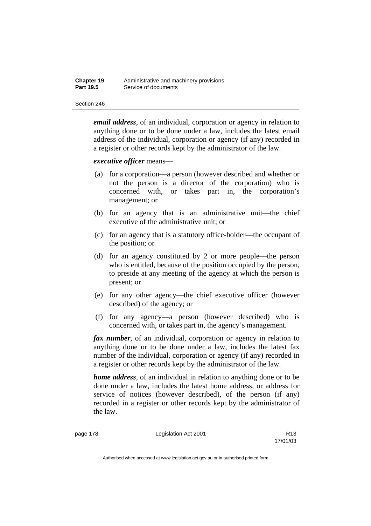| <b>Chapter 19</b> | Administrative and machinery provisions |
|-------------------|-----------------------------------------|
| <b>Part 19.5</b>  | Service of documents                    |

*email address*, of an individual, corporation or agency in relation to anything done or to be done under a law, includes the latest email address of the individual, corporation or agency (if any) recorded in a register or other records kept by the administrator of the law.

*executive officer* means—

- (a) for a corporation—a person (however described and whether or not the person is a director of the corporation) who is concerned with, or takes part in, the corporation's management; or
- (b) for an agency that is an administrative unit—the chief executive of the administrative unit; or
- (c) for an agency that is a statutory office-holder—the occupant of the position; or
- (d) for an agency constituted by 2 or more people—the person who is entitled, because of the position occupied by the person, to preside at any meeting of the agency at which the person is present; or
- (e) for any other agency—the chief executive officer (however described) of the agency; or
- (f) for any agency—a person (however described) who is concerned with, or takes part in, the agency's management.

*fax number*, of an individual, corporation or agency in relation to anything done or to be done under a law, includes the latest fax number of the individual, corporation or agency (if any) recorded in a register or other records kept by the administrator of the law.

*home address*, of an individual in relation to anything done or to be done under a law, includes the latest home address, or address for service of notices (however described), of the person (if any) recorded in a register or other records kept by the administrator of the law.

page 178 Legislation Act 2001

17/01/03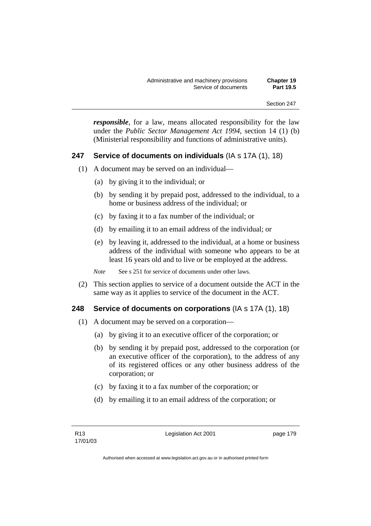*responsible*, for a law, means allocated responsibility for the law under the *Public Sector Management Act 1994*, section 14 (1) (b) (Ministerial responsibility and functions of administrative units).

## **247 Service of documents on individuals** (IA s 17A (1), 18)

- (1) A document may be served on an individual—
	- (a) by giving it to the individual; or
	- (b) by sending it by prepaid post, addressed to the individual, to a home or business address of the individual; or
	- (c) by faxing it to a fax number of the individual; or
	- (d) by emailing it to an email address of the individual; or
	- (e) by leaving it, addressed to the individual, at a home or business address of the individual with someone who appears to be at least 16 years old and to live or be employed at the address.
	- *Note* See s 251 for service of documents under other laws.
- (2) This section applies to service of a document outside the ACT in the same way as it applies to service of the document in the ACT.

### **248 Service of documents on corporations** (IA s 17A (1), 18)

- (1) A document may be served on a corporation—
	- (a) by giving it to an executive officer of the corporation; or
	- (b) by sending it by prepaid post, addressed to the corporation (or an executive officer of the corporation), to the address of any of its registered offices or any other business address of the corporation; or
	- (c) by faxing it to a fax number of the corporation; or
	- (d) by emailing it to an email address of the corporation; or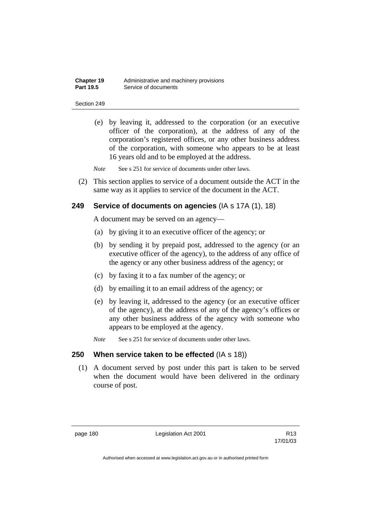| Chapter 19       | Administrative and machinery provisions |
|------------------|-----------------------------------------|
| <b>Part 19.5</b> | Service of documents                    |

 (e) by leaving it, addressed to the corporation (or an executive officer of the corporation), at the address of any of the corporation's registered offices, or any other business address of the corporation, with someone who appears to be at least 16 years old and to be employed at the address.

*Note* See s 251 for service of documents under other laws.

 (2) This section applies to service of a document outside the ACT in the same way as it applies to service of the document in the ACT.

## **249 Service of documents on agencies** (IA s 17A (1), 18)

A document may be served on an agency—

- (a) by giving it to an executive officer of the agency; or
- (b) by sending it by prepaid post, addressed to the agency (or an executive officer of the agency), to the address of any office of the agency or any other business address of the agency; or
- (c) by faxing it to a fax number of the agency; or
- (d) by emailing it to an email address of the agency; or
- (e) by leaving it, addressed to the agency (or an executive officer of the agency), at the address of any of the agency's offices or any other business address of the agency with someone who appears to be employed at the agency.
- *Note* See s 251 for service of documents under other laws.

## **250 When service taken to be effected** (IA s 18))

 (1) A document served by post under this part is taken to be served when the document would have been delivered in the ordinary course of post.

page 180 Legislation Act 2001

17/01/03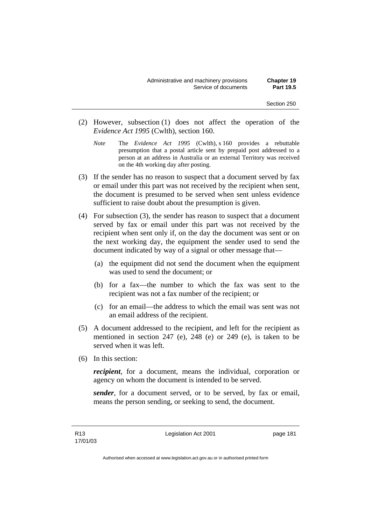- (2) However, subsection (1) does not affect the operation of the *Evidence Act 1995* (Cwlth), section 160.
	- *Note* The *Evidence Act 1995* (Cwlth), s 160 provides a rebuttable presumption that a postal article sent by prepaid post addressed to a person at an address in Australia or an external Territory was received on the 4th working day after posting.
- (3) If the sender has no reason to suspect that a document served by fax or email under this part was not received by the recipient when sent, the document is presumed to be served when sent unless evidence sufficient to raise doubt about the presumption is given.
- (4) For subsection (3), the sender has reason to suspect that a document served by fax or email under this part was not received by the recipient when sent only if, on the day the document was sent or on the next working day, the equipment the sender used to send the document indicated by way of a signal or other message that—
	- (a) the equipment did not send the document when the equipment was used to send the document; or
	- (b) for a fax—the number to which the fax was sent to the recipient was not a fax number of the recipient; or
	- (c) for an email—the address to which the email was sent was not an email address of the recipient.
- (5) A document addressed to the recipient, and left for the recipient as mentioned in section 247 (e), 248 (e) or 249 (e), is taken to be served when it was left.
- (6) In this section:

*recipient*, for a document, means the individual, corporation or agency on whom the document is intended to be served.

*sender*, for a document served, or to be served, by fax or email, means the person sending, or seeking to send, the document.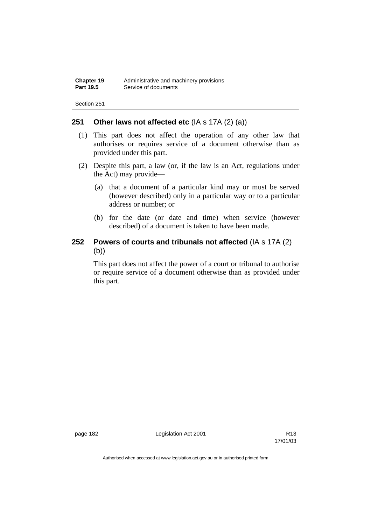## **251 Other laws not affected etc** (IA s 17A (2) (a))

- (1) This part does not affect the operation of any other law that authorises or requires service of a document otherwise than as provided under this part.
- (2) Despite this part, a law (or, if the law is an Act, regulations under the Act) may provide—
	- (a) that a document of a particular kind may or must be served (however described) only in a particular way or to a particular address or number; or
	- (b) for the date (or date and time) when service (however described) of a document is taken to have been made.

## **252 Powers of courts and tribunals not affected** (IA s 17A (2) (b))

This part does not affect the power of a court or tribunal to authorise or require service of a document otherwise than as provided under this part.

page 182 Legislation Act 2001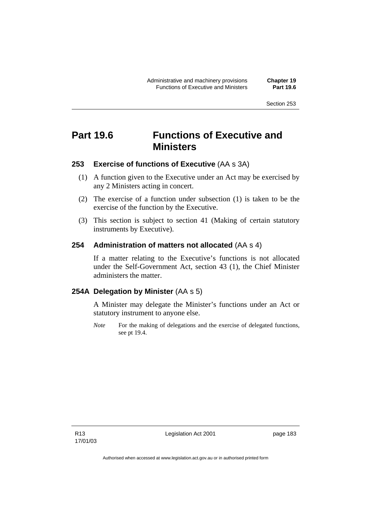## **Part 19.6 Functions of Executive and Ministers**

## **253 Exercise of functions of Executive** (AA s 3A)

- (1) A function given to the Executive under an Act may be exercised by any 2 Ministers acting in concert.
- (2) The exercise of a function under subsection (1) is taken to be the exercise of the function by the Executive.
- (3) This section is subject to section 41 (Making of certain statutory instruments by Executive).

## **254 Administration of matters not allocated** (AA s 4)

If a matter relating to the Executive's functions is not allocated under the Self-Government Act, section 43 (1), the Chief Minister administers the matter.

## **254A Delegation by Minister** (AA s 5)

A Minister may delegate the Minister's functions under an Act or statutory instrument to anyone else.

*Note* For the making of delegations and the exercise of delegated functions, see pt 19.4.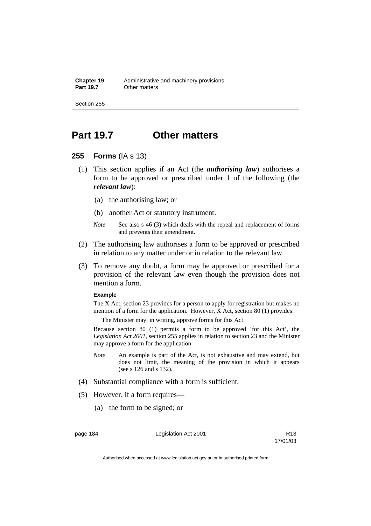## **Part 19.7 Other matters**

## **255 Forms** (IA s 13)

- (1) This section applies if an Act (the *authorising law*) authorises a form to be approved or prescribed under 1 of the following (the *relevant law*):
	- (a) the authorising law; or
	- (b) another Act or statutory instrument.
	- *Note* See also s 46 (3) which deals with the repeal and replacement of forms and prevents their amendment.
- (2) The authorising law authorises a form to be approved or prescribed in relation to any matter under or in relation to the relevant law.
- (3) To remove any doubt, a form may be approved or prescribed for a provision of the relevant law even though the provision does not mention a form.

#### **Example**

The X Act, section 23 provides for a person to apply for registration but makes no mention of a form for the application. However, X Act, section 80 (1) provides:

The Minister may, in writing, approve forms for this Act.

Because section 80 (1) permits a form to be approved 'for this Act', the *Legislation Act 2001*, section 255 applies in relation to section 23 and the Minister may approve a form for the application.

- *Note* An example is part of the Act, is not exhaustive and may extend, but does not limit, the meaning of the provision in which it appears (see s 126 and s 132).
- (4) Substantial compliance with a form is sufficient.
- (5) However, if a form requires—
	- (a) the form to be signed; or

page 184 Legislation Act 2001

17/01/03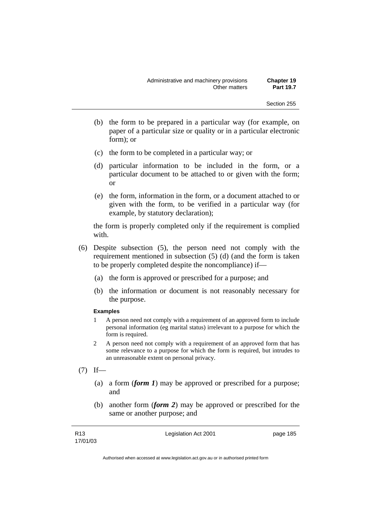- (b) the form to be prepared in a particular way (for example, on paper of a particular size or quality or in a particular electronic form); or
- (c) the form to be completed in a particular way; or
- (d) particular information to be included in the form, or a particular document to be attached to or given with the form; or
- (e) the form, information in the form, or a document attached to or given with the form, to be verified in a particular way (for example, by statutory declaration);

the form is properly completed only if the requirement is complied with.

- (6) Despite subsection (5), the person need not comply with the requirement mentioned in subsection (5) (d) (and the form is taken to be properly completed despite the noncompliance) if—
	- (a) the form is approved or prescribed for a purpose; and
	- (b) the information or document is not reasonably necessary for the purpose.

#### **Examples**

- 1 A person need not comply with a requirement of an approved form to include personal information (eg marital status) irrelevant to a purpose for which the form is required.
- 2 A person need not comply with a requirement of an approved form that has some relevance to a purpose for which the form is required, but intrudes to an unreasonable extent on personal privacy.
- $(7)$  If—
	- (a) a form (*form 1*) may be approved or prescribed for a purpose; and
	- (b) another form (*form 2*) may be approved or prescribed for the same or another purpose; and

Legislation Act 2001 **page 185**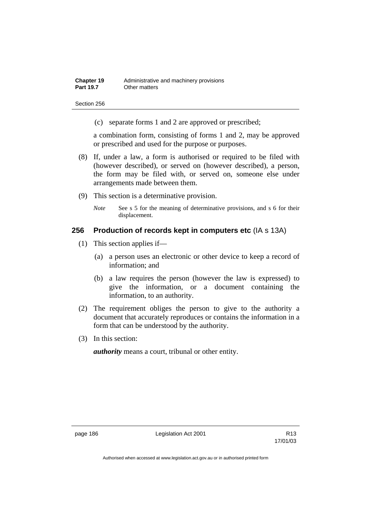(c) separate forms 1 and 2 are approved or prescribed;

a combination form, consisting of forms 1 and 2, may be approved or prescribed and used for the purpose or purposes.

- (8) If, under a law, a form is authorised or required to be filed with (however described), or served on (however described), a person, the form may be filed with, or served on, someone else under arrangements made between them.
- (9) This section is a determinative provision.
	- *Note* See s 5 for the meaning of determinative provisions, and s 6 for their displacement.

## **256 Production of records kept in computers etc** (IA s 13A)

- (1) This section applies if—
	- (a) a person uses an electronic or other device to keep a record of information; and
	- (b) a law requires the person (however the law is expressed) to give the information, or a document containing the information, to an authority.
- (2) The requirement obliges the person to give to the authority a document that accurately reproduces or contains the information in a form that can be understood by the authority.
- (3) In this section:

*authority* means a court, tribunal or other entity.

page 186 Legislation Act 2001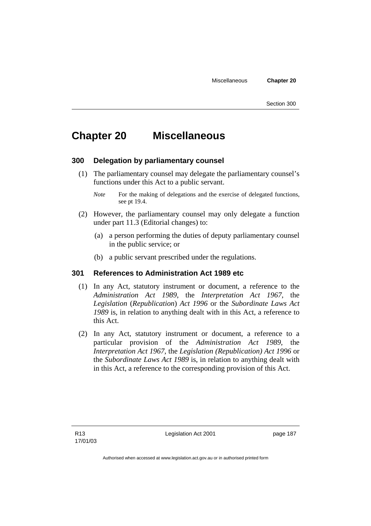## **Chapter 20 Miscellaneous**

### **300 Delegation by parliamentary counsel**

- (1) The parliamentary counsel may delegate the parliamentary counsel's functions under this Act to a public servant.
	- *Note* For the making of delegations and the exercise of delegated functions, see pt 19.4.
- (2) However, the parliamentary counsel may only delegate a function under part 11.3 (Editorial changes) to:
	- (a) a person performing the duties of deputy parliamentary counsel in the public service; or
	- (b) a public servant prescribed under the regulations.

## **301 References to Administration Act 1989 etc**

- (1) In any Act, statutory instrument or document, a reference to the *Administration Act 1989*, the *Interpretation Act 1967*, the *Legislation* (*Republication*) *Act 1996* or the *Subordinate Laws Act 1989* is, in relation to anything dealt with in this Act, a reference to this Act.
- (2) In any Act, statutory instrument or document, a reference to a particular provision of the *Administration Act 1989*, the *Interpretation Act 1967*, the *Legislation (Republication) Act 1996* or the *Subordinate Laws Act 1989* is, in relation to anything dealt with in this Act, a reference to the corresponding provision of this Act.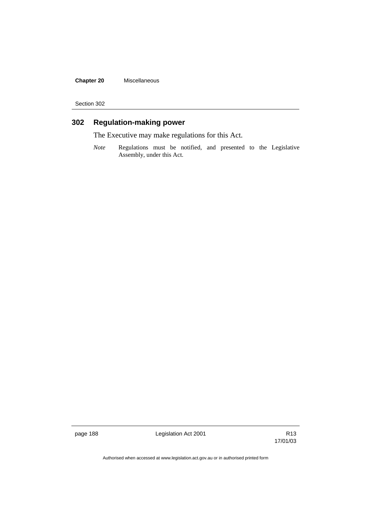**Chapter 20** Miscellaneous

Section 302

## **302 Regulation-making power**

The Executive may make regulations for this Act.

*Note* Regulations must be notified, and presented to the Legislative Assembly, under this Act.

page 188 **Legislation Act 2001** Constants R13

17/01/03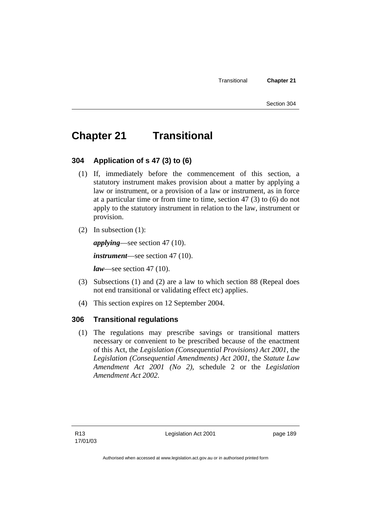## **Chapter 21 Transitional**

## **304 Application of s 47 (3) to (6)**

- (1) If, immediately before the commencement of this section, a statutory instrument makes provision about a matter by applying a law or instrument, or a provision of a law or instrument, as in force at a particular time or from time to time, section 47 (3) to (6) do not apply to the statutory instrument in relation to the law, instrument or provision.
- (2) In subsection (1):

*applying*—see section 47 (10).

*instrument*—see section 47 (10).

*law*—see section 47 (10).

- (3) Subsections (1) and (2) are a law to which section 88 (Repeal does not end transitional or validating effect etc) applies.
- (4) This section expires on 12 September 2004.

## **306 Transitional regulations**

 (1) The regulations may prescribe savings or transitional matters necessary or convenient to be prescribed because of the enactment of this Act, the *Legislation (Consequential Provisions) Act 2001*, the *Legislation (Consequential Amendments) Act 2001*, the *Statute Law Amendment Act 2001 (No 2)*, schedule 2 or the *Legislation Amendment Act 2002*.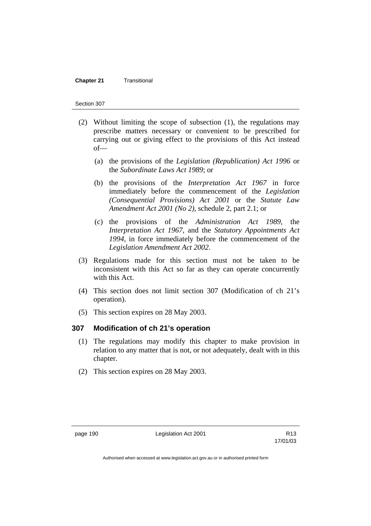#### **Chapter 21 Transitional**

#### Section 307

- (2) Without limiting the scope of subsection (1), the regulations may prescribe matters necessary or convenient to be prescribed for carrying out or giving effect to the provisions of this Act instead of—
	- (a) the provisions of the *Legislation (Republication) Act 1996* or the *Subordinate Laws Act 1989*; or
	- (b) the provisions of the *Interpretation Act 1967* in force immediately before the commencement of the *Legislation (Consequential Provisions) Act 2001* or the *Statute Law Amendment Act 2001 (No 2)*, schedule 2, part 2.1; or
	- (c) the provisions of the *Administration Act 1989*, the *Interpretation Act 1967*, and the *Statutory Appointments Act 1994*, in force immediately before the commencement of the *Legislation Amendment Act 2002*.
- (3) Regulations made for this section must not be taken to be inconsistent with this Act so far as they can operate concurrently with this Act.
- (4) This section does not limit section 307 (Modification of ch 21's operation).
- (5) This section expires on 28 May 2003.

## **307 Modification of ch 21's operation**

- (1) The regulations may modify this chapter to make provision in relation to any matter that is not, or not adequately, dealt with in this chapter.
- (2) This section expires on 28 May 2003.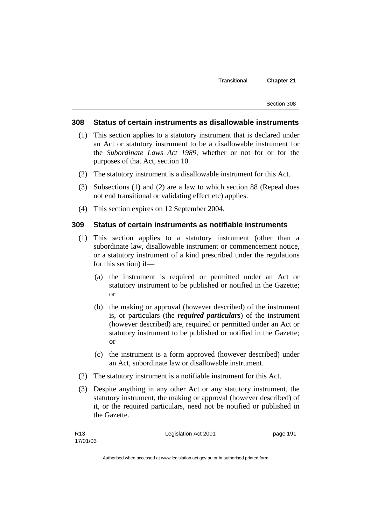### **308 Status of certain instruments as disallowable instruments**

- (1) This section applies to a statutory instrument that is declared under an Act or statutory instrument to be a disallowable instrument for the *Subordinate Laws Act 1989*, whether or not for or for the purposes of that Act, section 10.
- (2) The statutory instrument is a disallowable instrument for this Act.
- (3) Subsections (1) and (2) are a law to which section 88 (Repeal does not end transitional or validating effect etc) applies.
- (4) This section expires on 12 September 2004.

### **309 Status of certain instruments as notifiable instruments**

- (1) This section applies to a statutory instrument (other than a subordinate law, disallowable instrument or commencement notice, or a statutory instrument of a kind prescribed under the regulations for this section) if—
	- (a) the instrument is required or permitted under an Act or statutory instrument to be published or notified in the Gazette; or
	- (b) the making or approval (however described) of the instrument is, or particulars (the *required particulars*) of the instrument (however described) are, required or permitted under an Act or statutory instrument to be published or notified in the Gazette; or
	- (c) the instrument is a form approved (however described) under an Act, subordinate law or disallowable instrument.
- (2) The statutory instrument is a notifiable instrument for this Act.
- (3) Despite anything in any other Act or any statutory instrument, the statutory instrument, the making or approval (however described) of it, or the required particulars, need not be notified or published in the Gazette.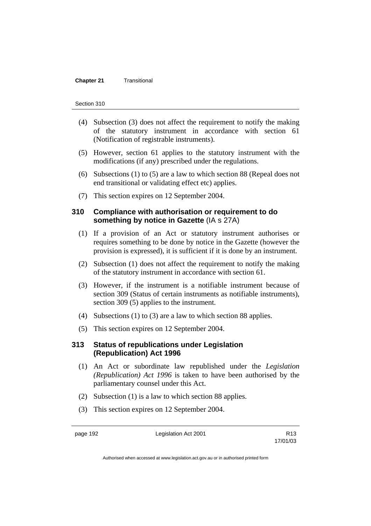#### **Chapter 21 Transitional**

#### Section 310

- (4) Subsection (3) does not affect the requirement to notify the making of the statutory instrument in accordance with section 61 (Notification of registrable instruments).
- (5) However, section 61 applies to the statutory instrument with the modifications (if any) prescribed under the regulations.
- (6) Subsections (1) to (5) are a law to which section 88 (Repeal does not end transitional or validating effect etc) applies.
- (7) This section expires on 12 September 2004.

## **310 Compliance with authorisation or requirement to do something by notice in Gazette** (IA s 27A)

- (1) If a provision of an Act or statutory instrument authorises or requires something to be done by notice in the Gazette (however the provision is expressed), it is sufficient if it is done by an instrument.
- (2) Subsection (1) does not affect the requirement to notify the making of the statutory instrument in accordance with section 61.
- (3) However, if the instrument is a notifiable instrument because of section 309 (Status of certain instruments as notifiable instruments), section 309 (5) applies to the instrument.
- (4) Subsections (1) to (3) are a law to which section 88 applies.
- (5) This section expires on 12 September 2004.

## **313 Status of republications under Legislation (Republication) Act 1996**

- (1) An Act or subordinate law republished under the *Legislation (Republication) Act 1996* is taken to have been authorised by the parliamentary counsel under this Act.
- (2) Subsection (1) is a law to which section 88 applies.
- (3) This section expires on 12 September 2004.

page 192 Legislation Act 2001

17/01/03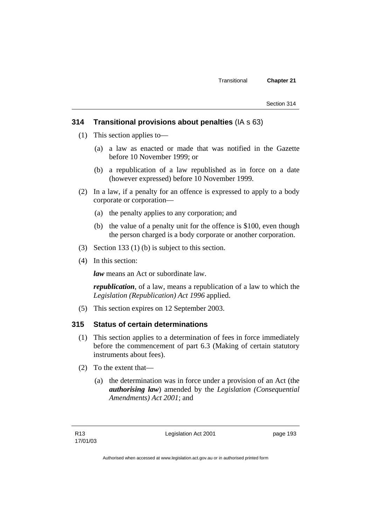## **314 Transitional provisions about penalties** (IA s 63)

- (1) This section applies to—
	- (a) a law as enacted or made that was notified in the Gazette before 10 November 1999; or
	- (b) a republication of a law republished as in force on a date (however expressed) before 10 November 1999.
- (2) In a law, if a penalty for an offence is expressed to apply to a body corporate or corporation—
	- (a) the penalty applies to any corporation; and
	- (b) the value of a penalty unit for the offence is \$100, even though the person charged is a body corporate or another corporation.
- (3) Section 133 (1) (b) is subject to this section.
- (4) In this section:

*law* means an Act or subordinate law.

*republication*, of a law, means a republication of a law to which the *Legislation (Republication) Act 1996* applied.

(5) This section expires on 12 September 2003.

## **315 Status of certain determinations**

- (1) This section applies to a determination of fees in force immediately before the commencement of part 6.3 (Making of certain statutory instruments about fees).
- (2) To the extent that—
	- (a) the determination was in force under a provision of an Act (the *authorising law*) amended by the *Legislation (Consequential Amendments) Act 2001*; and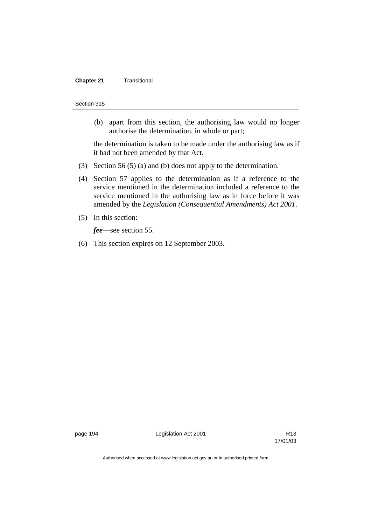#### **Chapter 21 Transitional**

#### Section 315

 (b) apart from this section, the authorising law would no longer authorise the determination, in whole or part;

the determination is taken to be made under the authorising law as if it had not been amended by that Act.

- (3) Section 56 (5) (a) and (b) does not apply to the determination.
- (4) Section 57 applies to the determination as if a reference to the service mentioned in the determination included a reference to the service mentioned in the authorising law as in force before it was amended by the *Legislation (Consequential Amendments) Act 2001*.
- (5) In this section:

*fee*—see section 55.

(6) This section expires on 12 September 2003.

page 194 **Legislation Act 2001** Constants R13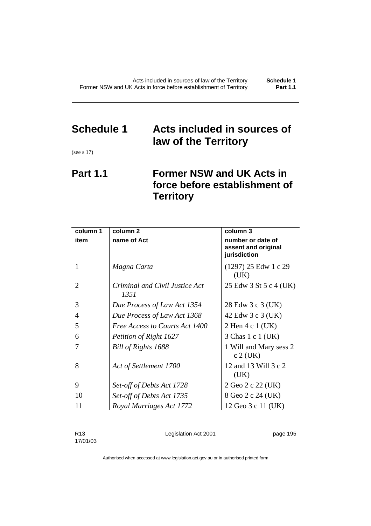# **Schedule 1 Acts included in sources of law of the Territory**

(see s 17)

## **Part 1.1 Former NSW and UK Acts in force before establishment of Territory**

| column 1 | column <sub>2</sub>                    | column 3                                                 |
|----------|----------------------------------------|----------------------------------------------------------|
| item     | name of Act                            | number or date of<br>assent and original<br>jurisdiction |
| 1        | Magna Carta                            | $(1297)$ 25 Edw 1 c 29<br>(UK)                           |
| 2        | Criminal and Civil Justice Act<br>1351 | 25 Edw 3 St 5 c 4 (UK)                                   |
| 3        | Due Process of Law Act 1354            | 28 Edw 3 c 3 (UK)                                        |
| 4        | Due Process of Law Act 1368            | 42 Edw 3 c 3 (UK)                                        |
| 5        | Free Access to Courts Act 1400         | 2 Hen 4 c 1 (UK)                                         |
| 6        | Petition of Right 1627                 | 3 Chas 1 c 1 (UK)                                        |
|          | Bill of Rights 1688                    | 1 Will and Mary sess 2<br>c 2 (UK)                       |
| 8        | Act of Settlement 1700                 | 12 and 13 Will 3 c 2<br>(UK)                             |
| 9        | Set-off of Debts Act 1728              | 2 Geo 2 c 22 (UK)                                        |
| 10       | Set-off of Debts Act 1735              | 8 Geo 2 c 24 (UK)                                        |
| 11       | Royal Marriages Act 1772               | 12 Geo 3 c 11 (UK)                                       |

R13 17/01/03 Legislation Act 2001 **page 195**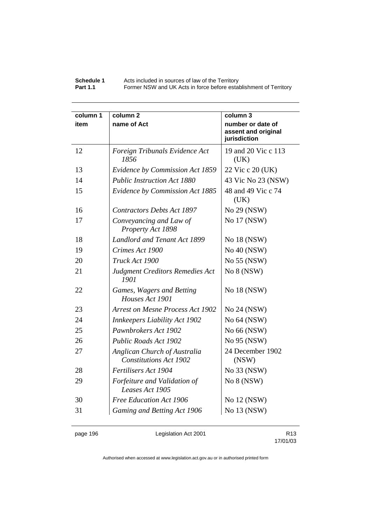#### **Schedule 1** Acts included in sources of law of the Territory **Part 1.1 Former NSW and UK Acts in force before establishment of Territory**

| column 1 | column <sub>2</sub>                                           | column 3                                                 |
|----------|---------------------------------------------------------------|----------------------------------------------------------|
| item     | name of Act                                                   | number or date of<br>assent and original<br>jurisdiction |
| 12       | Foreign Tribunals Evidence Act<br>1856                        | 19 and 20 Vic c 113<br>(UK)                              |
| 13       | Evidence by Commission Act 1859                               | 22 Vic c 20 (UK)                                         |
| 14       | <b>Public Instruction Act 1880</b>                            | 43 Vic No 23 (NSW)                                       |
| 15       | Evidence by Commission Act 1885                               | 48 and 49 Vic c 74<br>(UK)                               |
| 16       | <b>Contractors Debts Act 1897</b>                             | No 29 (NSW)                                              |
| 17       | Conveyancing and Law of<br>Property Act 1898                  | No 17 (NSW)                                              |
| 18       | <b>Landlord and Tenant Act 1899</b>                           | No 18 (NSW)                                              |
| 19       | Crimes Act 1900                                               | No 40 (NSW)                                              |
| 20       | Truck Act 1900                                                | No 55 (NSW)                                              |
| 21       | <b>Judgment Creditors Remedies Act</b><br>1901                | No 8 (NSW)                                               |
| 22       | Games, Wagers and Betting<br>Houses Act 1901                  | No 18 (NSW)                                              |
| 23       | <b>Arrest on Mesne Process Act 1902</b>                       | No 24 (NSW)                                              |
| 24       | <b>Innkeepers Liability Act 1902</b>                          | No 64 (NSW)                                              |
| 25       | Pawnbrokers Act 1902                                          | No 66 (NSW)                                              |
| 26       | Public Roads Act 1902                                         | No 95 (NSW)                                              |
| 27       | Anglican Church of Australia<br><b>Constitutions Act 1902</b> | 24 December 1902<br>(NSW)                                |
| 28       | Fertilisers Act 1904                                          | No 33 (NSW)                                              |
| 29       | Forfeiture and Validation of<br>Leases Act 1905               | No 8 (NSW)                                               |
| 30       | Free Education Act 1906                                       | No 12 (NSW)                                              |
| 31       | Gaming and Betting Act 1906                                   | No 13 (NSW)                                              |

page 196 **Legislation Act 2001** Constants R13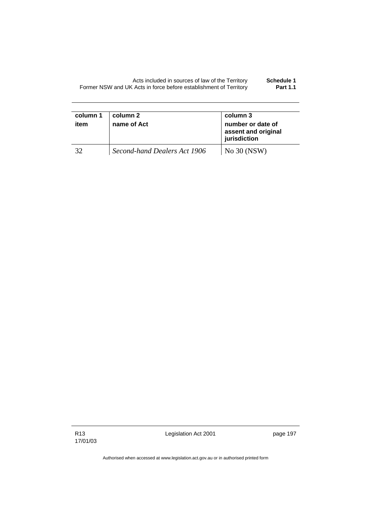| Schedule 1      | Acts included in sources of law of the Territory                  |
|-----------------|-------------------------------------------------------------------|
| <b>Part 1.1</b> | Former NSW and UK Acts in force before establishment of Territory |

| column 1<br>item | column 2<br>name of Act      | column 3<br>number or date of<br>assent and original<br>jurisdiction |
|------------------|------------------------------|----------------------------------------------------------------------|
| 32               | Second-hand Dealers Act 1906 | No 30 (NSW)                                                          |

R13 17/01/03 Legislation Act 2001 **page 197**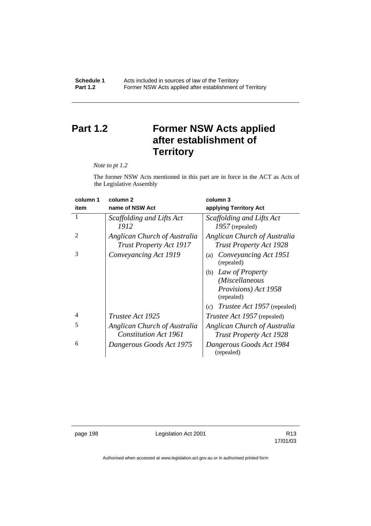## **Part 1.2 Former NSW Acts applied after establishment of Territory**

*Note to pt 1.2* 

The former NSW Acts mentioned in this part are in force in the ACT as Acts of the Legislative Assembly

| column 1       | column 2                                                       | column 3                                                       |
|----------------|----------------------------------------------------------------|----------------------------------------------------------------|
| item           | name of NSW Act                                                | applying Territory Act                                         |
|                | Scaffolding and Lifts Act<br>1912                              | Scaffolding and Lifts Act<br>$1957$ (repealed)                 |
| $\mathfrak{D}$ | Anglican Church of Australia<br><b>Trust Property Act 1917</b> | Anglican Church of Australia<br><b>Trust Property Act 1928</b> |
| 3              | Conveyancing Act 1919                                          | Conveyancing Act 1951<br>(a)<br>(repealed)                     |
|                |                                                                | Law of Property<br>(b)                                         |
|                |                                                                | (Miscellaneous                                                 |
|                |                                                                | Provisions) Act 1958<br>(repealed)                             |
|                |                                                                | <i>Trustee Act 1957</i> (repealed)<br>(c)                      |
| 4              | Trustee Act 1925                                               | <i>Trustee Act 1957</i> (repealed)                             |
| 5              | Anglican Church of Australia                                   | Anglican Church of Australia                                   |
|                | <b>Constitution Act 1961</b>                                   | <b>Trust Property Act 1928</b>                                 |
| 6              | Dangerous Goods Act 1975                                       | Dangerous Goods Act 1984<br>(repealed)                         |

page 198 **Legislation Act 2001** Constants R13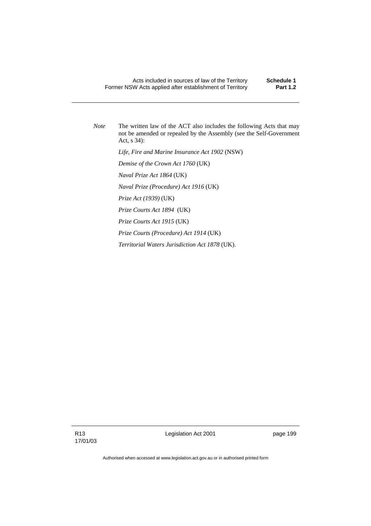*Note* The written law of the ACT also includes the following Acts that may not be amended or repealed by the Assembly (see the Self-Government Act, s 34):

 *Life, Fire and Marine Insurance Act 1902* (NSW)

 *Demise of the Crown Act 1760* (UK)

 *Naval Prize Act 1864* (UK)

 *Naval Prize (Procedure) Act 1916* (UK)

 *Prize Act (1939)* (UK)

 *Prize Courts Act 1894* (UK)

 *Prize Courts Act 1915* (UK)

 *Prize Courts (Procedure) Act 1914* (UK)

 *Territorial Waters Jurisdiction Act 1878* (UK).

Legislation Act 2001 **page 199**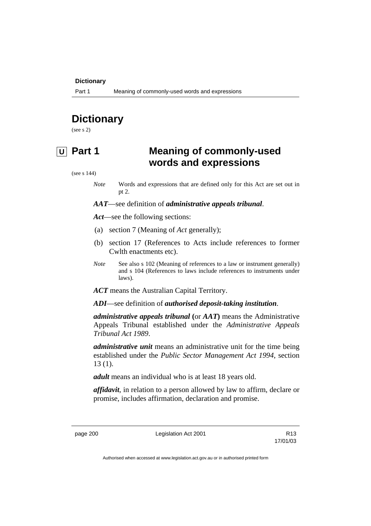### **Dictionary**

## **Dictionary**

(see s 2)

## **U Part 1 Meaning of commonly-used words and expressions**

(see s 144)

*Note* Words and expressions that are defined only for this Act are set out in pt 2.

*AAT*—see definition of *administrative appeals tribunal*.

*Act*—see the following sections:

- (a) section 7 (Meaning of *Act* generally);
- (b) section 17 (References to Acts include references to former Cwlth enactments etc).
- *Note* See also s 102 (Meaning of references to a law or instrument generally) and s 104 (References to laws include references to instruments under laws).
- *ACT* means the Australian Capital Territory.

*ADI*—see definition of *authorised deposit-taking institution*.

*administrative appeals tribunal* **(**or *AAT***)** means the Administrative Appeals Tribunal established under the *Administrative Appeals Tribunal Act 1989*.

*administrative unit* means an administrative unit for the time being established under the *Public Sector Management Act 1994*, section 13 (1).

*adult* means an individual who is at least 18 years old.

*affidavit*, in relation to a person allowed by law to affirm, declare or promise, includes affirmation, declaration and promise.

page 200 **Legislation Act 2001** CH<sub>2</sub> R13

17/01/03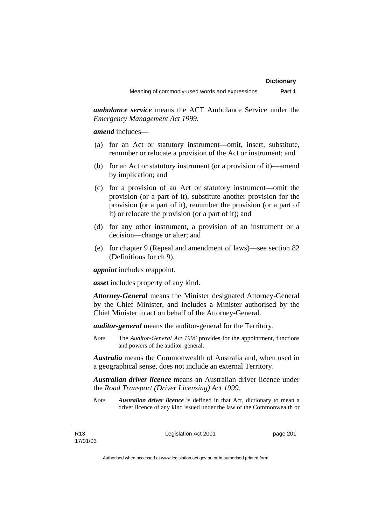*ambulance service* means the ACT Ambulance Service under the *Emergency Management Act 1999*.

*amend* includes—

- (a) for an Act or statutory instrument—omit, insert, substitute, renumber or relocate a provision of the Act or instrument; and
- (b) for an Act or statutory instrument (or a provision of it)—amend by implication; and
- (c) for a provision of an Act or statutory instrument—omit the provision (or a part of it), substitute another provision for the provision (or a part of it), renumber the provision (or a part of it) or relocate the provision (or a part of it); and
- (d) for any other instrument, a provision of an instrument or a decision—change or alter; and
- (e) for chapter 9 (Repeal and amendment of laws)—see section 82 (Definitions for ch 9).

*appoint* includes reappoint.

*asset* includes property of any kind.

*Attorney-General* means the Minister designated Attorney-General by the Chief Minister, and includes a Minister authorised by the Chief Minister to act on behalf of the Attorney-General.

*auditor-general* means the auditor-general for the Territory.

*Note* The *Auditor-General Act 1996* provides for the appointment, functions and powers of the auditor-general.

*Australia* means the Commonwealth of Australia and, when used in a geographical sense, does not include an external Territory.

*Australian driver licence* means an Australian driver licence under the *Road Transport (Driver Licensing) Act 1999*.

*Note Australian driver licence* is defined in that Act, dictionary to mean a driver licence of any kind issued under the law of the Commonwealth or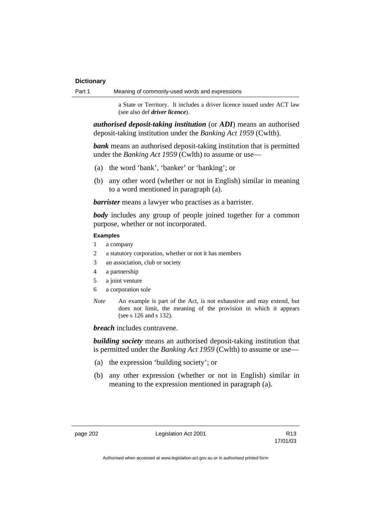| Part 1 | Meaning of commonly-used words and expressions |  |
|--------|------------------------------------------------|--|
|        |                                                |  |

a State or Territory. It includes a driver licence issued under ACT law (see also def *driver licence*).

*authorised deposit-taking institution* (or *ADI*) means an authorised deposit-taking institution under the *Banking Act 1959* (Cwlth).

**bank** means an authorised deposit-taking institution that is permitted under the *Banking Act 1959* (Cwlth) to assume or use—

- (a) the word 'bank', 'banker' or 'banking'; or
- (b) any other word (whether or not in English) similar in meaning to a word mentioned in paragraph (a).

*barrister* means a lawyer who practises as a barrister.

*body* includes any group of people joined together for a common purpose, whether or not incorporated.

### **Examples**

- 1 a company
- 2 a statutory corporation, whether or not it has members
- 3 an association, club or society
- 4 a partnership
- 5 a joint venture
- 6 a corporation sole
- *Note* An example is part of the Act, is not exhaustive and may extend, but does not limit, the meaning of the provision in which it appears (see s 126 and s 132).

*breach* includes contravene.

*building society* means an authorised deposit-taking institution that is permitted under the *Banking Act 1959* (Cwlth) to assume or use—

- (a) the expression 'building society'; or
- (b) any other expression (whether or not in English) similar in meaning to the expression mentioned in paragraph (a).

page 202 Legislation Act 2001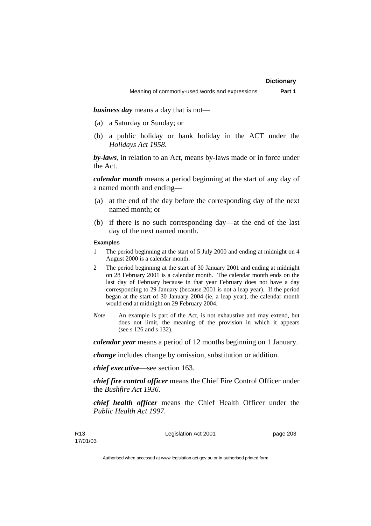*business day* means a day that is not—

- (a) a Saturday or Sunday; or
- (b) a public holiday or bank holiday in the ACT under the *Holidays Act 1958*.

*by-laws*, in relation to an Act, means by-laws made or in force under the Act.

*calendar month* means a period beginning at the start of any day of a named month and ending—

- (a) at the end of the day before the corresponding day of the next named month; or
- (b) if there is no such corresponding day—at the end of the last day of the next named month.

### **Examples**

- 1 The period beginning at the start of 5 July 2000 and ending at midnight on 4 August 2000 is a calendar month.
- 2 The period beginning at the start of 30 January 2001 and ending at midnight on 28 February 2001 is a calendar month. The calendar month ends on the last day of February because in that year February does not have a day corresponding to 29 January (because 2001 is not a leap year). If the period began at the start of 30 January 2004 (ie, a leap year), the calendar month would end at midnight on 29 February 2004.
- *Note* An example is part of the Act, is not exhaustive and may extend, but does not limit, the meaning of the provision in which it appears (see s 126 and s 132).

*calendar year* means a period of 12 months beginning on 1 January.

*change* includes change by omission, substitution or addition.

*chief executive*—see section 163.

*chief fire control officer* means the Chief Fire Control Officer under the *Bushfire Act 1936.* 

*chief health officer* means the Chief Health Officer under the *Public Health Act 1997*.

Legislation Act 2001 **page 203**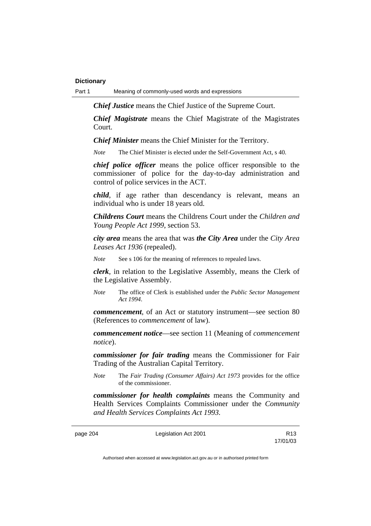Part 1 Meaning of commonly-used words and expressions

*Chief Justice* means the Chief Justice of the Supreme Court.

*Chief Magistrate* means the Chief Magistrate of the Magistrates Court.

*Chief Minister* means the Chief Minister for the Territory.

*Note* The Chief Minister is elected under the Self-Government Act, s 40.

*chief police officer* means the police officer responsible to the commissioner of police for the day-to-day administration and control of police services in the ACT.

*child*, if age rather than descendancy is relevant, means an individual who is under 18 years old.

*Childrens Court* means the Childrens Court under the *Children and Young People Act 1999*, section 53.

*city area* means the area that was *the City Area* under the *City Area Leases Act 1936* (repealed).

*Note* See s 106 for the meaning of references to repealed laws.

*clerk*, in relation to the Legislative Assembly, means the Clerk of the Legislative Assembly.

*Note* The office of Clerk is established under the *Public Sector Management Act 1994*.

*commencement*, of an Act or statutory instrument—see section 80 (References to *commencement* of law).

*commencement notice*—see section 11 (Meaning of *commencement notice*).

*commissioner for fair trading* means the Commissioner for Fair Trading of the Australian Capital Territory.

*Note* The *Fair Trading (Consumer Affairs) Act 1973* provides for the office of the commissioner.

*commissioner for health complaints* means the Community and Health Services Complaints Commissioner under the *Community and Health Services Complaints Act 1993.* 

page 204 Legislation Act 2001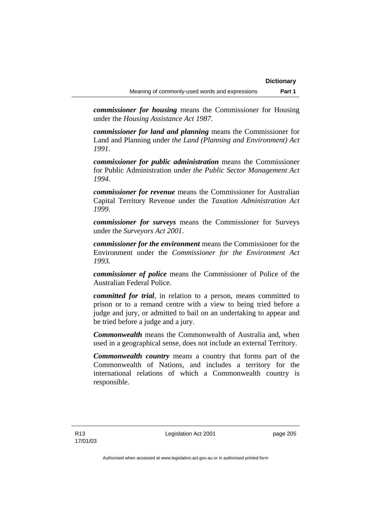*commissioner for housing* means the Commissioner for Housing under the *Housing Assistance Act 1987*.

*commissioner for land and planning* means the Commissioner for Land and Planning under *the Land (Planning and Environment) Act 1991*.

*commissioner for public administration* means the Commissioner for Public Administration under *the Public Sector Management Act 1994*.

*commissioner for revenue* means the Commissioner for Australian Capital Territory Revenue under the *Taxation Administration Act 1999*.

*commissioner for surveys* means the Commissioner for Surveys under the *Surveyors Act 2001*.

*commissioner for the environment* means the Commissioner for the Environment under the *Commissioner for the Environment Act 1993.* 

*commissioner of police* means the Commissioner of Police of the Australian Federal Police.

*committed for trial*, in relation to a person, means committed to prison or to a remand centre with a view to being tried before a judge and jury, or admitted to bail on an undertaking to appear and be tried before a judge and a jury.

*Commonwealth* means the Commonwealth of Australia and, when used in a geographical sense, does not include an external Territory.

*Commonwealth country* means a country that forms part of the Commonwealth of Nations, and includes a territory for the international relations of which a Commonwealth country is responsible.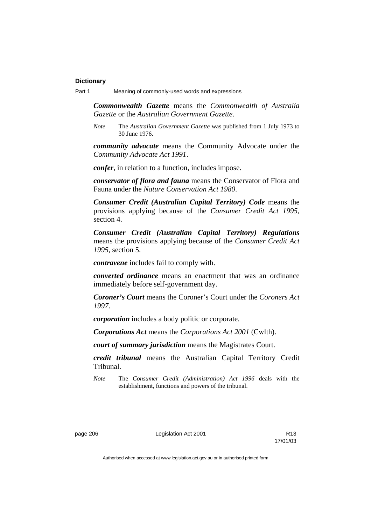*Commonwealth Gazette* means the *Commonwealth of Australia Gazette* or the *Australian Government Gazette*.

*Note* The *Australian Government Gazette* was published from 1 July 1973 to 30 June 1976.

*community advocate* means the Community Advocate under the *Community Advocate Act 1991*.

*confer*, in relation to a function, includes impose.

*conservator of flora and fauna* means the Conservator of Flora and Fauna under the *Nature Conservation Act 1980*.

*Consumer Credit (Australian Capital Territory) Code* means the provisions applying because of the *Consumer Credit Act 1995*, section 4.

*Consumer Credit (Australian Capital Territory) Regulations* means the provisions applying because of the *Consumer Credit Act 1995*, section 5.

*contravene* includes fail to comply with.

*converted ordinance* means an enactment that was an ordinance immediately before self-government day.

*Coroner's Court* means the Coroner's Court under the *Coroners Act 1997*.

*corporation* includes a body politic or corporate.

*Corporations Act* means the *Corporations Act 2001* (Cwlth).

*court of summary jurisdiction* means the Magistrates Court.

*credit tribunal* means the Australian Capital Territory Credit Tribunal.

*Note* The *Consumer Credit (Administration) Act 1996* deals with the establishment, functions and powers of the tribunal.

page 206 Legislation Act 2001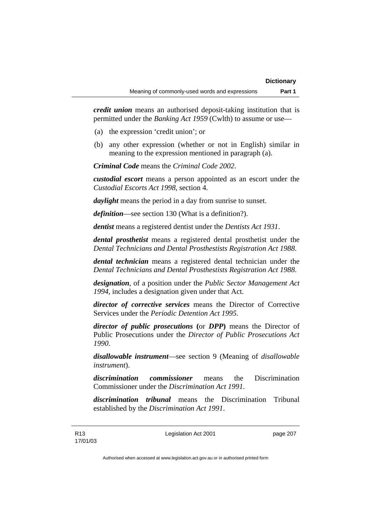*credit union* means an authorised deposit-taking institution that is permitted under the *Banking Act 1959* (Cwlth) to assume or use—

- (a) the expression 'credit union'; or
- (b) any other expression (whether or not in English) similar in meaning to the expression mentioned in paragraph (a).

*Criminal Code* means the *Criminal Code 2002*.

*custodial escort* means a person appointed as an escort under the *Custodial Escorts Act 1998*, section 4.

*daylight* means the period in a day from sunrise to sunset.

*definition*—see section 130 (What is a definition?).

*dentist* means a registered dentist under the *Dentists Act 1931*.

*dental prosthetist* means a registered dental prosthetist under the *Dental Technicians and Dental Prosthestists Registration Act 1988*.

*dental technician* means a registered dental technician under the *Dental Technicians and Dental Prosthestists Registration Act 1988*.

*designation*, of a position under the *Public Sector Management Act 1994*, includes a designation given under that Act.

*director of corrective services* means the Director of Corrective Services under the *Periodic Detention Act 1995*.

*director of public prosecutions* **(**or *DPP***)** means the Director of Public Prosecutions under the *Director of Public Prosecutions Act 1990*.

*disallowable instrument*—see section 9 (Meaning of *disallowable instrument*).

*discrimination commissioner* means the Discrimination Commissioner under the *Discrimination Act 1991*.

*discrimination tribunal* means the Discrimination Tribunal established by the *Discrimination Act 1991*.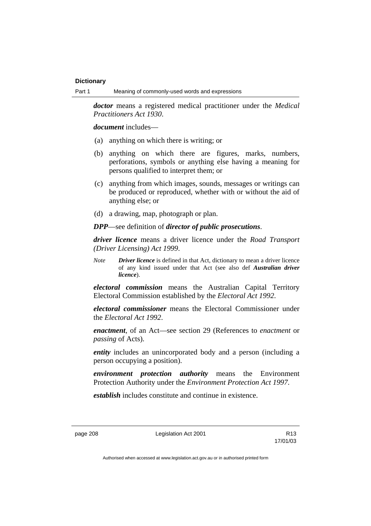*doctor* means a registered medical practitioner under the *Medical Practitioners Act 1930*.

*document* includes—

- (a) anything on which there is writing; or
- (b) anything on which there are figures, marks, numbers, perforations, symbols or anything else having a meaning for persons qualified to interpret them; or
- (c) anything from which images, sounds, messages or writings can be produced or reproduced, whether with or without the aid of anything else; or
- (d) a drawing, map, photograph or plan.

*DPP*—see definition of *director of public prosecutions*.

*driver licence* means a driver licence under the *Road Transport (Driver Licensing) Act 1999*.

*Note Driver licence* is defined in that Act, dictionary to mean a driver licence of any kind issued under that Act (see also def *Australian driver licence*).

*electoral commission* means the Australian Capital Territory Electoral Commission established by the *Electoral Act 1992*.

*electoral commissioner* means the Electoral Commissioner under the *Electoral Act 1992*.

*enactment*, of an Act—see section 29 (References to *enactment* or *passing* of Acts).

*entity* includes an unincorporated body and a person (including a person occupying a position).

*environment protection authority* means the Environment Protection Authority under the *Environment Protection Act 1997*.

*establish* includes constitute and continue in existence.

page 208 Legislation Act 2001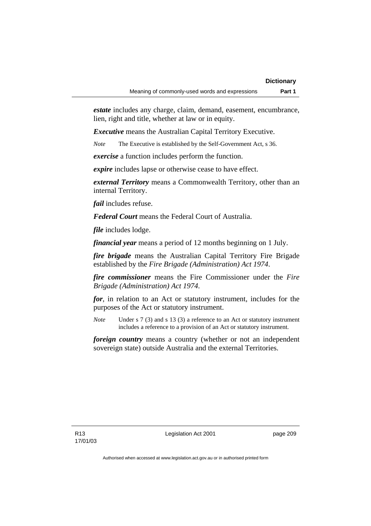*estate* includes any charge, claim, demand, easement, encumbrance, lien, right and title, whether at law or in equity.

*Executive* means the Australian Capital Territory Executive.

*Note* The Executive is established by the Self-Government Act, s 36.

*exercise* a function includes perform the function.

*expire* includes lapse or otherwise cease to have effect.

*external Territory* means a Commonwealth Territory, other than an internal Territory.

*fail* includes refuse.

*Federal Court* means the Federal Court of Australia.

*file* includes lodge.

*financial year* means a period of 12 months beginning on 1 July.

*fire brigade* means the Australian Capital Territory Fire Brigade established by the *Fire Brigade (Administration) Act 1974*.

*fire commissioner* means the Fire Commissioner under the *Fire Brigade (Administration) Act 1974*.

*for*, in relation to an Act or statutory instrument, includes for the purposes of the Act or statutory instrument.

*Note* Under s 7 (3) and s 13 (3) a reference to an Act or statutory instrument includes a reference to a provision of an Act or statutory instrument.

*foreign country* means a country (whether or not an independent sovereign state) outside Australia and the external Territories.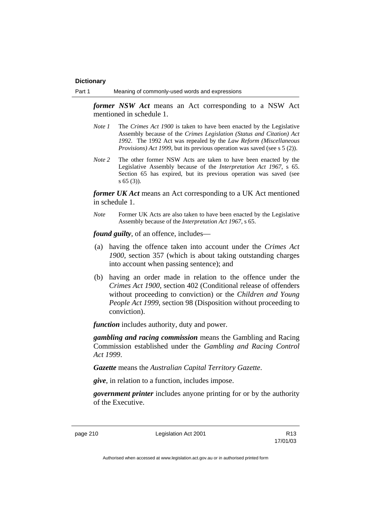*former NSW Act* means an Act corresponding to a NSW Act mentioned in schedule 1.

- *Note 1* The *Crimes Act 1900* is taken to have been enacted by the Legislative Assembly because of the *Crimes Legislation (Status and Citation) Act 1992*. The 1992 Act was repealed by the *Law Reform (Miscellaneous Provisions) Act 1999*, but its previous operation was saved (see s 5 (2)).
- *Note 2* The other former NSW Acts are taken to have been enacted by the Legislative Assembly because of the *Interpretation Act 1967*, s 65. Section 65 has expired, but its previous operation was saved (see s 65 (3)).

*former UK Act* means an Act corresponding to a UK Act mentioned in schedule 1.

*Note* Former UK Acts are also taken to have been enacted by the Legislative Assembly because of the *Interpretation Act 1967*, s 65.

*found guilty*, of an offence, includes—

- (a) having the offence taken into account under the *Crimes Act 1900*, section 357 (which is about taking outstanding charges into account when passing sentence); and
- (b) having an order made in relation to the offence under the *Crimes Act 1900*, section 402 (Conditional release of offenders without proceeding to conviction) or the *Children and Young People Act 1999*, section 98 (Disposition without proceeding to conviction).

*function* includes authority, duty and power.

*gambling and racing commission* means the Gambling and Racing Commission established under the *Gambling and Racing Control Act 1999*.

*Gazette* means the *Australian Capital Territory Gazette*.

*give*, in relation to a function, includes impose.

*government printer* includes anyone printing for or by the authority of the Executive.

page 210 **Legislation Act 2001** R13

17/01/03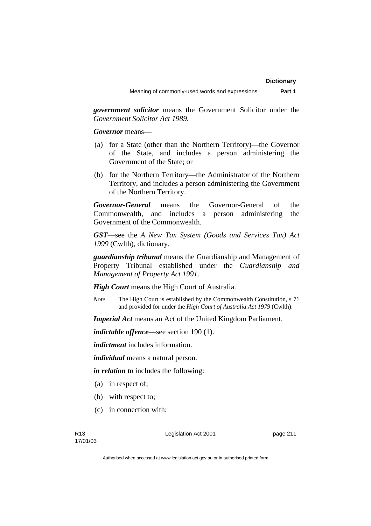*government solicitor* means the Government Solicitor under the *Government Solicitor Act 1989*.

*Governor* means—

- (a) for a State (other than the Northern Territory)—the Governor of the State, and includes a person administering the Government of the State; or
- (b) for the Northern Territory—the Administrator of the Northern Territory, and includes a person administering the Government of the Northern Territory.

*Governor-General* means the Governor-General of the Commonwealth, and includes a person administering the Government of the Commonwealth.

*GST*—see the *A New Tax System (Goods and Services Tax) Act 1999* (Cwlth), dictionary.

*guardianship tribunal* means the Guardianship and Management of Property Tribunal established under the *Guardianship and Management of Property Act 1991*.

*High Court* means the High Court of Australia.

*Note* The High Court is established by the Commonwealth Constitution, s 71 and provided for under the *High Court of Australia Act 1979* (Cwlth).

*Imperial Act* means an Act of the United Kingdom Parliament.

*indictable offence*—see section 190 (1).

*indictment* includes information.

*individual* means a natural person.

*in relation to* includes the following:

- (a) in respect of;
- (b) with respect to;
- (c) in connection with;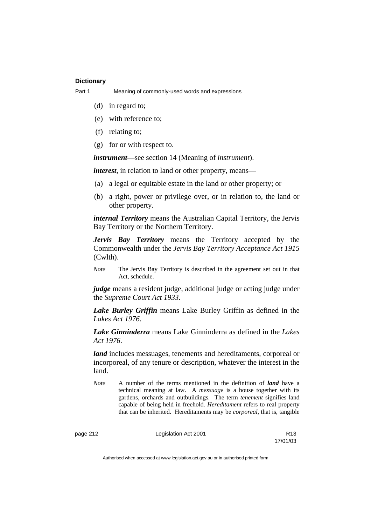- (d) in regard to;
- (e) with reference to;
- (f) relating to;
- (g) for or with respect to.

*instrument*—see section 14 (Meaning of *instrument*).

*interest*, in relation to land or other property, means—

- (a) a legal or equitable estate in the land or other property; or
- (b) a right, power or privilege over, or in relation to, the land or other property.

*internal Territory* means the Australian Capital Territory, the Jervis Bay Territory or the Northern Territory.

*Jervis Bay Territory* means the Territory accepted by the Commonwealth under the *Jervis Bay Territory Acceptance Act 1915* (Cwlth).

*Note* The Jervis Bay Territory is described in the agreement set out in that Act, schedule.

*judge* means a resident judge, additional judge or acting judge under the *Supreme Court Act 1933*.

*Lake Burley Griffin* means Lake Burley Griffin as defined in the *Lakes Act 1976*.

*Lake Ginninderra* means Lake Ginninderra as defined in the *Lakes Act 1976*.

*land* includes messuages, tenements and hereditaments, corporeal or incorporeal, of any tenure or description, whatever the interest in the land.

*Note* A number of the terms mentioned in the definition of *land* have a technical meaning at law. A *messuage* is a house together with its gardens, orchards and outbuildings. The term *tenement* signifies land capable of being held in freehold. *Hereditament* refers to real property that can be inherited. Hereditaments may be *corporeal*, that is, tangible

page 212 **Legislation Act 2001** R13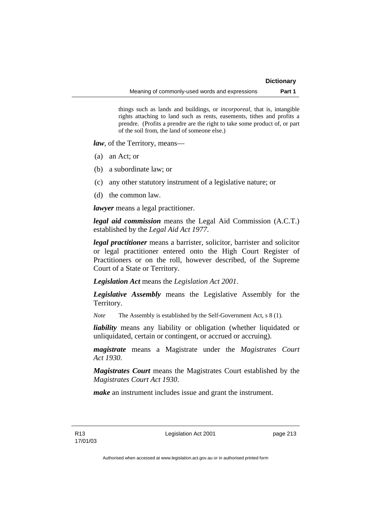things such as lands and buildings, or *incorporeal*, that is, intangible rights attaching to land such as rents, easements, tithes and profits a prendre. (Profits a prendre are the right to take some product of, or part of the soil from, the land of someone else.)

*law*, of the Territory, means—

- (a) an Act; or
- (b) a subordinate law; or
- (c) any other statutory instrument of a legislative nature; or
- (d) the common law.

*lawyer* means a legal practitioner.

*legal aid commission* means the Legal Aid Commission (A.C.T.) established by the *Legal Aid Act 1977*.

*legal practitioner* means a barrister, solicitor, barrister and solicitor or legal practitioner entered onto the High Court Register of Practitioners or on the roll, however described, of the Supreme Court of a State or Territory.

*Legislation Act* means the *Legislation Act 2001*.

*Legislative Assembly* means the Legislative Assembly for the Territory.

*Note* The Assembly is established by the Self-Government Act, s 8 (1).

*liability* means any liability or obligation (whether liquidated or unliquidated, certain or contingent, or accrued or accruing).

*magistrate* means a Magistrate under the *Magistrates Court Act 1930*.

*Magistrates Court* means the Magistrates Court established by the *Magistrates Court Act 1930*.

*make* an instrument includes issue and grant the instrument.

Legislation Act 2001 **page 213**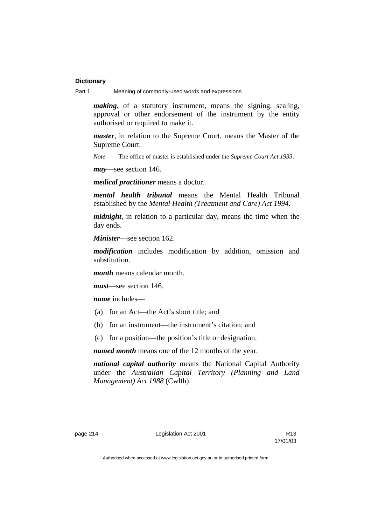Part 1 Meaning of commonly-used words and expressions

*making*, of a statutory instrument, means the signing, sealing, approval or other endorsement of the instrument by the entity authorised or required to make it.

*master*, in relation to the Supreme Court, means the Master of the Supreme Court.

*Note* The office of master is established under the *Supreme Court Act 1933*.

*may*—see section 146.

*medical practitioner* means a doctor.

*mental health tribunal* means the Mental Health Tribunal established by the *Mental Health (Treatment and Care) Act 1994*.

*midnight*, in relation to a particular day, means the time when the day ends.

*Minister*—see section 162.

*modification* includes modification by addition, omission and substitution.

*month* means calendar month.

*must*—see section 146.

*name* includes—

- (a) for an Act—the Act's short title; and
- (b) for an instrument—the instrument's citation; and
- (c) for a position—the position's title or designation.

*named month* means one of the 12 months of the year.

*national capital authority* means the National Capital Authority under the *Australian Capital Territory (Planning and Land Management) Act 1988* (Cwlth).

page 214 **Legislation Act 2001** R13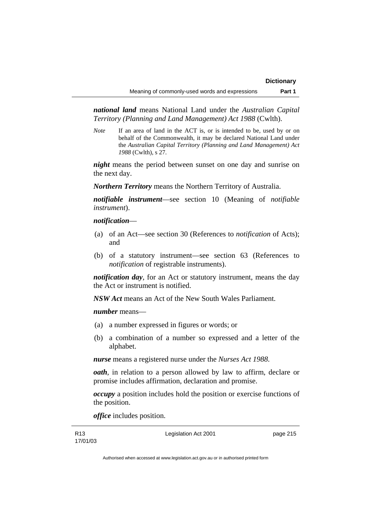*national land* means National Land under the *Australian Capital Territory (Planning and Land Management) Act 1988* (Cwlth).

*Note* If an area of land in the ACT is, or is intended to be, used by or on behalf of the Commonwealth, it may be declared National Land under the *Australian Capital Territory (Planning and Land Management) Act 1988* (Cwlth), s 27.

*night* means the period between sunset on one day and sunrise on the next day.

*Northern Territory* means the Northern Territory of Australia.

*notifiable instrument*—see section 10 (Meaning of *notifiable instrument*).

### *notification*—

- (a) of an Act—see section 30 (References to *notification* of Acts); and
- (b) of a statutory instrument—see section 63 (References to *notification* of registrable instruments).

*notification day*, for an Act or statutory instrument, means the day the Act or instrument is notified.

*NSW Act* means an Act of the New South Wales Parliament.

### *number* means—

- (a) a number expressed in figures or words; or
- (b) a combination of a number so expressed and a letter of the alphabet.

*nurse* means a registered nurse under the *Nurses Act 1988*.

*oath*, in relation to a person allowed by law to affirm, declare or promise includes affirmation, declaration and promise.

*occupy* a position includes hold the position or exercise functions of the position.

*office* includes position.

R13 17/01/03 Legislation Act 2001 **page 215**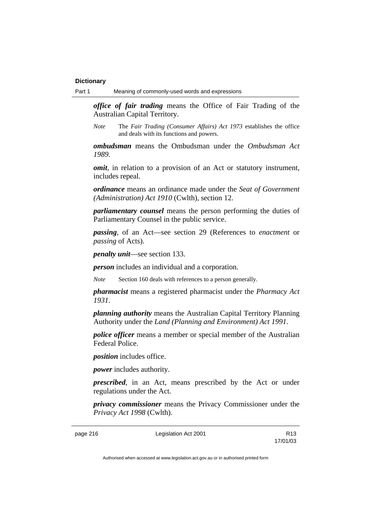*office of fair trading* means the Office of Fair Trading of the Australian Capital Territory.

*Note* The *Fair Trading (Consumer Affairs) Act 1973* establishes the office and deals with its functions and powers.

*ombudsman* means the Ombudsman under the *Ombudsman Act 1989*.

*omit*, in relation to a provision of an Act or statutory instrument, includes repeal.

*ordinance* means an ordinance made under the *Seat of Government (Administration) Act 1910* (Cwlth), section 12.

*parliamentary counsel* means the person performing the duties of Parliamentary Counsel in the public service.

*passing*, of an Act—see section 29 (References to *enactment* or *passing* of Acts).

*penalty unit*—see section 133.

*person* includes an individual and a corporation.

*Note* Section 160 deals with references to a person generally.

*pharmacist* means a registered pharmacist under the *Pharmacy Act 1931*.

*planning authority* means the Australian Capital Territory Planning Authority under the *Land (Planning and Environment) Act 1991*.

*police officer* means a member or special member of the Australian Federal Police.

*position* includes office.

*power* includes authority.

*prescribed*, in an Act, means prescribed by the Act or under regulations under the Act.

*privacy commissioner* means the Privacy Commissioner under the *Privacy Act 1998* (Cwlth).

page 216 **Legislation Act 2001** R13

17/01/03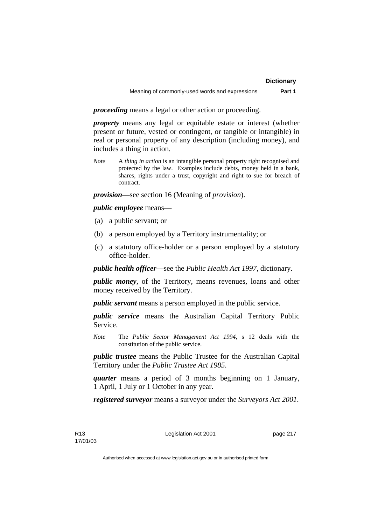*proceeding* means a legal or other action or proceeding.

*property* means any legal or equitable estate or interest (whether present or future, vested or contingent, or tangible or intangible) in real or personal property of any description (including money), and includes a thing in action.

*Note* A *thing in action* is an intangible personal property right recognised and protected by the law. Examples include debts, money held in a bank, shares, rights under a trust, copyright and right to sue for breach of contract.

*provision*—see section 16 (Meaning of *provision*).

*public employee* means—

- (a) a public servant; or
- (b) a person employed by a Territory instrumentality; or
- (c) a statutory office-holder or a person employed by a statutory office-holder.

*public health officer—*see the *Public Health Act 1997*, dictionary.

*public money*, of the Territory, means revenues, loans and other money received by the Territory.

*public servant* means a person employed in the public service.

*public service* means the Australian Capital Territory Public Service.

*Note* The *Public Sector Management Act 1994*, s 12 deals with the constitution of the public service.

*public trustee* means the Public Trustee for the Australian Capital Territory under the *Public Trustee Act 1985*.

*quarter* means a period of 3 months beginning on 1 January, 1 April, 1 July or 1 October in any year.

*registered surveyor* means a surveyor under the *Surveyors Act 2001*.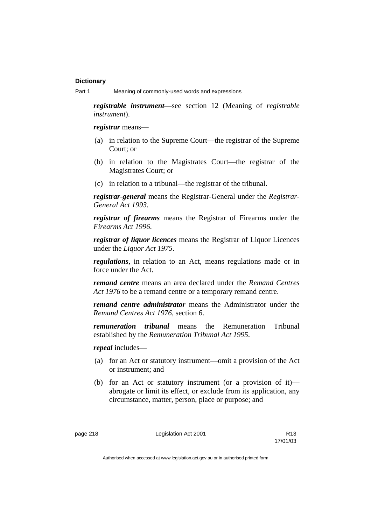*registrable instrument*—see section 12 (Meaning of *registrable instrument*).

*registrar* means—

- (a) in relation to the Supreme Court—the registrar of the Supreme Court; or
- (b) in relation to the Magistrates Court—the registrar of the Magistrates Court; or
- (c) in relation to a tribunal—the registrar of the tribunal.

*registrar-general* means the Registrar-General under the *Registrar-General Act 1993*.

*registrar of firearms* means the Registrar of Firearms under the *Firearms Act 1996*.

*registrar of liquor licences* means the Registrar of Liquor Licences under the *Liquor Act 1975*.

*regulations*, in relation to an Act, means regulations made or in force under the Act.

*remand centre* means an area declared under the *Remand Centres Act 1976* to be a remand centre or a temporary remand centre.

*remand centre administrator* means the Administrator under the *Remand Centres Act 1976*, section 6.

*remuneration tribunal* means the Remuneration Tribunal established by the *Remuneration Tribunal Act 1995*.

*repeal* includes—

- (a) for an Act or statutory instrument—omit a provision of the Act or instrument; and
- (b) for an Act or statutory instrument (or a provision of it) abrogate or limit its effect, or exclude from its application, any circumstance, matter, person, place or purpose; and

page 218 **Legislation Act 2001** R13

17/01/03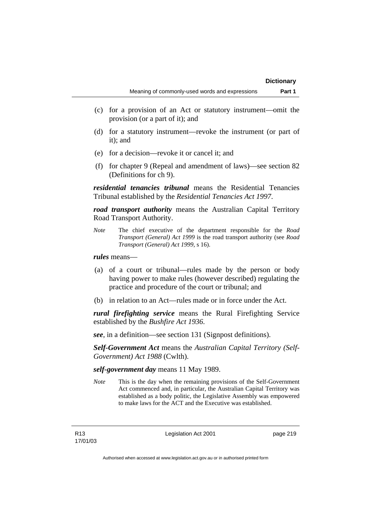- (c) for a provision of an Act or statutory instrument—omit the provision (or a part of it); and
- (d) for a statutory instrument—revoke the instrument (or part of it); and
- (e) for a decision—revoke it or cancel it; and
- (f) for chapter 9 (Repeal and amendment of laws)—see section 82 (Definitions for ch 9).

*residential tenancies tribunal* means the Residential Tenancies Tribunal established by the *Residential Tenancies Act 1997*.

*road transport authority* means the Australian Capital Territory Road Transport Authority.

*Note* The chief executive of the department responsible for the *Road Transport (General) Act 1999* is the road transport authority (see *Road Transport (General) Act 1999*, s 16).

## *rules* means—

- (a) of a court or tribunal—rules made by the person or body having power to make rules (however described) regulating the practice and procedure of the court or tribunal; and
- (b) in relation to an Act—rules made or in force under the Act.

*rural firefighting service* means the Rural Firefighting Service established by the *Bushfire Act 1936*.

*see*, in a definition—see section 131 (Signpost definitions).

*Self-Government Act* means the *Australian Capital Territory (Self-Government) Act 1988* (Cwlth).

### *self-government day* means 11 May 1989.

*Note* This is the day when the remaining provisions of the Self-Government Act commenced and, in particular, the Australian Capital Territory was established as a body politic, the Legislative Assembly was empowered to make laws for the ACT and the Executive was established.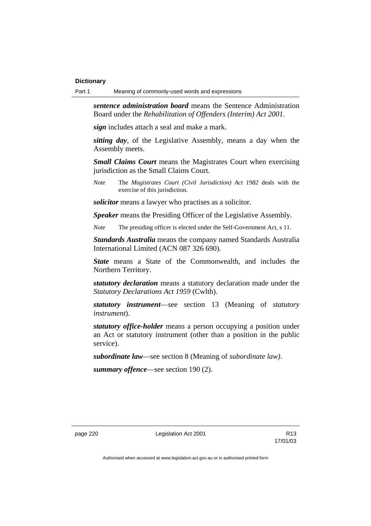*sentence administration board* means the Sentence Administration Board under the *Rehabilitation of Offenders (Interim) Act 2001*.

*sign* includes attach a seal and make a mark.

*sitting day*, of the Legislative Assembly, means a day when the Assembly meets.

*Small Claims Court* means the Magistrates Court when exercising jurisdiction as the Small Claims Court.

*Note* The *Magistrates Court (Civil Jurisdiction) Act 1982* deals with the exercise of this jurisdiction.

*solicitor* means a lawyer who practises as a solicitor.

*Speaker* means the Presiding Officer of the Legislative Assembly.

*Note* The presiding officer is elected under the Self-Government Act, s 11.

*Standards Australia* means the company named Standards Australia International Limited (ACN 087 326 690).

*State* means a State of the Commonwealth, and includes the Northern Territory.

*statutory declaration* means a statutory declaration made under the *Statutory Declarations Act 1959* (Cwlth).

*statutory instrument*—see section 13 (Meaning of *statutory instrument*).

*statutory office-holder* means a person occupying a position under an Act or statutory instrument (other than a position in the public service).

*subordinate law*—see section 8 (Meaning of *subordinate law)*.

*summary offence*—see section 190 (2).

page 220 **Legislation Act 2001** R13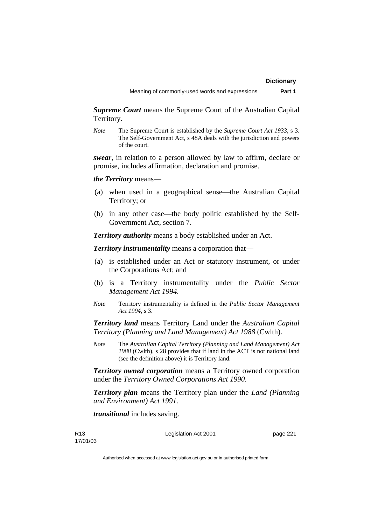*Supreme Court* means the Supreme Court of the Australian Capital Territory.

*Note* The Supreme Court is established by the *Supreme Court Act 1933*, s 3. The Self-Government Act, s 48A deals with the jurisdiction and powers of the court.

*swear*, in relation to a person allowed by law to affirm, declare or promise, includes affirmation, declaration and promise.

*the Territory* means—

- (a) when used in a geographical sense—the Australian Capital Territory; or
- (b) in any other case—the body politic established by the Self-Government Act, section 7.

*Territory authority* means a body established under an Act.

*Territory instrumentality* means a corporation that—

- (a) is established under an Act or statutory instrument, or under the Corporations Act; and
- (b) is a Territory instrumentality under the *Public Sector Management Act 1994*.
- *Note* Territory instrumentality is defined in the *Public Sector Management Act 1994*, s 3.

*Territory land* means Territory Land under the *Australian Capital Territory (Planning and Land Management) Act 1988* (Cwlth).

*Note* The *Australian Capital Territory (Planning and Land Management) Act 1988* (Cwlth), s 28 provides that if land in the ACT is not national land (see the definition above) it is Territory land.

*Territory owned corporation* means a Territory owned corporation under the *Territory Owned Corporations Act 1990*.

*Territory plan* means the Territory plan under the *Land (Planning and Environment) Act 1991*.

*transitional* includes saving.

Legislation Act 2001 **page 221**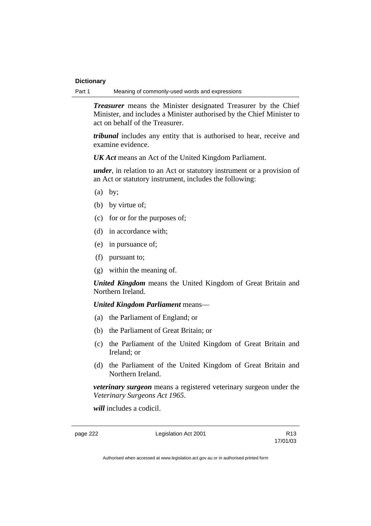Part 1 Meaning of commonly-used words and expressions

*Treasurer* means the Minister designated Treasurer by the Chief Minister, and includes a Minister authorised by the Chief Minister to act on behalf of the Treasurer.

*tribunal* includes any entity that is authorised to hear, receive and examine evidence.

*UK Act* means an Act of the United Kingdom Parliament.

*under*, in relation to an Act or statutory instrument or a provision of an Act or statutory instrument, includes the following:

- (a) by;
- (b) by virtue of;
- (c) for or for the purposes of;
- (d) in accordance with;
- (e) in pursuance of;
- (f) pursuant to;
- (g) within the meaning of.

*United Kingdom* means the United Kingdom of Great Britain and Northern Ireland.

# *United Kingdom Parliament* means—

- (a) the Parliament of England; or
- (b) the Parliament of Great Britain; or
- (c) the Parliament of the United Kingdom of Great Britain and Ireland; or
- (d) the Parliament of the United Kingdom of Great Britain and Northern Ireland.

*veterinary surgeon* means a registered veterinary surgeon under the *Veterinary Surgeons Act 1965*.

*will* includes a codicil.

page 222 Legislation Act 2001

17/01/03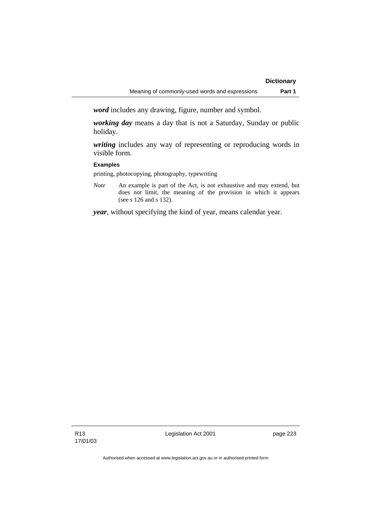*word* includes any drawing, figure, number and symbol.

*working day* means a day that is not a Saturday, Sunday or public holiday.

*writing* includes any way of representing or reproducing words in visible form.

### **Examples**

printing, photocopying, photography, typewriting

*Note* An example is part of the Act, is not exhaustive and may extend, but does not limit, the meaning of the provision in which it appears (see s 126 and s 132).

*year*, without specifying the kind of year, means calendar year.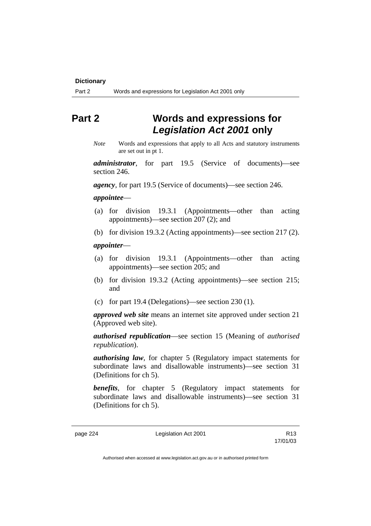# **Part 2 Words and expressions for**  *Legislation Act 2001* **only**

*Note* Words and expressions that apply to all Acts and statutory instruments are set out in pt 1.

*administrator*, for part 19.5 (Service of documents)—see section 246.

*agency*, for part 19.5 (Service of documents)—see section 246.

### *appointee*—

- (a) for division 19.3.1 (Appointments—other than acting appointments)—see section 207 (2); and
- (b) for division 19.3.2 (Acting appointments)—see section 217 (2).

### *appointer*—

- (a) for division 19.3.1 (Appointments—other than acting appointments)—see section 205; and
- (b) for division 19.3.2 (Acting appointments)—see section 215; and
- (c) for part 19.4 (Delegations)—see section 230 (1).

*approved web site* means an internet site approved under section 21 (Approved web site).

*authorised republication*—see section 15 (Meaning of *authorised republication*).

*authorising law*, for chapter 5 (Regulatory impact statements for subordinate laws and disallowable instruments)—see section 31 (Definitions for ch 5).

*benefits*, for chapter 5 (Regulatory impact statements for subordinate laws and disallowable instruments)—see section 31 (Definitions for ch 5).

page 224 **Legislation Act 2001** R13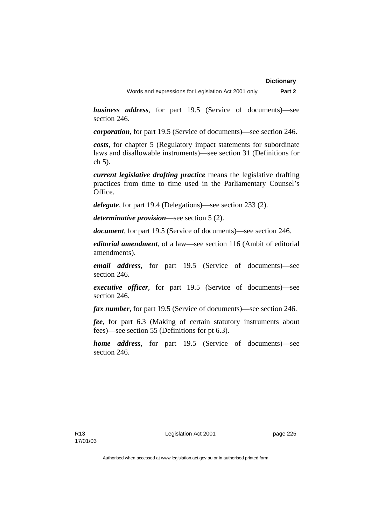*business address*, for part 19.5 (Service of documents)—see section 246.

*corporation*, for part 19.5 (Service of documents)—see section 246.

*costs*, for chapter 5 (Regulatory impact statements for subordinate laws and disallowable instruments)—see section 31 (Definitions for ch 5).

*current legislative drafting practice* means the legislative drafting practices from time to time used in the Parliamentary Counsel's Office.

*delegate*, for part 19.4 (Delegations)—see section 233 (2).

*determinative provision*—see section 5 (2).

*document*, for part 19.5 (Service of documents)—see section 246.

*editorial amendment*, of a law—see section 116 (Ambit of editorial amendments).

*email address*, for part 19.5 (Service of documents)—see section 246.

*executive officer*, for part 19.5 (Service of documents)—see section 246.

*fax number*, for part 19.5 (Service of documents)—see section 246.

*fee*, for part 6.3 (Making of certain statutory instruments about fees)—see section 55 (Definitions for pt 6.3).

*home address*, for part 19.5 (Service of documents)—see section 246.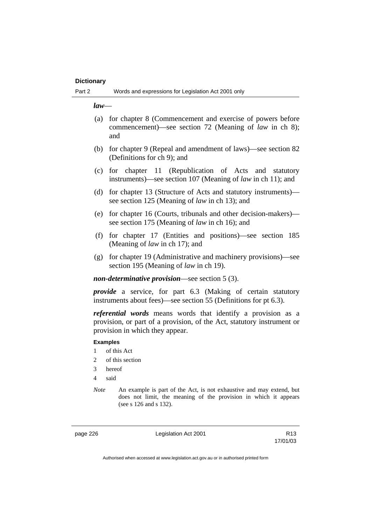*law*—

- (a) for chapter 8 (Commencement and exercise of powers before commencement)—see section 72 (Meaning of *law* in ch 8); and
- (b) for chapter 9 (Repeal and amendment of laws)—see section 82 (Definitions for ch 9); and
- (c) for chapter 11 (Republication of Acts and statutory instruments)—see section 107 (Meaning of *law* in ch 11); and
- (d) for chapter 13 (Structure of Acts and statutory instruments) see section 125 (Meaning of *law* in ch 13); and
- (e) for chapter 16 (Courts, tribunals and other decision-makers) see section 175 (Meaning of *law* in ch 16); and
- (f) for chapter 17 (Entities and positions)—see section 185 (Meaning of *law* in ch 17); and
- (g) for chapter 19 (Administrative and machinery provisions)—see section 195 (Meaning of *law* in ch 19).

*non-determinative provision*—see section 5 (3).

*provide* a service, for part 6.3 (Making of certain statutory instruments about fees)—see section 55 (Definitions for pt 6.3).

*referential words* means words that identify a provision as a provision, or part of a provision, of the Act, statutory instrument or provision in which they appear.

# **Examples**

- 1 of this Act
- 2 of this section
- 3 hereof
- 4 said
- *Note* An example is part of the Act, is not exhaustive and may extend, but does not limit, the meaning of the provision in which it appears (see s 126 and s 132).

page 226 **Legislation Act 2001** R13

17/01/03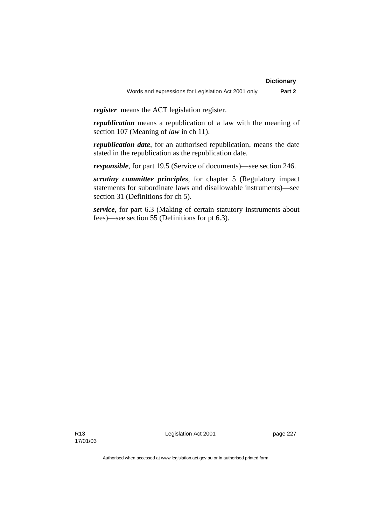*register* means the ACT legislation register.

*republication* means a republication of a law with the meaning of section 107 (Meaning of *law* in ch 11).

*republication date*, for an authorised republication, means the date stated in the republication as the republication date.

*responsible*, for part 19.5 (Service of documents)—see section 246.

*scrutiny committee principles*, for chapter 5 (Regulatory impact statements for subordinate laws and disallowable instruments)—see section 31 (Definitions for ch 5).

*service*, for part 6.3 (Making of certain statutory instruments about fees)—see section 55 (Definitions for pt 6.3).

R13 17/01/03 Legislation Act 2001 **page 227**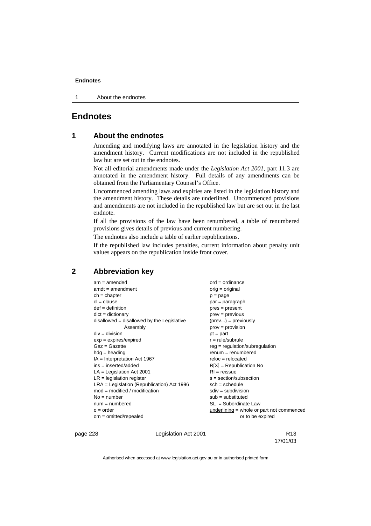1 About the endnotes

# **Endnotes**

# **1 About the endnotes**

Amending and modifying laws are annotated in the legislation history and the amendment history. Current modifications are not included in the republished law but are set out in the endnotes.

Not all editorial amendments made under the *Legislation Act 2001*, part 11.3 are annotated in the amendment history. Full details of any amendments can be obtained from the Parliamentary Counsel's Office.

Uncommenced amending laws and expiries are listed in the legislation history and the amendment history. These details are underlined. Uncommenced provisions and amendments are not included in the republished law but are set out in the last endnote.

If all the provisions of the law have been renumbered, a table of renumbered provisions gives details of previous and current numbering.

The endnotes also include a table of earlier republications.

If the republished law includes penalties, current information about penalty unit values appears on the republication inside front cover.

# **2 Abbreviation key**

| $am = amended$                               | $ord = ordinance$                           |
|----------------------------------------------|---------------------------------------------|
| $amdt = amendment$                           | $orig = original$                           |
| $ch = chapter$                               | $p = page$                                  |
| $cl = clause$                                | par = paragraph                             |
| $def = definition$                           | $pres = present$                            |
| $dict = dictionary$                          | $prev = previous$                           |
| disallowed = disallowed by the Legislative   | $(\text{prev}) = \text{previously}$         |
| Assembly                                     | $prov = provision$                          |
| $div = division$                             | $pt = part$                                 |
| $exp = expires/expired$                      | $r = rule/subrule$                          |
| $Gaz = Gazette$                              | $reg = regulation/subregulation$            |
| $hdg =$ heading                              | $renum = renumbered$                        |
| $IA = Interpretation Act 1967$               | $reloc = relocated$                         |
| $ins = inserted/added$                       | $R[X]$ = Republication No                   |
| $LA =$ Legislation Act 2001                  | $RI = reissue$                              |
| $LR =$ legislation register                  | $s = section/subsection$                    |
| $LRA =$ Legislation (Republication) Act 1996 | $sch = schedule$                            |
| $mod = modified / modified$                  | $sdiv = subdivision$                        |
| $No = number$                                | $sub =$ substituted                         |
| $num = numbered$                             | $SL = Subordinate Law$                      |
| $o = order$                                  | $underlining = whole or part not commenced$ |
| $om = omitted/repealed$                      | or to be expired                            |
|                                              |                                             |

page 228 **Legislation Act 2001** CH<sub>2</sub> R13

17/01/03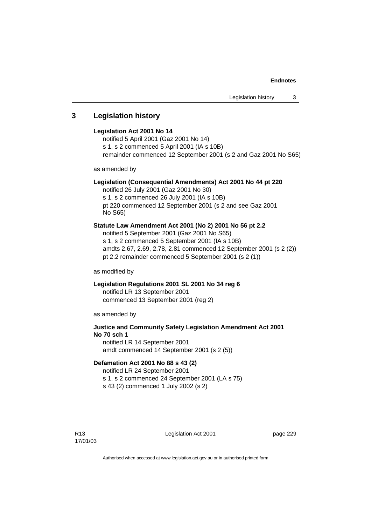# **3 Legislation history**

### **Legislation Act 2001 No 14**

notified 5 April 2001 (Gaz 2001 No 14) s 1, s 2 commenced 5 April 2001 (IA s 10B) remainder commenced 12 September 2001 (s 2 and Gaz 2001 No S65)

as amended by

### **Legislation (Consequential Amendments) Act 2001 No 44 pt 220**

notified 26 July 2001 (Gaz 2001 No 30) s 1, s 2 commenced 26 July 2001 (IA s 10B) pt 220 commenced 12 September 2001 (s 2 and see Gaz 2001 No S65)

### **Statute Law Amendment Act 2001 (No 2) 2001 No 56 pt 2.2**

notified 5 September 2001 (Gaz 2001 No S65) s 1, s 2 commenced 5 September 2001 (IA s 10B) amdts 2.67, 2.69, 2.78, 2.81 commenced 12 September 2001 (s 2 (2)) pt 2.2 remainder commenced 5 September 2001 (s 2 (1))

as modified by

### **Legislation Regulations 2001 SL 2001 No 34 reg 6**  notified LR 13 September 2001 commenced 13 September 2001 (reg 2)

as amended by

# **Justice and Community Safety Legislation Amendment Act 2001 No 70 sch 1**  notified LR 14 September 2001

amdt commenced 14 September 2001 (s 2 (5))

### **Defamation Act 2001 No 88 s 43 (2)**

notified LR 24 September 2001 s 1, s 2 commenced 24 September 2001 (LA s 75) s 43 (2) commenced 1 July 2002 (s 2)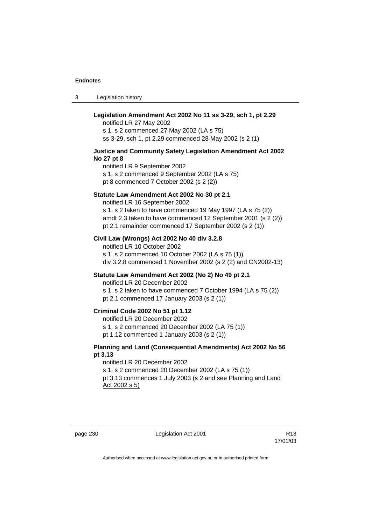3 Legislation history

# **Legislation Amendment Act 2002 No 11 ss 3-29, sch 1, pt 2.29**

notified LR 27 May 2002 s 1, s 2 commenced 27 May 2002 (LA s 75) ss 3-29, sch 1, pt 2.29 commenced 28 May 2002 (s 2 (1)

### **Justice and Community Safety Legislation Amendment Act 2002 No 27 pt 8**

notified LR 9 September 2002 s 1, s 2 commenced 9 September 2002 (LA s 75) pt 8 commenced 7 October 2002 (s 2 (2))

### **Statute Law Amendment Act 2002 No 30 pt 2.1**

notified LR 16 September 2002 s 1, s 2 taken to have commenced 19 May 1997 (LA s 75 (2)) amdt 2.3 taken to have commenced 12 September 2001 (s 2 (2)) pt 2.1 remainder commenced 17 September 2002 (s 2 (1))

### **Civil Law (Wrongs) Act 2002 No 40 div 3.2.8**

notified LR 10 October 2002 s 1, s 2 commenced 10 October 2002 (LA s 75 (1)) div 3.2.8 commenced 1 November 2002 (s 2 (2) and CN2002-13)

### **Statute Law Amendment Act 2002 (No 2) No 49 pt 2.1**

notified LR 20 December 2002

s 1, s 2 taken to have commenced 7 October 1994 (LA s 75 (2)) pt 2.1 commenced 17 January 2003 (s 2 (1))

### **Criminal Code 2002 No 51 pt 1.12**

notified LR 20 December 2002

s 1, s 2 commenced 20 December 2002 (LA 75 (1))

pt 1.12 commenced 1 January 2003 (s 2 (1))

### **Planning and Land (Consequential Amendments) Act 2002 No 56 pt 3.13**

notified LR 20 December 2002 s 1, s 2 commenced 20 December 2002 (LA s 75 (1)) pt 3.13 commences 1 July 2003 (s 2 and see Planning and Land Act 2002 s 5)

page 230 **Legislation Act 2001** CH<sub>13</sub> R13

17/01/03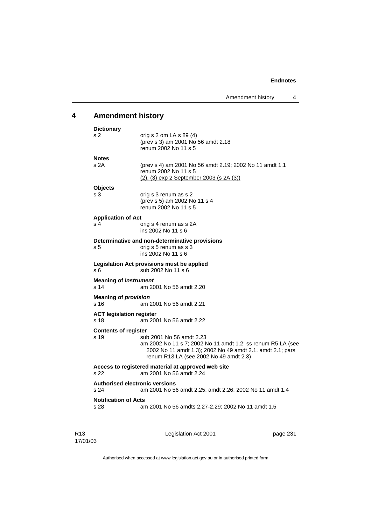# **4 Amendment history**

| <b>Dictionary</b>                                                                                        |                                                                                                                                                                                                |  |  |
|----------------------------------------------------------------------------------------------------------|------------------------------------------------------------------------------------------------------------------------------------------------------------------------------------------------|--|--|
| s 2                                                                                                      | orig s $2$ om LA s $89(4)$<br>(prev s 3) am 2001 No 56 amdt 2.18<br>renum 2002 No 11 s 5                                                                                                       |  |  |
| <b>Notes</b>                                                                                             |                                                                                                                                                                                                |  |  |
| s <sub>2A</sub>                                                                                          | (prev s 4) am 2001 No 56 amdt 2.19; 2002 No 11 amdt 1.1<br>renum 2002 No 11 s 5<br>(2), (3) exp 2 September 2003 (s 2A (3))                                                                    |  |  |
|                                                                                                          |                                                                                                                                                                                                |  |  |
| <b>Objects</b><br>s 3                                                                                    | orig s 3 renum as s 2<br>(prev s 5) am 2002 No 11 s 4<br>renum 2002 No 11 s 5                                                                                                                  |  |  |
|                                                                                                          |                                                                                                                                                                                                |  |  |
| <b>Application of Act</b><br>s <sub>4</sub>                                                              | orig s 4 renum as s 2A<br>ins 2002 No 11 s 6                                                                                                                                                   |  |  |
| s 5                                                                                                      | Determinative and non-determinative provisions<br>orig s 5 renum as s 3<br>ins 2002 No 11 s 6                                                                                                  |  |  |
| s 6                                                                                                      | Legislation Act provisions must be applied<br>sub 2002 No 11 s 6                                                                                                                               |  |  |
| <b>Meaning of instrument</b><br>s 14                                                                     | am 2001 No 56 amdt 2.20                                                                                                                                                                        |  |  |
| <b>Meaning of provision</b><br>s 16<br>am 2001 No 56 amdt 2.21                                           |                                                                                                                                                                                                |  |  |
| <b>ACT legislation register</b><br>s 18                                                                  | am 2001 No 56 amdt 2.22                                                                                                                                                                        |  |  |
| <b>Contents of register</b>                                                                              |                                                                                                                                                                                                |  |  |
| s 19                                                                                                     | sub 2001 No 56 amdt 2.23<br>am 2002 No 11 s 7; 2002 No 11 amdt 1.2; ss renum R5 LA (see<br>2002 No 11 amdt 1.3); 2002 No 49 amdt 2.1, amdt 2.1; pars<br>renum R13 LA (see 2002 No 49 amdt 2.3) |  |  |
| s 22                                                                                                     | Access to registered material at approved web site<br>am 2001 No 56 amdt 2.24                                                                                                                  |  |  |
| <b>Authorised electronic versions</b><br>s 24<br>am 2001 No 56 amdt 2.25, amdt 2.26; 2002 No 11 amdt 1.4 |                                                                                                                                                                                                |  |  |
| <b>Notification of Acts</b><br>s 28                                                                      | am 2001 No 56 amdts 2.27-2.29; 2002 No 11 amdt 1.5                                                                                                                                             |  |  |
|                                                                                                          |                                                                                                                                                                                                |  |  |

R13 17/01/03 Legislation Act 2001 **page 231**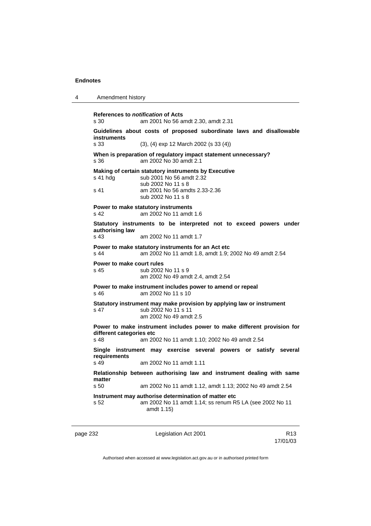4 Amendment history

page 232 Legislation Act 2001 **References to** *notification* **of Acts**  s 30 am 2001 No 56 amdt 2.30, amdt 2.31 **Guidelines about costs of proposed subordinate laws and disallowable instruments**  s 33 (3), (4) exp 12 March 2002 (s 33 (4)) **When is preparation of regulatory impact statement unnecessary?**  s 36 am 2002 No 30 amdt 2.1 **Making of certain statutory instruments by Executive**  s 41 hdg sub 2001 No 56 amdt 2.32 sub 2002 No 11 s 8 s 41 am 2001 No 56 amdts 2.33-2.36 sub 2002 No 11 s 8 **Power to make statutory instruments**  s 42 am 2002 No 11 amdt 1.6 **Statutory instruments to be interpreted not to exceed powers under authorising law**  s 43 am 2002 No 11 amdt 1.7 **Power to make statutory instruments for an Act etc**  s 44 am 2002 No 11 amdt 1.8, amdt 1.9; 2002 No 49 amdt 2.54 **Power to make court rules**  s 45 sub 2002 No 11 s 9 am 2002 No 49 amdt 2.4, amdt 2.54 **Power to make instrument includes power to amend or repeal**  s 46 am 2002 No 11 s 10 **Statutory instrument may make provision by applying law or instrument**  s 47 sub 2002 No 11 s 11 am 2002 No 49 amdt 2.5 **Power to make instrument includes power to make different provision for different categories etc**<br>s 48 am 20 s 48 am 2002 No 11 amdt 1.10; 2002 No 49 amdt 2.54 **Single instrument may exercise several powers or satisfy several requirements**  s 49 am 2002 No 11 amdt 1.11 **Relationship between authorising law and instrument dealing with same matter**  s 50 am 2002 No 11 amdt 1.12, amdt 1.13; 2002 No 49 amdt 2.54 **Instrument may authorise determination of matter etc**  s 52 am 2002 No 11 amdt 1.14; ss renum R5 LA (see 2002 No 11 amdt 1.15)

Authorised when accessed at www.legislation.act.gov.au or in authorised printed form

17/01/03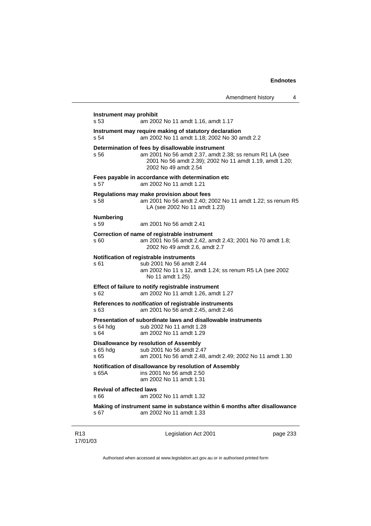|                                         |                                                                                                                                                                                                | Amendment history | 4 |
|-----------------------------------------|------------------------------------------------------------------------------------------------------------------------------------------------------------------------------------------------|-------------------|---|
| Instrument may prohibit<br>s 53         | am 2002 No 11 amdt 1.16, amdt 1.17                                                                                                                                                             |                   |   |
| s 54                                    | Instrument may require making of statutory declaration<br>am 2002 No 11 amdt 1.18; 2002 No 30 amdt 2.2                                                                                         |                   |   |
| s 56                                    | Determination of fees by disallowable instrument<br>am 2001 No 56 amdt 2.37, amdt 2.38; ss renum R1 LA (see<br>2001 No 56 amdt 2.39); 2002 No 11 amdt 1.19, amdt 1.20;<br>2002 No 49 amdt 2.54 |                   |   |
| s 57                                    | Fees payable in accordance with determination etc<br>am 2002 No 11 amdt 1.21                                                                                                                   |                   |   |
| s 58                                    | Regulations may make provision about fees<br>am 2001 No 56 amdt 2.40; 2002 No 11 amdt 1.22; ss renum R5<br>LA (see 2002 No 11 amdt 1.23)                                                       |                   |   |
| <b>Numbering</b><br>s 59                | am 2001 No 56 amdt 2.41                                                                                                                                                                        |                   |   |
| s 60                                    | Correction of name of registrable instrument<br>am 2001 No 56 amdt 2.42, amdt 2.43; 2001 No 70 amdt 1.8;<br>2002 No 49 amdt 2.6, amdt 2.7                                                      |                   |   |
| s 61                                    | Notification of registrable instruments<br>sub 2001 No 56 amdt 2.44<br>am 2002 No 11 s 12, amdt 1.24; ss renum R5 LA (see 2002<br>No 11 amdt 1.25)                                             |                   |   |
| s 62                                    | Effect of failure to notify registrable instrument<br>am 2002 No 11 amdt 1.26, amdt 1.27                                                                                                       |                   |   |
| s 63                                    | References to <i>notification</i> of registrable instruments<br>am 2001 No 56 amdt 2.45, amdt 2.46                                                                                             |                   |   |
| s 64 hdg<br>s64                         | Presentation of subordinate laws and disallowable instruments<br>sub 2002 No 11 amdt 1.28<br>am 2002 No 11 amdt 1.29                                                                           |                   |   |
| s 65 hdg<br>s 65                        | Disallowance by resolution of Assembly<br>sub 2001 No 56 amdt 2.47<br>am 2001 No 56 amdt 2.48, amdt 2.49; 2002 No 11 amdt 1.30                                                                 |                   |   |
| s 65A                                   | Notification of disallowance by resolution of Assembly<br>ins 2001 No 56 amdt 2.50<br>am 2002 No 11 amdt 1.31                                                                                  |                   |   |
| <b>Revival of affected laws</b><br>s 66 | am 2002 No 11 amdt 1.32                                                                                                                                                                        |                   |   |

**Making of instrument same in substance within 6 months after disallowance**  s 67 am 2002 No 11 amdt 1.33

Legislation Act 2001 **page 233**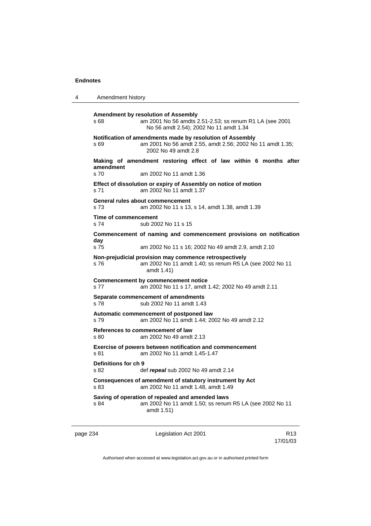```
4 Amendment history 
Amendment by resolution of Assembly 
s 68 am 2001 No 56 amdts 2.51-2.53; ss renum R1 LA (see 2001 
                  No 56 amdt 2.54); 2002 No 11 amdt 1.34 
Notification of amendments made by resolution of Assembly 
s 69 am 2001 No 56 amdt 2.55, amdt 2.56; 2002 No 11 amdt 1.35; 
                  2002 No 49 amdt 2.8 
 Making of amendment restoring effect of law within 6 months after 
amendment 
                am 2002 No 11 amdt 1.36
Effect of dissolution or expiry of Assembly on notice of motion 
s 71 am 2002 No 11 amdt 1.37 
General rules about commencement 
s 73 am 2002 No 11 s 13, s 14, amdt 1.38, amdt 1.39 
Time of commencement 
s 74 sub 2002 No 11 s 15 
Commencement of naming and commencement provisions on notification 
day 
s 75 am 2002 No 11 s 16; 2002 No 49 amdt 2.9, amdt 2.10 
Non-prejudicial provision may commence retrospectively 
s 76 am 2002 No 11 amdt 1.40; ss renum R5 LA (see 2002 No 11 
                  amdt 1.41) 
Commencement by commencement notice 
s 77 am 2002 No 11 s 17, amdt 1.42; 2002 No 49 amdt 2.11 
Separate commencement of amendments 
s 78 sub 2002 No 11 amdt 1.43 
Automatic commencement of postponed law 
s 79 am 2002 No 11 amdt 1.44; 2002 No 49 amdt 2.12 
References to commencement of law 
s 80 am 2002 No 49 amdt 2.13 
Exercise of powers between notification and commencement 
s 81 am 2002 No 11 amdt 1.45-1.47 
Definitions for ch 9 
s 82 def repeal sub 2002 No 49 amdt 2.14 
Consequences of amendment of statutory instrument by Act 
s 83 am 2002 No 11 amdt 1.48, amdt 1.49 
Saving of operation of repealed and amended laws 
s 84 am 2002 No 11 amdt 1.50; ss renum R5 LA (see 2002 No 11 
                  amdt 1.51)
```
page 234 **Legislation Act 2001** CH<sub>13</sub> R13

17/01/03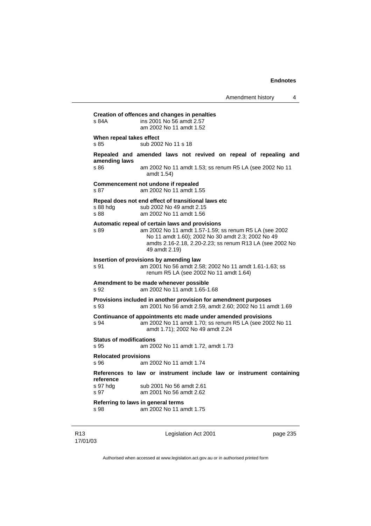# **Creation of offences and changes in penalties**  s 84A ins 2001 No 56 amdt 2.57 am 2002 No 11 amdt 1.52 **When repeal takes effect**  s 85 sub 2002 No 11 s 18 **Repealed and amended laws not revived on repeal of repealing and amending laws**  s 86 am 2002 No 11 amdt 1.53; ss renum R5 LA (see 2002 No 11 amdt 1.54) **Commencement not undone if repealed**  s 87 am 2002 No 11 amdt 1.55 **Repeal does not end effect of transitional laws etc**  s 88 hdg sub 2002 No 49 amdt 2.15 s 88 am 2002 No 11 amdt 1.56 **Automatic repeal of certain laws and provisions**  s 89 am 2002 No 11 amdt 1.57-1.59; ss renum R5 LA (see 2002 No 11 amdt 1.60); 2002 No 30 amdt 2.3; 2002 No 49 amdts 2.16-2.18, 2.20-2.23; ss renum R13 LA (see 2002 No 49 amdt 2.19) **Insertion of provisions by amending law**  s 91 am 2001 No 56 amdt 2.58; 2002 No 11 amdt 1.61-1.63; ss renum R5 LA (see 2002 No 11 amdt 1.64) **Amendment to be made whenever possible**  s 92 am 2002 No 11 amdt 1.65-1.68 **Provisions included in another provision for amendment purposes**  s 93 am 2001 No 56 amdt 2.59, amdt 2.60; 2002 No 11 amdt 1.69 **Continuance of appointments etc made under amended provisions**  s 94 am 2002 No 11 amdt 1.70; ss renum R5 LA (see 2002 No 11 amdt 1.71); 2002 No 49 amdt 2.24 **Status of modifications**  s 95 am 2002 No 11 amdt 1.72, amdt 1.73 **Relocated provisions**  s 96 am 2002 No 11 amdt 1.74 **References to law or instrument include law or instrument containing reference**  sub 2001 No 56 amdt 2.61 s 97 am 2001 No 56 amdt 2.62 **Referring to laws in general terms**  s 98 am 2002 No 11 amdt 1.75

R13 17/01/03 Legislation Act 2001 **page 235**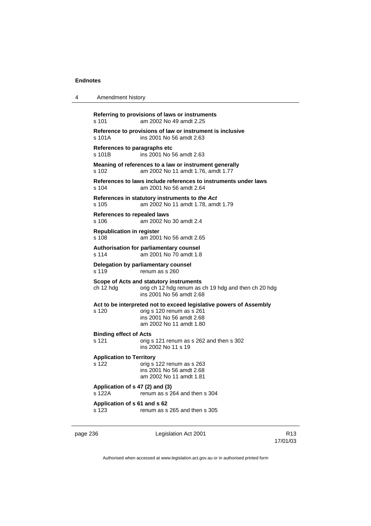| 4        | Amendment history                                                                               |                                                                                                                                                        |                 |  |
|----------|-------------------------------------------------------------------------------------------------|--------------------------------------------------------------------------------------------------------------------------------------------------------|-----------------|--|
|          | s 101                                                                                           | Referring to provisions of laws or instruments<br>am 2002 No 49 amdt 2.25                                                                              |                 |  |
|          | Reference to provisions of law or instrument is inclusive<br>ins 2001 No 56 amdt 2.63<br>s 101A |                                                                                                                                                        |                 |  |
|          | References to paragraphs etc<br>s 101B                                                          | ins 2001 No 56 amdt 2.63                                                                                                                               |                 |  |
|          | s 102                                                                                           | Meaning of references to a law or instrument generally<br>am 2002 No 11 amdt 1.76, amdt 1.77                                                           |                 |  |
|          | s 104                                                                                           | References to laws include references to instruments under laws<br>am 2001 No 56 amdt 2.64                                                             |                 |  |
|          | s 105                                                                                           | References in statutory instruments to the Act<br>am 2002 No 11 amdt 1.78, amdt 1.79                                                                   |                 |  |
|          | <b>References to repealed laws</b><br>s 106                                                     | am 2002 No 30 amdt 2.4                                                                                                                                 |                 |  |
|          | <b>Republication in register</b><br>$s$ 108                                                     | am 2001 No 56 amdt 2.65                                                                                                                                |                 |  |
|          | s 114                                                                                           | Authorisation for parliamentary counsel<br>am 2001 No 70 amdt 1.8                                                                                      |                 |  |
|          | Delegation by parliamentary counsel<br>s 119<br>renum as s 260                                  |                                                                                                                                                        |                 |  |
|          | ch 12 hdg                                                                                       | Scope of Acts and statutory instruments<br>orig ch 12 hdg renum as ch 19 hdg and then ch 20 hdg<br>ins 2001 No 56 amdt 2.68                            |                 |  |
|          | s 120                                                                                           | Act to be interpreted not to exceed legislative powers of Assembly<br>orig s 120 renum as s 261<br>ins 2001 No 56 amdt 2.68<br>am 2002 No 11 amdt 1.80 |                 |  |
|          | <b>Binding effect of Acts</b><br>s 121                                                          | orig s 121 renum as s 262 and then s 302<br>ins 2002 No 11 s 19                                                                                        |                 |  |
|          | <b>Application to Territory</b><br>s 122                                                        | orig s 122 renum as s 263<br>ins 2001 No 56 amdt 2.68<br>am 2002 No 11 amdt 1.81                                                                       |                 |  |
|          | Application of s 47 (2) and (3)<br>s 122A<br>renum as s 264 and then s 304                      |                                                                                                                                                        |                 |  |
|          | Application of s 61 and s 62<br>s 123                                                           | renum as s 265 and then s 305                                                                                                                          |                 |  |
| page 236 |                                                                                                 | Legislation Act 2001                                                                                                                                   | R <sub>13</sub> |  |

Authorised when accessed at www.legislation.act.gov.au or in authorised printed form

17/01/03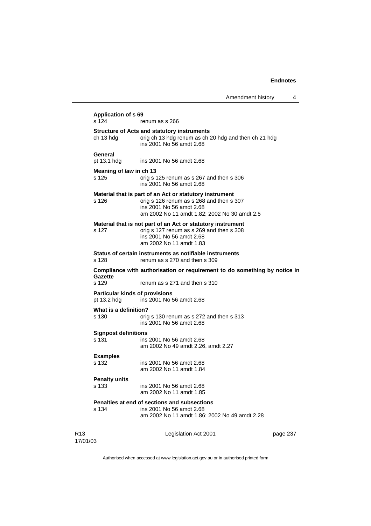|                                                      | Amendment history                                                                                                                                                               | 4        |
|------------------------------------------------------|---------------------------------------------------------------------------------------------------------------------------------------------------------------------------------|----------|
| <b>Application of s 69</b><br>s 124                  | renum as s 266                                                                                                                                                                  |          |
| ch 13 hdg                                            | <b>Structure of Acts and statutory instruments</b><br>orig ch 13 hdg renum as ch 20 hdg and then ch 21 hdg<br>ins 2001 No 56 amdt 2.68                                          |          |
| General<br>pt 13.1 hdg                               | ins 2001 No 56 amdt 2.68                                                                                                                                                        |          |
| Meaning of law in ch 13<br>s 125                     | orig s 125 renum as s 267 and then s 306<br>ins 2001 No 56 amdt 2.68                                                                                                            |          |
| s 126                                                | Material that is part of an Act or statutory instrument<br>orig s 126 renum as s 268 and then s 307<br>ins 2001 No 56 amdt 2.68<br>am 2002 No 11 amdt 1.82; 2002 No 30 amdt 2.5 |          |
| s 127                                                | Material that is not part of an Act or statutory instrument<br>orig s 127 renum as s 269 and then s 308<br>ins 2001 No 56 amdt 2.68<br>am 2002 No 11 amdt 1.83                  |          |
| s 128                                                | Status of certain instruments as notifiable instruments<br>renum as s 270 and then s 309                                                                                        |          |
| Gazette                                              | Compliance with authorisation or requirement to do something by notice in                                                                                                       |          |
| s 129                                                | renum as s 271 and then s 310                                                                                                                                                   |          |
| <b>Particular kinds of provisions</b><br>pt 13.2 hdg | ins 2001 No 56 amdt 2.68                                                                                                                                                        |          |
| What is a definition?                                |                                                                                                                                                                                 |          |
| s 130                                                | orig s 130 renum as s 272 and then s 313<br>ins 2001 No 56 amdt 2.68                                                                                                            |          |
| <b>Signpost definitions</b><br>s 131                 | ins 2001 No 56 amdt 2.68<br>am 2002 No 49 amdt 2.26, amdt 2.27                                                                                                                  |          |
| <b>Examples</b><br>s 132                             | ins 2001 No 56 amdt 2.68<br>am 2002 No 11 amdt 1.84                                                                                                                             |          |
| <b>Penalty units</b><br>s 133                        | ins 2001 No 56 amdt 2.68<br>am 2002 No 11 amdt 1.85                                                                                                                             |          |
| s 134                                                | Penalties at end of sections and subsections<br>ins 2001 No 56 amdt 2.68<br>am 2002 No 11 amdt 1.86; 2002 No 49 amdt 2.28                                                       |          |
|                                                      | Legislation Act 2001                                                                                                                                                            | page 237 |

Authorised when accessed at www.legislation.act.gov.au or in authorised printed form

R13 17/01/03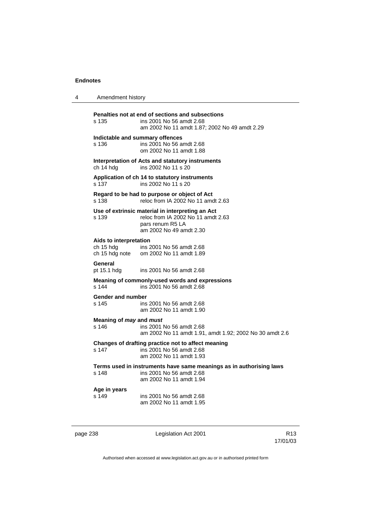| 4        | Amendment history                                     |                                                                                                                                       |                             |
|----------|-------------------------------------------------------|---------------------------------------------------------------------------------------------------------------------------------------|-----------------------------|
|          | s 135                                                 | Penalties not at end of sections and subsections<br>ins 2001 No 56 amdt 2.68<br>am 2002 No 11 amdt 1.87; 2002 No 49 amdt 2.29         |                             |
|          | s 136                                                 | Indictable and summary offences<br>ins 2001 No 56 amdt 2.68<br>om 2002 No 11 amdt 1.88                                                |                             |
|          | ch 14 hdg                                             | Interpretation of Acts and statutory instruments<br>ins 2002 No 11 s 20                                                               |                             |
|          | s 137                                                 | Application of ch 14 to statutory instruments<br>ins 2002 No 11 s 20                                                                  |                             |
|          | s 138                                                 | Regard to be had to purpose or object of Act<br>reloc from IA 2002 No 11 amdt 2.63                                                    |                             |
|          | s 139                                                 | Use of extrinsic material in interpreting an Act<br>reloc from IA 2002 No 11 amdt 2.63<br>pars renum R5 LA<br>am 2002 No 49 amdt 2.30 |                             |
|          | Aids to interpretation<br>ch 15 hdg<br>ch 15 hdg note | ins 2001 No 56 amdt 2.68<br>om 2002 No 11 amdt 1.89                                                                                   |                             |
|          | <b>General</b><br>pt 15.1 hdg                         | ins 2001 No 56 amdt 2.68                                                                                                              |                             |
|          | s 144                                                 | Meaning of commonly-used words and expressions<br>ins 2001 No 56 amdt 2.68                                                            |                             |
|          | Gender and number<br>s 145                            | ins 2001 No 56 amdt 2.68<br>am 2002 No 11 amdt 1.90                                                                                   |                             |
|          | Meaning of <i>may</i> and <i>must</i><br>s 146        | ins 2001 No 56 amdt 2.68<br>am 2002 No 11 amdt 1.91, amdt 1.92; 2002 No 30 amdt 2.6                                                   |                             |
|          | s 147                                                 | Changes of drafting practice not to affect meaning<br>ins 2001 No 56 amdt 2.68<br>am 2002 No 11 amdt 1.93                             |                             |
|          | s 148                                                 | Terms used in instruments have same meanings as in authorising laws<br>ins 2001 No 56 amdt 2.68<br>am 2002 No 11 amdt 1.94            |                             |
|          | Age in years<br>s 149                                 | ins 2001 No 56 amdt 2.68<br>am 2002 No 11 amdt 1.95                                                                                   |                             |
| page 238 |                                                       | Legislation Act 2001                                                                                                                  | R <sub>13</sub><br>17/01/03 |
|          |                                                       | Authorised when accessed at www.legislation.act.gov.au or in authorised printed form                                                  |                             |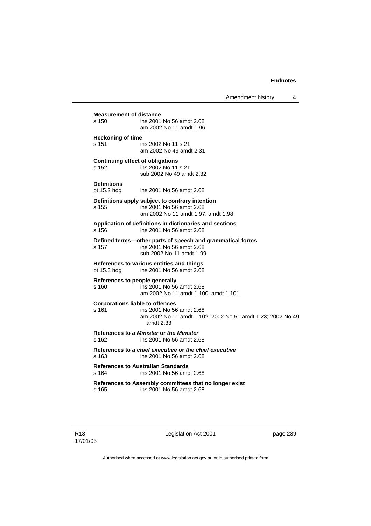Amendment history 4

#### **Measurement of distance**  s 150 ins 2001 No 56 amdt 2.68

 am 2002 No 11 amdt 1.96 **Reckoning of time** 

s 151 ins 2002 No 11 s 21 am 2002 No 49 amdt 2.31

#### **Continuing effect of obligations**

s 152 ins 2002 No 11 s 21 sub 2002 No 49 amdt 2.32

#### **Definitions**

pt 15.2 hdg ins 2001 No 56 amdt 2.68

### **Definitions apply subject to contrary intention**

s 155 ins 2001 No 56 amdt 2.68 am 2002 No 11 amdt 1.97, amdt 1.98

**Application of definitions in dictionaries and sections**  s 156 ins 2001 No 56 amdt 2.68

### **Defined terms—other parts of speech and grammatical forms**

s 157 ins 2001 No 56 amdt 2.68 sub 2002 No 11 amdt 1.99

### **References to various entities and things**  ins 2001 No 56 amdt 2.68

### **References to people generally**

s 160 ins 2001 No 56 amdt 2.68 am 2002 No 11 amdt 1.100, amdt 1.101

#### **Corporations liable to offences**

#### s 161 ins 2001 No 56 amdt 2.68 am 2002 No 11 amdt 1.102; 2002 No 51 amdt 1.23; 2002 No 49 amdt 2.33

#### **References to** *a Minister* **or** *the Minister* s 162 ins 2001 No 56 amdt 2.68

**References to** *a chief executive* **or** *the chief executive*

s 163 ins 2001 No 56 amdt 2.68

**References to Australian Standards**  s 164 ins 2001 No 56 amdt 2.68

## **References to Assembly committees that no longer exist**

s 165 ins 2001 No 56 amdt 2.68

Legislation Act 2001 **page 239**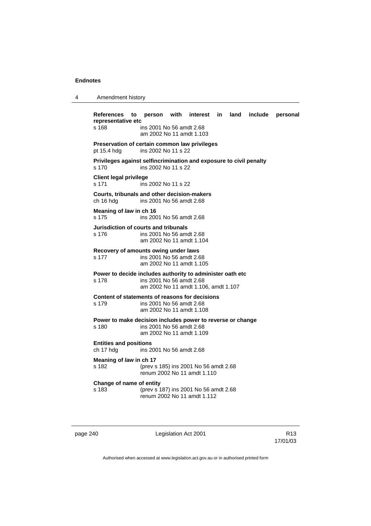| Amendment history |  |
|-------------------|--|
|-------------------|--|

**References to person with interest in land include personal representative etc**  s 168 ins 2001 No 56 amdt 2.68 am 2002 No 11 amdt 1.103 **Preservation of certain common law privileges**  pt 15.4 hdg ins 2002 No 11 s 22 **Privileges against selfincrimination and exposure to civil penalty**  s 170 ins 2002 No 11 s 22 **Client legal privilege**  s 171 ins 2002 No 11 s 22 **Courts, tribunals and other decision-makers**  ch 16 hdg ins 2001 No 56 amdt 2.68 **Meaning of** *law* **in ch 16**  s 175 ins 2001 No 56 amdt 2.68 **Jurisdiction of courts and tribunals**  s 176 ins 2001 No 56 amdt 2.68 am 2002 No 11 amdt 1.104 **Recovery of amounts owing under laws**  s 177 ins 2001 No 56 amdt 2.68 am 2002 No 11 amdt 1.105 **Power to decide includes authority to administer oath etc**  s 178 ins 2001 No 56 amdt 2.68 am 2002 No 11 amdt 1.106, amdt 1.107 **Content of statements of reasons for decisions**  s 179 ins 2001 No 56 amdt 2.68 am 2002 No 11 amdt 1.108 **Power to make decision includes power to reverse or change**<br>s 180 **ins 2001 No 56 amdt 2.68** ins 2001 No 56 amdt 2.68 am 2002 No 11 amdt 1.109 **Entities and positions**  ch 17 hdg ins 2001 No 56 amdt 2.68 **Meaning of** *law* **in ch 17**  s 182 (prev s 185) ins 2001 No 56 amdt 2.68 renum 2002 No 11 amdt 1.110 **Change of name of entity**  s 183 (prev s 187) ins 2001 No 56 amdt 2.68 renum 2002 No 11 amdt 1.112

page 240 **Legislation Act 2001** CH<sub>13</sub> R13

17/01/03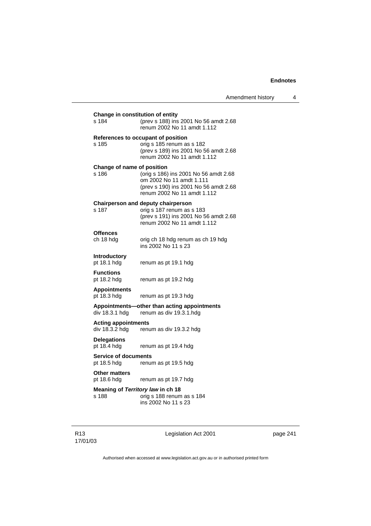| s 184                                        | (prev s 188) ins 2001 No 56 amdt 2.68<br>renum 2002 No 11 amdt 1.112                                                                           |
|----------------------------------------------|------------------------------------------------------------------------------------------------------------------------------------------------|
| s 185                                        | References to occupant of position<br>orig s 185 renum as s 182<br>(prev s 189) ins 2001 No 56 amdt 2.68<br>renum 2002 No 11 amdt 1.112        |
| Change of name of position<br>s 186          | (orig s 186) ins 2001 No 56 amdt 2.68<br>om 2002 No 11 amdt 1.111<br>(prev s 190) ins 2001 No 56 amdt 2.68<br>renum 2002 No 11 amdt 1.112      |
| s 187                                        | <b>Chairperson and deputy chairperson</b><br>orig s 187 renum as s 183<br>(prev s 191) ins 2001 No 56 amdt 2.68<br>renum 2002 No 11 amdt 1.112 |
| <b>Offences</b><br>ch 18 hdg                 | orig ch 18 hdg renum as ch 19 hdg<br>ins 2002 No 11 s 23                                                                                       |
| <b>Introductory</b><br>pt 18.1 hdg           | renum as pt 19.1 hdg                                                                                                                           |
| <b>Functions</b><br>pt 18.2 hdg              | renum as pt 19.2 hdg                                                                                                                           |
| <b>Appointments</b><br>pt 18.3 hdg           | renum as pt 19.3 hdg                                                                                                                           |
| div 18.3.1 hdg                               | Appointments-other than acting appointments<br>renum as div 19.3.1.hdg                                                                         |
| <b>Acting appointments</b><br>div 18.3.2 hdg | renum as div 19.3.2 hdg                                                                                                                        |
| <b>Delegations</b><br>pt 18.4 hdg            | renum as pt 19.4 hdg                                                                                                                           |
| <b>Service of documents</b><br>pt 18.5 hdg   | renum as pt 19.5 hdg                                                                                                                           |
| <b>Other matters</b><br>pt 18.6 hdg          | renum as pt 19.7 hdg                                                                                                                           |
| s 188                                        | Meaning of Territory law in ch 18<br>orig s 188 renum as s 184<br>ins 2002 No 11 s 23                                                          |

R13 17/01/03 Legislation Act 2001 **page 241**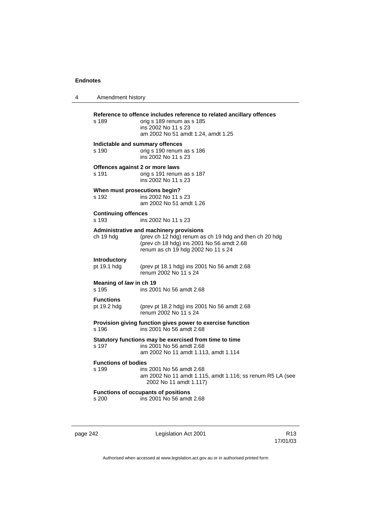| Amendment history                   |                                                                                                                                                                                      |
|-------------------------------------|--------------------------------------------------------------------------------------------------------------------------------------------------------------------------------------|
| s 189                               | Reference to offence includes reference to related ancillary offences<br>orig s 189 renum as s 185<br>ins 2002 No 11 s 23<br>am 2002 No 51 amdt 1.24, amdt 1.25                      |
| s 190                               | Indictable and summary offences<br>orig s 190 renum as s 186<br>ins 2002 No 11 s 23                                                                                                  |
| s 191                               | Offences against 2 or more laws<br>orig s 191 renum as s 187<br>ins 2002 No 11 s 23                                                                                                  |
| s 192                               | When must prosecutions begin?<br>ins 2002 No 11 s 23<br>am 2002 No 51 amdt 1.26                                                                                                      |
| <b>Continuing offences</b><br>s 193 | ins 2002 No 11 s 23                                                                                                                                                                  |
| ch 19 hdg                           | Administrative and machinery provisions<br>(prev ch 12 hdg) renum as ch 19 hdg and then ch 20 hdg<br>(prev ch 18 hdg) ins 2001 No 56 amdt 2.68<br>renum as ch 19 hdg 2002 No 11 s 24 |
| <b>Introductory</b><br>pt 19.1 hdg  | (prev pt 18.1 hdg) ins 2001 No 56 amdt 2.68<br>renum 2002 No 11 s 24                                                                                                                 |
| Meaning of law in ch 19<br>s 195    | ins 2001 No 56 amdt 2.68                                                                                                                                                             |
| <b>Functions</b><br>pt 19.2 hdg     | (prev pt 18.2 hdg) ins 2001 No 56 amdt 2.68<br>renum 2002 No 11 s 24                                                                                                                 |
| s 196                               | Provision giving function gives power to exercise function<br>ins 2001 No 56 amdt 2.68                                                                                               |
| s 197                               | Statutory functions may be exercised from time to time<br>ins 2001 No 56 amdt 2.68<br>am 2002 No 11 amdt 1.113, amdt 1.114                                                           |
| <b>Functions of bodies</b><br>s 199 | ins 2001 No 56 amdt 2.68<br>am 2002 No 11 amdt 1.115, amdt 1.116; ss renum R5 LA (see<br>2002 No 11 amdt 1.117)                                                                      |
| s 200                               | <b>Functions of occupants of positions</b><br>ins 2001 No 56 amdt 2.68                                                                                                               |

page 242 **Legislation Act 2001** Constants R13

17/01/03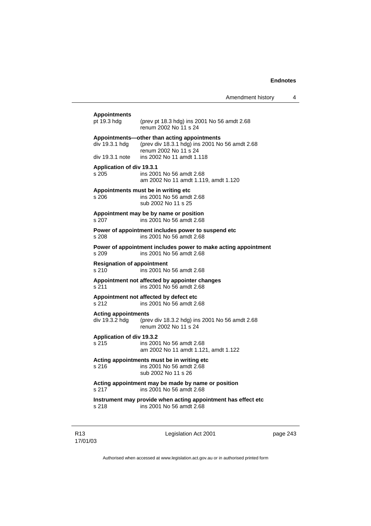| <b>Appointments</b><br>pt 19.3 hdg           | (prev pt 18.3 hdg) ins 2001 No 56 amdt 2.68<br>renum 2002 No 11 s 24                                                                                |
|----------------------------------------------|-----------------------------------------------------------------------------------------------------------------------------------------------------|
| div 19.3.1 hdg<br>div 19.3.1 note            | Appointments-other than acting appointments<br>(prev div 18.3.1 hdg) ins 2001 No 56 amdt 2.68<br>renum 2002 No 11 s 24<br>ins 2002 No 11 amdt 1.118 |
|                                              |                                                                                                                                                     |
| <b>Application of div 19.3.1</b><br>s 205    | ins 2001 No 56 amdt 2.68<br>am 2002 No 11 amdt 1.119, amdt 1.120                                                                                    |
| s 206                                        | Appointments must be in writing etc<br>ins 2001 No 56 amdt 2.68<br>sub 2002 No 11 s 25                                                              |
| s 207                                        | Appointment may be by name or position<br>ins 2001 No 56 amdt 2.68                                                                                  |
| s 208                                        | Power of appointment includes power to suspend etc<br>ins 2001 No 56 amdt 2.68                                                                      |
| s 209                                        | Power of appointment includes power to make acting appointment<br>ins 2001 No 56 amdt 2.68                                                          |
| <b>Resignation of appointment</b><br>s 210   | ins 2001 No 56 amdt 2.68                                                                                                                            |
| s 211                                        | Appointment not affected by appointer changes<br>ins 2001 No 56 amdt 2.68                                                                           |
| s 212                                        | Appointment not affected by defect etc<br>ins 2001 No 56 amdt 2.68                                                                                  |
| <b>Acting appointments</b><br>div 19.3.2 hdg | (prev div 18.3.2 hdg) ins 2001 No 56 amdt 2.68<br>renum 2002 No 11 s 24                                                                             |
| Application of div 19.3.2<br>s 215           | ins 2001 No 56 amdt 2.68<br>am 2002 No 11 amdt 1.121, amdt 1.122                                                                                    |
| s 216                                        | Acting appointments must be in writing etc<br>ins 2001 No 56 amdt 2.68<br>sub 2002 No 11 s 26                                                       |
| s 217                                        | Acting appointment may be made by name or position<br>ins 2001 No 56 amdt 2.68                                                                      |
| s 218                                        | Instrument may provide when acting appointment has effect etc<br>ins 2001 No 56 amdt 2.68                                                           |
|                                              |                                                                                                                                                     |

Legislation Act 2001 **page 243**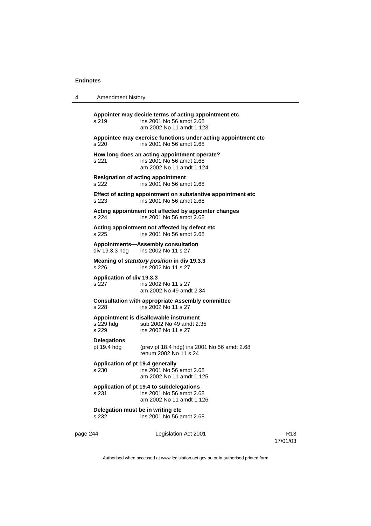| 4        | Amendment history                          |                                                                                                              |                 |
|----------|--------------------------------------------|--------------------------------------------------------------------------------------------------------------|-----------------|
|          | s 219                                      | Appointer may decide terms of acting appointment etc<br>ins 2001 No 56 amdt 2.68<br>am 2002 No 11 amdt 1.123 |                 |
|          | s 220                                      | Appointee may exercise functions under acting appointment etc<br>ins 2001 No 56 amdt 2.68                    |                 |
|          | s 221                                      | How long does an acting appointment operate?<br>ins 2001 No 56 amdt 2.68<br>am 2002 No 11 amdt 1.124         |                 |
|          | s 222                                      | <b>Resignation of acting appointment</b><br>ins 2001 No 56 amdt 2.68                                         |                 |
|          | s 223                                      | Effect of acting appointment on substantive appointment etc<br>ins 2001 No 56 amdt 2.68                      |                 |
|          | s 224                                      | Acting appointment not affected by appointer changes<br>ins 2001 No 56 amdt 2.68                             |                 |
|          | s 225                                      | Acting appointment not affected by defect etc<br>ins 2001 No 56 amdt 2.68                                    |                 |
|          | div 19.3.3 hdg                             | Appointments-Assembly consultation<br>ins 2002 No 11 s 27                                                    |                 |
|          | s 226                                      | Meaning of statutory position in div 19.3.3<br>ins 2002 No 11 s 27                                           |                 |
|          | Application of div 19.3.3<br>s 227         | ins 2002 No 11 s 27<br>am 2002 No 49 amdt 2.34                                                               |                 |
|          | s 228                                      | <b>Consultation with appropriate Assembly committee</b><br>ins 2002 No 11 s 27                               |                 |
|          | s 229 hdg<br>s 229                         | Appointment is disallowable instrument<br>sub 2002 No 49 amdt 2.35<br>ins 2002 No 11 s 27                    |                 |
|          | <b>Delegations</b><br>pt 19.4 hdg          | (prev pt 18.4 hdg) ins 2001 No 56 amdt 2.68<br>renum 2002 No 11 s 24                                         |                 |
|          | Application of pt 19.4 generally<br>s 230  | ins 2001 No 56 amdt 2.68<br>am 2002 No 11 amdt 1.125                                                         |                 |
|          | s 231                                      | Application of pt 19.4 to subdelegations<br>ins 2001 No 56 amdt 2.68<br>am 2002 No 11 amdt 1.126             |                 |
|          | Delegation must be in writing etc<br>s 232 | ins 2001 No 56 amdt 2.68                                                                                     |                 |
| page 244 |                                            | Legislation Act 2001                                                                                         | R <sub>13</sub> |

17/01/03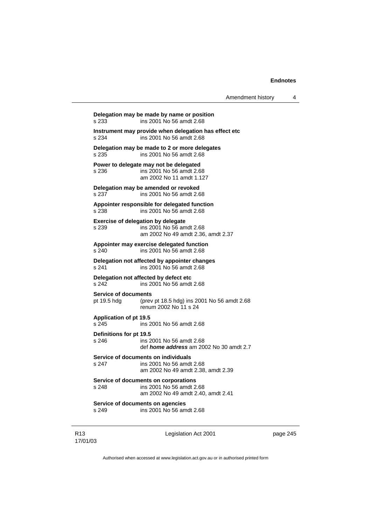Amendment history 4

**Delegation may be made by name or position**  s 233 ins 2001 No 56 amdt 2.68 **Instrument may provide when delegation has effect etc**  s 234 ins 2001 No 56 amdt 2.68 **Delegation may be made to 2 or more delegates**  s 235 ins 2001 No 56 amdt 2.68 **Power to delegate may not be delegated**  s 236 ins 2001 No 56 amdt 2.68 am 2002 No 11 amdt 1.127 **Delegation may be amended or revoked**  s 237 ins 2001 No 56 amdt 2.68 **Appointer responsible for delegated function**  s 238 ins 2001 No 56 amdt 2.68 **Exercise of delegation by delegate**  s 239 ins 2001 No 56 amdt 2.68 am 2002 No 49 amdt 2.36, amdt 2.37 **Appointer may exercise delegated function**  s 240 ins 2001 No 56 amdt 2.68 **Delegation not affected by appointer changes**  s 241 ins 2001 No 56 amdt 2.68 **Delegation not affected by defect etc**<br>s 242 **ins 2001** No 56 amdt ins 2001 No 56 amdt 2.68 **Service of documents**  pt 19.5 hdg (prev pt 18.5 hdg) ins 2001 No 56 amdt 2.68 renum 2002 No 11 s 24 **Application of pt 19.5**  s 245 ins 2001 No 56 amdt 2.68 **Definitions for pt 19.5**  s 246 ins 2001 No 56 amdt 2.68 def *home address* am 2002 No 30 amdt 2.7 **Service of documents on individuals**  s 247 ins 2001 No 56 amdt 2.68 am 2002 No 49 amdt 2.38, amdt 2.39 **Service of documents on corporations**  s 248 ins 2001 No 56 amdt 2.68 am 2002 No 49 amdt 2.40, amdt 2.41 **Service of documents on agencies**  s 249 ins 2001 No 56 amdt 2.68

R13 17/01/03 Legislation Act 2001 **page 245**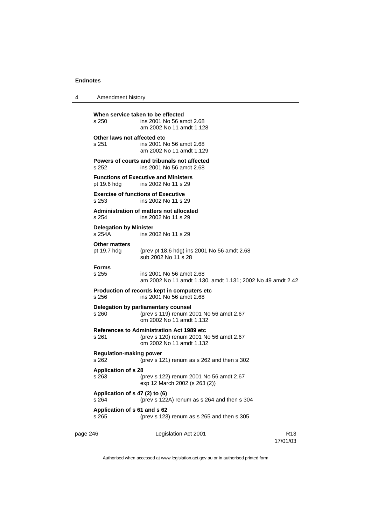4 Amendment history

page 246 **Legislation Act 2001** R13 **When service taken to be effected**<br>s 250 **ins 2001** No 56 and ins 2001 No 56 amdt 2.68 am 2002 No 11 amdt 1.128 **Other laws not affected etc**  s 251 ins 2001 No 56 amdt 2.68 am 2002 No 11 amdt 1.129 **Powers of courts and tribunals not affected**  s 252 ins 2001 No 56 amdt 2.68 **Functions of Executive and Ministers**  pt 19.6 hdg ins 2002 No 11 s 29 **Exercise of functions of Executive**<br>s 253 **ins 2002 No 11 s** 2 ins 2002 No 11 s 29 **Administration of matters not allocated**  s 254 ins 2002 No 11 s 29 **Delegation by Minister**  s 254A ins 2002 No 11 s 29 **Other matters**<br>pt 19.7 hdg (prev pt 18.6 hdg) ins 2001 No 56 amdt 2.68 sub 2002 No 11 s 28 **Forms**  s 255 ins 2001 No 56 amdt 2.68 am 2002 No 11 amdt 1.130, amdt 1.131; 2002 No 49 amdt 2.42 **Production of records kept in computers etc**  s 256 ins 2001 No 56 amdt 2.68 **Delegation by parliamentary counsel**  s 260 (prev s 119) renum 2001 No 56 amdt 2.67 om 2002 No 11 amdt 1.132 **References to Administration Act 1989 etc**  s 261 (prev s 120) renum 2001 No 56 amdt 2.67 om 2002 No 11 amdt 1.132 **Regulation-making power**  s 262 (prev s 121) renum as s 262 and then s 302 **Application of s 28**  s 263 (prev s 122) renum 2001 No 56 amdt 2.67 exp 12 March 2002 (s 263 (2)) **Application of s 47 (2) to (6)** s 264 (prev s 122) (prev s  $122A$ ) renum as s  $264$  and then s  $304$ **Application of s 61 and s 62**  s 265 (prev s 123) renum as s 265 and then s 305

Authorised when accessed at www.legislation.act.gov.au or in authorised printed form

17/01/03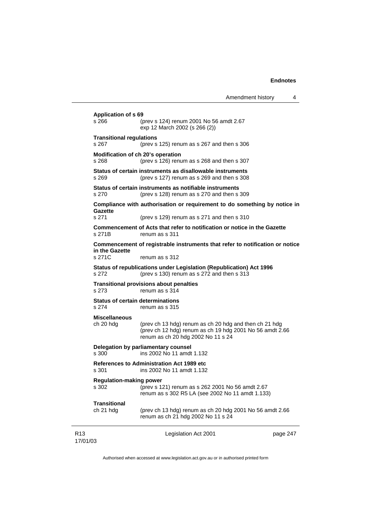|                             |                                                  |                                                                                                                                                          | Amendment history | 4        |
|-----------------------------|--------------------------------------------------|----------------------------------------------------------------------------------------------------------------------------------------------------------|-------------------|----------|
|                             | <b>Application of s 69</b><br>s 266              | (prev s 124) renum 2001 No 56 amdt 2.67<br>exp 12 March 2002 (s 266 (2))                                                                                 |                   |          |
|                             | <b>Transitional regulations</b><br>s 267         | (prev s $125$ ) renum as s $267$ and then s $306$                                                                                                        |                   |          |
|                             | Modification of ch 20's operation<br>s 268       | (prev s 126) renum as s 268 and then s 307                                                                                                               |                   |          |
|                             | s 269                                            | Status of certain instruments as disallowable instruments<br>(prev s 127) renum as s 269 and then s 308                                                  |                   |          |
|                             | s 270                                            | Status of certain instruments as notifiable instruments<br>(prev s 128) renum as s 270 and then s 309                                                    |                   |          |
|                             |                                                  | Compliance with authorisation or requirement to do something by notice in                                                                                |                   |          |
|                             | Gazette<br>s 271                                 | (prev s 129) renum as s 271 and then s 310                                                                                                               |                   |          |
|                             | s 271B                                           | Commencement of Acts that refer to notification or notice in the Gazette<br>renum as s 311                                                               |                   |          |
|                             |                                                  | Commencement of registrable instruments that refer to notification or notice                                                                             |                   |          |
|                             | in the Gazette<br>s 271C                         | renum as s 312                                                                                                                                           |                   |          |
|                             | s 272                                            | Status of republications under Legislation (Republication) Act 1996<br>(prev s 130) renum as s 272 and then s 313                                        |                   |          |
|                             | s 273                                            | <b>Transitional provisions about penalties</b><br>renum as s 314                                                                                         |                   |          |
|                             | <b>Status of certain determinations</b><br>s 274 | renum as s 315                                                                                                                                           |                   |          |
|                             | <b>Miscellaneous</b><br>ch 20 hdg                | (prev ch 13 hdg) renum as ch 20 hdg and then ch 21 hdg<br>(prev ch 12 hdg) renum as ch 19 hdg 2001 No 56 amdt 2.66<br>renum as ch 20 hdg 2002 No 11 s 24 |                   |          |
|                             | s 300                                            | Delegation by parliamentary counsel<br>ins 2002 No 11 amdt 1.132                                                                                         |                   |          |
|                             | s 301                                            | <b>References to Administration Act 1989 etc</b><br>ins 2002 No 11 amdt 1.132                                                                            |                   |          |
|                             | <b>Regulation-making power</b><br>s 302          | (prev s 121) renum as s 262 2001 No 56 amdt 2.67<br>renum as s 302 R5 LA (see 2002 No 11 amdt 1.133)                                                     |                   |          |
|                             | <b>Transitional</b><br>ch 21 hdg                 | (prev ch 13 hdg) renum as ch 20 hdg 2001 No 56 amdt 2.66<br>renum as ch 21 hdg 2002 No 11 s 24                                                           |                   |          |
| R <sub>13</sub><br>17/01/03 |                                                  | Legislation Act 2001                                                                                                                                     |                   | page 247 |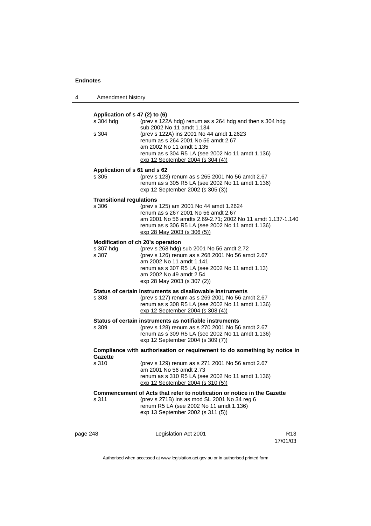| 4        | Amendment history                           |                                                                                                                                                                                                                                        |                             |
|----------|---------------------------------------------|----------------------------------------------------------------------------------------------------------------------------------------------------------------------------------------------------------------------------------------|-----------------------------|
|          | Application of s 47 (2) to (6)<br>s 304 hdg | (prev s 122A hdg) renum as s 264 hdg and then s 304 hdg                                                                                                                                                                                |                             |
|          | s 304                                       | sub 2002 No 11 amdt 1.134<br>(prev s 122A) ins 2001 No 44 amdt 1.2623<br>renum as s 264 2001 No 56 amdt 2.67<br>am 2002 No 11 amdt 1.135<br>renum as s 304 R5 LA (see 2002 No 11 amdt 1.136)<br>exp 12 September 2004 (s 304 (4))      |                             |
|          | Application of s 61 and s 62                |                                                                                                                                                                                                                                        |                             |
|          | s 305                                       | (prev s 123) renum as s 265 2001 No 56 amdt 2.67<br>renum as s 305 R5 LA (see 2002 No 11 amdt 1.136)<br>exp 12 September 2002 (s 305 (3))                                                                                              |                             |
|          | <b>Transitional regulations</b>             |                                                                                                                                                                                                                                        |                             |
|          | s 306                                       | (prev s 125) am 2001 No 44 amdt 1.2624<br>renum as s 267 2001 No 56 amdt 2.67<br>am 2001 No 56 amdts 2.69-2.71; 2002 No 11 amdt 1.137-1.140<br>renum as s 306 R5 LA (see 2002 No 11 amdt 1.136)<br>exp 28 May 2003 (s 306 (5))         |                             |
|          |                                             | Modification of ch 20's operation                                                                                                                                                                                                      |                             |
|          | s 307 hdg<br>s 307                          | (prev s 268 hdg) sub 2001 No 56 amdt 2.72<br>(prev s 126) renum as s 268 2001 No 56 amdt 2.67<br>am 2002 No 11 amdt 1.141<br>renum as s 307 R5 LA (see 2002 No 11 amdt 1.13)<br>am 2002 No 49 amdt 2.54<br>exp 28 May 2003 (s 307 (2)) |                             |
|          | s 308                                       | Status of certain instruments as disallowable instruments<br>(prev s 127) renum as s 269 2001 No 56 amdt 2.67<br>renum as s 308 R5 LA (see 2002 No 11 amdt 1.136)<br>exp 12 September 2004 (s 308 (4))                                 |                             |
|          | s 309                                       | Status of certain instruments as notifiable instruments<br>(prev s 128) renum as s 270 2001 No 56 amdt 2.67<br>renum as s 309 R5 LA (see 2002 No 11 amdt 1.136)<br>exp 12 September 2004 (s 309 (7))                                   |                             |
|          | Gazette                                     | Compliance with authorisation or requirement to do something by notice in                                                                                                                                                              |                             |
|          | s 310                                       | (prev s 129) renum as s 271 2001 No 56 amdt 2.67<br>am 2001 No 56 amdt 2.73<br>renum as s 310 R5 LA (see 2002 No 11 amdt 1.136)<br>exp 12 September 2004 (s 310 (5))                                                                   |                             |
|          | s 311                                       | Commencement of Acts that refer to notification or notice in the Gazette<br>(prev s 271B) ins as mod SL 2001 No 34 reg 6<br>renum R5 LA (see 2002 No 11 amdt 1.136)<br>exp 13 September 2002 (s 311 (5))                               |                             |
| page 248 |                                             | Legislation Act 2001                                                                                                                                                                                                                   | R <sub>13</sub><br>17/01/03 |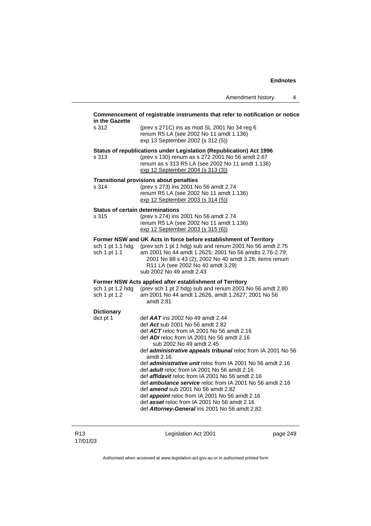#### **Commencement of registrable instruments that refer to notification or notice in the Gazette**

| s 312 | (prev s 271C) ins as mod SL 2001 No 34 reg 6 |
|-------|----------------------------------------------|
|       | renum R5 LA (see 2002 No 11 amdt 1.136)      |
|       | exp 13 September 2002 (s 312 (5))            |

#### **Status of republications under Legislation (Republication) Act 1996**

s 313 (prev s 130) renum as s 272 2001 No 56 amdt 2.67 renum as s 313 R5 LA (see 2002 No 11 amdt 1.136) exp 12 September 2004 (s 313 (3))

#### **Transitional provisions about penalties**

s 314 (prev s 273) ins 2001 No 56 amdt 2.74 renum R5 LA (see 2002 No 11 amdt 1.136) exp 12 September 2003 (s 314 (5))

## **Status of certain determinations**<br>s 315 (prev s 274) ins

(prev s 274) ins 2001 No 56 amdt 2.74 renum R5 LA (see 2002 No 11 amdt 1.136) exp 12 September 2003 (s 315 (6))

# **Former NSW and UK Acts in force before establishment of Territory** sch 1 pt 1.1 hdg (prev sch 1 pt 1 hdg) sub and renum 2001 No 56 amd

(prev sch 1 pt 1 hdg) sub and renum 2001 No 56 amdt  $2.75$ sch 1 pt 1.1 am 2001 No 44 amdt 1.2625; 2001 No 56 amdts 2.76-2.79; 2001 No 88 s 43 (2); 2002 No 40 amdt 3.28; items renum R11 LA (see 2002 No 40 amdt 3.29) sub 2002 No 49 amdt 2.43

#### **Former NSW Acts applied after establishment of Territory**

| sch 1 pt 1.2 hdg                                                                                                                                                                                                                                                                                                                                                                     | (prev sch 1 pt 2 hdg) sub and renum 2001 No 56 amdt 2.80 |
|--------------------------------------------------------------------------------------------------------------------------------------------------------------------------------------------------------------------------------------------------------------------------------------------------------------------------------------------------------------------------------------|----------------------------------------------------------|
| sch 1 pt 1.2                                                                                                                                                                                                                                                                                                                                                                         | am 2001 No 44 amdt 1.2626, amdt 1.2627; 2001 No 56       |
|                                                                                                                                                                                                                                                                                                                                                                                      | amdt 2.81                                                |
| <b>Dictionary</b>                                                                                                                                                                                                                                                                                                                                                                    |                                                          |
| $\overline{a}$ $\overline{a}$ $\overline{a}$ $\overline{a}$ $\overline{a}$ $\overline{a}$ $\overline{a}$ $\overline{a}$ $\overline{a}$ $\overline{a}$ $\overline{a}$ $\overline{a}$ $\overline{a}$ $\overline{a}$ $\overline{a}$ $\overline{a}$ $\overline{a}$ $\overline{a}$ $\overline{a}$ $\overline{a}$ $\overline{a}$ $\overline{a}$ $\overline{a}$ $\overline{a}$ $\overline{$ | def $AAT$ ing 2002 No. 40 amdt 2.44                      |

| dict pt 1 | def $AAT$ ins 2002 No 49 amdt 2.44 |  |
|-----------|------------------------------------|--|
|           |                                    |  |

- def *Act* sub 2001 No 56 amdt 2.82
	- def *ACT* reloc from IA 2001 No 56 amdt 2.16
	- def *ADI* reloc from IA 2001 No 56 amdt 2.16 sub 2002 No 49 amdt 2.45
	- def *administrative appeals tribunal* reloc from IA 2001 No 56 amdt 2.16
	- def *administrative unit* reloc from IA 2001 No 56 amdt 2.16
- def *adult* reloc from IA 2001 No 56 amdt 2.16
- def *affidavit* reloc from IA 2001 No 56 amdt 2.16
- def *ambulance service* reloc from IA 2001 No 56 amdt 2.16
- def *amend* sub 2001 No 56 amdt 2.82
- def *appoint* reloc from IA 2001 No 56 amdt 2.16
- def *asset* reloc from IA 2001 No 56 amdt 2.16
- def *Attorney-General* ins 2001 No 56 amdt 2.82

Legislation Act 2001 **page 249**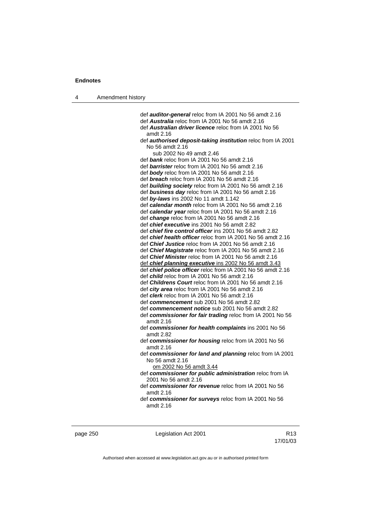def *auditor-general* reloc from IA 2001 No 56 amdt 2.16 def *Australia* reloc from IA 2001 No 56 amdt 2.16 def *Australian driver licence* reloc from IA 2001 No 56 amdt 2.16 def *authorised deposit-taking institution* reloc from IA 2001 No 56 amdt 2.16 sub 2002 No 49 amdt 2.46 def *bank* reloc from IA 2001 No 56 amdt 2.16 def *barrister* reloc from IA 2001 No 56 amdt 2.16 def *body* reloc from IA 2001 No 56 amdt 2.16 def *breach* reloc from IA 2001 No 56 amdt 2.16 def *building society* reloc from IA 2001 No 56 amdt 2.16 def *business day* reloc from IA 2001 No 56 amdt 2.16 def *by-laws* ins 2002 No 11 amdt 1.142 def *calendar month* reloc from IA 2001 No 56 amdt 2.16 def *calendar year* reloc from IA 2001 No 56 amdt 2.16 def *change* reloc from IA 2001 No 56 amdt 2.16 def *chief executive* ins 2001 No 56 amdt 2.82 def *chief fire control officer* ins 2001 No 56 amdt 2.82 def *chief health officer* reloc from IA 2001 No 56 amdt 2.16 def *Chief Justice* reloc from IA 2001 No 56 amdt 2.16 def *Chief Magistrate* reloc from IA 2001 No 56 amdt 2.16 def *Chief Minister* reloc from IA 2001 No 56 amdt 2.16 def *chief planning executive* ins 2002 No 56 amdt 3.43 def *chief police officer* reloc from IA 2001 No 56 amdt 2.16 def *child* reloc from IA 2001 No 56 amdt 2.16 def *Childrens Court* reloc from IA 2001 No 56 amdt 2.16 def *city area* reloc from IA 2001 No 56 amdt 2.16 def *clerk* reloc from IA 2001 No 56 amdt 2.16 def *commencement* sub 2001 No 56 amdt 2.82 def *commencement notice* sub 2001 No 56 amdt 2.82 def *commissioner for fair trading* reloc from IA 2001 No 56 amdt 2.16 def *commissioner for health complaints* ins 2001 No 56 amdt 2.82 def *commissioner for housing* reloc from IA 2001 No 56 amdt 2.16 def *commissioner for land and planning* reloc from IA 2001 No 56 amdt 2.16 om 2002 No 56 amdt 3.44 def *commissioner for public administration* reloc from IA 2001 No 56 amdt 2.16 def *commissioner for revenue* reloc from IA 2001 No 56 amdt 2.16 def *commissioner for surveys* reloc from IA 2001 No 56

amdt 2.16

page 250 **Legislation Act 2001** CH<sub>13</sub> R13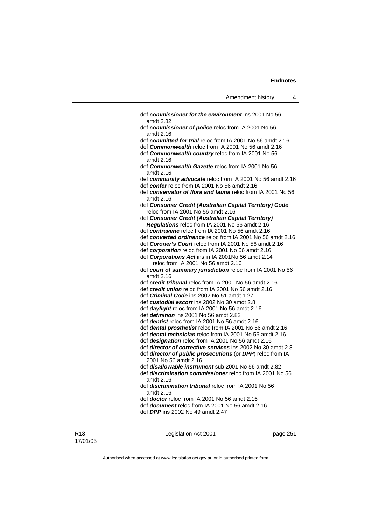| def commissioner for the environment ins 2001 No 56<br>amdt 2.82                                                                     |
|--------------------------------------------------------------------------------------------------------------------------------------|
| def commissioner of police reloc from IA 2001 No 56<br>amdt 2.16                                                                     |
| def committed for trial reloc from IA 2001 No 56 amdt 2.16                                                                           |
| def Commonwealth reloc from IA 2001 No 56 amdt 2.16                                                                                  |
| def Commonwealth country reloc from IA 2001 No 56<br>amdt 2.16                                                                       |
| def Commonwealth Gazette reloc from IA 2001 No 56<br>amdt 2.16                                                                       |
| def community advocate reloc from IA 2001 No 56 amdt 2.16                                                                            |
| def confer reloc from IA 2001 No 56 amdt 2.16                                                                                        |
| def conservator of flora and fauna reloc from IA 2001 No 56<br>amdt 2.16                                                             |
| def Consumer Credit (Australian Capital Territory) Code<br>reloc from IA 2001 No 56 amdt 2.16                                        |
| def Consumer Credit (Australian Capital Territory)                                                                                   |
| Regulations reloc from IA 2001 No 56 amdt 2.16                                                                                       |
| def contravene reloc from IA 2001 No 56 amdt 2.16                                                                                    |
| def converted ordinance reloc from IA 2001 No 56 amdt 2.16                                                                           |
| def Coroner's Court reloc from IA 2001 No 56 amdt 2.16                                                                               |
| def corporation reloc from IA 2001 No 56 amdt 2.16                                                                                   |
| def Corporations Act ins in IA 2001No 56 amdt 2.14                                                                                   |
| reloc from IA 2001 No 56 amdt 2.16                                                                                                   |
| def court of summary jurisdiction reloc from IA 2001 No 56<br>amdt 2.16                                                              |
| def credit tribunal reloc from IA 2001 No 56 amdt 2.16                                                                               |
| def credit union reloc from IA 2001 No 56 amdt 2.16                                                                                  |
| def <i>Criminal Code</i> ins 2002 No 51 amdt 1.27                                                                                    |
| def custodial escort ins 2002 No 30 amdt 2.8                                                                                         |
| def <i>daylight</i> reloc from IA 2001 No 56 amdt 2.16                                                                               |
| def <i>definition</i> ins 2001 No 56 amdt 2.82                                                                                       |
| def <i>dentist</i> reloc from IA 2001 No 56 amdt 2.16                                                                                |
| def dental prosthetist reloc from IA 2001 No 56 amdt 2.16                                                                            |
| def <b>dental technician</b> reloc from IA 2001 No 56 amdt 2.16                                                                      |
| def <b>designation</b> reloc from IA 2001 No 56 amdt 2.16                                                                            |
| def <i>director of corrective services</i> ins 2002 No 30 amdt 2.8                                                                   |
| def director of public prosecutions (or DPP) reloc from IA<br>2001 No 56 amdt 2.16                                                   |
| def <i>disallowable instrument</i> sub 2001 No 56 amdt 2.82<br>def discrimination commissioner reloc from IA 2001 No 56<br>amdt 2.16 |
| def <i>discrimination tribunal</i> reloc from IA 2001 No 56<br>amdt 2.16                                                             |
| def <b>doctor</b> reloc from IA 2001 No 56 amdt 2.16                                                                                 |
| def <i>document</i> reloc from IA 2001 No 56 amdt 2.16                                                                               |
| def DPP ins 2002 No 49 amdt 2.47                                                                                                     |
|                                                                                                                                      |

Legislation Act 2001 **page 251**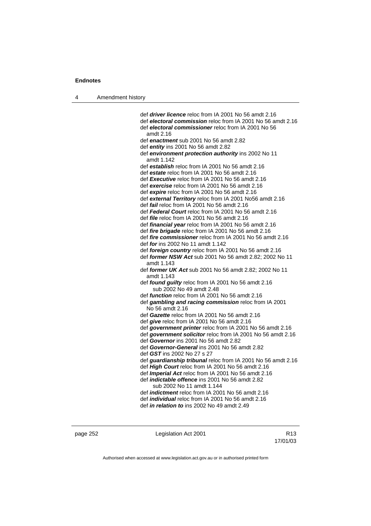| 4 | Amendment history |
|---|-------------------|
|---|-------------------|

 def *driver licence* reloc from IA 2001 No 56 amdt 2.16 def *electoral commission* reloc from IA 2001 No 56 amdt 2.16 def *electoral commissioner* reloc from IA 2001 No 56 amdt 2.16 def *enactment* sub 2001 No 56 amdt 2.82 def *entity* ins 2001 No 56 amdt 2.82 def *environment protection authority* ins 2002 No 11 amdt 1.142 def *establish* reloc from IA 2001 No 56 amdt 2.16 def *estate* reloc from IA 2001 No 56 amdt 2.16 def *Executive* reloc from IA 2001 No 56 amdt 2.16 def *exercise* reloc from IA 2001 No 56 amdt 2.16 def *expire* reloc from IA 2001 No 56 amdt 2.16 def *external Territory* reloc from IA 2001 No56 amdt 2.16 def *fail* reloc from IA 2001 No 56 amdt 2.16 def *Federal Court* reloc from IA 2001 No 56 amdt 2.16 def *file* reloc from IA 2001 No 56 amdt 2.16 def *financial year* reloc from IA 2001 No 56 amdt 2.16 def *fire brigade* reloc from IA 2001 No 56 amdt 2.16 def *fire commissioner* reloc from IA 2001 No 56 amdt 2.16 def *for* ins 2002 No 11 amdt 1.142 def *foreign country* reloc from IA 2001 No 56 amdt 2.16 def *former NSW Act* sub 2001 No 56 amdt 2.82; 2002 No 11 amdt 1.143 def *former UK Act* sub 2001 No 56 amdt 2.82; 2002 No 11 amdt 1.143 def *found guilty* reloc from IA 2001 No 56 amdt 2.16 sub 2002 No 49 amdt 2.48 def *function* reloc from IA 2001 No 56 amdt 2.16 def *gambling and racing commission* reloc from IA 2001 No 56 amdt 2.16 def *Gazette* reloc from IA 2001 No 56 amdt 2.16 def *give* reloc from IA 2001 No 56 amdt 2.16 def *government printer* reloc from IA 2001 No 56 amdt 2.16 def *government solicitor* reloc from IA 2001 No 56 amdt 2.16 def *Governor* ins 2001 No 56 amdt 2.82 def *Governor-General* ins 2001 No 56 amdt 2.82 def *GST* ins 2002 No 27 s 27 def *guardianship tribunal* reloc from IA 2001 No 56 amdt 2.16 def *High Court* reloc from IA 2001 No 56 amdt 2.16 def *Imperial Act* reloc from IA 2001 No 56 amdt 2.16 def *indictable offence* ins 2001 No 56 amdt 2.82 sub 2002 No 11 amdt 1.144 def *indictment* reloc from IA 2001 No 56 amdt 2.16 def *individual* reloc from IA 2001 No 56 amdt 2.16 def *in relation to* ins 2002 No 49 amdt 2.49

page 252 Legislation Act 2001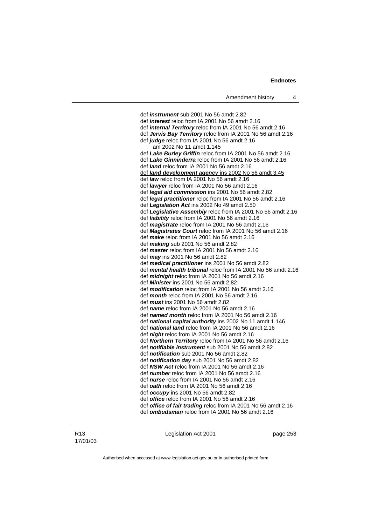def *instrument* sub 2001 No 56 amdt 2.82 def *interest* reloc from IA 2001 No 56 amdt 2.16 def *internal Territory* reloc from IA 2001 No 56 amdt 2.16 def *Jervis Bay Territory* reloc from IA 2001 No 56 amdt 2.16 def *judge* reloc from IA 2001 No 56 amdt 2.16 am 2002 No 11 amdt 1.145 def *Lake Burley Griffin* reloc from IA 2001 No 56 amdt 2.16 def *Lake Ginninderra* reloc from IA 2001 No 56 amdt 2.16 def *land* reloc from IA 2001 No 56 amdt 2.16 def *land development agency* ins 2002 No 56 amdt 3.45 def *law* reloc from IA 2001 No 56 amdt 2.16 def *lawyer* reloc from IA 2001 No 56 amdt 2.16 def *legal aid commission* ins 2001 No 56 amdt 2.82 def *legal practitioner* reloc from IA 2001 No 56 amdt 2.16 def *Legislation Act* ins 2002 No 49 amdt 2.50 def *Legislative Assembly* reloc from IA 2001 No 56 amdt 2.16 def *liability* reloc from IA 2001 No 56 amdt 2.16 def *magistrate* reloc from IA 2001 No 56 amdt 2.16 def *Magistrates Court* reloc from IA 2001 No 56 amdt 2.16 def *make* reloc from IA 2001 No 56 amdt 2.16 def *making* sub 2001 No 56 amdt 2.82 def *master* reloc from IA 2001 No 56 amdt 2.16 def *may* ins 2001 No 56 amdt 2.82 def *medical practitioner* ins 2001 No 56 amdt 2.82 def *mental health tribunal* reloc from IA 2001 No 56 amdt 2.16 def *midnight* reloc from IA 2001 No 56 amdt 2.16 def *Minister* ins 2001 No 56 amdt 2.82 def *modification* reloc from IA 2001 No 56 amdt 2.16 def *month* reloc from IA 2001 No 56 amdt 2.16 def *mus t* ins 2001 No 56 amdt 2.82 def *name* reloc from IA 2001 No 56 amdt 2.16 def *named month* reloc from IA 2001 No 56 amdt 2.16 def *national capital authority* ins 2002 No 11 amdt 1.146 def *national land* reloc from IA 2001 No 56 amdt 2.16 def *night* reloc from IA 2001 No 56 amdt 2.16 def *Northern Territory* reloc from IA 2001 No 56 amdt 2.16 def *notifiable instrument* sub 2001 No 56 amdt 2.82 def *notification* sub 2001 No 56 amdt 2.82 def *notification day* sub 2001 No 56 amdt 2.82 def *NSW Act* reloc from IA 2001 No 56 amdt 2.16 def *number* reloc from IA 2001 No 56 amdt 2.16 def *nurse* reloc from IA 2001 No 56 amdt 2.16 def *oath* reloc from IA 2001 No 56 amdt 2.16 def *occupy* ins 2001 No 56 amdt 2.82 def *office* reloc from IA 2001 No 56 amdt 2.16 def *office of fair trading* reloc from IA 2001 No 56 amdt 2.16 def *ombudsman* reloc from IA 2001 No 56 amdt 2.16

#### R13 17/01/03

Legislation Act 2001 **page 253**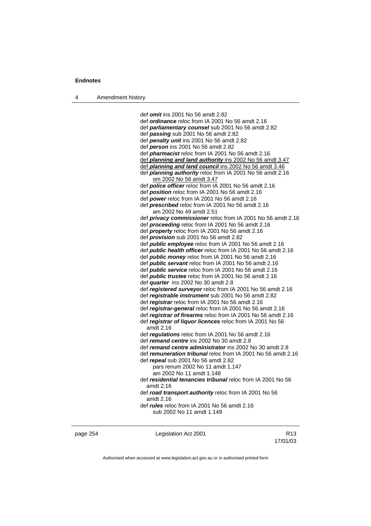def *omit* ins 2001 No 56 amdt 2.82 def *ordinance* reloc from IA 2001 No 56 amdt 2.16 def *parliamentary counsel* sub 2001 No 56 amdt 2.82 def *passing* sub 2001 No 56 amdt 2.82 def *penalty unit* ins 2001 No 56 amdt 2.82 def *person* ins 2001 No 56 amdt 2.82 def *pharmacist* reloc from IA 2001 No 56 amdt 2.16 def *planning and land authority* ins 2002 No 56 amdt 3.47 def *planning and land council* ins 2002 No 56 amdt 3.46 def *planning authority* reloc from IA 2001 No 56 amdt 2.16 om 2002 No 56 amdt 3.47 def *police officer* reloc from IA 2001 No 56 amdt 2.16 def *position* reloc from IA 2001 No 56 amdt 2.16 def *power* reloc from IA 2001 No 56 amdt 2.16 def *prescribed* reloc from IA 2001 No 56 amdt 2.16 am 2002 No 49 amdt 2.51 def *privacy commissioner* reloc from IA 2001 No 56 amdt 2.16 def *proceeding* reloc from IA 2001 No 56 amdt 2.16 def *property* reloc from IA 2001 No 56 amdt 2.16 def *provision* sub 2001 No 56 amdt 2.82 def *public employee* reloc from IA 2001 No 56 amdt 2.16 def *public health officer* reloc from IA 2001 No 56 amdt 2.16 def *public money* reloc from IA 2001 No 56 amdt 2.16 def *public servant* reloc from IA 2001 No 56 amdt 2.16 def *public service* reloc from IA 2001 No 56 amdt 2.16 def *public trustee* reloc from IA 2001 No 56 amdt 2.16 def *quarter* ins 2002 No 30 amdt 2.8 def *registered surveyor* reloc from IA 2001 No 56 amdt 2.16 def *registrable instrument* sub 2001 No 56 amdt 2.82 def *registrar* reloc from IA 2001 No 56 amdt 2.16 def *registrar-general* reloc from IA 2001 No 56 amdt 2.16 def *registrar of firearms* reloc from IA 2001 No 56 amdt 2.16 def *registrar of liquor licences* reloc from IA 2001 No 56 amdt 2.16 def *regulations* reloc from IA 2001 No 56 amdt 2.16 def *remand centre* ins 2002 No 30 amdt 2.8 def *remand centre administrator* ins 2002 No 30 amdt 2.8 def *remuneration tribunal* reloc from IA 2001 No 56 amdt 2.16 def *repeal* sub 2001 No 56 amdt 2.82 pars renum 2002 No 11 amdt 1.147 am 2002 No 11 amdt 1.148 def *residential tenancies tribunal* reloc from IA 2001 No 56 amdt 2.16 def *road transport authority* reloc from IA 2001 No 56 amdt 2.16 def *rules* reloc from IA 2001 No 56 amdt 2.16 sub 2002 No 11 amdt 1.149

| page 254 | Legislation Act 2001 | R <sub>13</sub> |
|----------|----------------------|-----------------|
|          |                      | 17/01/03        |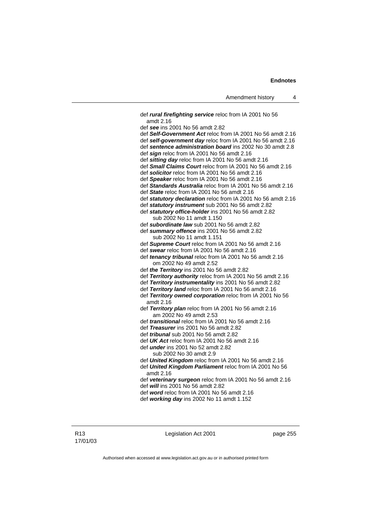def *rural firefighting service* reloc from IA 2001 No 56 amdt 2.16 def *see* ins 2001 No 56 amdt 2.82 def *Self-Government Act* reloc from IA 2001 No 56 amdt 2.16 def *self-government day* reloc from IA 2001 No 56 amdt 2.16 def *sentence administration board* ins 2002 No 30 amdt 2.8 def *sign* reloc from IA 2001 No 56 amdt 2.16 def *sitting day* reloc from IA 2001 No 56 amdt 2.16 def *Small Claims Court* reloc from IA 2001 No 56 amdt 2.16 def *solicitor* reloc from IA 2001 No 56 amdt 2.16 def *Speaker* reloc from IA 2001 No 56 amdt 2.16 def *Standards Australia* reloc from IA 2001 No 56 amdt 2.16 def *State* reloc from IA 2001 No 56 amdt 2.16 def *statutory declaration* reloc from IA 2001 No 56 amdt 2.16 def *statutory instrument* sub 2001 No 56 amdt 2.82 def *statutory office-holder* ins 2001 No 56 amdt 2.82 sub 2002 No 11 amdt 1.150 def *subordinate law* sub 2001 No 56 amdt 2.82 def *summary offence* ins 2001 No 56 amdt 2.82 sub 2002 No 11 amdt 1.151 def *Supreme Court* reloc from IA 2001 No 56 amdt 2.16 def *swear* reloc from IA 2001 No 56 amdt 2.16 def *tenancy tribunal* reloc from IA 2001 No 56 amdt 2.16 om 2002 No 49 amdt 2.52 def *the Territory* ins 2001 No 56 amdt 2.82 def *Territory authority* reloc from IA 2001 No 56 amdt 2.16 def *Territory instrumentality* ins 2001 No 56 amdt 2.82 def *Territory land* reloc from IA 2001 No 56 amdt 2.16 def *Territory owned corporation* reloc from IA 2001 No 56 amdt 2.16 def *Territory plan* reloc from IA 2001 No 56 amdt 2.16 am 2002 No 49 amdt 2.53 def *transitional* reloc from IA 2001 No 56 amdt 2.16 def *Treasurer* ins 2001 No 56 amdt 2.82 def *tribunal* sub 2001 No 56 amdt 2.82 def *UK Act* reloc from IA 2001 No 56 amdt 2.16 def *under* ins 2001 No 52 amdt 2.82 sub 2002 No 30 amdt 2.9 def *United Kingdom* reloc from IA 2001 No 56 amdt 2.16 def *United Kingdom Parliament* reloc from IA 2001 No 56 amdt 2.16

 def *veterinary surgeon* reloc from IA 2001 No 56 amdt 2.16 def *will* ins 2001 No 56 amdt 2.82

def *word* reloc from IA 2001 No 56 amdt 2.16

def *working day* ins 2002 No 11 amdt 1.152

Legislation Act 2001 **page 255**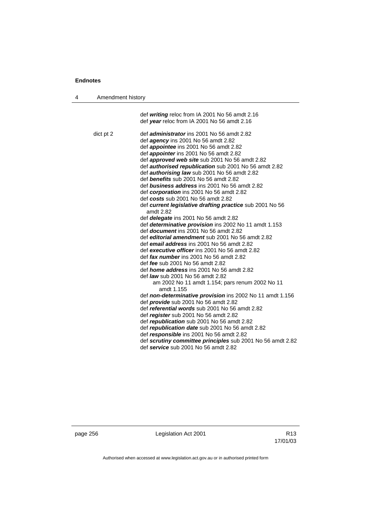| Amendment history<br>4 |                                                                                                                                                                                                                                                                                                                                                                                                                                                                                                                                                                                                                                                                                                                                                                                                                                                                                                                                                                                                                                                                                                                                                                                                                                                                                                                                                                                                                                                                                                                                                                                                        |
|------------------------|--------------------------------------------------------------------------------------------------------------------------------------------------------------------------------------------------------------------------------------------------------------------------------------------------------------------------------------------------------------------------------------------------------------------------------------------------------------------------------------------------------------------------------------------------------------------------------------------------------------------------------------------------------------------------------------------------------------------------------------------------------------------------------------------------------------------------------------------------------------------------------------------------------------------------------------------------------------------------------------------------------------------------------------------------------------------------------------------------------------------------------------------------------------------------------------------------------------------------------------------------------------------------------------------------------------------------------------------------------------------------------------------------------------------------------------------------------------------------------------------------------------------------------------------------------------------------------------------------------|
|                        | def writing reloc from IA 2001 No 56 amdt 2.16<br>def year reloc from IA 2001 No 56 amdt 2.16                                                                                                                                                                                                                                                                                                                                                                                                                                                                                                                                                                                                                                                                                                                                                                                                                                                                                                                                                                                                                                                                                                                                                                                                                                                                                                                                                                                                                                                                                                          |
| dict pt 2              | def <i>administrator</i> ins 2001 No 56 amdt 2.82<br>def <i>agency</i> ins 2001 No 56 amdt 2.82<br>def appointee ins 2001 No 56 amdt 2.82<br>def <i>appointer</i> ins 2001 No 56 amdt 2.82<br>def <i>approved web site</i> sub 2001 No 56 amdt 2.82<br>def <b>authorised republication</b> sub 2001 No 56 amdt 2.82<br>def <b>authorising law</b> sub 2001 No 56 amdt 2.82<br>def benefits sub 2001 No 56 amdt 2.82<br>def business address ins 2001 No 56 amdt 2.82<br>def corporation ins 2001 No 56 amdt 2.82<br>def costs sub 2001 No 56 amdt 2.82<br>def current legislative drafting practice sub 2001 No 56<br>amdt 2.82<br>def delegate ins 2001 No 56 amdt 2.82<br>def determinative provision ins 2002 No 11 amdt 1.153<br>def <i>document</i> ins 2001 No 56 amdt 2.82<br>def editorial amendment sub 2001 No 56 amdt 2.82<br>def email address ins 2001 No 56 amdt 2.82<br>def executive officer ins 2001 No 56 amdt 2.82<br>def fax number ins 2001 No 56 amdt 2.82<br>def fee sub 2001 No 56 amdt 2.82<br>def <i>home address</i> ins 2001 No 56 amdt 2.82<br>def <i>law</i> sub 2001 No 56 amdt 2.82<br>am 2002 No 11 amdt 1.154; pars renum 2002 No 11<br>amdt 1.155<br>def non-determinative provision ins 2002 No 11 amdt 1.156<br>def <b>provide</b> sub 2001 No 56 amdt 2.82<br>def referential words sub 2001 No 56 amdt 2.82<br>def register sub 2001 No 56 amdt 2.82<br>def republication sub 2001 No 56 amdt 2.82<br>def republication date sub 2001 No 56 amdt 2.82<br>def responsible ins 2001 No 56 amdt 2.82<br>def scrutiny committee principles sub 2001 No 56 amdt 2.82 |
|                        | def service sub 2001 No 56 amdt 2.82                                                                                                                                                                                                                                                                                                                                                                                                                                                                                                                                                                                                                                                                                                                                                                                                                                                                                                                                                                                                                                                                                                                                                                                                                                                                                                                                                                                                                                                                                                                                                                   |

page 256 **Legislation Act 2001** Constants R13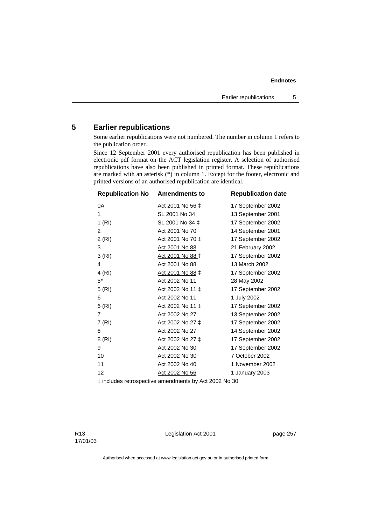## **5 Earlier republications**

Some earlier republications were not numbered. The number in column 1 refers to the publication order.

Since 12 September 2001 every authorised republication has been published in electronic pdf format on the ACT legislation register. A selection of authorised republications have also been published in printed format. These republications are marked with an asterisk  $(*)$  in column 1. Except for the footer, electronic and printed versions of an authorised republication are identical.

| <b>Republication No</b> | <b>Amendments to</b> | <b>Republication date</b> |
|-------------------------|----------------------|---------------------------|
| 0A                      | Act 2001 No 56 ‡     | 17 September 2002         |
| 1                       | SL 2001 No 34        | 13 September 2001         |
| 1(RI)                   | SL 2001 No 34 ‡      | 17 September 2002         |
| $\overline{c}$          | Act 2001 No 70       | 14 September 2001         |
| 2(RI)                   | Act 2001 No 70 ‡     | 17 September 2002         |
| 3                       | Act 2001 No 88       | 21 February 2002          |
| 3(RI)                   | Act 2001 No 88 ‡     | 17 September 2002         |
| 4                       | Act 2001 No 88       | 13 March 2002             |
| 4(RI)                   | Act 2001 No 88 ‡     | 17 September 2002         |
| $5^*$                   | Act 2002 No 11       | 28 May 2002               |
| 5(RI)                   | Act 2002 No 11 ‡     | 17 September 2002         |
| 6                       | Act 2002 No 11       | 1 July 2002               |
| 6(RI)                   | Act 2002 No 11 ‡     | 17 September 2002         |
| 7                       | Act 2002 No 27       | 13 September 2002         |
| 7(RI)                   | Act 2002 No 27 ‡     | 17 September 2002         |
| 8                       | Act 2002 No 27       | 14 September 2002         |
| 8(RI)                   | Act 2002 No 27 ‡     | 17 September 2002         |
| 9                       | Act 2002 No 30       | 17 September 2002         |
| 10                      | Act 2002 No 30       | 7 October 2002            |
| 11                      | Act 2002 No 40       | 1 November 2002           |
| 12                      | Act 2002 No 56       | 1 January 2003            |
|                         |                      |                           |

‡ includes retrospective amendments by Act 2002 No 30

Legislation Act 2001 **page 257**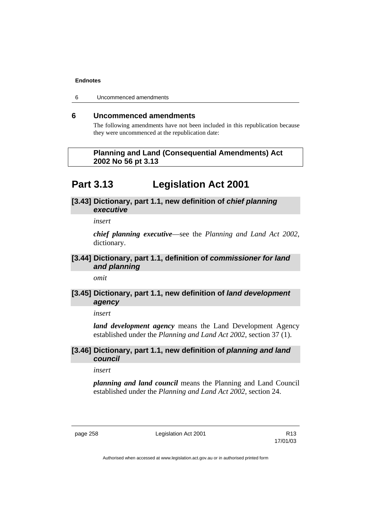6 Uncommenced amendments

### **6 Uncommenced amendments**

The following amendments have not been included in this republication because they were uncommenced at the republication date:

### **Planning and Land (Consequential Amendments) Act 2002 No 56 pt 3.13**

## **Part 3.13 Legislation Act 2001**

### **[3.43] Dictionary, part 1.1, new definition of** *chief planning executive*

*insert* 

*chief planning executive*—see the *Planning and Land Act 2002*, dictionary.

### **[3.44] Dictionary, part 1.1, definition of** *commissioner for land and planning*

*omit* 

### **[3.45] Dictionary, part 1.1, new definition of** *land development agency*

*insert* 

*land development agency* means the Land Development Agency established under the *Planning and Land Act 2002*, section 37 (1).

### **[3.46] Dictionary, part 1.1, new definition of** *planning and land council*

*insert* 

*planning and land council* means the Planning and Land Council established under the *Planning and Land Act 2002*, section 24.

page 258 **Legislation Act 2001** R13

17/01/03